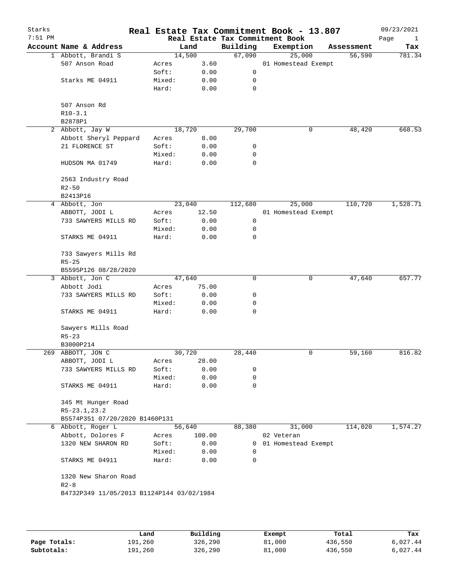| Starks<br>$7:51$ PM |                                           |        |        |             | Real Estate Tax Commitment Book - 13.807<br>Real Estate Tax Commitment Book |            | 09/23/2021<br>Page<br>$\mathbf{1}$ |
|---------------------|-------------------------------------------|--------|--------|-------------|-----------------------------------------------------------------------------|------------|------------------------------------|
|                     | Account Name & Address                    |        | Land   | Building    | Exemption                                                                   | Assessment | Tax                                |
|                     | 1 Abbott, Brandi S                        |        | 14,500 | 67,090      | 25,000                                                                      | 56,590     | 781.34                             |
|                     | 507 Anson Road                            | Acres  | 3.60   |             | 01 Homestead Exempt                                                         |            |                                    |
|                     |                                           | Soft:  | 0.00   | 0           |                                                                             |            |                                    |
|                     | Starks ME 04911                           | Mixed: | 0.00   | 0           |                                                                             |            |                                    |
|                     |                                           | Hard:  | 0.00   | 0           |                                                                             |            |                                    |
|                     | 507 Anson Rd                              |        |        |             |                                                                             |            |                                    |
|                     | $R10-3.1$                                 |        |        |             |                                                                             |            |                                    |
|                     | B2878P1                                   |        |        |             |                                                                             |            |                                    |
|                     | 2 Abbott, Jay W                           |        | 18,720 | 29,700      | 0                                                                           | 48,420     | 668.53                             |
|                     | Abbott Sheryl Peppard                     | Acres  | 8.00   |             |                                                                             |            |                                    |
|                     | 21 FLORENCE ST                            | Soft:  | 0.00   | 0           |                                                                             |            |                                    |
|                     |                                           | Mixed: | 0.00   | 0           |                                                                             |            |                                    |
|                     | HUDSON MA 01749                           | Hard:  | 0.00   | 0           |                                                                             |            |                                    |
|                     | 2563 Industry Road<br>$R2 - 50$           |        |        |             |                                                                             |            |                                    |
|                     | B2413P16                                  |        |        |             |                                                                             |            |                                    |
|                     | 4 Abbott, Jon                             |        | 23,040 | 112,680     | 25,000                                                                      | 110,720    | 1,528.71                           |
|                     | ABBOTT, JODI L                            | Acres  | 12.50  |             | 01 Homestead Exempt                                                         |            |                                    |
|                     | 733 SAWYERS MILLS RD                      | Soft:  | 0.00   | 0           |                                                                             |            |                                    |
|                     |                                           | Mixed: | 0.00   | 0           |                                                                             |            |                                    |
|                     | STARKS ME 04911                           | Hard:  | 0.00   | 0           |                                                                             |            |                                    |
|                     | 733 Sawyers Mills Rd<br>$R5 - 25$         |        |        |             |                                                                             |            |                                    |
|                     | B5595P126 08/28/2020                      |        |        |             |                                                                             |            |                                    |
|                     | 3 Abbott, Jon C                           |        | 47,640 | $\mathbf 0$ | 0                                                                           | 47,640     | 657.77                             |
|                     | Abbott Jodi                               | Acres  | 75.00  |             |                                                                             |            |                                    |
|                     | 733 SAWYERS MILLS RD                      | Soft:  | 0.00   | 0           |                                                                             |            |                                    |
|                     |                                           | Mixed: | 0.00   | 0           |                                                                             |            |                                    |
|                     | STARKS ME 04911                           | Hard:  | 0.00   | 0           |                                                                             |            |                                    |
|                     | Sawyers Mills Road<br>$R5 - 23$           |        |        |             |                                                                             |            |                                    |
|                     | B3000P214                                 |        |        |             |                                                                             |            |                                    |
|                     | 269 ABBOTT, JON C                         |        | 30,720 | 28,440      | 0                                                                           | 59,160     | 816.82                             |
|                     | ABBOTT, JODI L                            | Acres  | 28.00  |             |                                                                             |            |                                    |
|                     | 733 SAWYERS MILLS RD                      | Soft:  | 0.00   | 0           |                                                                             |            |                                    |
|                     |                                           | Mixed: | 0.00   | 0           |                                                                             |            |                                    |
|                     | STARKS ME 04911                           | Hard:  | 0.00   | 0           |                                                                             |            |                                    |
|                     | 345 Mt Hunger Road<br>$R5-23.1, 23.2$     |        |        |             |                                                                             |            |                                    |
|                     | B5574P351 07/20/2020 B1460P131            |        |        |             |                                                                             |            |                                    |
|                     | 6 Abbott, Roger L                         |        | 56,640 | 88,380      | 31,000                                                                      | 114,020    | 1,574.27                           |
|                     | Abbott, Dolores F                         | Acres  | 100.00 |             | 02 Veteran                                                                  |            |                                    |
|                     | 1320 NEW SHARON RD                        | Soft:  | 0.00   |             | 0 01 Homestead Exempt                                                       |            |                                    |
|                     |                                           | Mixed: | 0.00   | 0           |                                                                             |            |                                    |
|                     | STARKS ME 04911                           | Hard:  | 0.00   | $\Omega$    |                                                                             |            |                                    |
|                     | 1320 New Sharon Road                      |        |        |             |                                                                             |            |                                    |
|                     | $R2 - 8$                                  |        |        |             |                                                                             |            |                                    |
|                     | B4732P349 11/05/2013 B1124P144 03/02/1984 |        |        |             |                                                                             |            |                                    |

|              | Land    | Building | Exempt | Total   | Tax      |
|--------------|---------|----------|--------|---------|----------|
| Page Totals: | 191,260 | 326,290  | 81,000 | 436,550 | 6,027.44 |
| Subtotals:   | 191,260 | 326,290  | 81,000 | 436,550 | 6,027.44 |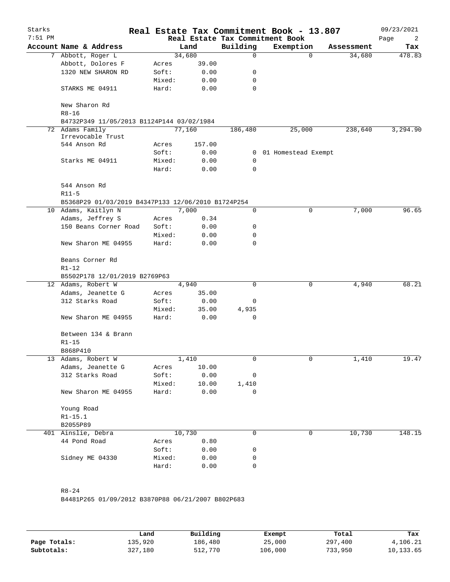| Starks<br>$7:51$ PM |                                                             |                 |              |              | Real Estate Tax Commitment Book - 13.807<br>Real Estate Tax Commitment Book |          |            | 09/23/2021<br>Page<br>2 |
|---------------------|-------------------------------------------------------------|-----------------|--------------|--------------|-----------------------------------------------------------------------------|----------|------------|-------------------------|
|                     | Account Name & Address                                      |                 | Land         | Building     | Exemption                                                                   |          | Assessment | Tax                     |
|                     | 7 Abbott, Roger L                                           |                 | 34,680       | 0            |                                                                             | $\Omega$ | 34,680     | 478.83                  |
|                     | Abbott, Dolores F                                           | Acres           | 39.00        |              |                                                                             |          |            |                         |
|                     | 1320 NEW SHARON RD                                          | Soft:           | 0.00         | 0            |                                                                             |          |            |                         |
|                     |                                                             | Mixed:          | 0.00         | 0            |                                                                             |          |            |                         |
|                     | STARKS ME 04911                                             | Hard:           | 0.00         | 0            |                                                                             |          |            |                         |
|                     | New Sharon Rd<br>$R8 - 16$                                  |                 |              |              |                                                                             |          |            |                         |
|                     | B4732P349 11/05/2013 B1124P144 03/02/1984                   |                 |              |              |                                                                             |          |            |                         |
|                     | 72 Adams Family                                             |                 | 77,160       | 186,480      | 25,000                                                                      |          | 238,640    | 3,294.90                |
|                     | Irrevocable Trust                                           |                 |              |              |                                                                             |          |            |                         |
|                     | 544 Anson Rd                                                | Acres           | 157.00       |              |                                                                             |          |            |                         |
|                     |                                                             | Soft:           | 0.00         | $\mathbf{0}$ | 01 Homestead Exempt                                                         |          |            |                         |
|                     | Starks ME 04911                                             | Mixed:          | 0.00         | 0            |                                                                             |          |            |                         |
|                     |                                                             | Hard:           | 0.00         | $\Omega$     |                                                                             |          |            |                         |
|                     | 544 Anson Rd<br>$R11-5$                                     |                 |              |              |                                                                             |          |            |                         |
|                     | B5368P29 01/03/2019 B4347P133 12/06/2010 B1724P254          |                 |              |              |                                                                             |          |            |                         |
|                     | 10 Adams, Kaitlyn N                                         |                 | 7,000        | $\mathbf 0$  |                                                                             | 0        | 7,000      | 96.65                   |
|                     | Adams, Jeffrey S                                            |                 | 0.34         |              |                                                                             |          |            |                         |
|                     | 150 Beans Corner Road                                       | Acres           |              |              |                                                                             |          |            |                         |
|                     |                                                             | Soft:           | 0.00         | 0            |                                                                             |          |            |                         |
|                     | New Sharon ME 04955                                         | Mixed:<br>Hard: | 0.00<br>0.00 | 0<br>0       |                                                                             |          |            |                         |
|                     | Beans Corner Rd<br>$R1-12$<br>B5502P178 12/01/2019 B2769P63 |                 |              |              |                                                                             |          |            |                         |
|                     | 12 Adams, Robert W                                          |                 | 4,940        | 0            |                                                                             | 0        | 4,940      | 68.21                   |
|                     | Adams, Jeanette G                                           | Acres           | 35.00        |              |                                                                             |          |            |                         |
|                     | 312 Starks Road                                             | Soft:           | 0.00         | 0            |                                                                             |          |            |                         |
|                     |                                                             | Mixed:          | 35.00        | 4,935        |                                                                             |          |            |                         |
|                     | New Sharon ME 04955                                         | Hard:           | 0.00         | 0            |                                                                             |          |            |                         |
|                     | Between 134 & Brann                                         |                 |              |              |                                                                             |          |            |                         |
|                     | $R1 - 15$                                                   |                 |              |              |                                                                             |          |            |                         |
|                     | B868P410                                                    |                 |              |              |                                                                             |          |            |                         |
|                     | 13 Adams, Robert W                                          |                 | 1,410        | 0            |                                                                             | 0        | 1,410      | 19.47                   |
|                     | Adams, Jeanette G                                           | Acres           | 10.00        |              |                                                                             |          |            |                         |
|                     | 312 Starks Road                                             | Soft:           | 0.00         | 0            |                                                                             |          |            |                         |
|                     |                                                             | Mixed:          | 10.00        | 1,410        |                                                                             |          |            |                         |
|                     | New Sharon ME 04955                                         | Hard:           | 0.00         | 0            |                                                                             |          |            |                         |
|                     | Young Road                                                  |                 |              |              |                                                                             |          |            |                         |
|                     | $R1 - 15.1$                                                 |                 |              |              |                                                                             |          |            |                         |
|                     | B2055P89                                                    |                 |              |              |                                                                             |          |            |                         |
|                     | 401 Ainslie, Debra                                          |                 | 10,730       | 0            |                                                                             | 0        | 10,730     | 148.15                  |
|                     | 44 Pond Road                                                | Acres           | 0.80         |              |                                                                             |          |            |                         |
|                     |                                                             | Soft:           | 0.00         | 0            |                                                                             |          |            |                         |
|                     | Sidney ME 04330                                             | Mixed:          | 0.00         | 0            |                                                                             |          |            |                         |
|                     |                                                             | Hard:           | 0.00         | 0            |                                                                             |          |            |                         |
|                     |                                                             |                 |              |              |                                                                             |          |            |                         |

B4481P265 01/09/2012 B3870P88 06/21/2007 B802P683

|              | Land    | Building | Exempt  | Total   | Tax       |
|--------------|---------|----------|---------|---------|-----------|
| Page Totals: | 135,920 | 186,480  | 25,000  | 297,400 | 4,106.21  |
| Subtotals:   | 327,180 | 512,770  | 106,000 | 733,950 | 10,133.65 |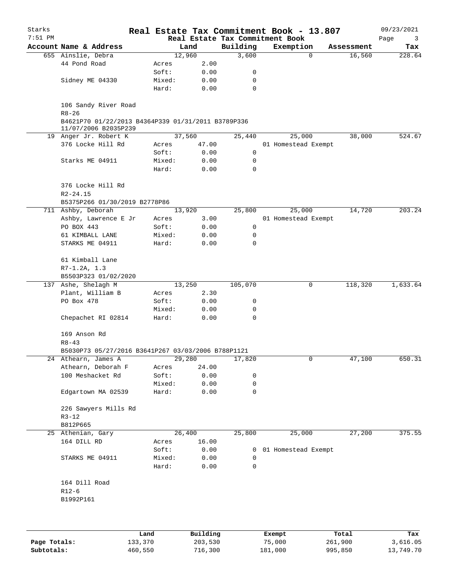| Starks    |                                                                            |        |          |                                 | Real Estate Tax Commitment Book - 13.807 |            | 09/23/2021 |
|-----------|----------------------------------------------------------------------------|--------|----------|---------------------------------|------------------------------------------|------------|------------|
| $7:51$ PM |                                                                            |        |          | Real Estate Tax Commitment Book |                                          |            | Page<br>3  |
|           | Account Name & Address                                                     |        | Land     | Building                        | Exemption                                | Assessment | Tax        |
|           | 655 Ainslie, Debra                                                         |        | 12,960   | 3,600                           | $\mathbf 0$                              | 16,560     | 228.64     |
|           | 44 Pond Road                                                               | Acres  | 2.00     |                                 |                                          |            |            |
|           |                                                                            | Soft:  | 0.00     | 0                               |                                          |            |            |
|           | Sidney ME 04330                                                            | Mixed: | 0.00     | 0                               |                                          |            |            |
|           |                                                                            | Hard:  | 0.00     | $\mathbf 0$                     |                                          |            |            |
|           | 106 Sandy River Road<br>$R8 - 26$                                          |        |          |                                 |                                          |            |            |
|           | B4621P70 01/22/2013 B4364P339 01/31/2011 B3789P336<br>11/07/2006 B2035P239 |        |          |                                 |                                          |            |            |
|           | 19 Anger Jr. Robert K                                                      |        | 37,560   | 25,440                          | 25,000                                   | 38,000     | 524.67     |
|           | 376 Locke Hill Rd                                                          | Acres  | 47.00    |                                 | 01 Homestead Exempt                      |            |            |
|           |                                                                            | Soft:  | 0.00     | 0                               |                                          |            |            |
|           | Starks ME 04911                                                            | Mixed: | 0.00     | 0                               |                                          |            |            |
|           |                                                                            | Hard:  | 0.00     | 0                               |                                          |            |            |
|           | 376 Locke Hill Rd                                                          |        |          |                                 |                                          |            |            |
|           | $R2 - 24.15$                                                               |        |          |                                 |                                          |            |            |
|           | B5375P266 01/30/2019 B2778P86                                              |        |          |                                 |                                          |            |            |
|           | 711 Ashby, Deborah                                                         |        | 13,920   | 25,800                          | 25,000                                   | 14,720     | 203.24     |
|           | Ashby, Lawrence E Jr                                                       | Acres  | 3.00     |                                 | 01 Homestead Exempt                      |            |            |
|           | PO BOX 443                                                                 | Soft:  | 0.00     | 0                               |                                          |            |            |
|           | 61 KIMBALL LANE                                                            | Mixed: | 0.00     | 0                               |                                          |            |            |
|           | STARKS ME 04911                                                            | Hard:  | 0.00     | 0                               |                                          |            |            |
|           |                                                                            |        |          |                                 |                                          |            |            |
|           | 61 Kimball Lane                                                            |        |          |                                 |                                          |            |            |
|           | $R7-1.2A, 1.3$<br>B5503P323 01/02/2020                                     |        |          |                                 |                                          |            |            |
|           | 137 Ashe, Shelagh M                                                        |        | 13,250   | 105,070                         | 0                                        | 118,320    | 1,633.64   |
|           | Plant, William B                                                           | Acres  | 2.30     |                                 |                                          |            |            |
|           | PO Box 478                                                                 | Soft:  | 0.00     | 0                               |                                          |            |            |
|           |                                                                            | Mixed: | 0.00     | 0                               |                                          |            |            |
|           | Chepachet RI 02814                                                         | Hard:  | 0.00     | $\mathbf 0$                     |                                          |            |            |
|           | 169 Anson Rd                                                               |        |          |                                 |                                          |            |            |
|           | $R8 - 43$                                                                  |        |          |                                 |                                          |            |            |
|           | B5030P73 05/27/2016 B3641P267 03/03/2006 B788P1121                         |        |          |                                 |                                          |            |            |
|           | 24 Athearn, James A                                                        |        | 29,280   | 17,820                          | 0                                        | 47,100     | 650.31     |
|           | Athearn, Deborah F                                                         | Acres  | 24.00    |                                 |                                          |            |            |
|           | 100 Meshacket Rd                                                           | Soft:  | 0.00     | 0                               |                                          |            |            |
|           |                                                                            | Mixed: | 0.00     | 0                               |                                          |            |            |
|           | Edgartown MA 02539                                                         | Hard:  | 0.00     | 0                               |                                          |            |            |
|           |                                                                            |        |          |                                 |                                          |            |            |
|           | 226 Sawyers Mills Rd                                                       |        |          |                                 |                                          |            |            |
|           | $R3 - 12$                                                                  |        |          |                                 |                                          |            |            |
|           | B812P665                                                                   |        |          |                                 |                                          |            |            |
|           | 25 Athenian, Gary                                                          |        | 26,400   | 25,800                          | 25,000                                   | 27,200     | 375.55     |
|           | 164 DILL RD                                                                | Acres  | 16.00    |                                 |                                          |            |            |
|           |                                                                            | Soft:  | 0.00     | 0                               | 01 Homestead Exempt                      |            |            |
|           | STARKS ME 04911                                                            | Mixed: | 0.00     | 0                               |                                          |            |            |
|           |                                                                            | Hard:  | 0.00     | 0                               |                                          |            |            |
|           | 164 Dill Road                                                              |        |          |                                 |                                          |            |            |
|           | $R12-6$                                                                    |        |          |                                 |                                          |            |            |
|           | B1992P161                                                                  |        |          |                                 |                                          |            |            |
|           |                                                                            |        |          |                                 |                                          |            |            |
|           |                                                                            |        |          |                                 |                                          |            |            |
|           |                                                                            | Land   | Building |                                 | Exempt                                   | Total      | Tax        |

|              | Land    | Building | Exempt  | Total   | Tax       |
|--------------|---------|----------|---------|---------|-----------|
| Page Totals: | 133,370 | 203,530  | 75,000  | 261,900 | 3,616.05  |
| Subtotals:   | 460,550 | 716,300  | 181,000 | 995,850 | 13,749.70 |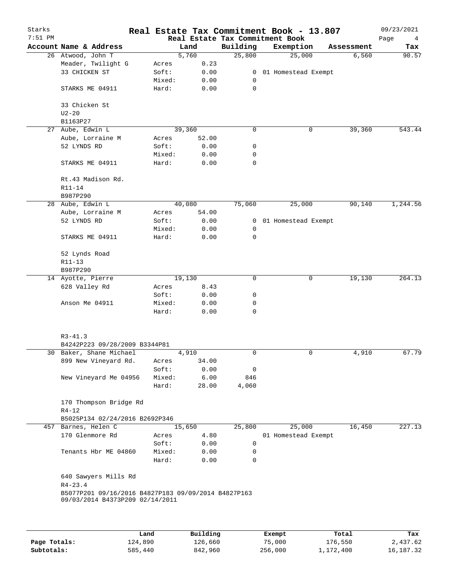| Starks<br>$7:51$ PM |                                                     |  |                |              |                  | Real Estate Tax Commitment Book - 13.807<br>Real Estate Tax Commitment Book |            | 09/23/2021<br>Page<br>4 |
|---------------------|-----------------------------------------------------|--|----------------|--------------|------------------|-----------------------------------------------------------------------------|------------|-------------------------|
|                     | Account Name & Address                              |  |                | Land         | Building         | Exemption                                                                   | Assessment | Tax                     |
|                     | 26 Atwood, John T                                   |  |                | 5,760        | 25,800           | 25,000                                                                      | 6,560      | 90.57                   |
|                     | Meader, Twilight G                                  |  | Acres          | 0.23         |                  |                                                                             |            |                         |
|                     | 33 CHICKEN ST                                       |  | Soft:          | 0.00         |                  | 0 01 Homestead Exempt                                                       |            |                         |
|                     |                                                     |  | Mixed:         | 0.00         | 0                |                                                                             |            |                         |
|                     | STARKS ME 04911                                     |  | Hard:          | 0.00         | $\mathbf 0$      |                                                                             |            |                         |
|                     | 33 Chicken St                                       |  |                |              |                  |                                                                             |            |                         |
|                     | $U2 - 20$                                           |  |                |              |                  |                                                                             |            |                         |
|                     | B1163P27                                            |  |                |              |                  |                                                                             |            |                         |
| 27                  | Aube, Edwin L                                       |  |                | 39,360       | $\mathbf 0$      | 0                                                                           | 39,360     | 543.44                  |
|                     | Aube, Lorraine M                                    |  | Acres          | 52.00        |                  |                                                                             |            |                         |
|                     | 52 LYNDS RD                                         |  | Soft:          | 0.00         | 0                |                                                                             |            |                         |
|                     |                                                     |  | Mixed:         | 0.00         | 0                |                                                                             |            |                         |
|                     | STARKS ME 04911                                     |  | Hard:          | 0.00         | $\mathbf 0$      |                                                                             |            |                         |
|                     | Rt.43 Madison Rd.                                   |  |                |              |                  |                                                                             |            |                         |
|                     | $R11 - 14$<br>B987P290                              |  |                |              |                  |                                                                             |            |                         |
|                     | 28 Aube, Edwin L                                    |  |                | 40,080       | 75,060           | 25,000                                                                      | 90,140     | 1,244.56                |
|                     | Aube, Lorraine M                                    |  | Acres          | 54.00        |                  |                                                                             |            |                         |
|                     | 52 LYNDS RD                                         |  | Soft:          | 0.00         | $\mathbf{0}$     | 01 Homestead Exempt                                                         |            |                         |
|                     |                                                     |  | Mixed:         | 0.00         | 0                |                                                                             |            |                         |
|                     | STARKS ME 04911                                     |  | Hard:          | 0.00         | $\mathbf 0$      |                                                                             |            |                         |
|                     | 52 Lynds Road                                       |  |                |              |                  |                                                                             |            |                         |
|                     | R11-13                                              |  |                |              |                  |                                                                             |            |                         |
|                     | B987P290                                            |  |                |              |                  |                                                                             |            |                         |
|                     | 14 Ayotte, Pierre                                   |  |                | 19,130       | 0                | 0                                                                           | 19,130     | 264.13                  |
|                     | 628 Valley Rd                                       |  | Acres          | 8.43         |                  |                                                                             |            |                         |
|                     |                                                     |  | Soft:          |              | 0                |                                                                             |            |                         |
|                     |                                                     |  |                | 0.00         |                  |                                                                             |            |                         |
|                     | Anson Me 04911                                      |  | Mixed:         | 0.00         | 0<br>$\mathbf 0$ |                                                                             |            |                         |
|                     |                                                     |  | Hard:          | 0.00         |                  |                                                                             |            |                         |
|                     | $R3 - 41.3$                                         |  |                |              |                  |                                                                             |            |                         |
|                     | B4242P223 09/28/2009 B3344P81                       |  |                |              |                  |                                                                             |            |                         |
|                     | 30 Baker, Shane Michael                             |  |                | 4,910        | $\mathbf 0$      | 0                                                                           | 4,910      | 67.79                   |
|                     | 899 New Vineyard Rd.                                |  | Acres          | 34.00        |                  |                                                                             |            |                         |
|                     |                                                     |  | Soft:          | 0.00         | 0                |                                                                             |            |                         |
|                     | New Vineyard Me 04956                               |  | Mixed:         | 6.00         | 846              |                                                                             |            |                         |
|                     |                                                     |  | Hard:          | 28.00        | 4,060            |                                                                             |            |                         |
|                     | 170 Thompson Bridge Rd                              |  |                |              |                  |                                                                             |            |                         |
|                     | $R4 - 12$                                           |  |                |              |                  |                                                                             |            |                         |
|                     | B5025P134 02/24/2016 B2692P346                      |  |                |              |                  |                                                                             |            |                         |
|                     | 457 Barnes, Helen C                                 |  |                | 15,650       | 25,800           | 25,000                                                                      | 16,450     | 227.13                  |
|                     | 170 Glenmore Rd                                     |  | Acres<br>Soft: | 4.80<br>0.00 | 0                | 01 Homestead Exempt                                                         |            |                         |
|                     | Tenants Hbr ME 04860                                |  | Mixed:         | 0.00         | 0                |                                                                             |            |                         |
|                     |                                                     |  | Hard:          | 0.00         | $\mathbf 0$      |                                                                             |            |                         |
|                     | 640 Sawyers Mills Rd                                |  |                |              |                  |                                                                             |            |                         |
|                     | $R4 - 23.4$                                         |  |                |              |                  |                                                                             |            |                         |
|                     | B5077P201 09/16/2016 B4827P183 09/09/2014 B4827P163 |  |                |              |                  |                                                                             |            |                         |
|                     | 09/03/2014 B4373P209 02/14/2011                     |  |                |              |                  |                                                                             |            |                         |
|                     |                                                     |  |                |              |                  |                                                                             |            |                         |
|                     |                                                     |  |                |              |                  |                                                                             |            |                         |
|                     |                                                     |  |                |              |                  |                                                                             |            |                         |

|              | Land    | Building | Exempt  | Total     | Tax         |
|--------------|---------|----------|---------|-----------|-------------|
| Page Totals: | 124,890 | 126,660  | 75,000  | 176,550   | 2,437.62    |
| Subtotals:   | 585,440 | 842,960  | 256,000 | 1,172,400 | 16, 187. 32 |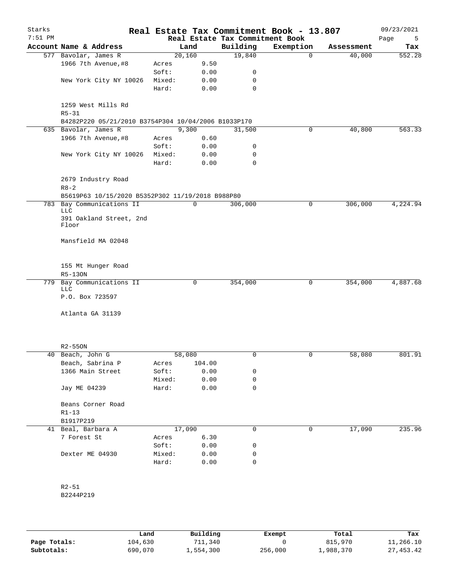| Starks<br>$7:51$ PM |                        |                                                     |                 |              | Real Estate Tax Commitment Book | Real Estate Tax Commitment Book - 13.807 |            | 09/23/2021<br>Page<br>5 |
|---------------------|------------------------|-----------------------------------------------------|-----------------|--------------|---------------------------------|------------------------------------------|------------|-------------------------|
|                     |                        | Account Name & Address                              |                 | Land         | Building                        | Exemption                                | Assessment | Tax                     |
|                     | 577 Bavolar, James R   |                                                     |                 | 20,160       | 19,840                          | $\mathbf 0$                              | 40,000     | 552.28                  |
|                     |                        | 1966 7th Avenue, #8                                 | Acres           | 9.50         |                                 |                                          |            |                         |
|                     |                        |                                                     | Soft:           | 0.00         | 0                               |                                          |            |                         |
|                     |                        | New York City NY 10026                              | Mixed:          | 0.00         | 0                               |                                          |            |                         |
|                     |                        |                                                     | Hard:           | 0.00         | 0                               |                                          |            |                         |
|                     | $R5 - 31$              | 1259 West Mills Rd                                  |                 |              |                                 |                                          |            |                         |
|                     |                        | B4282P220 05/21/2010 B3754P304 10/04/2006 B1033P170 |                 | 9,300        |                                 |                                          | 40,800     | 563.33                  |
|                     | 635 Bavolar, James R   |                                                     |                 |              | 31,500                          | 0                                        |            |                         |
|                     |                        | 1966 7th Avenue, #8                                 | Acres           | 0.60         |                                 |                                          |            |                         |
|                     |                        |                                                     | Soft:           | 0.00         | 0                               |                                          |            |                         |
|                     |                        | New York City NY 10026                              | Mixed:<br>Hard: | 0.00<br>0.00 | 0<br>$\mathbf 0$                |                                          |            |                         |
|                     | $R8 - 2$               | 2679 Industry Road                                  |                 |              |                                 |                                          |            |                         |
|                     |                        | B5619P63 10/15/2020 B5352P302 11/19/2018 B988P80    |                 |              |                                 |                                          |            |                         |
|                     |                        | 783 Bay Communications II                           |                 | 0            | 306,000                         | 0                                        | 306,000    | 4,224.94                |
|                     | <b>LLC</b>             |                                                     |                 |              |                                 |                                          |            |                         |
|                     | Floor                  | 391 Oakland Street, 2nd                             |                 |              |                                 |                                          |            |                         |
|                     |                        | Mansfield MA 02048                                  |                 |              |                                 |                                          |            |                         |
|                     | R5-130N                | 155 Mt Hunger Road                                  |                 |              |                                 |                                          |            |                         |
| 779                 | <b>LLC</b>             | Bay Communications II                               |                 | 0            | 354,000                         | 0                                        | 354,000    | 4,887.68                |
|                     | P.O. Box 723597        |                                                     |                 |              |                                 |                                          |            |                         |
|                     |                        | Atlanta GA 31139                                    |                 |              |                                 |                                          |            |                         |
|                     | $R2 - 550N$            |                                                     |                 |              |                                 |                                          |            |                         |
| 40                  | Beach, John G          |                                                     |                 | 58,080       | 0                               | 0                                        | 58,080     | 801.91                  |
|                     |                        | Beach, Sabrina P                                    | Acres           | 104.00       |                                 |                                          |            |                         |
|                     |                        | 1366 Main Street                                    | Soft:           | 0.00         | 0                               |                                          |            |                         |
|                     |                        |                                                     | Mixed:          | 0.00         | 0                               |                                          |            |                         |
|                     | Jay ME 04239           |                                                     | Hard:           | 0.00         | 0                               |                                          |            |                         |
|                     | $R1-13$                | Beans Corner Road                                   |                 |              |                                 |                                          |            |                         |
|                     | B1917P219              |                                                     |                 |              |                                 |                                          |            |                         |
|                     | 41 Beal, Barbara A     |                                                     |                 | 17,090       | 0                               | 0                                        | 17,090     | 235.96                  |
|                     | 7 Forest St            |                                                     | Acres           | 6.30         |                                 |                                          |            |                         |
|                     |                        |                                                     | Soft:           | 0.00         | 0                               |                                          |            |                         |
|                     | Dexter ME 04930        |                                                     | Mixed:          | 0.00         | 0                               |                                          |            |                         |
|                     |                        |                                                     | Hard:           | 0.00         | 0                               |                                          |            |                         |
|                     |                        |                                                     |                 |              |                                 |                                          |            |                         |
|                     | $R2 - 51$<br>B2244P219 |                                                     |                 |              |                                 |                                          |            |                         |
|                     |                        |                                                     |                 |              |                                 |                                          |            |                         |

|              | Land    | Building  | Exempt  | Total     | Tax         |
|--------------|---------|-----------|---------|-----------|-------------|
| Page Totals: | 104,630 | 711,340   |         | 815,970   | 11,266.10   |
| Subtotals:   | 690,070 | l,554,300 | 256,000 | 1,988,370 | 27, 453, 42 |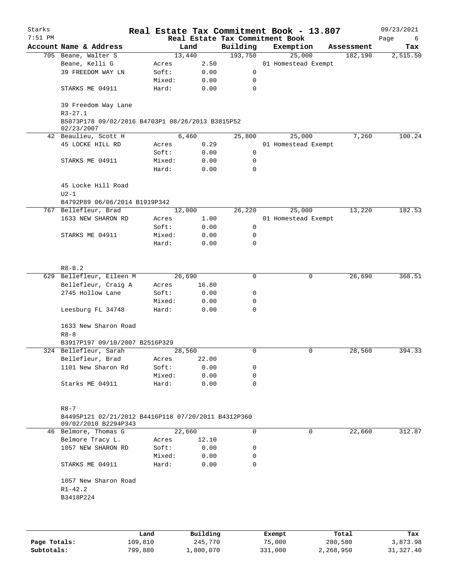| Starks<br>$7:51$ PM |                                                                                         |        |          | Real Estate Tax Commitment Book |  | Real Estate Tax Commitment Book - 13.807 |            | 09/23/2021<br>Page<br>6 |  |
|---------------------|-----------------------------------------------------------------------------------------|--------|----------|---------------------------------|--|------------------------------------------|------------|-------------------------|--|
|                     | Account Name & Address                                                                  |        | Land     | Building                        |  | Exemption                                | Assessment | Tax                     |  |
|                     | 705 Beane, Walter S                                                                     |        | 13,440   | 193,750                         |  | 25,000                                   | 182,190    | 2,515.50                |  |
|                     | Beane, Kelli G                                                                          | Acres  | 2.50     |                                 |  | 01 Homestead Exempt                      |            |                         |  |
|                     | 39 FREEDOM WAY LN                                                                       | Soft:  | 0.00     | $\mathsf{O}$                    |  |                                          |            |                         |  |
|                     |                                                                                         | Mixed: | 0.00     | 0                               |  |                                          |            |                         |  |
|                     | STARKS ME 04911                                                                         | Hard:  | 0.00     | 0                               |  |                                          |            |                         |  |
|                     | 39 Freedom Way Lane<br>$R3 - 27.1$                                                      |        |          |                                 |  |                                          |            |                         |  |
|                     | B5073P178 09/02/2016 B4703P1 08/26/2013 B3815P52<br>02/23/2007                          |        |          |                                 |  |                                          |            |                         |  |
|                     | 42 Beaulieu, Scott H                                                                    |        | 6,460    | 25,800                          |  | 25,000                                   | 7,260      | 100.24                  |  |
|                     | 45 LOCKE HILL RD                                                                        | Acres  | 0.29     |                                 |  | 01 Homestead Exempt                      |            |                         |  |
|                     |                                                                                         | Soft:  | 0.00     | $\mathsf{O}$                    |  |                                          |            |                         |  |
|                     | STARKS ME 04911                                                                         | Mixed: | 0.00     | 0                               |  |                                          |            |                         |  |
|                     |                                                                                         | Hard:  | 0.00     | $\mathbf 0$                     |  |                                          |            |                         |  |
|                     | 45 Locke Hill Road<br>$U2-1$                                                            |        |          |                                 |  |                                          |            |                         |  |
|                     | B4792P89 06/06/2014 B1919P342                                                           |        |          |                                 |  |                                          |            |                         |  |
|                     | 767 Bellefleur, Brad                                                                    |        | 12,000   | 26,220                          |  | 25,000                                   | 13,220     | 182.53                  |  |
|                     | 1633 NEW SHARON RD                                                                      | Acres  | 1.00     |                                 |  | 01 Homestead Exempt                      |            |                         |  |
|                     |                                                                                         | Soft:  | 0.00     | 0                               |  |                                          |            |                         |  |
|                     | STARKS ME 04911                                                                         | Mixed: | 0.00     | 0                               |  |                                          |            |                         |  |
|                     |                                                                                         | Hard:  | 0.00     | 0                               |  |                                          |            |                         |  |
|                     |                                                                                         |        |          |                                 |  |                                          |            |                         |  |
|                     | $R8 - 8.2$                                                                              |        |          |                                 |  |                                          |            |                         |  |
|                     | 629 Bellefleur, Eileen M                                                                |        | 26,690   | 0                               |  | 0                                        | 26,690     | 368.51                  |  |
|                     | Bellefleur, Craig A                                                                     | Acres  | 16.80    |                                 |  |                                          |            |                         |  |
|                     | 2745 Hollow Lane                                                                        | Soft:  | 0.00     | 0                               |  |                                          |            |                         |  |
|                     |                                                                                         | Mixed: | 0.00     | 0                               |  |                                          |            |                         |  |
|                     | Leesburg FL 34748                                                                       | Hard:  | 0.00     | 0                               |  |                                          |            |                         |  |
|                     | 1633 New Sharon Road                                                                    |        |          |                                 |  |                                          |            |                         |  |
|                     | $R8 - 8$                                                                                |        |          |                                 |  |                                          |            |                         |  |
|                     | B3917P197 09/10/2007 B2516P329                                                          |        |          |                                 |  |                                          |            |                         |  |
|                     | 324 Bellefleur, Sarah                                                                   |        | 28,560   | 0                               |  | 0                                        | 28,560     | 394.33                  |  |
|                     | Bellefleur, Brad                                                                        | Acres  | 22.00    |                                 |  |                                          |            |                         |  |
|                     | 1101 New Sharon Rd                                                                      | Soft:  | 0.00     | 0                               |  |                                          |            |                         |  |
|                     |                                                                                         | Mixed: | 0.00     | 0                               |  |                                          |            |                         |  |
|                     | Starks ME 04911                                                                         | Hard:  | 0.00     | $\mathbf 0$                     |  |                                          |            |                         |  |
|                     |                                                                                         |        |          |                                 |  |                                          |            |                         |  |
|                     | $R8 - 7$<br>B4495P121 02/21/2012 B4416P118 07/20/2011 B4312P360<br>09/02/2010 B2294P343 |        |          |                                 |  |                                          |            |                         |  |
|                     | 46 Belmore, Thomas G                                                                    |        | 22,660   | $\mathbf 0$                     |  | 0                                        | 22,660     | 312.87                  |  |
|                     | Belmore Tracy L.                                                                        | Acres  | 12.10    |                                 |  |                                          |            |                         |  |
|                     | 1057 NEW SHARON RD                                                                      | Soft:  | 0.00     | 0                               |  |                                          |            |                         |  |
|                     |                                                                                         | Mixed: | 0.00     | 0                               |  |                                          |            |                         |  |
|                     | STARKS ME 04911                                                                         | Hard:  | 0.00     | $\mathbf 0$                     |  |                                          |            |                         |  |
|                     | 1057 New Sharon Road                                                                    |        |          |                                 |  |                                          |            |                         |  |
|                     | $R1 - 42.2$                                                                             |        |          |                                 |  |                                          |            |                         |  |
|                     | B3418P224                                                                               |        |          |                                 |  |                                          |            |                         |  |
|                     |                                                                                         |        |          |                                 |  |                                          |            |                         |  |
|                     |                                                                                         | Land   | Building |                                 |  | Exempt                                   | Total      | Tax                     |  |
|                     |                                                                                         |        |          |                                 |  |                                          |            |                         |  |

|              | Lanu    | Building  | LXCMDL  | TOLAT     | 1ax.      |
|--------------|---------|-----------|---------|-----------|-----------|
| Page Totals: | 109,810 | 245,770   | 75,000  | 280,580   | 3,873.98  |
| Subtotals:   | 799,880 | 1,800,070 | 331,000 | 2,268,950 | 31,327.40 |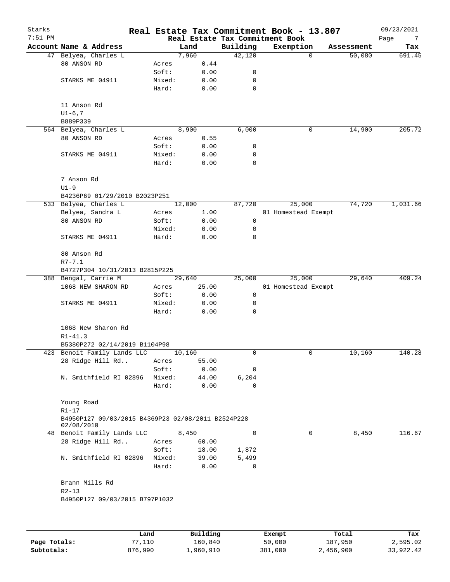| Starks<br>$7:51$ PM |                                                                  |        |           | Real Estate Tax Commitment Book |         | Real Estate Tax Commitment Book - 13.807 |            | 09/23/2021<br>Page<br>7 |
|---------------------|------------------------------------------------------------------|--------|-----------|---------------------------------|---------|------------------------------------------|------------|-------------------------|
|                     | Account Name & Address                                           |        | Land      | Building                        |         | Exemption                                | Assessment | Tax                     |
|                     | 47 Belyea, Charles L                                             |        | 7,960     | 42,120                          |         | $\Omega$                                 | 50,080     | 691.45                  |
|                     | 80 ANSON RD                                                      | Acres  | 0.44      |                                 |         |                                          |            |                         |
|                     |                                                                  | Soft:  | 0.00      | 0                               |         |                                          |            |                         |
|                     | STARKS ME 04911                                                  | Mixed: | 0.00      | 0                               |         |                                          |            |                         |
|                     |                                                                  | Hard:  | 0.00      | 0                               |         |                                          |            |                         |
|                     | 11 Anson Rd                                                      |        |           |                                 |         |                                          |            |                         |
|                     | $UI-6, 7$                                                        |        |           |                                 |         |                                          |            |                         |
|                     | B889P339                                                         |        |           |                                 |         |                                          |            |                         |
|                     | 564 Belyea, Charles L                                            |        | 8,900     | 6,000                           |         | 0                                        | 14,900     | 205.72                  |
|                     | 80 ANSON RD                                                      | Acres  | 0.55      |                                 |         |                                          |            |                         |
|                     |                                                                  | Soft:  | 0.00      | 0                               |         |                                          |            |                         |
|                     | STARKS ME 04911                                                  | Mixed: | 0.00      | 0                               |         |                                          |            |                         |
|                     |                                                                  | Hard:  | 0.00      | 0                               |         |                                          |            |                         |
|                     | 7 Anson Rd                                                       |        |           |                                 |         |                                          |            |                         |
|                     | $U1-9$                                                           |        |           |                                 |         |                                          |            |                         |
|                     | B4236P69 01/29/2010 B2023P251                                    |        |           |                                 |         |                                          |            |                         |
|                     | 533 Belyea, Charles L                                            |        | 12,000    | 87,720                          |         | 25,000                                   | 74,720     | 1,031.66                |
|                     | Belyea, Sandra L                                                 | Acres  | 1.00      |                                 |         | 01 Homestead Exempt                      |            |                         |
|                     | 80 ANSON RD                                                      | Soft:  | 0.00      | 0                               |         |                                          |            |                         |
|                     |                                                                  | Mixed: | 0.00      | 0                               |         |                                          |            |                         |
|                     | STARKS ME 04911                                                  | Hard:  | 0.00      | 0                               |         |                                          |            |                         |
|                     | 80 Anson Rd                                                      |        |           |                                 |         |                                          |            |                         |
|                     | $R7 - 7.1$                                                       |        |           |                                 |         |                                          |            |                         |
|                     | B4727P304 10/31/2013 B2815P225                                   |        |           |                                 |         |                                          |            |                         |
|                     | 388 Bengal, Carrie M                                             |        | 29,640    | 25,000                          |         | 25,000                                   | 29,640     | 409.24                  |
|                     | 1068 NEW SHARON RD                                               | Acres  | 25.00     |                                 |         | 01 Homestead Exempt                      |            |                         |
|                     |                                                                  | Soft:  | 0.00      | 0                               |         |                                          |            |                         |
|                     | STARKS ME 04911                                                  | Mixed: | 0.00      | 0                               |         |                                          |            |                         |
|                     |                                                                  | Hard:  | 0.00      | $\Omega$                        |         |                                          |            |                         |
|                     | 1068 New Sharon Rd                                               |        |           |                                 |         |                                          |            |                         |
|                     | $R1 - 41.3$                                                      |        |           |                                 |         |                                          |            |                         |
|                     | B5380P272 02/14/2019 B1104P98                                    |        |           |                                 |         |                                          |            |                         |
|                     | 423 Benoit Family Lands LLC                                      |        | 10,160    | 0                               |         | $\mathbf 0$                              | 10,160     | 140.28                  |
|                     | 28 Ridge Hill Rd                                                 | Acres  | 55.00     |                                 |         |                                          |            |                         |
|                     |                                                                  | Soft:  | 0.00      | 0                               |         |                                          |            |                         |
|                     | N. Smithfield RI 02896                                           | Mixed: | 44.00     | 6,204                           |         |                                          |            |                         |
|                     |                                                                  | Hard:  | 0.00      | 0                               |         |                                          |            |                         |
|                     | Young Road                                                       |        |           |                                 |         |                                          |            |                         |
|                     | $R1 - 17$                                                        |        |           |                                 |         |                                          |            |                         |
|                     | B4950P127 09/03/2015 B4369P23 02/08/2011 B2524P228<br>02/08/2010 |        |           |                                 |         |                                          |            |                         |
|                     | 48 Benoit Family Lands LLC                                       |        | 8,450     | 0                               |         | 0                                        | 8,450      | 116.67                  |
|                     | 28 Ridge Hill Rd                                                 | Acres  | 60.00     |                                 |         |                                          |            |                         |
|                     |                                                                  | Soft:  | 18.00     | 1,872                           |         |                                          |            |                         |
|                     | N. Smithfield RI 02896                                           | Mixed: | 39.00     | 5,499                           |         |                                          |            |                         |
|                     |                                                                  | Hard:  | 0.00      | 0                               |         |                                          |            |                         |
|                     | Brann Mills Rd                                                   |        |           |                                 |         |                                          |            |                         |
|                     | $R2 - 13$                                                        |        |           |                                 |         |                                          |            |                         |
|                     | B4950P127 09/03/2015 B797P1032                                   |        |           |                                 |         |                                          |            |                         |
|                     |                                                                  |        |           |                                 |         |                                          |            |                         |
|                     |                                                                  | Land   | Building  |                                 | Exempt  |                                          | Total      | Tax                     |
| Page Totals:        | 77,110                                                           |        | 160,840   |                                 | 50,000  |                                          | 187,950    | 2,595.02                |
| Subtotals:          | 876,990                                                          |        | 1,960,910 |                                 | 381,000 |                                          | 2,456,900  | 33,922.42               |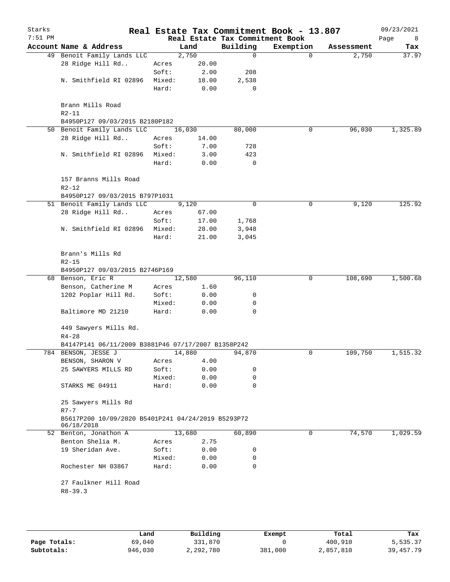| Starks<br>$7:51$ PM |                                                                  |        |        | Real Estate Tax Commitment Book | Real Estate Tax Commitment Book - 13.807 |            | 09/23/2021       |
|---------------------|------------------------------------------------------------------|--------|--------|---------------------------------|------------------------------------------|------------|------------------|
|                     | Account Name & Address                                           |        | Land   | Building                        | Exemption                                | Assessment | Page<br>8<br>Tax |
|                     | 49 Benoit Family Lands LLC                                       |        | 2,750  | $\mathbf 0$                     | $\mathbf 0$                              | 2,750      | 37.97            |
|                     | 28 Ridge Hill Rd                                                 | Acres  | 20.00  |                                 |                                          |            |                  |
|                     |                                                                  | Soft:  | 2.00   | 208                             |                                          |            |                  |
|                     | N. Smithfield RI 02896                                           | Mixed: | 18.00  | 2,538                           |                                          |            |                  |
|                     |                                                                  | Hard:  | 0.00   | 0                               |                                          |            |                  |
|                     | Brann Mills Road<br>$R2 - 11$                                    |        |        |                                 |                                          |            |                  |
|                     | B4950P127 09/03/2015 B2180P182                                   |        |        |                                 |                                          |            |                  |
|                     | 50 Benoit Family Lands LLC                                       |        | 16,030 | 80,000                          | $\mathbf 0$                              | 96,030     | 1,325.89         |
|                     | 28 Ridge Hill Rd                                                 | Acres  | 14.00  |                                 |                                          |            |                  |
|                     |                                                                  | Soft:  | 7.00   | 728                             |                                          |            |                  |
|                     | N. Smithfield RI 02896                                           | Mixed: | 3.00   | 423                             |                                          |            |                  |
|                     |                                                                  | Hard:  | 0.00   | 0                               |                                          |            |                  |
|                     | 157 Branns Mills Road<br>$R2 - 12$                               |        |        |                                 |                                          |            |                  |
|                     | B4950P127 09/03/2015 B797P1031                                   |        |        |                                 |                                          |            |                  |
|                     | 51 Benoit Family Lands LLC                                       |        | 9,120  | 0                               | 0                                        | 9,120      | 125.92           |
|                     | 28 Ridge Hill Rd                                                 | Acres  | 67.00  |                                 |                                          |            |                  |
|                     |                                                                  | Soft:  | 17.00  | 1,768                           |                                          |            |                  |
|                     | N. Smithfield RI 02896                                           | Mixed: | 28.00  | 3,948                           |                                          |            |                  |
|                     |                                                                  | Hard:  | 21.00  | 3,045                           |                                          |            |                  |
|                     | Brann's Mills Rd<br>$R2 - 15$                                    |        |        |                                 |                                          |            |                  |
|                     | B4950P127 09/03/2015 B2746P169                                   |        |        |                                 |                                          |            |                  |
|                     | 68 Benson, Eric R                                                |        | 12,580 | 96,110                          | 0                                        | 108,690    | 1,500.68         |
|                     | Benson, Catherine M                                              | Acres  | 1.60   |                                 |                                          |            |                  |
|                     | 1202 Poplar Hill Rd.                                             | Soft:  | 0.00   | 0                               |                                          |            |                  |
|                     |                                                                  | Mixed: | 0.00   | 0                               |                                          |            |                  |
|                     | Baltimore MD 21210                                               | Hard:  | 0.00   | 0                               |                                          |            |                  |
|                     | 449 Sawyers Mills Rd.<br>$R4 - 28$                               |        |        |                                 |                                          |            |                  |
|                     | B4147P141 06/11/2009 B3881P46 07/17/2007 B1358P242               |        |        |                                 |                                          |            |                  |
|                     | 784 BENSON, JESSE J                                              |        | 14,880 | 94,870                          | 0                                        | 109,750    | 1,515.32         |
|                     | BENSON, SHARON V                                                 | Acres  | 4.00   |                                 |                                          |            |                  |
|                     | 25 SAWYERS MILLS RD                                              | Soft:  | 0.00   | 0                               |                                          |            |                  |
|                     |                                                                  | Mixed: | 0.00   | 0                               |                                          |            |                  |
|                     | STARKS ME 04911                                                  | Hard:  | 0.00   | 0                               |                                          |            |                  |
|                     | 25 Sawyers Mills Rd<br>$R7 - 7$                                  |        |        |                                 |                                          |            |                  |
|                     | B5617P200 10/09/2020 B5401P241 04/24/2019 B5293P72<br>06/18/2018 |        |        |                                 |                                          |            |                  |
|                     | 52 Benton, Jonathon A                                            |        | 13,680 | 60,890                          | 0                                        | 74,570     | 1,029.59         |
|                     | Benton Shelia M.                                                 | Acres  | 2.75   |                                 |                                          |            |                  |
|                     | 19 Sheridan Ave.                                                 | Soft:  | 0.00   | 0                               |                                          |            |                  |
|                     |                                                                  | Mixed: | 0.00   | 0                               |                                          |            |                  |
|                     | Rochester NH 03867                                               | Hard:  | 0.00   | $\mathbf 0$                     |                                          |            |                  |
|                     | 27 Faulkner Hill Road<br>$R8 - 39.3$                             |        |        |                                 |                                          |            |                  |
|                     |                                                                  |        |        |                                 |                                          |            |                  |
|                     |                                                                  |        |        |                                 |                                          |            |                  |
|                     |                                                                  |        |        |                                 |                                          |            |                  |

|              | Land    | Building  | Exempt  | Total     | Tax       |
|--------------|---------|-----------|---------|-----------|-----------|
| Page Totals: | 69,040  | 331,870   |         | 400,910   | 5,535.37  |
| Subtotals:   | 946,030 | 2,292,780 | 381,000 | 2,857,810 | 39,457.79 |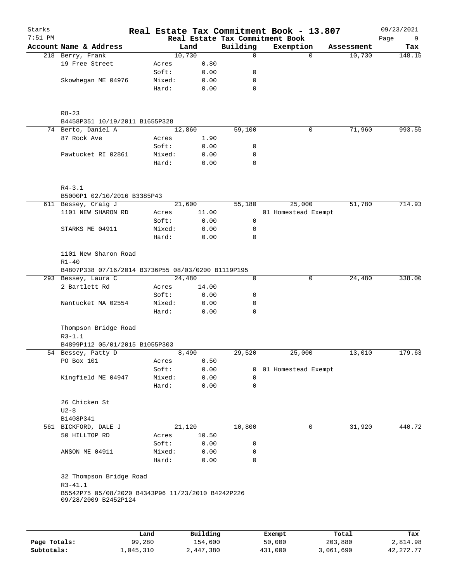| Starks<br>$7:51$ PM |                                                                           |        |        |             | Real Estate Tax Commitment Book - 13.807<br>Real Estate Tax Commitment Book |            | 09/23/2021<br>Page<br>9 |
|---------------------|---------------------------------------------------------------------------|--------|--------|-------------|-----------------------------------------------------------------------------|------------|-------------------------|
|                     | Account Name & Address                                                    |        | Land   | Building    | Exemption                                                                   | Assessment | Tax                     |
|                     | 218 Berry, Frank                                                          |        | 10,730 | $\mathbf 0$ | $\Omega$                                                                    | 10,730     | 148.15                  |
|                     | 19 Free Street                                                            | Acres  | 0.80   |             |                                                                             |            |                         |
|                     |                                                                           | Soft:  | 0.00   | 0           |                                                                             |            |                         |
|                     | Skowhegan ME 04976                                                        | Mixed: | 0.00   | 0           |                                                                             |            |                         |
|                     |                                                                           | Hard:  | 0.00   | $\mathbf 0$ |                                                                             |            |                         |
|                     | $R8 - 23$                                                                 |        |        |             |                                                                             |            |                         |
|                     | B4458P351 10/19/2011 B1655P328                                            |        |        |             |                                                                             |            |                         |
|                     | 74 Berto, Daniel A                                                        |        | 12,860 | 59,100      | 0                                                                           | 71,960     | 993.55                  |
|                     | 87 Rock Ave                                                               | Acres  | 1.90   |             |                                                                             |            |                         |
|                     |                                                                           | Soft:  | 0.00   | 0           |                                                                             |            |                         |
|                     | Pawtucket RI 02861                                                        | Mixed: | 0.00   | 0           |                                                                             |            |                         |
|                     |                                                                           | Hard:  | 0.00   | 0           |                                                                             |            |                         |
|                     | $R4 - 3.1$                                                                |        |        |             |                                                                             |            |                         |
|                     | B5000P1 02/10/2016 B3385P43                                               |        |        |             |                                                                             |            |                         |
|                     | 611 Bessey, Craig J                                                       |        | 21,600 | 55,180      | 25,000                                                                      | 51,780     | 714.93                  |
|                     | 1101 NEW SHARON RD                                                        | Acres  | 11.00  |             | 01 Homestead Exempt                                                         |            |                         |
|                     |                                                                           | Soft:  | 0.00   | 0           |                                                                             |            |                         |
|                     | STARKS ME 04911                                                           | Mixed: | 0.00   | 0           |                                                                             |            |                         |
|                     |                                                                           | Hard:  | 0.00   | $\mathbf 0$ |                                                                             |            |                         |
|                     | 1101 New Sharon Road<br>$R1 - 40$                                         |        |        |             |                                                                             |            |                         |
|                     | B4807P338 07/16/2014 B3736P55 08/03/0200 B1119P195                        |        |        |             |                                                                             |            |                         |
|                     | 293 Bessey, Laura C                                                       |        | 24,480 | 0           | 0                                                                           | 24,480     | 338.00                  |
|                     | 2 Bartlett Rd                                                             | Acres  | 14.00  |             |                                                                             |            |                         |
|                     |                                                                           | Soft:  | 0.00   | 0           |                                                                             |            |                         |
|                     | Nantucket MA 02554                                                        | Mixed: | 0.00   | 0           |                                                                             |            |                         |
|                     |                                                                           | Hard:  | 0.00   | $\mathbf 0$ |                                                                             |            |                         |
|                     | Thompson Bridge Road<br>$R3 - 1.1$                                        |        |        |             |                                                                             |            |                         |
|                     | B4899P112 05/01/2015 B1055P303                                            |        |        |             |                                                                             |            |                         |
|                     | 54 Bessey, Patty D                                                        |        | 8,490  | 29,520      | 25,000                                                                      | 13,010     | 179.63                  |
|                     | PO Box 101                                                                | Acres  | 0.50   |             |                                                                             |            |                         |
|                     |                                                                           | Soft:  | 0.00   |             | 0 01 Homestead Exempt                                                       |            |                         |
|                     | Kingfield ME 04947                                                        | Mixed: | 0.00   | 0           |                                                                             |            |                         |
|                     |                                                                           | Hard:  | 0.00   | $\mathbf 0$ |                                                                             |            |                         |
|                     | 26 Chicken St<br>$U2-8$                                                   |        |        |             |                                                                             |            |                         |
|                     | B1408P341                                                                 |        |        |             |                                                                             |            |                         |
|                     | 561 BICKFORD, DALE J                                                      |        | 21,120 | 10,800      | 0                                                                           | 31,920     | 440.72                  |
|                     | 50 HILLTOP RD                                                             | Acres  | 10.50  |             |                                                                             |            |                         |
|                     |                                                                           | Soft:  | 0.00   | 0           |                                                                             |            |                         |
|                     | ANSON ME 04911                                                            | Mixed: | 0.00   | 0           |                                                                             |            |                         |
|                     |                                                                           | Hard:  | 0.00   | 0           |                                                                             |            |                         |
|                     | 32 Thompson Bridge Road<br>$R3 - 41.1$                                    |        |        |             |                                                                             |            |                         |
|                     | B5542P75 05/08/2020 B4343P96 11/23/2010 B4242P226<br>09/28/2009 B2452P124 |        |        |             |                                                                             |            |                         |
|                     |                                                                           |        |        |             |                                                                             |            |                         |
|                     |                                                                           |        |        |             |                                                                             |            |                         |

|              | Land      | Building  | Exempt  | Total     | Tax         |
|--------------|-----------|-----------|---------|-----------|-------------|
| Page Totals: | 99,280    | 154,600   | 50,000  | 203,880   | 2,814.98    |
| Subtotals:   | ⊥,045,310 | 2,447,380 | 431,000 | 3,061,690 | 42, 272, 77 |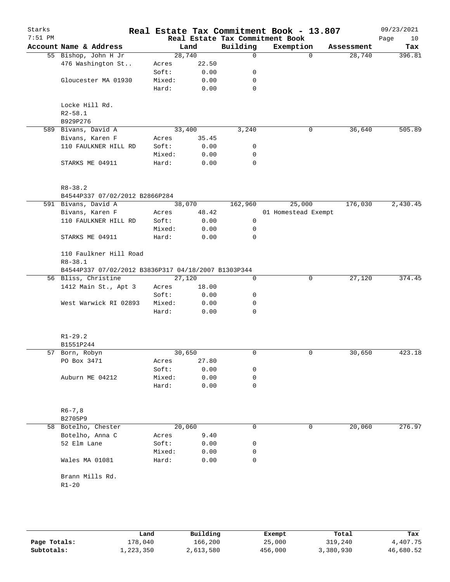| Starks<br>$7:51$ PM |                                                     |        |        |             | Real Estate Tax Commitment Book - 13.807<br>Real Estate Tax Commitment Book |            | 09/23/2021<br>Page<br>10 |
|---------------------|-----------------------------------------------------|--------|--------|-------------|-----------------------------------------------------------------------------|------------|--------------------------|
|                     | Account Name & Address                              |        | Land   | Building    | Exemption                                                                   | Assessment | Tax                      |
|                     | 55 Bishop, John H Jr                                |        | 28,740 | $\mathbf 0$ | $\Omega$                                                                    | 28,740     | 396.81                   |
|                     | 476 Washington St                                   | Acres  | 22.50  |             |                                                                             |            |                          |
|                     |                                                     | Soft:  | 0.00   | 0           |                                                                             |            |                          |
|                     | Gloucester MA 01930                                 | Mixed: | 0.00   | 0           |                                                                             |            |                          |
|                     |                                                     | Hard:  | 0.00   | 0           |                                                                             |            |                          |
|                     |                                                     |        |        |             |                                                                             |            |                          |
|                     | Locke Hill Rd.                                      |        |        |             |                                                                             |            |                          |
|                     | $R2 - 58.1$                                         |        |        |             |                                                                             |            |                          |
|                     | B929P276                                            |        |        |             |                                                                             |            |                          |
|                     | 589 Bivans, David A                                 |        | 33,400 | 3,240       | 0                                                                           | 36,640     | 505.89                   |
|                     | Bivans, Karen F                                     | Acres  | 35.45  |             |                                                                             |            |                          |
|                     | 110 FAULKNER HILL RD                                | Soft:  | 0.00   | 0           |                                                                             |            |                          |
|                     |                                                     | Mixed: | 0.00   | 0           |                                                                             |            |                          |
|                     | STARKS ME 04911                                     | Hard:  | 0.00   | $\mathbf 0$ |                                                                             |            |                          |
|                     | $R8 - 38.2$                                         |        |        |             |                                                                             |            |                          |
|                     | B4544P337 07/02/2012 B2866P284                      |        |        |             |                                                                             |            |                          |
|                     | 591 Bivans, David A                                 |        | 38,070 | 162,960     | 25,000                                                                      | 176,030    | 2,430.45                 |
|                     | Bivans, Karen F                                     | Acres  | 48.42  |             | 01 Homestead Exempt                                                         |            |                          |
|                     | 110 FAULKNER HILL RD                                | Soft:  | 0.00   | 0           |                                                                             |            |                          |
|                     |                                                     | Mixed: | 0.00   | 0           |                                                                             |            |                          |
|                     | STARKS ME 04911                                     | Hard:  | 0.00   | $\mathbf 0$ |                                                                             |            |                          |
|                     | 110 Faulkner Hill Road                              |        |        |             |                                                                             |            |                          |
|                     | $R8 - 38.1$                                         |        |        |             |                                                                             |            |                          |
|                     | B4544P337 07/02/2012 B3836P317 04/18/2007 B1303P344 |        |        |             |                                                                             |            |                          |
|                     | 56 Bliss, Christine                                 |        | 27,120 | 0           | 0                                                                           | 27,120     | 374.45                   |
|                     | 1412 Main St., Apt 3                                | Acres  | 18.00  |             |                                                                             |            |                          |
|                     |                                                     | Soft:  | 0.00   | 0           |                                                                             |            |                          |
|                     | West Warwick RI 02893                               | Mixed: | 0.00   | 0           |                                                                             |            |                          |
|                     |                                                     | Hard:  | 0.00   | $\mathbf 0$ |                                                                             |            |                          |
|                     |                                                     |        |        |             |                                                                             |            |                          |
|                     | $R1 - 29.2$                                         |        |        |             |                                                                             |            |                          |
|                     | B1551P244                                           |        |        |             |                                                                             |            |                          |
|                     | 57 Born, Robyn                                      |        | 30,650 | 0           | $\mathbf 0$                                                                 | 30,650     | 423.18                   |
|                     | PO Box 3471                                         | Acres  | 27.80  |             |                                                                             |            |                          |
|                     |                                                     | Soft:  | 0.00   | 0           |                                                                             |            |                          |
|                     | Auburn ME 04212                                     | Mixed: | 0.00   | 0           |                                                                             |            |                          |
|                     |                                                     | Hard:  | 0.00   | 0           |                                                                             |            |                          |
|                     | $R6 - 7, 8$                                         |        |        |             |                                                                             |            |                          |
|                     | B2705P9                                             |        |        |             |                                                                             |            |                          |
|                     | 58 Botelho, Chester                                 |        | 20,060 | 0           | 0                                                                           | 20,060     | 276.97                   |
|                     | Botelho, Anna C                                     | Acres  | 9.40   |             |                                                                             |            |                          |
|                     | 52 Elm Lane                                         | Soft:  | 0.00   | 0           |                                                                             |            |                          |
|                     |                                                     | Mixed: | 0.00   | 0           |                                                                             |            |                          |
|                     | Wales MA 01081                                      | Hard:  | 0.00   | 0           |                                                                             |            |                          |
|                     | Brann Mills Rd.                                     |        |        |             |                                                                             |            |                          |
|                     | $R1 - 20$                                           |        |        |             |                                                                             |            |                          |
|                     |                                                     |        |        |             |                                                                             |            |                          |
|                     |                                                     |        |        |             |                                                                             |            |                          |
|                     |                                                     |        |        |             |                                                                             |            |                          |

|              | Land      | Building  | Exempt  | Total     | Tax       |
|--------------|-----------|-----------|---------|-----------|-----------|
| Page Totals: | 178,040   | 166,200   | 25,000  | 319,240   | 4,407.75  |
| Subtotals:   | 1,223,350 | 2,613,580 | 456,000 | 3,380,930 | 46,680.52 |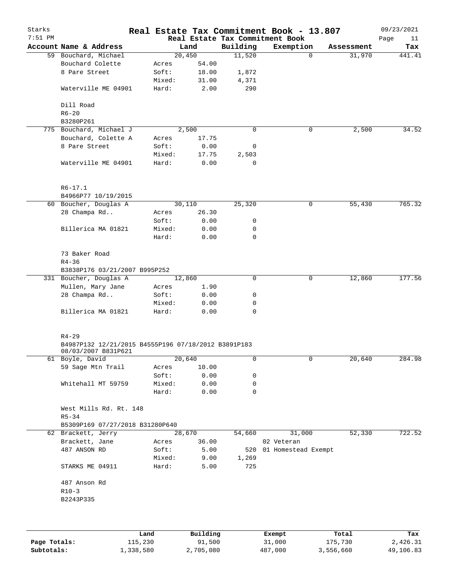| Starks<br>$7:51$ PM |                                                                                         |        |           |          | Real Estate Tax Commitment Book - 13.807<br>Real Estate Tax Commitment Book |            | 09/23/2021<br>Page<br>11 |
|---------------------|-----------------------------------------------------------------------------------------|--------|-----------|----------|-----------------------------------------------------------------------------|------------|--------------------------|
|                     | Account Name & Address                                                                  |        | Land      | Building | Exemption                                                                   | Assessment | Tax                      |
|                     | 59 Bouchard, Michael                                                                    |        | 20,450    | 11,520   | $\Omega$                                                                    | 31,970     | 441.41                   |
|                     | Bouchard Colette                                                                        | Acres  | 54.00     |          |                                                                             |            |                          |
|                     | 8 Pare Street                                                                           | Soft:  | 18.00     | 1,872    |                                                                             |            |                          |
|                     |                                                                                         | Mixed: | 31.00     | 4,371    |                                                                             |            |                          |
|                     | Waterville ME 04901                                                                     | Hard:  | 2.00      | 290      |                                                                             |            |                          |
|                     | Dill Road                                                                               |        |           |          |                                                                             |            |                          |
|                     | $R6 - 20$                                                                               |        |           |          |                                                                             |            |                          |
|                     | B3280P261                                                                               |        |           |          |                                                                             |            |                          |
|                     | 775 Bouchard, Michael J                                                                 |        | 2,500     | 0        | 0                                                                           | 2,500      | 34.52                    |
|                     | Bouchard, Colette A                                                                     | Acres  | 17.75     |          |                                                                             |            |                          |
|                     | 8 Pare Street                                                                           | Soft:  | 0.00      | 0        |                                                                             |            |                          |
|                     |                                                                                         | Mixed: | 17.75     | 2,503    |                                                                             |            |                          |
|                     | Waterville ME 04901                                                                     | Hard:  | 0.00      | 0        |                                                                             |            |                          |
|                     | $R6 - 17.1$<br>B4966P77 10/19/2015                                                      |        |           |          |                                                                             |            |                          |
|                     | 60 Boucher, Douglas A                                                                   |        | 30,110    | 25,320   | 0                                                                           | 55,430     | 765.32                   |
|                     | 28 Champa Rd                                                                            | Acres  | 26.30     |          |                                                                             |            |                          |
|                     |                                                                                         | Soft:  | 0.00      | 0        |                                                                             |            |                          |
|                     | Billerica MA 01821                                                                      | Mixed: | 0.00      | 0        |                                                                             |            |                          |
|                     |                                                                                         | Hard:  | 0.00      | 0        |                                                                             |            |                          |
|                     |                                                                                         |        |           |          |                                                                             |            |                          |
|                     | 73 Baker Road<br>$R4 - 36$                                                              |        |           |          |                                                                             |            |                          |
|                     | B3838P176 03/21/2007 B995P252                                                           |        |           |          |                                                                             |            |                          |
|                     | 331 Boucher, Douglas A                                                                  |        | 12,860    | 0        | 0                                                                           | 12,860     | 177.56                   |
|                     | Mullen, Mary Jane                                                                       | Acres  | 1.90      |          |                                                                             |            |                          |
|                     | 28 Champa Rd                                                                            | Soft:  | 0.00      | 0        |                                                                             |            |                          |
|                     |                                                                                         | Mixed: | 0.00      | 0        |                                                                             |            |                          |
|                     | Billerica MA 01821                                                                      | Hard:  | 0.00      | 0        |                                                                             |            |                          |
|                     | $R4 - 29$<br>B4987P132 12/21/2015 B4555P196 07/18/2012 B3891P183<br>08/03/2007 B831P621 |        |           |          |                                                                             |            |                          |
|                     | 61 Boyle, David                                                                         |        | 20,640    | 0        | 0                                                                           | 20,640     | 284.98                   |
|                     | 59 Sage Mtn Trail                                                                       | Acres  | 10.00     |          |                                                                             |            |                          |
|                     |                                                                                         | Soft:  | 0.00      | 0        |                                                                             |            |                          |
|                     | Whitehall MT 59759                                                                      | Mixed: | 0.00      | 0        |                                                                             |            |                          |
|                     |                                                                                         | Hard:  | 0.00      | 0        |                                                                             |            |                          |
|                     | West Mills Rd. Rt. 148<br>$R5 - 34$                                                     |        |           |          |                                                                             |            |                          |
|                     | B5309P169 07/27/2018 B31280P640                                                         |        |           |          |                                                                             |            |                          |
|                     | 62 Brackett, Jerry                                                                      |        | 28,670    | 54,660   | 31,000                                                                      | 52,330     | 722.52                   |
|                     | Brackett, Jane                                                                          | Acres  | 36.00     |          | 02 Veteran                                                                  |            |                          |
|                     | 487 ANSON RD                                                                            | Soft:  | 5.00      | 520      | 01 Homestead Exempt                                                         |            |                          |
|                     |                                                                                         | Mixed: | 9.00      | 1,269    |                                                                             |            |                          |
|                     | STARKS ME 04911                                                                         | Hard:  | 5.00      | 725      |                                                                             |            |                          |
|                     |                                                                                         |        |           |          |                                                                             |            |                          |
|                     | 487 Anson Rd                                                                            |        |           |          |                                                                             |            |                          |
|                     | $R10-3$                                                                                 |        |           |          |                                                                             |            |                          |
|                     | B2243P335                                                                               |        |           |          |                                                                             |            |                          |
|                     |                                                                                         |        |           |          |                                                                             |            |                          |
|                     |                                                                                         | Land   | Building  |          | Exempt                                                                      | Total      | Tax                      |
| Page Totals:        | 115,230                                                                                 |        | 91,500    |          | 31,000                                                                      | 175,730    | 2,426.31                 |
| Subtotals:          | 1,338,580                                                                               |        | 2,705,080 |          | 487,000                                                                     | 3,556,660  | 49,106.83                |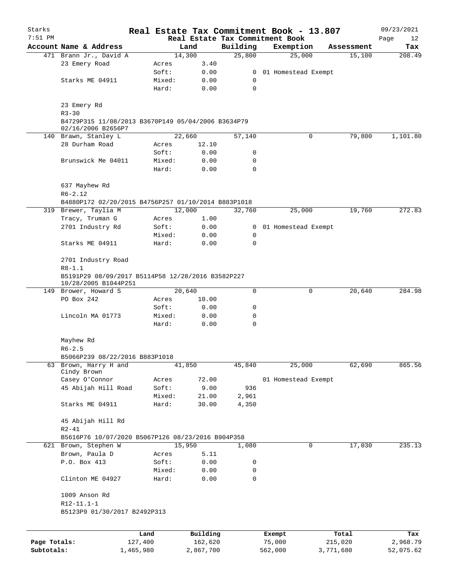| Starks       |                                                                 |           |        |           |                | Real Estate Tax Commitment Book - 13.807 |           |            | 09/23/2021 |  |  |
|--------------|-----------------------------------------------------------------|-----------|--------|-----------|----------------|------------------------------------------|-----------|------------|------------|--|--|
| $7:51$ PM    |                                                                 |           |        |           |                | Real Estate Tax Commitment Book          |           |            | Page<br>12 |  |  |
|              | Account Name & Address                                          |           |        | Land      | Building       | Exemption                                |           | Assessment | Tax        |  |  |
|              | 471 Brann Jr., David A                                          |           |        | 14,300    | 25,800         | 25,000                                   |           | 15,100     | 208.49     |  |  |
|              | 23 Emery Road                                                   |           | Acres  | 3.40      |                |                                          |           |            |            |  |  |
|              |                                                                 |           | Soft:  | 0.00      |                | 0 01 Homestead Exempt                    |           |            |            |  |  |
|              | Starks ME 04911                                                 |           | Mixed: | 0.00      | 0<br>0         |                                          |           |            |            |  |  |
|              |                                                                 |           | Hard:  | 0.00      |                |                                          |           |            |            |  |  |
|              | 23 Emery Rd                                                     |           |        |           |                |                                          |           |            |            |  |  |
|              | $R3 - 30$                                                       |           |        |           |                |                                          |           |            |            |  |  |
|              | B4729P315 11/08/2013 B3670P149 05/04/2006 B3634P79              |           |        |           |                |                                          |           |            |            |  |  |
|              | 02/16/2006 B2656P7                                              |           |        |           |                |                                          |           |            |            |  |  |
|              | 140 Brawn, Stanley L                                            |           |        | 22,660    | 57,140         |                                          | 0         | 79,800     | 1,101.80   |  |  |
|              | 28 Durham Road                                                  |           | Acres  | 12.10     |                |                                          |           |            |            |  |  |
|              |                                                                 |           | Soft:  | 0.00      | 0              |                                          |           |            |            |  |  |
|              | Brunswick Me 04011                                              |           | Mixed: | 0.00      | 0              |                                          |           |            |            |  |  |
|              |                                                                 |           | Hard:  | 0.00      | 0              |                                          |           |            |            |  |  |
|              |                                                                 |           |        |           |                |                                          |           |            |            |  |  |
|              | 637 Mayhew Rd                                                   |           |        |           |                |                                          |           |            |            |  |  |
|              | $R6 - 2.12$                                                     |           |        |           |                |                                          |           |            |            |  |  |
|              | B4880P172 02/20/2015 B4756P257 01/10/2014 B883P1018             |           |        |           |                |                                          |           |            |            |  |  |
|              | 319 Brewer, Taylia M                                            |           |        | 12,000    | 32,760         | 25,000                                   |           | 19,760     | 272.83     |  |  |
|              | Tracy, Truman G                                                 |           | Acres  | 1.00      |                |                                          |           |            |            |  |  |
|              | 2701 Industry Rd                                                |           | Soft:  | 0.00      | $\overline{0}$ | 01 Homestead Exempt                      |           |            |            |  |  |
|              |                                                                 |           | Mixed: | 0.00      | 0              |                                          |           |            |            |  |  |
|              | Starks ME 04911                                                 |           | Hard:  | 0.00      | 0              |                                          |           |            |            |  |  |
|              |                                                                 |           |        |           |                |                                          |           |            |            |  |  |
|              | 2701 Industry Road                                              |           |        |           |                |                                          |           |            |            |  |  |
|              | $R8 - 1.1$<br>B5191P29 08/09/2017 B5114P58 12/28/2016 B3582P227 |           |        |           |                |                                          |           |            |            |  |  |
|              |                                                                 |           |        |           |                |                                          |           |            |            |  |  |
|              | 10/28/2005 B1044P251<br>149 Brower, Howard S                    |           |        | 20,640    | 0              |                                          | 0         | 20,640     | 284.98     |  |  |
|              | PO Box 242                                                      |           | Acres  | 10.00     |                |                                          |           |            |            |  |  |
|              |                                                                 |           | Soft:  | 0.00      | 0              |                                          |           |            |            |  |  |
|              | Lincoln MA 01773                                                |           | Mixed: | 0.00      | 0              |                                          |           |            |            |  |  |
|              |                                                                 |           | Hard:  | 0.00      | 0              |                                          |           |            |            |  |  |
|              |                                                                 |           |        |           |                |                                          |           |            |            |  |  |
|              | Mayhew Rd                                                       |           |        |           |                |                                          |           |            |            |  |  |
|              | $R6 - 2.5$                                                      |           |        |           |                |                                          |           |            |            |  |  |
|              | B5066P239 08/22/2016 B883P1018                                  |           |        |           |                |                                          |           |            |            |  |  |
| 63           | Brown, Harry H and                                              |           |        | 41,850    | 45,840         | 25,000                                   |           | 62,690     | 865.56     |  |  |
|              | Cindy Brown                                                     |           |        |           |                |                                          |           |            |            |  |  |
|              | Casey O'Connor                                                  |           | Acres  | 72.00     |                | 01 Homestead Exempt                      |           |            |            |  |  |
|              | 45 Abijah Hill Road                                             |           | Soft:  | 9.00      | 936            |                                          |           |            |            |  |  |
|              |                                                                 |           | Mixed: | 21.00     | 2,961          |                                          |           |            |            |  |  |
|              | Starks ME 04911                                                 |           | Hard:  | 30.00     | 4,350          |                                          |           |            |            |  |  |
|              |                                                                 |           |        |           |                |                                          |           |            |            |  |  |
|              | 45 Abijah Hill Rd                                               |           |        |           |                |                                          |           |            |            |  |  |
|              | $R2 - 41$                                                       |           |        |           |                |                                          |           |            |            |  |  |
|              | B5616P76 10/07/2020 B5067P126 08/23/2016 B904P358               |           |        |           |                |                                          |           |            |            |  |  |
|              | 621 Brown, Stephen W                                            |           |        | 15,950    | 1,080          |                                          | 0         | 17,030     | 235.13     |  |  |
|              | Brown, Paula D                                                  |           | Acres  | 5.11      |                |                                          |           |            |            |  |  |
|              | P.O. Box 413                                                    |           | Soft:  | 0.00      | 0              |                                          |           |            |            |  |  |
|              |                                                                 |           | Mixed: | 0.00      | 0              |                                          |           |            |            |  |  |
|              | Clinton ME 04927                                                |           | Hard:  | 0.00      | 0              |                                          |           |            |            |  |  |
|              |                                                                 |           |        |           |                |                                          |           |            |            |  |  |
|              | 1009 Anson Rd                                                   |           |        |           |                |                                          |           |            |            |  |  |
|              | $R12 - 11.1 - 1$                                                |           |        |           |                |                                          |           |            |            |  |  |
|              | B5123P9 01/30/2017 B2492P313                                    |           |        |           |                |                                          |           |            |            |  |  |
|              |                                                                 |           |        |           |                |                                          |           |            |            |  |  |
|              |                                                                 | Land      |        | Building  |                | Exempt                                   | Total     |            | Tax        |  |  |
| Page Totals: |                                                                 | 127,400   |        | 162,620   |                | 75,000                                   | 215,020   |            | 2,968.79   |  |  |
| Subtotals:   |                                                                 | 1,465,980 |        | 2,867,700 |                | 562,000                                  | 3,771,680 |            | 52,075.62  |  |  |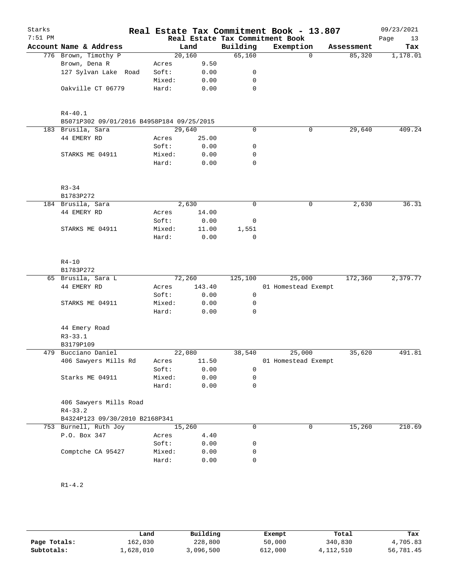| Starks<br>$7:51$ PM |                                           |        |        |             | Real Estate Tax Commitment Book - 13.807     |             |            | 09/23/2021        |
|---------------------|-------------------------------------------|--------|--------|-------------|----------------------------------------------|-------------|------------|-------------------|
|                     | Account Name & Address                    |        | Land   | Building    | Real Estate Tax Commitment Book<br>Exemption |             | Assessment | Page<br>13<br>Tax |
|                     | 776 Brown, Timothy P                      |        | 20,160 | 65,160      |                                              | $\mathbf 0$ | 85,320     | 1,178.01          |
|                     | Brown, Dena R                             | Acres  | 9.50   |             |                                              |             |            |                   |
|                     | 127 Sylvan Lake Road                      | Soft:  | 0.00   | 0           |                                              |             |            |                   |
|                     |                                           | Mixed: | 0.00   | $\mathbf 0$ |                                              |             |            |                   |
|                     | Oakville CT 06779                         | Hard:  | 0.00   | $\mathbf 0$ |                                              |             |            |                   |
|                     |                                           |        |        |             |                                              |             |            |                   |
|                     | $R4 - 40.1$                               |        |        |             |                                              |             |            |                   |
|                     | B5071P302 09/01/2016 B4958P184 09/25/2015 |        |        |             |                                              |             |            |                   |
|                     | 183 Brusila, Sara                         | 29,640 |        | $\mathbf 0$ |                                              | 0           | 29,640     | 409.24            |
|                     | 44 EMERY RD                               | Acres  | 25.00  |             |                                              |             |            |                   |
|                     |                                           | Soft:  | 0.00   | 0           |                                              |             |            |                   |
|                     | STARKS ME 04911                           | Mixed: | 0.00   | 0           |                                              |             |            |                   |
|                     |                                           | Hard:  | 0.00   | $\mathbf 0$ |                                              |             |            |                   |
|                     | $R3 - 34$                                 |        |        |             |                                              |             |            |                   |
|                     | B1783P272                                 |        |        |             |                                              |             |            |                   |
|                     | 184 Brusila, Sara                         |        | 2,630  | $\mathbf 0$ |                                              | 0           | 2,630      | 36.31             |
|                     | 44 EMERY RD                               | Acres  | 14.00  |             |                                              |             |            |                   |
|                     |                                           | Soft:  | 0.00   | 0           |                                              |             |            |                   |
|                     | STARKS ME 04911                           | Mixed: | 11.00  | 1,551       |                                              |             |            |                   |
|                     |                                           | Hard:  | 0.00   | $\mathbf 0$ |                                              |             |            |                   |
|                     |                                           |        |        |             |                                              |             |            |                   |
|                     | $R4 - 10$                                 |        |        |             |                                              |             |            |                   |
|                     | B1783P272                                 |        |        |             |                                              |             |            |                   |
|                     | 65 Brusila, Sara L                        | 72,260 |        | 125,100     | 25,000                                       |             | 172,360    | 2,379.77          |
|                     | 44 EMERY RD                               | Acres  | 143.40 |             | 01 Homestead Exempt                          |             |            |                   |
|                     |                                           | Soft:  | 0.00   | 0           |                                              |             |            |                   |
|                     | STARKS ME 04911                           | Mixed: | 0.00   | 0           |                                              |             |            |                   |
|                     |                                           | Hard:  | 0.00   | $\mathbf 0$ |                                              |             |            |                   |
|                     | 44 Emery Road                             |        |        |             |                                              |             |            |                   |
|                     | $R3 - 33.1$                               |        |        |             |                                              |             |            |                   |
|                     | B3179P109                                 |        |        |             |                                              |             |            |                   |
| 479                 | Bucciano Daniel                           |        | 22,080 | 38,540      | 25,000                                       |             | 35,620     | 491.81            |
|                     | 406 Sawyers Mills Rd                      | Acres  | 11.50  |             | 01 Homestead Exempt                          |             |            |                   |
|                     |                                           | Soft:  | 0.00   | 0           |                                              |             |            |                   |
|                     | Starks ME 04911                           | Mixed: | 0.00   | 0           |                                              |             |            |                   |
|                     |                                           | Hard:  | 0.00   | $\mathbf 0$ |                                              |             |            |                   |
|                     | 406 Sawyers Mills Road<br>$R4 - 33.2$     |        |        |             |                                              |             |            |                   |
|                     | B4324P123 09/30/2010 B2168P341            |        |        |             |                                              |             |            |                   |
|                     | 753 Burnell, Ruth Joy                     | 15,260 |        | 0           |                                              | 0           | 15,260     | 210.69            |
|                     | P.O. Box 347                              | Acres  | 4.40   |             |                                              |             |            |                   |
|                     |                                           | Soft:  | 0.00   | 0           |                                              |             |            |                   |
|                     | Comptche CA 95427                         | Mixed: | 0.00   | 0           |                                              |             |            |                   |
|                     |                                           | Hard:  | 0.00   | 0           |                                              |             |            |                   |
|                     |                                           |        |        |             |                                              |             |            |                   |

## R1-4.2

|              | Land      | Building  | Exempt  | Total     | Tax       |
|--------------|-----------|-----------|---------|-----------|-----------|
| Page Totals: | 162,030   | 228,800   | 50,000  | 340,830   | 4,705.83  |
| Subtotals:   | 1,628,010 | 3,096,500 | 612,000 | 4,112,510 | 56,781.45 |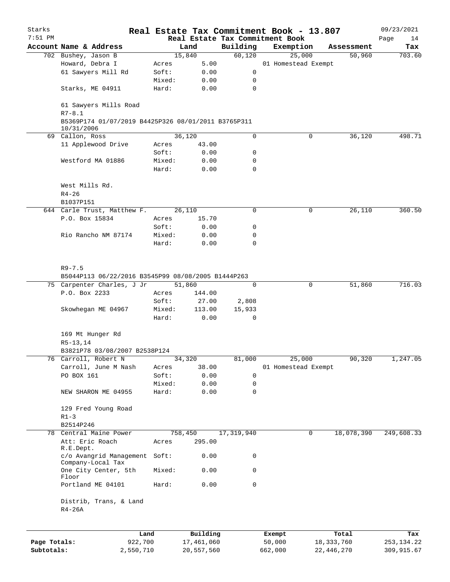| Starks<br>$7:51$ PM |                                                                   |        |            |              | Real Estate Tax Commitment Book - 13.807<br>Real Estate Tax Commitment Book |              | 09/23/2021<br>Page<br>14 |
|---------------------|-------------------------------------------------------------------|--------|------------|--------------|-----------------------------------------------------------------------------|--------------|--------------------------|
|                     | Account Name & Address                                            |        | Land       | Building     | Exemption                                                                   | Assessment   | Tax                      |
|                     | 702 Bushey, Jason B                                               |        | 15,840     | 60,120       | 25,000                                                                      | 50,960       | 703.60                   |
|                     | Howard, Debra I                                                   | Acres  | 5.00       |              | 01 Homestead Exempt                                                         |              |                          |
|                     | 61 Sawyers Mill Rd                                                | Soft:  | 0.00       | 0            |                                                                             |              |                          |
|                     |                                                                   | Mixed: | 0.00       | 0            |                                                                             |              |                          |
|                     | Starks, ME 04911                                                  | Hard:  | 0.00       | $\mathbf 0$  |                                                                             |              |                          |
|                     |                                                                   |        |            |              |                                                                             |              |                          |
|                     | 61 Sawyers Mills Road<br>$R7 - 8.1$                               |        |            |              |                                                                             |              |                          |
|                     | B5369P174 01/07/2019 B4425P326 08/01/2011 B3765P311<br>10/31/2006 |        |            |              |                                                                             |              |                          |
|                     | 69 Callon, Ross                                                   |        | 36,120     | $\mathbf 0$  | 0                                                                           | 36,120       | 498.71                   |
|                     | 11 Applewood Drive                                                | Acres  | 43.00      |              |                                                                             |              |                          |
|                     |                                                                   | Soft:  | 0.00       | 0            |                                                                             |              |                          |
|                     | Westford MA 01886                                                 | Mixed: | 0.00       | 0            |                                                                             |              |                          |
|                     |                                                                   | Hard:  | 0.00       | $\mathbf 0$  |                                                                             |              |                          |
|                     | West Mills Rd.                                                    |        |            |              |                                                                             |              |                          |
|                     |                                                                   |        |            |              |                                                                             |              |                          |
|                     | $R4 - 26$                                                         |        |            |              |                                                                             |              |                          |
|                     | B1037P151                                                         |        |            |              |                                                                             |              |                          |
|                     | 644 Carle Trust, Matthew F.                                       |        | 26,110     | $\mathbf 0$  | 0                                                                           | 26,110       | 360.50                   |
|                     | P.O. Box 15834                                                    | Acres  | 15.70      |              |                                                                             |              |                          |
|                     |                                                                   | Soft:  | 0.00       | 0            |                                                                             |              |                          |
|                     | Rio Rancho NM 87174                                               | Mixed: | 0.00       | 0            |                                                                             |              |                          |
|                     |                                                                   | Hard:  | 0.00       | $\mathbf 0$  |                                                                             |              |                          |
|                     | $R9 - 7.5$                                                        |        |            |              |                                                                             |              |                          |
|                     | B5044P113 06/22/2016 B3545P99 08/08/2005 B1444P263                |        |            |              |                                                                             |              |                          |
|                     | 75 Carpenter Charles, J Jr                                        |        | 51,860     | $\mathbf 0$  | 0                                                                           | 51,860       | 716.03                   |
|                     | P.O. Box 2233                                                     | Acres  | 144.00     |              |                                                                             |              |                          |
|                     |                                                                   |        |            |              |                                                                             |              |                          |
|                     |                                                                   | Soft:  | 27.00      | 2,808        |                                                                             |              |                          |
|                     | Skowhegan ME 04967                                                | Mixed: | 113.00     | 15,933       |                                                                             |              |                          |
|                     |                                                                   | Hard:  | 0.00       | 0            |                                                                             |              |                          |
|                     | 169 Mt Hunger Rd                                                  |        |            |              |                                                                             |              |                          |
|                     | $R5-13, 14$                                                       |        |            |              |                                                                             |              |                          |
|                     | B3821P78 03/08/2007 B2538P124                                     |        |            |              |                                                                             |              |                          |
|                     | 76 Carroll, Robert N                                              |        | 34,320     | 81,000       | 25,000                                                                      | 90,320       | 1,247.05                 |
|                     | Carroll, June M Nash                                              | Acres  | 38.00      |              | 01 Homestead Exempt                                                         |              |                          |
|                     | PO BOX 161                                                        | Soft:  | 0.00       | 0            |                                                                             |              |                          |
|                     |                                                                   | Mixed: | 0.00       | 0            |                                                                             |              |                          |
|                     | NEW SHARON ME 04955                                               | Hard:  | 0.00       | $\mathbf 0$  |                                                                             |              |                          |
|                     |                                                                   |        |            |              |                                                                             |              |                          |
|                     | 129 Fred Young Road                                               |        |            |              |                                                                             |              |                          |
|                     | $R1-3$                                                            |        |            |              |                                                                             |              |                          |
|                     | B2514P246                                                         |        |            |              |                                                                             |              |                          |
|                     | 78 Central Maine Power                                            |        | 758,450    | 17, 319, 940 | 0                                                                           | 18,078,390   | 249,608.33               |
|                     | Att: Eric Roach<br>R.E.Dept.                                      | Acres  | 295.00     |              |                                                                             |              |                          |
|                     | c/o Avangrid Management<br>Company-Local Tax                      | Soft:  | 0.00       | 0            |                                                                             |              |                          |
|                     | One City Center, 5th<br>Floor                                     | Mixed: | 0.00       | 0            |                                                                             |              |                          |
|                     | Portland ME 04101                                                 | Hard:  | 0.00       | $\mathbf 0$  |                                                                             |              |                          |
|                     | Distrib, Trans, & Land<br>$R4-26A$                                |        |            |              |                                                                             |              |                          |
|                     |                                                                   | Land   | Building   |              | Exempt                                                                      | Total        | Tax                      |
| Page Totals:        | 922,700                                                           |        | 17,461,060 |              | 50,000                                                                      | 18, 333, 760 | 253, 134. 22             |
| Subtotals:          | 2,550,710                                                         |        | 20,557,560 |              | 662,000                                                                     | 22, 446, 270 | 309,915.67               |
|                     |                                                                   |        |            |              |                                                                             |              |                          |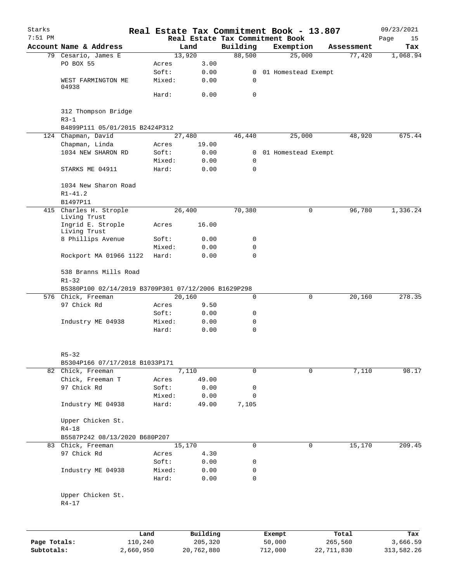| Starks<br>$7:51$ PM |                                                                                           |                 |                |             | Real Estate Tax Commitment Book - 13.807<br>Real Estate Tax Commitment Book |             |            | 09/23/2021<br>Page<br>15 |
|---------------------|-------------------------------------------------------------------------------------------|-----------------|----------------|-------------|-----------------------------------------------------------------------------|-------------|------------|--------------------------|
|                     | Account Name & Address                                                                    |                 | Land           | Building    | Exemption                                                                   |             | Assessment | Tax                      |
|                     | 79 Cesario, James E                                                                       |                 | 13,920         | 88,500      | 25,000                                                                      |             | 77,420     | 1,068.94                 |
|                     | PO BOX 55                                                                                 | Acres           | 3.00           |             |                                                                             |             |            |                          |
|                     |                                                                                           | Soft:           | 0.00           |             | 0 01 Homestead Exempt                                                       |             |            |                          |
|                     | WEST FARMINGTON ME<br>04938                                                               | Mixed:          | 0.00           | 0           |                                                                             |             |            |                          |
|                     |                                                                                           | Hard:           | 0.00           | 0           |                                                                             |             |            |                          |
|                     | 312 Thompson Bridge<br>$R3 - 1$                                                           |                 |                |             |                                                                             |             |            |                          |
|                     | B4899P111 05/01/2015 B2424P312                                                            |                 |                |             |                                                                             |             |            |                          |
|                     | 124 Chapman, David                                                                        |                 | 27,480         | 46,440      | 25,000                                                                      |             | 48,920     | 675.44                   |
|                     | Chapman, Linda                                                                            | Acres           | 19.00          |             |                                                                             |             |            |                          |
|                     | 1034 NEW SHARON RD                                                                        | Soft:           | 0.00           |             | 0 01 Homestead Exempt                                                       |             |            |                          |
|                     |                                                                                           | Mixed:          | 0.00           | 0           |                                                                             |             |            |                          |
|                     | STARKS ME 04911                                                                           | Hard:           | 0.00           | 0           |                                                                             |             |            |                          |
|                     | 1034 New Sharon Road<br>$R1 - 41.2$<br>B1497P11                                           |                 |                |             |                                                                             |             |            |                          |
|                     | 415 Charles H. Strople                                                                    |                 | 26,400         | 70,380      |                                                                             | 0           | 96,780     | 1,336.24                 |
|                     | Living Trust<br>Ingrid E. Strople                                                         | Acres           | 16.00          |             |                                                                             |             |            |                          |
|                     | Living Trust                                                                              |                 |                |             |                                                                             |             |            |                          |
|                     | 8 Phillips Avenue                                                                         | Soft:           | 0.00<br>0.00   | 0<br>0      |                                                                             |             |            |                          |
|                     | Rockport MA 01966 1122                                                                    | Mixed:<br>Hard: | 0.00           | 0           |                                                                             |             |            |                          |
|                     | 538 Branns Mills Road<br>$R1 - 32$<br>B5380P100 02/14/2019 B3709P301 07/12/2006 B1629P298 |                 |                |             |                                                                             |             |            |                          |
|                     | 576 Chick, Freeman                                                                        |                 | 20,160         | $\mathbf 0$ |                                                                             | $\mathbf 0$ | 20,160     | 278.35                   |
|                     | 97 Chick Rd                                                                               | Acres           | 9.50           |             |                                                                             |             |            |                          |
|                     |                                                                                           | Soft:           | 0.00           | 0           |                                                                             |             |            |                          |
|                     | Industry ME 04938                                                                         | Mixed:          | 0.00           | 0           |                                                                             |             |            |                          |
|                     |                                                                                           | Hard:           | 0.00           | $\mathbf 0$ |                                                                             |             |            |                          |
|                     |                                                                                           |                 |                |             |                                                                             |             |            |                          |
|                     | $R5 - 32$                                                                                 |                 |                |             |                                                                             |             |            |                          |
|                     | B5304P166 07/17/2018 B1033P171<br>82 Chick, Freeman                                       |                 |                | 0           |                                                                             | 0           |            |                          |
|                     | Chick, Freeman T                                                                          |                 | 7,110<br>49.00 |             |                                                                             |             | 7,110      | 98.17                    |
|                     | 97 Chick Rd                                                                               | Acres<br>Soft:  | 0.00           |             |                                                                             |             |            |                          |
|                     |                                                                                           |                 |                | 0<br>0      |                                                                             |             |            |                          |
|                     | Industry ME 04938                                                                         | Mixed:<br>Hard: | 0.00<br>49.00  | 7,105       |                                                                             |             |            |                          |
|                     | Upper Chicken St.                                                                         |                 |                |             |                                                                             |             |            |                          |
|                     | $R4 - 18$                                                                                 |                 |                |             |                                                                             |             |            |                          |
|                     | B5587P242 08/13/2020 B680P207                                                             |                 |                |             |                                                                             |             |            |                          |
|                     | 83 Chick, Freeman                                                                         |                 | 15,170         | 0           |                                                                             | 0           | 15,170     | 209.45                   |
|                     | 97 Chick Rd                                                                               | Acres           | 4.30           |             |                                                                             |             |            |                          |
|                     |                                                                                           | Soft:           | 0.00           | 0           |                                                                             |             |            |                          |
|                     | Industry ME 04938                                                                         | Mixed:          | 0.00           | 0           |                                                                             |             |            |                          |
|                     |                                                                                           | Hard:           | 0.00           | 0           |                                                                             |             |            |                          |
|                     | Upper Chicken St.<br>$R4 - 17$                                                            |                 |                |             |                                                                             |             |            |                          |
|                     |                                                                                           |                 |                |             |                                                                             |             |            |                          |
|                     | Land                                                                                      |                 | Building       |             | Exempt                                                                      |             | Total      | Tax                      |
| Page Totals:        | 110,240                                                                                   |                 | 205,320        |             | 50,000                                                                      |             | 265,560    | 3,666.59                 |
| Subtotals:          | 2,660,950                                                                                 |                 | 20,762,880     |             | 712,000                                                                     | 22,711,830  |            | 313,582.26               |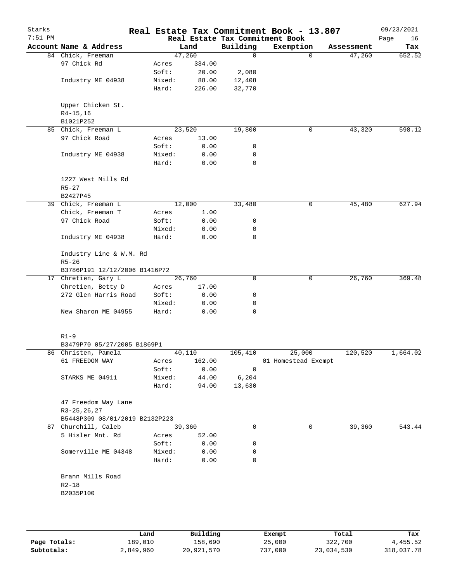| Account Name & Address<br>Building<br>Exemption<br>Land<br>Assessment<br>Tax<br>47,260<br>652.52<br>84 Chick, Freeman<br>$\mathbf 0$<br>$\Omega$<br>47,260<br>97 Chick Rd<br>334.00<br>Acres<br>Soft:<br>20.00<br>2,080<br>Industry ME 04938<br>Mixed:<br>88.00<br>12,408<br>226.00<br>32,770<br>Hard:<br>Upper Chicken St.<br>$R4 - 15, 16$<br>B1021P252<br>598.12<br>85 Chick, Freeman L<br>23,520<br>19,800<br>0<br>43,320<br>97 Chick Road<br>13.00<br>Acres<br>Soft:<br>0.00<br>0<br>Mixed:<br>0.00<br>0<br>Industry ME 04938<br>Hard:<br>0.00<br>0<br>1227 West Mills Rd<br>$R5 - 27$<br>B2427P45<br>12,000<br>33,480<br>45,480<br>39 Chick, Freeman L<br>0<br>Chick, Freeman T<br>Acres<br>1.00<br>97 Chick Road<br>Soft:<br>0.00<br>0<br>Mixed:<br>0.00<br>0<br>Industry ME 04938<br>Hard:<br>0.00<br>0<br>Industry Line & W.M. Rd<br>$R5 - 26$<br>B3786P191 12/12/2006 B1416P72<br>$\mathbf 0$<br>26,760<br>17 Chretien, Gary L<br>26,760<br>0<br>Chretien, Betty D<br>17.00<br>Acres<br>272 Glen Harris Road<br>Soft:<br>0<br>0.00<br>Mixed:<br>0.00<br>0<br>New Sharon ME 04955<br>0<br>Hard:<br>0.00<br>$R1 - 9$<br>B3479P70 05/27/2005 B1869P1<br>25,000<br>120,520<br>1,664.02<br>86 Christen, Pamela<br>40,110<br>105,410<br>162.00<br>61 FREEDOM WAY<br>01 Homestead Exempt<br>Acres<br>Soft:<br>0.00<br>0<br>44.00<br>6,204<br>STARKS ME 04911<br>Mixed:<br>Hard:<br>94.00<br>13,630<br>47 Freedom Way Lane<br>R3-25, 26, 27<br>B5448P309 08/01/2019 B2132P223<br>87 Churchill, Caleb<br>39,360<br>0<br>39,360<br>0<br>5 Hisler Mnt. Rd<br>52.00<br>Acres<br>0.00<br>Soft:<br>0<br>0.00<br>Somerville ME 04348<br>Mixed:<br>0<br>Hard:<br>0.00<br>0<br>Brann Mills Road<br>$R2 - 18$<br>B2035P100 | Starks<br>$7:51$ PM |  |  | Real Estate Tax Commitment Book - 13.807<br>Real Estate Tax Commitment Book | 09/23/2021<br>Page<br>16 |
|--------------------------------------------------------------------------------------------------------------------------------------------------------------------------------------------------------------------------------------------------------------------------------------------------------------------------------------------------------------------------------------------------------------------------------------------------------------------------------------------------------------------------------------------------------------------------------------------------------------------------------------------------------------------------------------------------------------------------------------------------------------------------------------------------------------------------------------------------------------------------------------------------------------------------------------------------------------------------------------------------------------------------------------------------------------------------------------------------------------------------------------------------------------------------------------------------------------------------------------------------------------------------------------------------------------------------------------------------------------------------------------------------------------------------------------------------------------------------------------------------------------------------------------------------------------------------------------------------------------------------------------------------------------------------------------------------------------------|---------------------|--|--|-----------------------------------------------------------------------------|--------------------------|
|                                                                                                                                                                                                                                                                                                                                                                                                                                                                                                                                                                                                                                                                                                                                                                                                                                                                                                                                                                                                                                                                                                                                                                                                                                                                                                                                                                                                                                                                                                                                                                                                                                                                                                                    |                     |  |  |                                                                             |                          |
|                                                                                                                                                                                                                                                                                                                                                                                                                                                                                                                                                                                                                                                                                                                                                                                                                                                                                                                                                                                                                                                                                                                                                                                                                                                                                                                                                                                                                                                                                                                                                                                                                                                                                                                    |                     |  |  |                                                                             |                          |
|                                                                                                                                                                                                                                                                                                                                                                                                                                                                                                                                                                                                                                                                                                                                                                                                                                                                                                                                                                                                                                                                                                                                                                                                                                                                                                                                                                                                                                                                                                                                                                                                                                                                                                                    |                     |  |  |                                                                             |                          |
|                                                                                                                                                                                                                                                                                                                                                                                                                                                                                                                                                                                                                                                                                                                                                                                                                                                                                                                                                                                                                                                                                                                                                                                                                                                                                                                                                                                                                                                                                                                                                                                                                                                                                                                    |                     |  |  |                                                                             |                          |
|                                                                                                                                                                                                                                                                                                                                                                                                                                                                                                                                                                                                                                                                                                                                                                                                                                                                                                                                                                                                                                                                                                                                                                                                                                                                                                                                                                                                                                                                                                                                                                                                                                                                                                                    |                     |  |  |                                                                             |                          |
|                                                                                                                                                                                                                                                                                                                                                                                                                                                                                                                                                                                                                                                                                                                                                                                                                                                                                                                                                                                                                                                                                                                                                                                                                                                                                                                                                                                                                                                                                                                                                                                                                                                                                                                    |                     |  |  |                                                                             |                          |
|                                                                                                                                                                                                                                                                                                                                                                                                                                                                                                                                                                                                                                                                                                                                                                                                                                                                                                                                                                                                                                                                                                                                                                                                                                                                                                                                                                                                                                                                                                                                                                                                                                                                                                                    |                     |  |  |                                                                             |                          |
|                                                                                                                                                                                                                                                                                                                                                                                                                                                                                                                                                                                                                                                                                                                                                                                                                                                                                                                                                                                                                                                                                                                                                                                                                                                                                                                                                                                                                                                                                                                                                                                                                                                                                                                    |                     |  |  |                                                                             |                          |
|                                                                                                                                                                                                                                                                                                                                                                                                                                                                                                                                                                                                                                                                                                                                                                                                                                                                                                                                                                                                                                                                                                                                                                                                                                                                                                                                                                                                                                                                                                                                                                                                                                                                                                                    |                     |  |  |                                                                             |                          |
|                                                                                                                                                                                                                                                                                                                                                                                                                                                                                                                                                                                                                                                                                                                                                                                                                                                                                                                                                                                                                                                                                                                                                                                                                                                                                                                                                                                                                                                                                                                                                                                                                                                                                                                    |                     |  |  |                                                                             |                          |
|                                                                                                                                                                                                                                                                                                                                                                                                                                                                                                                                                                                                                                                                                                                                                                                                                                                                                                                                                                                                                                                                                                                                                                                                                                                                                                                                                                                                                                                                                                                                                                                                                                                                                                                    |                     |  |  |                                                                             |                          |
|                                                                                                                                                                                                                                                                                                                                                                                                                                                                                                                                                                                                                                                                                                                                                                                                                                                                                                                                                                                                                                                                                                                                                                                                                                                                                                                                                                                                                                                                                                                                                                                                                                                                                                                    |                     |  |  |                                                                             |                          |
|                                                                                                                                                                                                                                                                                                                                                                                                                                                                                                                                                                                                                                                                                                                                                                                                                                                                                                                                                                                                                                                                                                                                                                                                                                                                                                                                                                                                                                                                                                                                                                                                                                                                                                                    |                     |  |  |                                                                             |                          |
|                                                                                                                                                                                                                                                                                                                                                                                                                                                                                                                                                                                                                                                                                                                                                                                                                                                                                                                                                                                                                                                                                                                                                                                                                                                                                                                                                                                                                                                                                                                                                                                                                                                                                                                    |                     |  |  |                                                                             |                          |
|                                                                                                                                                                                                                                                                                                                                                                                                                                                                                                                                                                                                                                                                                                                                                                                                                                                                                                                                                                                                                                                                                                                                                                                                                                                                                                                                                                                                                                                                                                                                                                                                                                                                                                                    |                     |  |  |                                                                             |                          |
|                                                                                                                                                                                                                                                                                                                                                                                                                                                                                                                                                                                                                                                                                                                                                                                                                                                                                                                                                                                                                                                                                                                                                                                                                                                                                                                                                                                                                                                                                                                                                                                                                                                                                                                    |                     |  |  |                                                                             | 627.94                   |
|                                                                                                                                                                                                                                                                                                                                                                                                                                                                                                                                                                                                                                                                                                                                                                                                                                                                                                                                                                                                                                                                                                                                                                                                                                                                                                                                                                                                                                                                                                                                                                                                                                                                                                                    |                     |  |  |                                                                             |                          |
|                                                                                                                                                                                                                                                                                                                                                                                                                                                                                                                                                                                                                                                                                                                                                                                                                                                                                                                                                                                                                                                                                                                                                                                                                                                                                                                                                                                                                                                                                                                                                                                                                                                                                                                    |                     |  |  |                                                                             |                          |
|                                                                                                                                                                                                                                                                                                                                                                                                                                                                                                                                                                                                                                                                                                                                                                                                                                                                                                                                                                                                                                                                                                                                                                                                                                                                                                                                                                                                                                                                                                                                                                                                                                                                                                                    |                     |  |  |                                                                             |                          |
|                                                                                                                                                                                                                                                                                                                                                                                                                                                                                                                                                                                                                                                                                                                                                                                                                                                                                                                                                                                                                                                                                                                                                                                                                                                                                                                                                                                                                                                                                                                                                                                                                                                                                                                    |                     |  |  |                                                                             |                          |
|                                                                                                                                                                                                                                                                                                                                                                                                                                                                                                                                                                                                                                                                                                                                                                                                                                                                                                                                                                                                                                                                                                                                                                                                                                                                                                                                                                                                                                                                                                                                                                                                                                                                                                                    |                     |  |  |                                                                             |                          |
|                                                                                                                                                                                                                                                                                                                                                                                                                                                                                                                                                                                                                                                                                                                                                                                                                                                                                                                                                                                                                                                                                                                                                                                                                                                                                                                                                                                                                                                                                                                                                                                                                                                                                                                    |                     |  |  |                                                                             |                          |
|                                                                                                                                                                                                                                                                                                                                                                                                                                                                                                                                                                                                                                                                                                                                                                                                                                                                                                                                                                                                                                                                                                                                                                                                                                                                                                                                                                                                                                                                                                                                                                                                                                                                                                                    |                     |  |  |                                                                             | 369.48                   |
|                                                                                                                                                                                                                                                                                                                                                                                                                                                                                                                                                                                                                                                                                                                                                                                                                                                                                                                                                                                                                                                                                                                                                                                                                                                                                                                                                                                                                                                                                                                                                                                                                                                                                                                    |                     |  |  |                                                                             |                          |
|                                                                                                                                                                                                                                                                                                                                                                                                                                                                                                                                                                                                                                                                                                                                                                                                                                                                                                                                                                                                                                                                                                                                                                                                                                                                                                                                                                                                                                                                                                                                                                                                                                                                                                                    |                     |  |  |                                                                             |                          |
|                                                                                                                                                                                                                                                                                                                                                                                                                                                                                                                                                                                                                                                                                                                                                                                                                                                                                                                                                                                                                                                                                                                                                                                                                                                                                                                                                                                                                                                                                                                                                                                                                                                                                                                    |                     |  |  |                                                                             |                          |
|                                                                                                                                                                                                                                                                                                                                                                                                                                                                                                                                                                                                                                                                                                                                                                                                                                                                                                                                                                                                                                                                                                                                                                                                                                                                                                                                                                                                                                                                                                                                                                                                                                                                                                                    |                     |  |  |                                                                             |                          |
|                                                                                                                                                                                                                                                                                                                                                                                                                                                                                                                                                                                                                                                                                                                                                                                                                                                                                                                                                                                                                                                                                                                                                                                                                                                                                                                                                                                                                                                                                                                                                                                                                                                                                                                    |                     |  |  |                                                                             |                          |
|                                                                                                                                                                                                                                                                                                                                                                                                                                                                                                                                                                                                                                                                                                                                                                                                                                                                                                                                                                                                                                                                                                                                                                                                                                                                                                                                                                                                                                                                                                                                                                                                                                                                                                                    |                     |  |  |                                                                             |                          |
|                                                                                                                                                                                                                                                                                                                                                                                                                                                                                                                                                                                                                                                                                                                                                                                                                                                                                                                                                                                                                                                                                                                                                                                                                                                                                                                                                                                                                                                                                                                                                                                                                                                                                                                    |                     |  |  |                                                                             |                          |
|                                                                                                                                                                                                                                                                                                                                                                                                                                                                                                                                                                                                                                                                                                                                                                                                                                                                                                                                                                                                                                                                                                                                                                                                                                                                                                                                                                                                                                                                                                                                                                                                                                                                                                                    |                     |  |  |                                                                             |                          |
|                                                                                                                                                                                                                                                                                                                                                                                                                                                                                                                                                                                                                                                                                                                                                                                                                                                                                                                                                                                                                                                                                                                                                                                                                                                                                                                                                                                                                                                                                                                                                                                                                                                                                                                    |                     |  |  |                                                                             |                          |
|                                                                                                                                                                                                                                                                                                                                                                                                                                                                                                                                                                                                                                                                                                                                                                                                                                                                                                                                                                                                                                                                                                                                                                                                                                                                                                                                                                                                                                                                                                                                                                                                                                                                                                                    |                     |  |  |                                                                             |                          |
|                                                                                                                                                                                                                                                                                                                                                                                                                                                                                                                                                                                                                                                                                                                                                                                                                                                                                                                                                                                                                                                                                                                                                                                                                                                                                                                                                                                                                                                                                                                                                                                                                                                                                                                    |                     |  |  |                                                                             |                          |
|                                                                                                                                                                                                                                                                                                                                                                                                                                                                                                                                                                                                                                                                                                                                                                                                                                                                                                                                                                                                                                                                                                                                                                                                                                                                                                                                                                                                                                                                                                                                                                                                                                                                                                                    |                     |  |  |                                                                             |                          |
|                                                                                                                                                                                                                                                                                                                                                                                                                                                                                                                                                                                                                                                                                                                                                                                                                                                                                                                                                                                                                                                                                                                                                                                                                                                                                                                                                                                                                                                                                                                                                                                                                                                                                                                    |                     |  |  |                                                                             |                          |
|                                                                                                                                                                                                                                                                                                                                                                                                                                                                                                                                                                                                                                                                                                                                                                                                                                                                                                                                                                                                                                                                                                                                                                                                                                                                                                                                                                                                                                                                                                                                                                                                                                                                                                                    |                     |  |  |                                                                             |                          |
|                                                                                                                                                                                                                                                                                                                                                                                                                                                                                                                                                                                                                                                                                                                                                                                                                                                                                                                                                                                                                                                                                                                                                                                                                                                                                                                                                                                                                                                                                                                                                                                                                                                                                                                    |                     |  |  |                                                                             |                          |
|                                                                                                                                                                                                                                                                                                                                                                                                                                                                                                                                                                                                                                                                                                                                                                                                                                                                                                                                                                                                                                                                                                                                                                                                                                                                                                                                                                                                                                                                                                                                                                                                                                                                                                                    |                     |  |  |                                                                             | 543.44                   |
|                                                                                                                                                                                                                                                                                                                                                                                                                                                                                                                                                                                                                                                                                                                                                                                                                                                                                                                                                                                                                                                                                                                                                                                                                                                                                                                                                                                                                                                                                                                                                                                                                                                                                                                    |                     |  |  |                                                                             |                          |
|                                                                                                                                                                                                                                                                                                                                                                                                                                                                                                                                                                                                                                                                                                                                                                                                                                                                                                                                                                                                                                                                                                                                                                                                                                                                                                                                                                                                                                                                                                                                                                                                                                                                                                                    |                     |  |  |                                                                             |                          |
|                                                                                                                                                                                                                                                                                                                                                                                                                                                                                                                                                                                                                                                                                                                                                                                                                                                                                                                                                                                                                                                                                                                                                                                                                                                                                                                                                                                                                                                                                                                                                                                                                                                                                                                    |                     |  |  |                                                                             |                          |
|                                                                                                                                                                                                                                                                                                                                                                                                                                                                                                                                                                                                                                                                                                                                                                                                                                                                                                                                                                                                                                                                                                                                                                                                                                                                                                                                                                                                                                                                                                                                                                                                                                                                                                                    |                     |  |  |                                                                             |                          |
|                                                                                                                                                                                                                                                                                                                                                                                                                                                                                                                                                                                                                                                                                                                                                                                                                                                                                                                                                                                                                                                                                                                                                                                                                                                                                                                                                                                                                                                                                                                                                                                                                                                                                                                    |                     |  |  |                                                                             |                          |
|                                                                                                                                                                                                                                                                                                                                                                                                                                                                                                                                                                                                                                                                                                                                                                                                                                                                                                                                                                                                                                                                                                                                                                                                                                                                                                                                                                                                                                                                                                                                                                                                                                                                                                                    |                     |  |  |                                                                             |                          |
|                                                                                                                                                                                                                                                                                                                                                                                                                                                                                                                                                                                                                                                                                                                                                                                                                                                                                                                                                                                                                                                                                                                                                                                                                                                                                                                                                                                                                                                                                                                                                                                                                                                                                                                    |                     |  |  |                                                                             |                          |
|                                                                                                                                                                                                                                                                                                                                                                                                                                                                                                                                                                                                                                                                                                                                                                                                                                                                                                                                                                                                                                                                                                                                                                                                                                                                                                                                                                                                                                                                                                                                                                                                                                                                                                                    |                     |  |  |                                                                             |                          |
|                                                                                                                                                                                                                                                                                                                                                                                                                                                                                                                                                                                                                                                                                                                                                                                                                                                                                                                                                                                                                                                                                                                                                                                                                                                                                                                                                                                                                                                                                                                                                                                                                                                                                                                    |                     |  |  |                                                                             |                          |
|                                                                                                                                                                                                                                                                                                                                                                                                                                                                                                                                                                                                                                                                                                                                                                                                                                                                                                                                                                                                                                                                                                                                                                                                                                                                                                                                                                                                                                                                                                                                                                                                                                                                                                                    |                     |  |  |                                                                             |                          |

|              | úand      | Building   | Exempt  | Total      | Tax        |
|--------------|-----------|------------|---------|------------|------------|
| Page Totals: | 189,010   | 158,690    | 25,000  | 322,700    | 4,455.52   |
| Subtotals:   | 2,849,960 | 20,921,570 | 737,000 | 23,034,530 | 318,037.78 |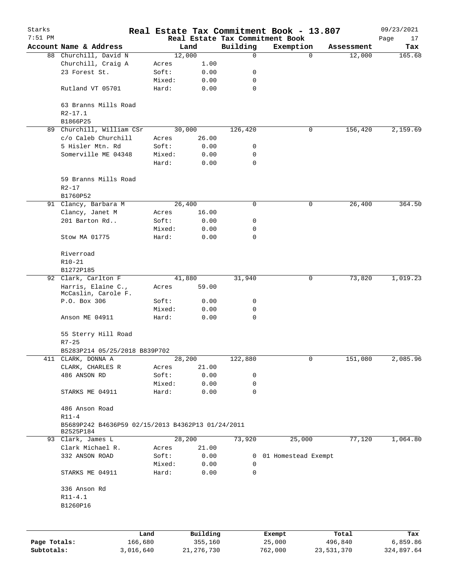| Starks       |                                                   |        |              |          | Real Estate Tax Commitment Book - 13.807 |            | 09/23/2021 |
|--------------|---------------------------------------------------|--------|--------------|----------|------------------------------------------|------------|------------|
| $7:51$ PM    |                                                   |        |              |          | Real Estate Tax Commitment Book          |            | Page<br>17 |
|              | Account Name & Address                            |        | Land         | Building | Exemption                                | Assessment | Tax        |
|              | 88 Churchill, David N                             |        | 12,000       | 0        | $\mathbf 0$                              | 12,000     | 165.68     |
|              | Churchill, Craig A                                | Acres  | 1.00         |          |                                          |            |            |
|              | 23 Forest St.                                     | Soft:  | 0.00         | 0        |                                          |            |            |
|              |                                                   | Mixed: | 0.00         | 0        |                                          |            |            |
|              | Rutland VT 05701                                  | Hard:  | 0.00         | 0        |                                          |            |            |
|              | 63 Branns Mills Road                              |        |              |          |                                          |            |            |
|              | $R2 - 17.1$                                       |        |              |          |                                          |            |            |
|              | B1866P25                                          |        |              |          |                                          |            |            |
| 89           | Churchill, William CSr                            |        | 30,000       | 126,420  | 0                                        | 156,420    | 2,159.69   |
|              | c/o Caleb Churchill                               | Acres  | 26.00        |          |                                          |            |            |
|              | 5 Hisler Mtn. Rd                                  | Soft:  | 0.00         | 0        |                                          |            |            |
|              | Somerville ME 04348                               | Mixed: | 0.00         | 0        |                                          |            |            |
|              |                                                   | Hard:  | 0.00         | 0        |                                          |            |            |
|              | 59 Branns Mills Road                              |        |              |          |                                          |            |            |
|              | $R2 - 17$                                         |        |              |          |                                          |            |            |
|              | B1760P52                                          |        |              |          |                                          |            |            |
|              | 91 Clancy, Barbara M                              |        | 26,400       | 0        | 0                                        | 26,400     | 364.50     |
|              | Clancy, Janet M                                   | Acres  | 16.00        |          |                                          |            |            |
|              | 201 Barton Rd                                     | Soft:  | 0.00         | 0        |                                          |            |            |
|              |                                                   | Mixed: | 0.00         | 0        |                                          |            |            |
|              | Stow MA 01775                                     | Hard:  | 0.00         | 0        |                                          |            |            |
|              |                                                   |        |              |          |                                          |            |            |
|              | Riverroad                                         |        |              |          |                                          |            |            |
|              | $R10 - 21$                                        |        |              |          |                                          |            |            |
|              | B1272P185                                         |        |              |          |                                          |            |            |
|              | 92 Clark, Carlton F                               |        | 41,880       | 31,940   | 0                                        | 73,820     | 1,019.23   |
|              | Harris, Elaine C.,                                | Acres  | 59.00        |          |                                          |            |            |
|              | McCaslin, Carole F.                               |        |              |          |                                          |            |            |
|              | P.O. Box 306                                      | Soft:  | 0.00         | 0        |                                          |            |            |
|              |                                                   | Mixed: | 0.00         | 0        |                                          |            |            |
|              | Anson ME 04911                                    | Hard:  | 0.00         | 0        |                                          |            |            |
|              | 55 Sterry Hill Road                               |        |              |          |                                          |            |            |
|              | $R7 - 25$                                         |        |              |          |                                          |            |            |
|              | B5283P214 05/25/2018 B839P702                     |        |              |          |                                          |            |            |
|              | 411 CLARK, DONNA A                                |        | 28,200       | 122,880  | 0                                        | 151,080    | 2,085.96   |
|              | CLARK, CHARLES R                                  | Acres  | 21.00        |          |                                          |            |            |
|              | 486 ANSON RD                                      | Soft:  | 0.00         | 0        |                                          |            |            |
|              |                                                   | Mixed: | 0.00         | 0        |                                          |            |            |
|              | STARKS ME 04911                                   | Hard:  | 0.00         | 0        |                                          |            |            |
|              |                                                   |        |              |          |                                          |            |            |
|              | 486 Anson Road                                    |        |              |          |                                          |            |            |
|              | $R11-4$                                           |        |              |          |                                          |            |            |
|              | B5689P242 B4636P59 02/15/2013 B4362P13 01/24/2011 |        |              |          |                                          |            |            |
|              | B2525P184                                         |        |              |          |                                          |            |            |
|              | 93 Clark, James L                                 |        | 28,200       | 73,920   | 25,000                                   | 77,120     | 1,064.80   |
|              | Clark Michael R.                                  | Acres  | 21.00        |          |                                          |            |            |
|              | 332 ANSON ROAD                                    | Soft:  | 0.00         | 0        | 01 Homestead Exempt                      |            |            |
|              |                                                   | Mixed: | 0.00         | 0        |                                          |            |            |
|              | STARKS ME 04911                                   | Hard:  | 0.00         | 0        |                                          |            |            |
|              | 336 Anson Rd                                      |        |              |          |                                          |            |            |
|              | $R11 - 4.1$                                       |        |              |          |                                          |            |            |
|              | B1260P16                                          |        |              |          |                                          |            |            |
|              |                                                   |        |              |          |                                          |            |            |
|              |                                                   | Land   | Building     |          | Exempt                                   | Total      | Tax        |
| Page Totals: | 166,680                                           |        | 355,160      |          | 25,000                                   | 496,840    | 6,859.86   |
| Subtotals:   | 3,016,640                                         |        | 21, 276, 730 |          | 762,000                                  | 23,531,370 | 324,897.64 |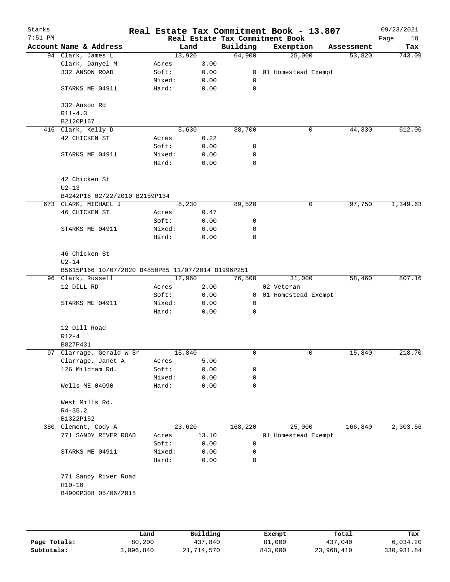| Starks    |                                                    |        |        | Real Estate Tax Commitment Book - 13.807 |            |                       |            | 09/23/2021 |
|-----------|----------------------------------------------------|--------|--------|------------------------------------------|------------|-----------------------|------------|------------|
| $7:51$ PM |                                                    |        |        | Real Estate Tax Commitment Book          |            |                       |            | Page<br>18 |
|           | Account Name & Address                             |        | Land   | Building                                 |            | Exemption             | Assessment | Tax        |
|           | 94 Clark, James L                                  | 13,920 |        | 64,900                                   |            | 25,000                | 53,820     | 743.09     |
|           | Clark, Danyel M                                    | Acres  | 3.00   |                                          |            |                       |            |            |
|           | 332 ANSON ROAD                                     | Soft:  | 0.00   |                                          |            | 0 01 Homestead Exempt |            |            |
|           |                                                    | Mixed: | 0.00   | 0                                        |            |                       |            |            |
|           |                                                    |        |        | 0                                        |            |                       |            |            |
|           | STARKS ME 04911                                    | Hard:  | 0.00   |                                          |            |                       |            |            |
|           |                                                    |        |        |                                          |            |                       |            |            |
|           | 332 Anson Rd                                       |        |        |                                          |            |                       |            |            |
|           | $R11 - 4.3$                                        |        |        |                                          |            |                       |            |            |
|           | B2120P167                                          |        |        |                                          |            |                       |            |            |
|           | 416 Clark, Kelly D                                 |        | 5,630  | 38,700                                   |            | 0                     | 44,330     | 612.06     |
|           | 42 CHICKEN ST                                      | Acres  | 0.22   |                                          |            |                       |            |            |
|           |                                                    | Soft:  | 0.00   | 0                                        |            |                       |            |            |
|           | STARKS ME 04911                                    | Mixed: | 0.00   | 0                                        |            |                       |            |            |
|           |                                                    | Hard:  | 0.00   | 0                                        |            |                       |            |            |
|           |                                                    |        |        |                                          |            |                       |            |            |
|           | 42 Chicken St                                      |        |        |                                          |            |                       |            |            |
|           | $U2-13$                                            |        |        |                                          |            |                       |            |            |
|           | B4242P16 02/22/2010 B2159P134                      |        |        |                                          |            |                       |            |            |
|           | 673 CLARK, MICHAEL J                               |        | 8,230  | 89,520                                   |            | 0                     | 97,750     | 1,349.63   |
|           | 46 CHICKEN ST                                      | Acres  | 0.47   |                                          |            |                       |            |            |
|           |                                                    | Soft:  | 0.00   | 0                                        |            |                       |            |            |
|           | STARKS ME 04911                                    | Mixed: | 0.00   | 0                                        |            |                       |            |            |
|           |                                                    | Hard:  | 0.00   | 0                                        |            |                       |            |            |
|           |                                                    |        |        |                                          |            |                       |            |            |
|           | 46 Chicken St                                      |        |        |                                          |            |                       |            |            |
|           |                                                    |        |        |                                          |            |                       |            |            |
|           | $U2-14$                                            |        |        |                                          |            |                       |            |            |
|           | B5615P166 10/07/2020 B4850P85 11/07/2014 B1996P251 |        |        |                                          |            |                       |            |            |
|           | 96 Clark, Russell                                  | 12,960 |        | 76,500                                   |            | 31,000                | 58,460     | 807.16     |
|           | 12 DILL RD                                         | Acres  | 2.00   |                                          | 02 Veteran |                       |            |            |
|           |                                                    | Soft:  | 0.00   |                                          |            | 0 01 Homestead Exempt |            |            |
|           | STARKS ME 04911                                    | Mixed: | 0.00   | 0                                        |            |                       |            |            |
|           |                                                    | Hard:  | 0.00   | $\Omega$                                 |            |                       |            |            |
|           |                                                    |        |        |                                          |            |                       |            |            |
|           | 12 Dill Road                                       |        |        |                                          |            |                       |            |            |
|           | $R12 - 4$                                          |        |        |                                          |            |                       |            |            |
|           | B827P431                                           |        |        |                                          |            |                       |            |            |
|           | 97 Clarrage, Gerald W Sr                           | 15,840 |        | 0                                        |            | 0                     | 15,840     | 218.70     |
|           | Clarrage, Janet A                                  | Acres  | 5.00   |                                          |            |                       |            |            |
|           | 126 Mildram Rd.                                    | Soft:  | 0.00   | 0                                        |            |                       |            |            |
|           |                                                    | Mixed: | 0.00   | 0                                        |            |                       |            |            |
|           | Wells ME 04090                                     | Hard:  | 0.00   | 0                                        |            |                       |            |            |
|           |                                                    |        |        |                                          |            |                       |            |            |
|           |                                                    |        |        |                                          |            |                       |            |            |
|           | West Mills Rd.                                     |        |        |                                          |            |                       |            |            |
|           | $R4 - 35.2$                                        |        |        |                                          |            |                       |            |            |
|           | B1322P152                                          |        |        |                                          |            |                       |            |            |
|           | 380 Clement, Cody A                                |        | 23,620 | 168,220                                  |            | 25,000                | 166,840    | 2,303.56   |
|           | 771 SANDY RIVER ROAD                               | Acres  | 13.10  |                                          |            | 01 Homestead Exempt   |            |            |
|           |                                                    | Soft:  | 0.00   | 0                                        |            |                       |            |            |
|           | STARKS ME 04911                                    | Mixed: | 0.00   | 0                                        |            |                       |            |            |
|           |                                                    | Hard:  | 0.00   | 0                                        |            |                       |            |            |
|           |                                                    |        |        |                                          |            |                       |            |            |
|           | 771 Sandy River Road                               |        |        |                                          |            |                       |            |            |
|           | $R10 - 10$                                         |        |        |                                          |            |                       |            |            |
|           | B4900P308 05/06/2015                               |        |        |                                          |            |                       |            |            |
|           |                                                    |        |        |                                          |            |                       |            |            |
|           |                                                    |        |        |                                          |            |                       |            |            |
|           |                                                    |        |        |                                          |            |                       |            |            |
|           |                                                    |        |        |                                          |            |                       |            |            |

|              | Land      | Building   | Exempt  | Total      | Tax        |
|--------------|-----------|------------|---------|------------|------------|
| Page Totals: | 80,200    | 437,840    | 81,000  | 437,040    | 6,034.20   |
| Subtotals:   | 3,096,840 | 21,714,570 | 843,000 | 23,968,410 | 330,931.84 |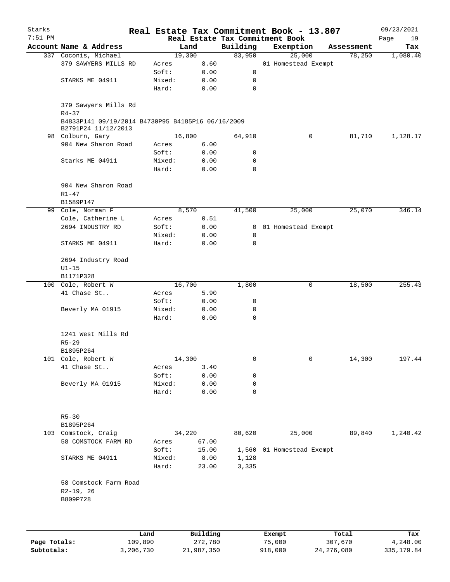| Starks       |                                                   |           |                 |              | Real Estate Tax Commitment Book - 13.807 |                     |              |            | 09/23/2021  |
|--------------|---------------------------------------------------|-----------|-----------------|--------------|------------------------------------------|---------------------|--------------|------------|-------------|
| $7:51$ PM    |                                                   |           |                 |              | Real Estate Tax Commitment Book          |                     |              |            | Page<br>19  |
|              | Account Name & Address                            |           |                 | Land         | Building                                 | Exemption           |              | Assessment | Tax         |
|              | 337 Coconis, Michael                              |           |                 | 19,300       | 83,950                                   | 25,000              |              | 78,250     | 1,080.40    |
|              | 379 SAWYERS MILLS RD                              |           | Acres           | 8.60         |                                          | 01 Homestead Exempt |              |            |             |
|              |                                                   |           | Soft:           | 0.00         | 0                                        |                     |              |            |             |
|              | STARKS ME 04911                                   |           | Mixed:          | 0.00         | 0                                        |                     |              |            |             |
|              |                                                   |           | Hard:           | 0.00         | 0                                        |                     |              |            |             |
|              | 379 Sawyers Mills Rd<br>$R4 - 37$                 |           |                 |              |                                          |                     |              |            |             |
|              | B4833P141 09/19/2014 B4730P95 B4185P16 06/16/2009 |           |                 |              |                                          |                     |              |            |             |
|              | B2791P24 11/12/2013<br>98 Colburn, Gary           |           |                 | 16,800       | 64,910                                   |                     | 0            | 81,710     | 1,128.17    |
|              | 904 New Sharon Road                               |           | Acres           | 6.00         |                                          |                     |              |            |             |
|              |                                                   |           | Soft:           | 0.00         | 0                                        |                     |              |            |             |
|              | Starks ME 04911                                   |           | Mixed:          | 0.00         | 0                                        |                     |              |            |             |
|              |                                                   |           | Hard:           | 0.00         | 0                                        |                     |              |            |             |
|              |                                                   |           |                 |              |                                          |                     |              |            |             |
|              | 904 New Sharon Road                               |           |                 |              |                                          |                     |              |            |             |
|              | $R1 - 47$                                         |           |                 |              |                                          |                     |              |            |             |
|              | B1589P147                                         |           |                 |              |                                          |                     |              |            |             |
|              | 99 Cole, Norman F                                 |           |                 | 8,570        | 41,500                                   | 25,000              |              | 25,070     | 346.14      |
|              | Cole, Catherine L                                 |           | Acres           | 0.51         |                                          |                     |              |            |             |
|              | 2694 INDUSTRY RD                                  |           | Soft:           | 0.00         | $\overline{0}$                           | 01 Homestead Exempt |              |            |             |
|              |                                                   |           | Mixed:          | 0.00         | 0                                        |                     |              |            |             |
|              | STARKS ME 04911                                   |           | Hard:           | 0.00         | 0                                        |                     |              |            |             |
|              | 2694 Industry Road                                |           |                 |              |                                          |                     |              |            |             |
|              | $U1-15$                                           |           |                 |              |                                          |                     |              |            |             |
|              | B1171P328                                         |           |                 |              |                                          |                     |              |            |             |
|              | 100 Cole, Robert W                                |           |                 | 16,700       | 1,800                                    |                     | 0            | 18,500     | 255.43      |
|              | 41 Chase St                                       |           |                 | 5.90         |                                          |                     |              |            |             |
|              |                                                   |           | Acres           |              |                                          |                     |              |            |             |
|              |                                                   |           | Soft:           | 0.00         | 0                                        |                     |              |            |             |
|              | Beverly MA 01915                                  |           | Mixed:<br>Hard: | 0.00<br>0.00 | 0<br>0                                   |                     |              |            |             |
|              |                                                   |           |                 |              |                                          |                     |              |            |             |
|              | 1241 West Mills Rd                                |           |                 |              |                                          |                     |              |            |             |
|              | $R5 - 29$                                         |           |                 |              |                                          |                     |              |            |             |
|              | B1895P264                                         |           |                 |              |                                          |                     |              |            |             |
|              | 101 Cole, Robert W                                |           |                 | 14,300       | 0                                        |                     | 0            | 14,300     | 197.44      |
|              | 41 Chase St                                       |           | Acres           | 3.40         |                                          |                     |              |            |             |
|              |                                                   |           | Soft:           | 0.00         | 0                                        |                     |              |            |             |
|              | Beverly MA 01915                                  |           | Mixed:          | 0.00         | 0                                        |                     |              |            |             |
|              |                                                   |           | Hard:           | 0.00         | 0                                        |                     |              |            |             |
|              |                                                   |           |                 |              |                                          |                     |              |            |             |
|              | $R5 - 30$                                         |           |                 |              |                                          |                     |              |            |             |
|              | B1895P264                                         |           |                 |              |                                          |                     |              |            |             |
|              | 103 Comstock, Craig                               |           |                 | 34,220       | 80,620                                   | 25,000              |              | 89,840     | 1,240.42    |
|              | 58 COMSTOCK FARM RD                               |           | Acres           | 67.00        |                                          |                     |              |            |             |
|              |                                                   |           | Soft:           | 15.00        | 1,560                                    | 01 Homestead Exempt |              |            |             |
|              | STARKS ME 04911                                   |           | Mixed:          | 8.00         | 1,128                                    |                     |              |            |             |
|              |                                                   |           | Hard:           | 23.00        | 3,335                                    |                     |              |            |             |
|              |                                                   |           |                 |              |                                          |                     |              |            |             |
|              | 58 Comstock Farm Road                             |           |                 |              |                                          |                     |              |            |             |
|              | $R2-19, 26$                                       |           |                 |              |                                          |                     |              |            |             |
|              | B809P728                                          |           |                 |              |                                          |                     |              |            |             |
|              |                                                   |           |                 |              |                                          |                     |              |            |             |
|              |                                                   |           |                 |              |                                          |                     |              |            |             |
|              |                                                   | Land      |                 | Building     |                                          | Exempt              |              | Total      | Tax         |
| Page Totals: |                                                   | 109,890   |                 | 272,780      |                                          | 75,000              |              | 307,670    | 4,248.00    |
| Subtotals:   |                                                   | 3,206,730 |                 | 21,987,350   |                                          | 918,000             | 24, 276, 080 |            | 335, 179.84 |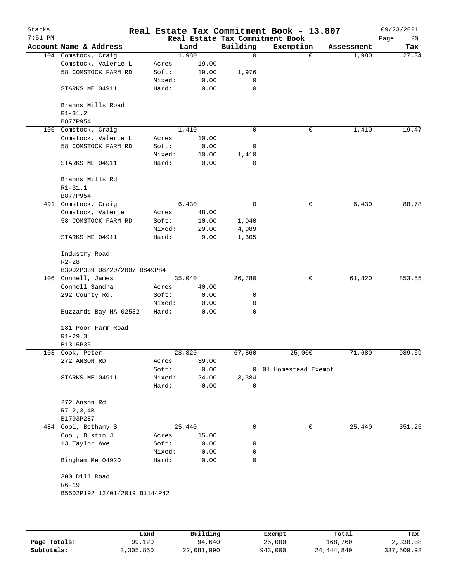| Starks<br>$7:51$ PM |                               |        |        |             | Real Estate Tax Commitment Book - 13.807<br>Real Estate Tax Commitment Book |            | 09/23/2021<br>Page<br>20 |
|---------------------|-------------------------------|--------|--------|-------------|-----------------------------------------------------------------------------|------------|--------------------------|
|                     | Account Name & Address        |        | Land   | Building    | Exemption                                                                   | Assessment | Tax                      |
|                     | 104 Comstock, Craig           |        | 1,980  | 0           | 0                                                                           | 1,980      | 27.34                    |
|                     | Comstock, Valerie L           | Acres  | 19.00  |             |                                                                             |            |                          |
|                     | 58 COMSTOCK FARM RD           | Soft:  | 19.00  | 1,976       |                                                                             |            |                          |
|                     |                               | Mixed: | 0.00   | 0           |                                                                             |            |                          |
|                     | STARKS ME 04911               | Hard:  | 0.00   | 0           |                                                                             |            |                          |
|                     | Branns Mills Road             |        |        |             |                                                                             |            |                          |
|                     | $R1 - 31.2$                   |        |        |             |                                                                             |            |                          |
|                     | B877P954                      |        |        |             |                                                                             |            |                          |
|                     | 105 Comstock, Craig           |        | 1,410  | 0           | 0                                                                           | 1,410      | 19.47                    |
|                     | Comstock, Valerie L           | Acres  | 10.00  |             |                                                                             |            |                          |
|                     | 58 COMSTOCK FARM RD           | Soft:  | 0.00   | 0           |                                                                             |            |                          |
|                     |                               | Mixed: | 10.00  | 1,410       |                                                                             |            |                          |
|                     | STARKS ME 04911               | Hard:  | 0.00   | $\mathbf 0$ |                                                                             |            |                          |
|                     | Branns Mills Rd               |        |        |             |                                                                             |            |                          |
|                     | $R1 - 31.1$                   |        |        |             |                                                                             |            |                          |
|                     | B877P954                      |        |        |             |                                                                             |            |                          |
|                     | 491 Comstock, Craig           |        | 6,430  | $\mathbf 0$ | 0                                                                           | 6,430      | 88.78                    |
|                     | Comstock, Valerie             | Acres  | 48.00  |             |                                                                             |            |                          |
|                     | 58 COMSTOCK FARM RD           | Soft:  | 10.00  | 1,040       |                                                                             |            |                          |
|                     |                               | Mixed: | 29.00  | 4,089       |                                                                             |            |                          |
|                     | STARKS ME 04911               | Hard:  | 9.00   | 1,305       |                                                                             |            |                          |
|                     | Industry Road                 |        |        |             |                                                                             |            |                          |
|                     | $R2 - 28$                     |        |        |             |                                                                             |            |                          |
|                     | B3902P339 08/20/2007 B849P84  |        |        |             |                                                                             |            |                          |
|                     | 106 Connell, James            |        | 35,040 | 26,780      | 0                                                                           | 61,820     | 853.55                   |
|                     | Connell Sandra                | Acres  | 40.00  |             |                                                                             |            |                          |
|                     | 292 County Rd.                | Soft:  | 0.00   | 0           |                                                                             |            |                          |
|                     |                               | Mixed: | 0.00   | 0           |                                                                             |            |                          |
|                     | Buzzards Bay MA 02532         | Hard:  | 0.00   | 0           |                                                                             |            |                          |
|                     | 181 Poor Farm Road            |        |        |             |                                                                             |            |                          |
|                     | $R1 - 29.3$                   |        |        |             |                                                                             |            |                          |
|                     | B1315P35                      |        |        |             |                                                                             |            |                          |
|                     | 108 Cook, Peter               |        | 28,820 | 67,860      | 25,000                                                                      | 71,680     | 989.69                   |
|                     | 272 ANSON RD                  | Acres  | 39.00  |             |                                                                             |            |                          |
|                     |                               | Soft:  | 0.00   |             | 0 01 Homestead Exempt                                                       |            |                          |
|                     | STARKS ME 04911               | Mixed: | 24.00  | 3,384       |                                                                             |            |                          |
|                     |                               | Hard:  | 0.00   | 0           |                                                                             |            |                          |
|                     | 272 Anson Rd                  |        |        |             |                                                                             |            |                          |
|                     | $R7 - 2, 3, 4B$               |        |        |             |                                                                             |            |                          |
|                     | B1793P287                     |        |        |             |                                                                             |            |                          |
| 484                 | Cool, Bethany S               |        | 25,440 | 0           | $\mathbf 0$                                                                 | 25,440     | 351.25                   |
|                     | Cool, Dustin J                | Acres  | 15.00  |             |                                                                             |            |                          |
|                     | 13 Taylor Ave                 | Soft:  | 0.00   | 0           |                                                                             |            |                          |
|                     |                               | Mixed: | 0.00   | 0           |                                                                             |            |                          |
|                     | Bingham Me 04920              | Hard:  | 0.00   | 0           |                                                                             |            |                          |
|                     | 300 Dill Road                 |        |        |             |                                                                             |            |                          |
|                     | $R6 - 19$                     |        |        |             |                                                                             |            |                          |
|                     | B5502P192 12/01/2019 B1144P42 |        |        |             |                                                                             |            |                          |
|                     |                               |        |        |             |                                                                             |            |                          |
|                     |                               |        |        |             |                                                                             |            |                          |
|                     |                               |        |        |             |                                                                             |            |                          |

|              | Land      | Building   | Exempt  | Total      | Tax        |
|--------------|-----------|------------|---------|------------|------------|
|              |           |            |         |            |            |
| Page Totals: | 99,120    | 94,640     | 25,000  | 168,760    | 2,330.08   |
| Subtotals:   | 3,305,850 | 22,081,990 | 943,000 | 24,444,840 | 337,509.92 |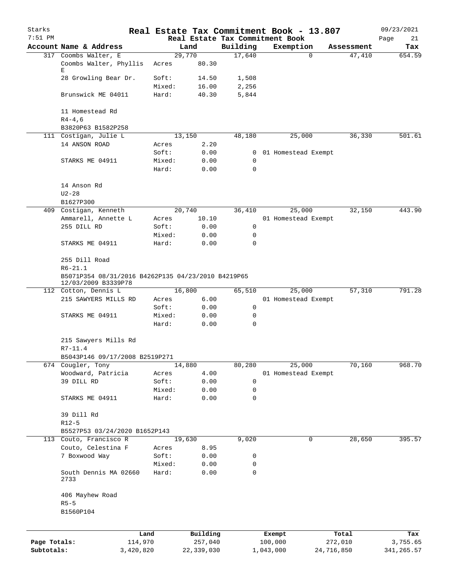| Starks       |                                                                           |           |        |            | Real Estate Tax Commitment Book - 13.807    |           |                     |            | 09/23/2021        |
|--------------|---------------------------------------------------------------------------|-----------|--------|------------|---------------------------------------------|-----------|---------------------|------------|-------------------|
| $7:51$ PM    | Account Name & Address                                                    |           |        | Land       | Real Estate Tax Commitment Book<br>Building |           | Exemption           | Assessment | Page<br>21<br>Tax |
|              | 317 Coombs Walter, E                                                      |           |        | 29,770     | 17,640                                      |           | 0                   | 47,410     | 654.59            |
|              | Coombs Walter, Phyllis<br>Е                                               |           | Acres  | 80.30      |                                             |           |                     |            |                   |
|              | 28 Growling Bear Dr.                                                      |           | Soft:  | 14.50      | 1,508                                       |           |                     |            |                   |
|              |                                                                           |           | Mixed: | 16.00      | 2,256                                       |           |                     |            |                   |
|              | Brunswick ME 04011                                                        |           | Hard:  | 40.30      | 5,844                                       |           |                     |            |                   |
|              | 11 Homestead Rd                                                           |           |        |            |                                             |           |                     |            |                   |
|              | $R4-4,6$<br>B3820P63 B1582P258                                            |           |        |            |                                             |           |                     |            |                   |
|              | 111 Costigan, Julie L                                                     |           |        | 13,150     | 48,180                                      |           | 25,000              | 36,330     | 501.61            |
|              | 14 ANSON ROAD                                                             |           | Acres  | 2.20       |                                             |           |                     |            |                   |
|              |                                                                           |           | Soft:  | 0.00       | $\overline{0}$                              |           | 01 Homestead Exempt |            |                   |
|              | STARKS ME 04911                                                           |           | Mixed: | 0.00       | 0                                           |           |                     |            |                   |
|              |                                                                           |           | Hard:  | 0.00       | 0                                           |           |                     |            |                   |
|              | 14 Anson Rd                                                               |           |        |            |                                             |           |                     |            |                   |
|              | $U2 - 28$                                                                 |           |        |            |                                             |           |                     |            |                   |
|              | B1627P300                                                                 |           |        |            |                                             |           |                     |            |                   |
|              | 409 Costigan, Kenneth                                                     |           |        | 20,740     | 36,410                                      |           | 25,000              | 32,150     | 443.90            |
|              | Ammarell, Annette L                                                       |           | Acres  | 10.10      |                                             |           | 01 Homestead Exempt |            |                   |
|              | 255 DILL RD                                                               |           | Soft:  | 0.00       | 0                                           |           |                     |            |                   |
|              |                                                                           |           | Mixed: | 0.00       | 0                                           |           |                     |            |                   |
|              | STARKS ME 04911                                                           |           | Hard:  | 0.00       | 0                                           |           |                     |            |                   |
|              | 255 Dill Road<br>$R6 - 21.1$                                              |           |        |            |                                             |           |                     |            |                   |
|              | B5071P354 08/31/2016 B4262P135 04/23/2010 B4219P65<br>12/03/2009 B3339P78 |           |        |            |                                             |           |                     |            |                   |
|              | 112 Cotton, Dennis L                                                      |           |        | 16,800     | 65,510                                      |           | 25,000              | 57,310     | 791.28            |
|              | 215 SAWYERS MILLS RD                                                      |           | Acres  | 6.00       |                                             |           | 01 Homestead Exempt |            |                   |
|              |                                                                           |           | Soft:  | 0.00       | 0                                           |           |                     |            |                   |
|              | STARKS ME 04911                                                           |           | Mixed: | 0.00       | 0                                           |           |                     |            |                   |
|              |                                                                           |           | Hard:  | 0.00       | 0                                           |           |                     |            |                   |
|              | 215 Sawyers Mills Rd<br>$R7 - 11.4$                                       |           |        |            |                                             |           |                     |            |                   |
|              | B5043P146 09/17/2008 B2519P271                                            |           |        |            |                                             |           |                     |            |                   |
|              | 674 Cougler, Tony                                                         |           |        | 14,880     | 80,280                                      |           | 25,000              | 70,160     | 968.70            |
|              | Woodward, Patricia                                                        |           | Acres  | 4.00       |                                             |           | 01 Homestead Exempt |            |                   |
|              | 39 DILL RD                                                                |           | Soft:  | 0.00       | 0                                           |           |                     |            |                   |
|              |                                                                           |           | Mixed: | 0.00       | 0                                           |           |                     |            |                   |
|              | STARKS ME 04911                                                           |           | Hard:  | 0.00       | 0                                           |           |                     |            |                   |
|              | 39 Dill Rd                                                                |           |        |            |                                             |           |                     |            |                   |
|              | $R12-5$                                                                   |           |        |            |                                             |           |                     |            |                   |
|              | B5527P53 03/24/2020 B1652P143                                             |           |        |            |                                             |           |                     |            |                   |
|              | 113 Couto, Francisco R                                                    |           |        | 19,630     | 9,020                                       |           | 0                   | 28,650     | 395.57            |
|              | Couto, Celestina F                                                        |           | Acres  | 8.95       |                                             |           |                     |            |                   |
|              | 7 Boxwood Way                                                             |           | Soft:  | 0.00       | 0                                           |           |                     |            |                   |
|              |                                                                           |           | Mixed: | 0.00       | 0                                           |           |                     |            |                   |
|              | South Dennis MA 02660<br>2733                                             |           | Hard:  | 0.00       | 0                                           |           |                     |            |                   |
|              | 406 Mayhew Road                                                           |           |        |            |                                             |           |                     |            |                   |
|              | $R5-5$                                                                    |           |        |            |                                             |           |                     |            |                   |
|              | B1560P104                                                                 |           |        |            |                                             |           |                     |            |                   |
|              |                                                                           | Land      |        | Building   |                                             | Exempt    |                     | Total      | Tax               |
| Page Totals: |                                                                           | 114,970   |        | 257,040    |                                             | 100,000   |                     | 272,010    | 3,755.65          |
| Subtotals:   |                                                                           | 3,420,820 |        | 22,339,030 |                                             | 1,043,000 |                     | 24,716,850 | 341, 265.57       |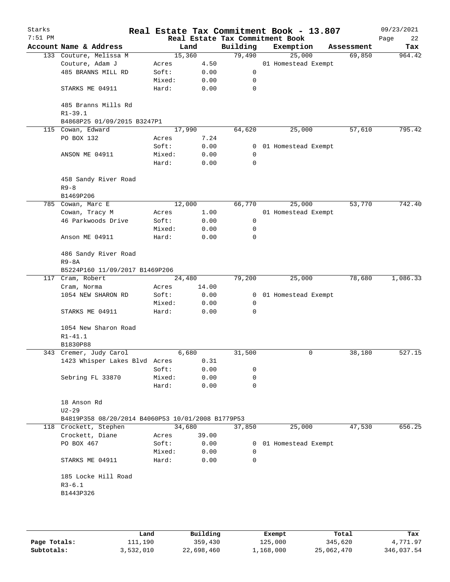| Starks<br>$7:51$ PM |                                                   |        |        | Real Estate Tax Commitment Book | Real Estate Tax Commitment Book - 13.807 |            | 09/23/2021<br>Page<br>22 |
|---------------------|---------------------------------------------------|--------|--------|---------------------------------|------------------------------------------|------------|--------------------------|
|                     | Account Name & Address                            |        | Land   | Building                        | Exemption                                | Assessment | Tax                      |
|                     | 133 Couture, Melissa M                            |        | 15,360 | 79,490                          | 25,000                                   | 69,850     | 964.42                   |
|                     | Couture, Adam J                                   | Acres  | 4.50   |                                 | 01 Homestead Exempt                      |            |                          |
|                     | 485 BRANNS MILL RD                                | Soft:  | 0.00   | 0                               |                                          |            |                          |
|                     |                                                   | Mixed: | 0.00   | 0                               |                                          |            |                          |
|                     | STARKS ME 04911                                   | Hard:  | 0.00   | 0                               |                                          |            |                          |
|                     | 485 Branns Mills Rd<br>$R1 - 39.1$                |        |        |                                 |                                          |            |                          |
|                     | B4868P25 01/09/2015 B3247P1                       |        |        |                                 |                                          |            |                          |
|                     | 115 Cowan, Edward                                 |        | 17,990 | 64,620                          | 25,000                                   | 57,610     | 795.42                   |
|                     | PO BOX 132                                        | Acres  | 7.24   |                                 |                                          |            |                          |
|                     |                                                   | Soft:  | 0.00   | 0                               | 01 Homestead Exempt                      |            |                          |
|                     | ANSON ME 04911                                    | Mixed: | 0.00   | 0                               |                                          |            |                          |
|                     |                                                   | Hard:  | 0.00   | 0                               |                                          |            |                          |
|                     | 458 Sandy River Road<br>$R9 - 8$                  |        |        |                                 |                                          |            |                          |
|                     | B1469P206                                         |        |        |                                 |                                          |            |                          |
|                     | 785 Cowan, Marc E                                 |        | 12,000 | 66,770                          | 25,000                                   | 53,770     | 742.40                   |
|                     | Cowan, Tracy M                                    | Acres  | 1.00   |                                 | 01 Homestead Exempt                      |            |                          |
|                     | 46 Parkwoods Drive                                | Soft:  | 0.00   | 0                               |                                          |            |                          |
|                     |                                                   | Mixed: | 0.00   | 0                               |                                          |            |                          |
|                     | Anson ME 04911                                    | Hard:  | 0.00   | 0                               |                                          |            |                          |
|                     | 486 Sandy River Road                              |        |        |                                 |                                          |            |                          |
|                     | $R9 - 8A$                                         |        |        |                                 |                                          |            |                          |
|                     | B5224P160 11/09/2017 B1469P206                    |        |        |                                 |                                          |            |                          |
|                     | 117 Cram, Robert                                  |        | 24,480 | 79,200                          | 25,000                                   | 78,680     | 1,086.33                 |
|                     | Cram, Norma                                       | Acres  | 14.00  |                                 |                                          |            |                          |
|                     | 1054 NEW SHARON RD                                | Soft:  | 0.00   | 0                               | 01 Homestead Exempt                      |            |                          |
|                     |                                                   | Mixed: | 0.00   | 0                               |                                          |            |                          |
|                     | STARKS ME 04911                                   | Hard:  | 0.00   | 0                               |                                          |            |                          |
|                     | 1054 New Sharon Road                              |        |        |                                 |                                          |            |                          |
|                     | $R1 - 41.1$                                       |        |        |                                 |                                          |            |                          |
|                     | B1830P88                                          |        |        |                                 |                                          |            |                          |
|                     | 343 Cremer, Judy Carol                            |        | 6,680  | 31,500                          | 0                                        | 38,180     | 527.15                   |
|                     | 1423 Whisper Lakes Blvd Acres                     |        | 0.31   |                                 |                                          |            |                          |
|                     |                                                   | Soft:  | 0.00   | 0                               |                                          |            |                          |
|                     | Sebring FL 33870                                  | Mixed: | 0.00   | 0                               |                                          |            |                          |
|                     |                                                   | Hard:  | 0.00   | 0                               |                                          |            |                          |
|                     | 18 Anson Rd<br>$U2 - 29$                          |        |        |                                 |                                          |            |                          |
|                     | B4819P358 08/20/2014 B4060P53 10/01/2008 B1779P53 |        |        |                                 |                                          |            |                          |
|                     | 118 Crockett, Stephen                             |        | 34,680 | 37,850                          | 25,000                                   | 47,530     | 656.25                   |
|                     | Crockett, Diane                                   | Acres  | 39.00  |                                 |                                          |            |                          |
|                     | PO BOX 467                                        | Soft:  | 0.00   | 0                               | 01 Homestead Exempt                      |            |                          |
|                     |                                                   | Mixed: | 0.00   | $\Omega$                        |                                          |            |                          |
|                     | STARKS ME 04911                                   | Hard:  | 0.00   | 0                               |                                          |            |                          |
|                     | 185 Locke Hill Road                               |        |        |                                 |                                          |            |                          |
|                     | $R3 - 6.1$                                        |        |        |                                 |                                          |            |                          |
|                     | B1443P326                                         |        |        |                                 |                                          |            |                          |
|                     |                                                   |        |        |                                 |                                          |            |                          |
|                     |                                                   |        |        |                                 |                                          |            |                          |
|                     |                                                   |        |        |                                 |                                          |            |                          |

|              | Land      | Building   | Exempt    | Total      | Tax        |
|--------------|-----------|------------|-----------|------------|------------|
| Page Totals: | 111,190   | 359,430    | 125,000   | 345,620    | 4,771.97   |
| Subtotals:   | 3,532,010 | 22,698,460 | 1,168,000 | 25,062,470 | 346,037.54 |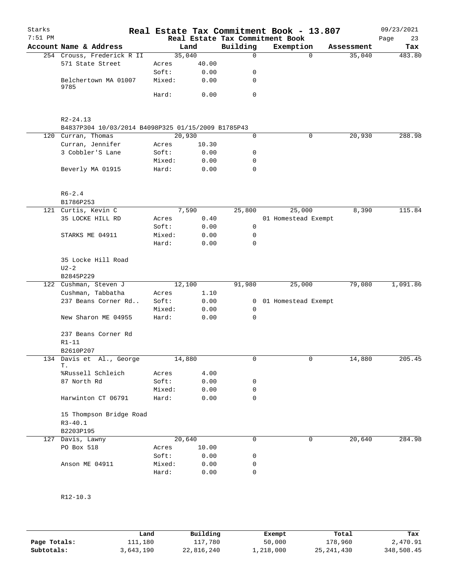| Starks    |                                                    |         |       |              | Real Estate Tax Commitment Book - 13.807     |          |            | 09/23/2021        |
|-----------|----------------------------------------------------|---------|-------|--------------|----------------------------------------------|----------|------------|-------------------|
| $7:51$ PM | Account Name & Address                             |         | Land  | Building     | Real Estate Tax Commitment Book<br>Exemption |          | Assessment | Page<br>23<br>Tax |
|           | 254 Crouss, Frederick R II                         | 35,040  |       | $\Omega$     |                                              | $\Omega$ | 35,040     | 483.80            |
|           | 571 State Street                                   | Acres   | 40.00 |              |                                              |          |            |                   |
|           |                                                    | Soft:   | 0.00  | 0            |                                              |          |            |                   |
|           | Belchertown MA 01007                               | Mixed:  | 0.00  | 0            |                                              |          |            |                   |
|           | 9785                                               |         |       |              |                                              |          |            |                   |
|           |                                                    | Hard:   | 0.00  | 0            |                                              |          |            |                   |
|           |                                                    |         |       |              |                                              |          |            |                   |
|           | $R2 - 24.13$                                       |         |       |              |                                              |          |            |                   |
|           | B4837P304 10/03/2014 B4098P325 01/15/2009 B1785P43 |         |       |              |                                              |          |            |                   |
|           | 120 Curran, Thomas                                 | 20,930  |       | 0            |                                              | 0        | 20,930     | 288.98            |
|           | Curran, Jennifer                                   | Acres   | 10.30 |              |                                              |          |            |                   |
|           | 3 Cobbler'S Lane                                   | Soft:   | 0.00  | 0            |                                              |          |            |                   |
|           |                                                    | Mixed:  | 0.00  | 0            |                                              |          |            |                   |
|           | Beverly MA 01915                                   | Hard:   | 0.00  | 0            |                                              |          |            |                   |
|           |                                                    |         |       |              |                                              |          |            |                   |
|           | $R6 - 2.4$                                         |         |       |              |                                              |          |            |                   |
|           | B1786P253                                          |         |       |              |                                              |          |            |                   |
|           | 121 Curtis, Kevin C                                |         | 7,590 | 25,800       | 25,000                                       |          | 8,390      | 115.84            |
|           | 35 LOCKE HILL RD                                   | Acres   | 0.40  |              | 01 Homestead Exempt                          |          |            |                   |
|           |                                                    | Soft:   | 0.00  | $\mathsf{O}$ |                                              |          |            |                   |
|           | STARKS ME 04911                                    | Mixed:  | 0.00  | 0            |                                              |          |            |                   |
|           |                                                    | Hard:   | 0.00  | $\Omega$     |                                              |          |            |                   |
|           | 35 Locke Hill Road                                 |         |       |              |                                              |          |            |                   |
|           | $U2-2$                                             |         |       |              |                                              |          |            |                   |
|           | B2845P229                                          |         |       |              |                                              |          |            |                   |
|           | 122 Cushman, Steven J                              | 12, 100 |       | 91,980       | 25,000                                       |          | 79,080     | 1,091.86          |
|           | Cushman, Tabbatha                                  | Acres   | 1.10  |              |                                              |          |            |                   |
|           | 237 Beans Corner Rd                                | Soft:   | 0.00  |              | 0 01 Homestead Exempt                        |          |            |                   |
|           |                                                    | Mixed:  | 0.00  | 0            |                                              |          |            |                   |
|           | New Sharon ME 04955                                | Hard:   | 0.00  | 0            |                                              |          |            |                   |
|           | 237 Beans Corner Rd                                |         |       |              |                                              |          |            |                   |
|           | $R1-11$                                            |         |       |              |                                              |          |            |                   |
|           | B2610P207                                          |         |       |              |                                              |          |            |                   |
|           | 134 Davis et Al., George                           | 14,880  |       | 0            |                                              | 0        | 14,880     | 205.45            |
|           | Т.                                                 |         |       |              |                                              |          |            |                   |
|           | %Russell Schleich                                  | Acres   | 4.00  |              |                                              |          |            |                   |
|           | 87 North Rd                                        | Soft:   | 0.00  | 0            |                                              |          |            |                   |
|           |                                                    | Mixed:  | 0.00  | 0            |                                              |          |            |                   |
|           | Harwinton CT 06791                                 | Hard:   | 0.00  | 0            |                                              |          |            |                   |
|           | 15 Thompson Bridge Road                            |         |       |              |                                              |          |            |                   |
|           | $R3 - 40.1$                                        |         |       |              |                                              |          |            |                   |
|           | B2203P195                                          |         |       |              |                                              |          |            |                   |
|           | 127 Davis, Lawny                                   | 20,640  |       | 0            |                                              | 0        | 20,640     | 284.98            |
|           | PO Box 518                                         | Acres   | 10.00 |              |                                              |          |            |                   |
|           |                                                    | Soft:   | 0.00  | 0            |                                              |          |            |                   |
|           | Anson ME 04911                                     | Mixed:  | 0.00  | 0            |                                              |          |            |                   |
|           |                                                    | Hard:   | 0.00  | 0            |                                              |          |            |                   |
|           |                                                    |         |       |              |                                              |          |            |                   |
|           |                                                    |         |       |              |                                              |          |            |                   |
|           | $R12-10.3$                                         |         |       |              |                                              |          |            |                   |

|              | Land      | Building   | Exempt    | Total      | Tax        |
|--------------|-----------|------------|-----------|------------|------------|
| Page Totals: | 111,180   | 117,780    | 50,000    | 178,960    | 2,470.91   |
| Subtotals:   | 3,643,190 | 22,816,240 | l,218,000 | 25,241,430 | 348,508.45 |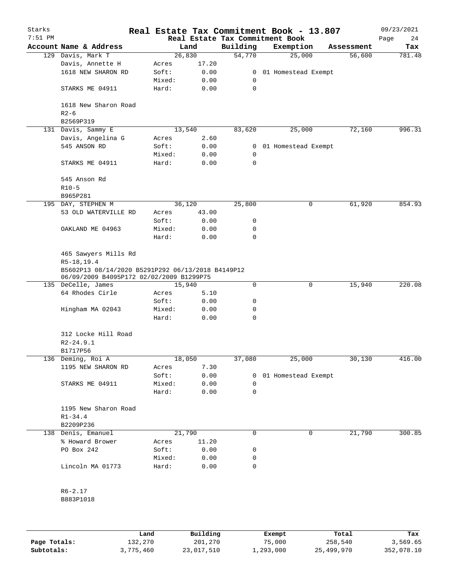| Starks    |                                                                                               |                 |               | Real Estate Tax Commitment Book - 13.807 |                     |             |            | 09/23/2021 |
|-----------|-----------------------------------------------------------------------------------------------|-----------------|---------------|------------------------------------------|---------------------|-------------|------------|------------|
| $7:51$ PM |                                                                                               |                 |               | Real Estate Tax Commitment Book          |                     |             |            | Page<br>24 |
|           | Account Name & Address                                                                        |                 | Land          | Building                                 | Exemption           |             | Assessment | Tax        |
|           | 129 Davis, Mark T                                                                             | 26,830          |               | 54,770                                   | 25,000              |             | 56,600     | 781.48     |
|           | Davis, Annette H<br>1618 NEW SHARON RD                                                        | Acres<br>Soft:  | 17.20<br>0.00 | $\mathbf{0}$                             | 01 Homestead Exempt |             |            |            |
|           |                                                                                               | Mixed:          | 0.00          | 0                                        |                     |             |            |            |
|           | STARKS ME 04911                                                                               | Hard:           | 0.00          | 0                                        |                     |             |            |            |
|           |                                                                                               |                 |               |                                          |                     |             |            |            |
|           | 1618 New Sharon Road                                                                          |                 |               |                                          |                     |             |            |            |
|           | $R2-6$                                                                                        |                 |               |                                          |                     |             |            |            |
|           | B2569P319                                                                                     |                 |               |                                          |                     |             |            |            |
|           | 131 Davis, Sammy E                                                                            | 13,540          |               | 83,620                                   | 25,000              |             | 72,160     | 996.31     |
|           | Davis, Angelina G                                                                             | Acres           | 2.60          |                                          |                     |             |            |            |
|           | 545 ANSON RD                                                                                  | Soft:           | 0.00          | $\mathbf{0}$                             | 01 Homestead Exempt |             |            |            |
|           |                                                                                               | Mixed:          | 0.00          | 0                                        |                     |             |            |            |
|           | STARKS ME 04911                                                                               | Hard:           | 0.00          | 0                                        |                     |             |            |            |
|           | 545 Anson Rd                                                                                  |                 |               |                                          |                     |             |            |            |
|           | $R10-5$                                                                                       |                 |               |                                          |                     |             |            |            |
|           | B965P281                                                                                      |                 |               |                                          |                     |             |            |            |
|           | 195 DAY, STEPHEN M                                                                            | 36,120          |               | 25,800                                   |                     | 0           | 61,920     | 854.93     |
|           | 53 OLD WATERVILLE RD                                                                          | Acres           | 43.00         |                                          |                     |             |            |            |
|           |                                                                                               | Soft:           | 0.00          | 0                                        |                     |             |            |            |
|           | OAKLAND ME 04963                                                                              | Mixed:          | 0.00          | 0                                        |                     |             |            |            |
|           |                                                                                               | Hard:           | 0.00          | $\mathbf 0$                              |                     |             |            |            |
|           | 465 Sawyers Mills Rd<br>R5-18,19.4                                                            |                 |               |                                          |                     |             |            |            |
|           | B5602P13 08/14/2020 B5291P292 06/13/2018 B4149P12<br>06/09/2009 B4095P172 02/02/2009 B1299P75 |                 |               |                                          |                     |             |            |            |
|           | 135 DeCelle, James                                                                            | 15,940          |               | $\mathbf 0$                              |                     | $\mathbf 0$ | 15,940     | 220.08     |
|           | 64 Rhodes Cirle                                                                               | Acres           | 5.10          |                                          |                     |             |            |            |
|           |                                                                                               | Soft:           | 0.00          | 0                                        |                     |             |            |            |
|           | Hingham MA 02043                                                                              | Mixed:          | 0.00          | 0                                        |                     |             |            |            |
|           |                                                                                               | Hard:           | 0.00          | 0                                        |                     |             |            |            |
|           | 312 Locke Hill Road                                                                           |                 |               |                                          |                     |             |            |            |
|           | $R2 - 24.9.1$                                                                                 |                 |               |                                          |                     |             |            |            |
|           | B1717P56                                                                                      |                 |               |                                          |                     |             |            |            |
|           | 136 Deming, Roi A                                                                             | 18,050          |               | 37,080                                   | 25,000              |             | 30,130     | 416.00     |
|           | 1195 NEW SHARON RD                                                                            | Acres           | 7.30          |                                          |                     |             |            |            |
|           |                                                                                               | Soft:           | 0.00          | 0                                        | 01 Homestead Exempt |             |            |            |
|           | STARKS ME 04911                                                                               | Mixed:          | 0.00          | 0                                        |                     |             |            |            |
|           |                                                                                               | Hard:           | 0.00          | 0                                        |                     |             |            |            |
|           | 1195 New Sharon Road                                                                          |                 |               |                                          |                     |             |            |            |
|           | $R1 - 34.4$                                                                                   |                 |               |                                          |                     |             |            |            |
|           | B2209P236<br>138 Denis, Emanuel                                                               |                 |               | 0                                        |                     | 0           |            | 300.85     |
|           | % Howard Brower                                                                               | 21,790<br>Acres | 11.20         |                                          |                     |             | 21,790     |            |
|           | PO Box 242                                                                                    | Soft:           | 0.00          |                                          |                     |             |            |            |
|           |                                                                                               | Mixed:          |               | 0                                        |                     |             |            |            |
|           | Lincoln MA 01773                                                                              | Hard:           | 0.00<br>0.00  | 0<br>0                                   |                     |             |            |            |
|           |                                                                                               |                 |               |                                          |                     |             |            |            |
|           | $R6 - 2.17$                                                                                   |                 |               |                                          |                     |             |            |            |
|           | B883P1018                                                                                     |                 |               |                                          |                     |             |            |            |
|           |                                                                                               |                 |               |                                          |                     |             |            |            |
|           |                                                                                               |                 |               |                                          |                     |             |            |            |

|              | Land      | Building   | Exempt    | Total      | Tax        |
|--------------|-----------|------------|-----------|------------|------------|
| Page Totals: | 132,270   | 201,270    | 75,000    | 258,540    | 3,569.65   |
| Subtotals:   | 3,775,460 | 23,017,510 | 1,293,000 | 25,499,970 | 352,078.10 |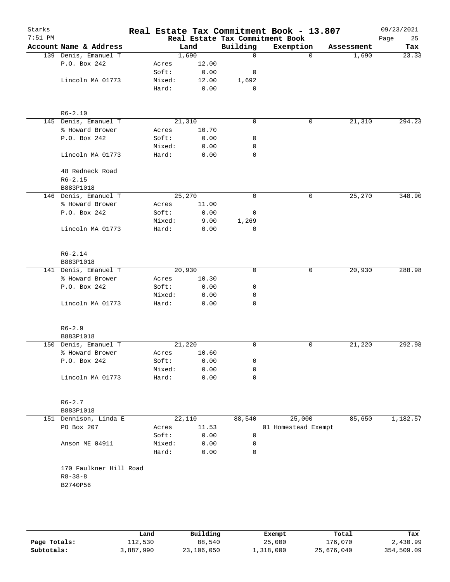| Starks<br>$7:51$ PM |                                         |                |                 |             | Real Estate Tax Commitment Book - 13.807<br>Real Estate Tax Commitment Book |            | 09/23/2021<br>Page<br>25 |
|---------------------|-----------------------------------------|----------------|-----------------|-------------|-----------------------------------------------------------------------------|------------|--------------------------|
|                     | Account Name & Address                  |                | Land            | Building    | Exemption                                                                   | Assessment | Tax                      |
|                     | 139 Denis, Emanuel T                    |                | 1,690           | $\Omega$    | $\Omega$                                                                    | 1,690      | 23.33                    |
|                     | P.O. Box 242                            | Acres          | 12.00           |             |                                                                             |            |                          |
|                     |                                         | Soft:          | 0.00            | 0           |                                                                             |            |                          |
|                     | Lincoln MA 01773                        | Mixed:         | 12.00           | 1,692       |                                                                             |            |                          |
|                     |                                         | Hard:          | 0.00            | 0           |                                                                             |            |                          |
|                     |                                         |                |                 |             |                                                                             |            |                          |
|                     | $R6 - 2.10$                             |                |                 | $\mathbf 0$ |                                                                             |            |                          |
|                     | 145 Denis, Emanuel T<br>% Howard Brower |                | 21,310<br>10.70 |             | 0                                                                           | 21,310     | 294.23                   |
|                     | P.O. Box 242                            | Acres<br>Soft: | 0.00            | 0           |                                                                             |            |                          |
|                     |                                         | Mixed:         | 0.00            | 0           |                                                                             |            |                          |
|                     | Lincoln MA 01773                        | Hard:          | 0.00            | 0           |                                                                             |            |                          |
|                     | 48 Redneck Road                         |                |                 |             |                                                                             |            |                          |
|                     | $R6 - 2.15$                             |                |                 |             |                                                                             |            |                          |
|                     | B883P1018                               |                |                 |             |                                                                             |            |                          |
|                     | 146 Denis, Emanuel T                    |                | 25,270          | 0           | 0                                                                           | 25,270     | 348.90                   |
|                     | % Howard Brower                         | Acres          | 11.00           |             |                                                                             |            |                          |
|                     | P.O. Box 242                            | Soft:          | 0.00            | 0           |                                                                             |            |                          |
|                     |                                         | Mixed:         | 9.00            | 1,269       |                                                                             |            |                          |
|                     | Lincoln MA 01773                        | Hard:          | 0.00            | 0           |                                                                             |            |                          |
|                     |                                         |                |                 |             |                                                                             |            |                          |
|                     | $R6 - 2.14$                             |                |                 |             |                                                                             |            |                          |
|                     | B883P1018                               |                |                 |             |                                                                             |            |                          |
|                     | 141 Denis, Emanuel T                    |                | 20,930          | $\mathbf 0$ | 0                                                                           | 20,930     | 288.98                   |
|                     | % Howard Brower                         | Acres          | 10.30           |             |                                                                             |            |                          |
|                     | P.O. Box 242                            | Soft:          | 0.00            | 0           |                                                                             |            |                          |
|                     |                                         | Mixed:         | 0.00            | 0           |                                                                             |            |                          |
|                     | Lincoln MA 01773                        | Hard:          | 0.00            | 0           |                                                                             |            |                          |
|                     | $R6 - 2.9$                              |                |                 |             |                                                                             |            |                          |
|                     | B883P1018                               |                |                 |             |                                                                             |            |                          |
|                     | 150 Denis, Emanuel T                    |                | 21,220          | 0           | 0                                                                           | 21,220     | 292.98                   |
|                     | % Howard Brower                         | Acres          | 10.60           |             |                                                                             |            |                          |
|                     | P.O. Box 242                            | Soft:          | 0.00            | 0           |                                                                             |            |                          |
|                     |                                         | Mixed:         | 0.00            | 0           |                                                                             |            |                          |
|                     | Lincoln MA 01773                        | Hard:          | 0.00            | 0           |                                                                             |            |                          |
|                     |                                         |                |                 |             |                                                                             |            |                          |
|                     | $R6 - 2.7$                              |                |                 |             |                                                                             |            |                          |
|                     | B883P1018                               |                | 22,110          |             |                                                                             |            |                          |
|                     | 151 Dennison, Linda E<br>PO Box 207     |                | 11.53           | 88,540      | 25,000<br>01 Homestead Exempt                                               | 85,650     | 1,182.57                 |
|                     |                                         | Acres<br>Soft: | 0.00            | 0           |                                                                             |            |                          |
|                     | Anson ME 04911                          | Mixed:         | 0.00            | 0           |                                                                             |            |                          |
|                     |                                         | Hard:          | 0.00            | 0           |                                                                             |            |                          |
|                     | 170 Faulkner Hill Road                  |                |                 |             |                                                                             |            |                          |
|                     | $R8 - 38 - 8$                           |                |                 |             |                                                                             |            |                          |
|                     | B2740P56                                |                |                 |             |                                                                             |            |                          |
|                     |                                         |                |                 |             |                                                                             |            |                          |
|                     |                                         |                |                 |             |                                                                             |            |                          |
|                     |                                         |                |                 |             |                                                                             |            |                          |
|                     |                                         |                |                 |             |                                                                             |            |                          |

|              | Land      | Building   | Exempt    | Total      | Tax        |
|--------------|-----------|------------|-----------|------------|------------|
| Page Totals: | 112,530   | 88,540     | 25,000    | 176,070    | 2,430.99   |
| Subtotals:   | 3,887,990 | 23,106,050 | 1,318,000 | 25,676,040 | 354,509.09 |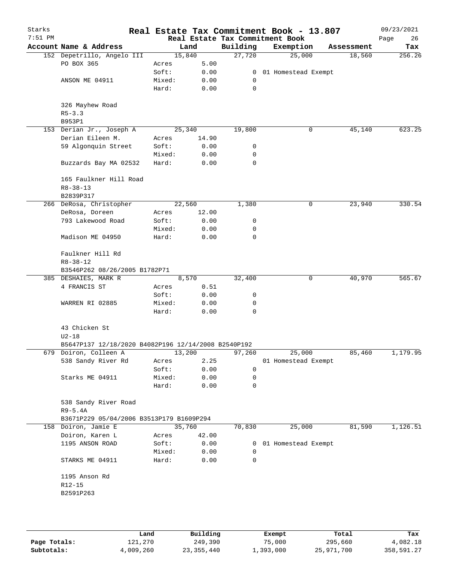| Starks<br>$7:51$ PM |                                                     |        |        |              | Real Estate Tax Commitment Book - 13.807<br>Real Estate Tax Commitment Book |   |            | 09/23/2021<br>Page<br>26 |
|---------------------|-----------------------------------------------------|--------|--------|--------------|-----------------------------------------------------------------------------|---|------------|--------------------------|
|                     | Account Name & Address                              |        | Land   | Building     | Exemption                                                                   |   | Assessment | Tax                      |
|                     | 152 Depetrillo, Angelo III                          |        | 15,840 | 27,720       | 25,000                                                                      |   | 18,560     | 256.26                   |
|                     | PO BOX 365                                          | Acres  | 5.00   |              |                                                                             |   |            |                          |
|                     |                                                     | Soft:  | 0.00   | $\mathbf{0}$ | 01 Homestead Exempt                                                         |   |            |                          |
|                     | ANSON ME 04911                                      | Mixed: | 0.00   | 0            |                                                                             |   |            |                          |
|                     |                                                     | Hard:  | 0.00   | 0            |                                                                             |   |            |                          |
|                     | 326 Mayhew Road                                     |        |        |              |                                                                             |   |            |                          |
|                     | $R5 - 3.3$<br>B953P1                                |        |        |              |                                                                             |   |            |                          |
|                     | 153 Derian Jr., Joseph A                            |        | 25,340 | 19,800       |                                                                             | 0 | 45,140     | 623.25                   |
|                     | Derian Eileen M.                                    | Acres  | 14.90  |              |                                                                             |   |            |                          |
|                     | 59 Algonquin Street                                 | Soft:  | 0.00   | 0            |                                                                             |   |            |                          |
|                     |                                                     | Mixed: | 0.00   | 0            |                                                                             |   |            |                          |
|                     | Buzzards Bay MA 02532                               | Hard:  | 0.00   | 0            |                                                                             |   |            |                          |
|                     | 165 Faulkner Hill Road                              |        |        |              |                                                                             |   |            |                          |
|                     | $R8 - 38 - 13$<br>B2839P317                         |        |        |              |                                                                             |   |            |                          |
|                     | 266 DeRosa, Christopher                             |        | 22,560 | 1,380        |                                                                             | 0 | 23,940     | 330.54                   |
|                     | DeRosa, Doreen                                      | Acres  | 12.00  |              |                                                                             |   |            |                          |
|                     | 793 Lakewood Road                                   | Soft:  | 0.00   | 0            |                                                                             |   |            |                          |
|                     |                                                     | Mixed: | 0.00   | 0            |                                                                             |   |            |                          |
|                     | Madison ME 04950                                    | Hard:  | 0.00   | 0            |                                                                             |   |            |                          |
|                     | Faulkner Hill Rd<br>$R8 - 38 - 12$                  |        |        |              |                                                                             |   |            |                          |
|                     | B3546P262 08/26/2005 B1782P71                       |        |        |              |                                                                             |   |            |                          |
|                     | 385 DESHAIES, MARK R                                |        | 8,570  | 32,400       |                                                                             | 0 | 40,970     | 565.67                   |
|                     | 4 FRANCIS ST                                        | Acres  | 0.51   |              |                                                                             |   |            |                          |
|                     |                                                     | Soft:  | 0.00   | 0            |                                                                             |   |            |                          |
|                     | WARREN RI 02885                                     | Mixed: | 0.00   | 0            |                                                                             |   |            |                          |
|                     |                                                     | Hard:  | 0.00   | $\Omega$     |                                                                             |   |            |                          |
|                     | 43 Chicken St                                       |        |        |              |                                                                             |   |            |                          |
|                     | $U2 - 18$                                           |        |        |              |                                                                             |   |            |                          |
|                     | B5647P137 12/18/2020 B4082P196 12/14/2008 B2540P192 |        |        |              |                                                                             |   |            |                          |
|                     | 679 Doiron, Colleen A                               |        | 13,200 | 97,260       | 25,000                                                                      |   | 85,460     | 1,179.95                 |
|                     | 538 Sandy River Rd                                  | Acres  | 2.25   |              | 01 Homestead Exempt                                                         |   |            |                          |
|                     |                                                     | Soft:  | 0.00   | 0            |                                                                             |   |            |                          |
|                     | Starks ME 04911                                     | Mixed: | 0.00   | 0            |                                                                             |   |            |                          |
|                     |                                                     | Hard:  | 0.00   | 0            |                                                                             |   |            |                          |
|                     | 538 Sandy River Road<br>R9-5.4A                     |        |        |              |                                                                             |   |            |                          |
|                     | B3671P229 05/04/2006 B3513P179 B1609P294            |        |        |              |                                                                             |   |            |                          |
|                     | 158 Doiron, Jamie E                                 |        | 35,760 | 70,830       | 25,000                                                                      |   | 81,590     | 1,126.51                 |
|                     | Doiron, Karen L                                     | Acres  | 42.00  |              |                                                                             |   |            |                          |
|                     | 1195 ANSON ROAD                                     | Soft:  | 0.00   | 0            | 01 Homestead Exempt                                                         |   |            |                          |
|                     |                                                     | Mixed: | 0.00   | 0            |                                                                             |   |            |                          |
|                     | STARKS ME 04911                                     | Hard:  | 0.00   | 0            |                                                                             |   |            |                          |
|                     | 1195 Anson Rd                                       |        |        |              |                                                                             |   |            |                          |
|                     | $R12 - 15$                                          |        |        |              |                                                                             |   |            |                          |
|                     | B2591P263                                           |        |        |              |                                                                             |   |            |                          |
|                     |                                                     |        |        |              |                                                                             |   |            |                          |
|                     |                                                     |        |        |              |                                                                             |   |            |                          |
|                     |                                                     |        |        |              |                                                                             |   |            |                          |

|              | Land      | Building     | Exempt    | Total      | Tax        |
|--------------|-----------|--------------|-----------|------------|------------|
| Page Totals: | 121,270   | 249,390      | 75,000    | 295,660    | 4,082.18   |
| Subtotals:   | 4,009,260 | 23, 355, 440 | 1,393,000 | 25,971,700 | 358,591.27 |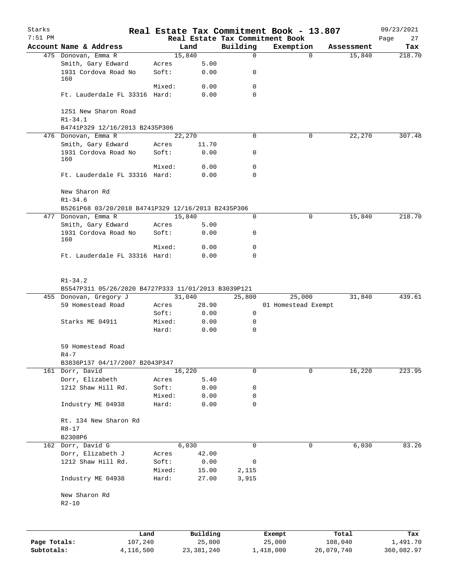| Starks<br>$7:51$ PM |                                                                                              |                |                |                  | Real Estate Tax Commitment Book - 13.807<br>Real Estate Tax Commitment Book |            | 09/23/2021        |
|---------------------|----------------------------------------------------------------------------------------------|----------------|----------------|------------------|-----------------------------------------------------------------------------|------------|-------------------|
|                     | Account Name & Address                                                                       |                | Land           | Building         | Exemption                                                                   | Assessment | Page<br>27<br>Tax |
|                     | 475 Donovan, Emma R                                                                          |                | 15,840         | $\mathbf 0$      | $\Omega$                                                                    | 15,840     | 218.70            |
|                     | Smith, Gary Edward<br>1931 Cordova Road No                                                   | Acres<br>Soft: | 5.00<br>0.00   | 0                |                                                                             |            |                   |
|                     | 160                                                                                          |                |                |                  |                                                                             |            |                   |
|                     | Ft. Lauderdale FL 33316 Hard:                                                                | Mixed:         | 0.00<br>0.00   | 0<br>$\mathbf 0$ |                                                                             |            |                   |
|                     |                                                                                              |                |                |                  |                                                                             |            |                   |
|                     | 1251 New Sharon Road<br>$R1 - 34.1$                                                          |                |                |                  |                                                                             |            |                   |
|                     | B4741P329 12/16/2013 B2435P306                                                               |                |                |                  |                                                                             |            |                   |
|                     | 476 Donovan, Emma R                                                                          |                | 22,270         | $\Omega$         | 0                                                                           | 22,270     | 307.48            |
|                     | Smith, Gary Edward<br>1931 Cordova Road No                                                   | Acres<br>Soft: | 11.70<br>0.00  | 0                |                                                                             |            |                   |
|                     | 160                                                                                          |                |                |                  |                                                                             |            |                   |
|                     |                                                                                              | Mixed:         | 0.00           | 0                |                                                                             |            |                   |
|                     | Ft. Lauderdale FL 33316 Hard:                                                                |                | 0.00           | 0                |                                                                             |            |                   |
|                     | New Sharon Rd<br>$R1 - 34.6$                                                                 |                |                |                  |                                                                             |            |                   |
|                     | B5261P68 03/20/2018 B4741P329 12/16/2013 B2435P306                                           |                |                |                  |                                                                             |            |                   |
|                     | 477 Donovan, Emma R                                                                          |                | 15,840         | 0                | 0                                                                           | 15,840     | 218.70            |
|                     | Smith, Gary Edward                                                                           | Acres          | 5.00           |                  |                                                                             |            |                   |
|                     | 1931 Cordova Road No<br>160                                                                  | Soft:          | 0.00           | 0                |                                                                             |            |                   |
|                     |                                                                                              | Mixed:         | 0.00           | 0                |                                                                             |            |                   |
|                     | Ft. Lauderdale FL 33316 Hard:                                                                |                | 0.00           | 0                |                                                                             |            |                   |
|                     | $R1 - 34.2$<br>B5547P311 05/26/2020 B4727P333 11/01/2013 B3039P121<br>455 Donovan, Gregory J |                | 31,040         | 25,800           | 25,000                                                                      | 31,840     | 439.61            |
|                     | 59 Homestead Road                                                                            | Acres          | 28.90          |                  | 01 Homestead Exempt                                                         |            |                   |
|                     |                                                                                              | Soft:          | 0.00           | 0                |                                                                             |            |                   |
|                     | Starks ME 04911                                                                              | Mixed:         | 0.00           | 0                |                                                                             |            |                   |
|                     |                                                                                              | Hard:          | 0.00           | $\mathbf 0$      |                                                                             |            |                   |
|                     | 59 Homestead Road                                                                            |                |                |                  |                                                                             |            |                   |
|                     | $R4-7$<br>B3836P137 04/17/2007 B2043P347                                                     |                |                |                  |                                                                             |            |                   |
|                     | 161 Dorr, David                                                                              |                | 16,220         | 0                | 0                                                                           | 16,220     | 223.95            |
|                     | Dorr, Elizabeth                                                                              | Acres          | 5.40           |                  |                                                                             |            |                   |
|                     | 1212 Shaw Hill Rd.                                                                           | Soft:          | 0.00           | 0                |                                                                             |            |                   |
|                     |                                                                                              | Mixed:         | 0.00           | 0                |                                                                             |            |                   |
|                     | Industry ME 04938                                                                            | Hard:          | 0.00           | $\mathbf 0$      |                                                                             |            |                   |
|                     | Rt. 134 New Sharon Rd                                                                        |                |                |                  |                                                                             |            |                   |
|                     | $R8 - 17$                                                                                    |                |                |                  |                                                                             |            |                   |
|                     | B2308P6                                                                                      |                |                |                  |                                                                             |            |                   |
|                     | 162 Dorr, David G<br>Dorr, Elizabeth J                                                       | Acres          | 6,030<br>42.00 | 0                | 0                                                                           | 6,030      | 83.26             |
|                     | 1212 Shaw Hill Rd.                                                                           | Soft:          | 0.00           | 0                |                                                                             |            |                   |
|                     |                                                                                              | Mixed:         | 15.00          | 2,115            |                                                                             |            |                   |
|                     | Industry ME 04938                                                                            | Hard:          | 27.00          | 3,915            |                                                                             |            |                   |
|                     | New Sharon Rd                                                                                |                |                |                  |                                                                             |            |                   |
|                     | $R2 - 10$                                                                                    |                |                |                  |                                                                             |            |                   |
|                     |                                                                                              |                |                |                  |                                                                             |            |                   |
|                     | Land                                                                                         |                | Building       |                  | Exempt                                                                      | Total      | Tax               |
| Page Totals:        | 107,240                                                                                      |                | 25,800         |                  | 25,000                                                                      | 108,040    | 1,491.70          |
| Subtotals:          | 4,116,500                                                                                    |                | 23, 381, 240   |                  | 1,418,000                                                                   | 26,079,740 | 360,082.97        |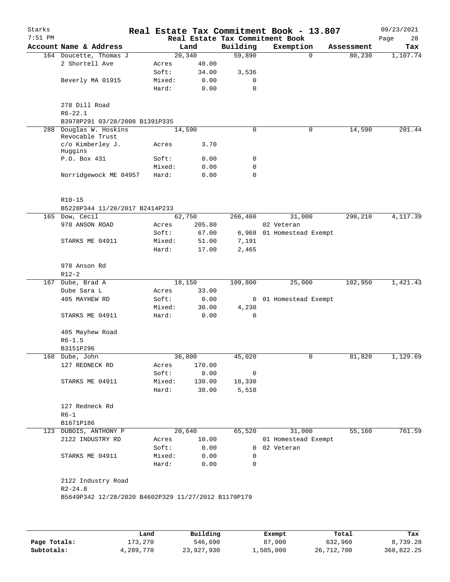| Starks<br>$7:51$ PM |                                                     |        |         |                | Real Estate Tax Commitment Book - 13.807<br>Real Estate Tax Commitment Book |            | 09/23/2021<br>28<br>Page |
|---------------------|-----------------------------------------------------|--------|---------|----------------|-----------------------------------------------------------------------------|------------|--------------------------|
|                     | Account Name & Address                              |        | Land    | Building       | Exemption                                                                   | Assessment | Tax                      |
|                     | 164 Doucette, Thomas J                              |        | 20, 340 | 59,890         | $\Omega$                                                                    | 80, 230    | 1,107.74                 |
|                     | 2 Shortell Ave                                      | Acres  | 40.00   |                |                                                                             |            |                          |
|                     |                                                     | Soft:  | 34.00   | 3,536          |                                                                             |            |                          |
|                     | Beverly MA 01915                                    | Mixed: | 0.00    | 0              |                                                                             |            |                          |
|                     |                                                     | Hard:  | 0.00    | 0              |                                                                             |            |                          |
|                     | 278 Dill Road<br>$R6 - 22.1$                        |        |         |                |                                                                             |            |                          |
|                     | B3978P291 03/28/2008 B1391P335                      |        |         |                |                                                                             |            |                          |
| 288                 | Douglas W. Hoskins                                  |        | 14,590  | 0              | 0                                                                           | 14,590     | 201.44                   |
|                     | Revocable Trust<br>c/o Kimberley J.<br>Huggins      | Acres  | 3.70    |                |                                                                             |            |                          |
|                     | P.O. Box 431                                        | Soft:  | 0.00    | 0              |                                                                             |            |                          |
|                     |                                                     | Mixed: | 0.00    | $\mathbf 0$    |                                                                             |            |                          |
|                     | Norridgewock ME 04957                               | Hard:  | 0.00    | 0              |                                                                             |            |                          |
|                     | $R10 - 15$                                          |        |         |                |                                                                             |            |                          |
|                     | B5228P344 11/20/2017 B2414P233                      |        |         |                |                                                                             |            |                          |
|                     | 165 Dow, Cecil                                      |        | 62,750  | 266,460        | 31,000                                                                      | 298,210    | 4,117.39                 |
|                     | 978 ANSON ROAD                                      | Acres  | 205.80  |                | 02 Veteran                                                                  |            |                          |
|                     |                                                     | Soft:  | 67.00   |                | 6,968 01 Homestead Exempt                                                   |            |                          |
|                     | STARKS ME 04911                                     | Mixed: | 51.00   | 7,191          |                                                                             |            |                          |
|                     |                                                     | Hard:  | 17.00   | 2,465          |                                                                             |            |                          |
|                     | 978 Anson Rd                                        |        |         |                |                                                                             |            |                          |
|                     | $R12-2$                                             |        |         |                |                                                                             |            |                          |
| 167                 | Dube, Brad A                                        |        | 18,150  | 109,800        | 25,000                                                                      | 102,950    | 1,421.43                 |
|                     | Dube Sara L                                         | Acres  | 33.00   |                |                                                                             |            |                          |
|                     | 405 MAYHEW RD                                       | Soft:  | 0.00    |                | 0 01 Homestead Exempt                                                       |            |                          |
|                     |                                                     | Mixed: | 30.00   | 4,230          |                                                                             |            |                          |
|                     | STARKS ME 04911                                     | Hard:  | 0.00    | $\mathbf 0$    |                                                                             |            |                          |
|                     | 405 Mayhew Road                                     |        |         |                |                                                                             |            |                          |
|                     | $R6 - 1.5$                                          |        |         |                |                                                                             |            |                          |
|                     | B3151P296                                           |        |         |                |                                                                             |            |                          |
|                     | 168 Dube, John                                      |        | 36,800  | 45,020         |                                                                             | 81,820     | 1,129.69                 |
|                     | 127 REDNECK RD                                      | Acres  | 170.00  |                |                                                                             |            |                          |
|                     |                                                     | Soft:  | 0.00    | 0              |                                                                             |            |                          |
|                     | STARKS ME 04911                                     | Mixed: | 130.00  | 18,330         |                                                                             |            |                          |
|                     |                                                     | Hard:  | 38.00   | 5,510          |                                                                             |            |                          |
|                     | 127 Redneck Rd                                      |        |         |                |                                                                             |            |                          |
|                     | $R6-1$                                              |        |         |                |                                                                             |            |                          |
|                     | B1671P186                                           |        |         |                |                                                                             |            |                          |
|                     | 123 DUBOIS, ANTHONY P                               |        | 20,640  | 65,520         | 31,000                                                                      | 55,160     | 761.59                   |
|                     | 2122 INDUSTRY RD                                    | Acres  | 10.00   |                | 01 Homestead Exempt                                                         |            |                          |
|                     |                                                     | Soft:  | 0.00    | $\overline{0}$ | 02 Veteran                                                                  |            |                          |
|                     | STARKS ME 04911                                     | Mixed: | 0.00    | 0              |                                                                             |            |                          |
|                     |                                                     | Hard:  | 0.00    | $\mathbf 0$    |                                                                             |            |                          |
|                     | 2122 Industry Road                                  |        |         |                |                                                                             |            |                          |
|                     | $R2 - 24.8$                                         |        |         |                |                                                                             |            |                          |
|                     | B5649P342 12/28/2020 B4602P329 11/27/2012 B1170P179 |        |         |                |                                                                             |            |                          |
|                     |                                                     |        |         |                |                                                                             |            |                          |
|                     |                                                     |        |         |                |                                                                             |            |                          |
|                     |                                                     |        |         |                |                                                                             |            |                          |

|              | Land      | Building   | Exempt    | Total      | Tax        |
|--------------|-----------|------------|-----------|------------|------------|
| Page Totals: | 173,270   | 546,690    | 87,000    | 632,960    | 8,739.28   |
| Subtotals:   | 4,289,770 | 23,927,930 | 1,505,000 | 26,712,700 | 368,822.25 |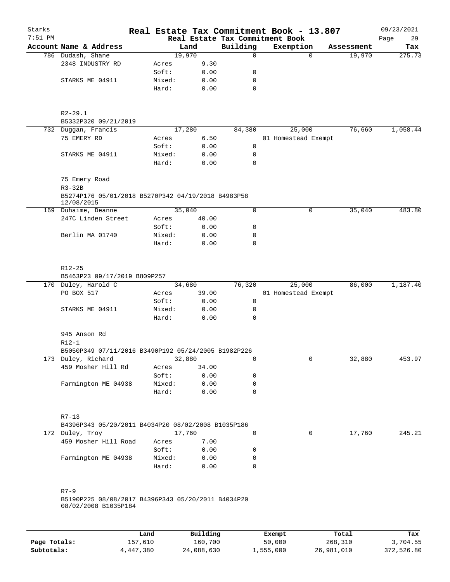| Starks    |                                                                                        |                 |              |             | Real Estate Tax Commitment Book - 13.807 |            | 09/23/2021 |
|-----------|----------------------------------------------------------------------------------------|-----------------|--------------|-------------|------------------------------------------|------------|------------|
| $7:51$ PM |                                                                                        |                 |              |             | Real Estate Tax Commitment Book          |            | 29<br>Page |
|           | Account Name & Address                                                                 |                 | Land         | Building    | Exemption                                | Assessment | Tax        |
|           | 786 Dudash, Shane                                                                      |                 | 19,970       | $\mathbf 0$ | $\Omega$                                 | 19,970     | 275.73     |
|           | 2348 INDUSTRY RD                                                                       | Acres           | 9.30         |             |                                          |            |            |
|           |                                                                                        | Soft:           | 0.00         | 0           |                                          |            |            |
|           | STARKS ME 04911                                                                        | Mixed:          | 0.00         | 0           |                                          |            |            |
|           |                                                                                        | Hard:           | 0.00         | $\mathbf 0$ |                                          |            |            |
|           | $R2 - 29.1$<br>B5332P320 09/21/2019                                                    |                 |              |             |                                          |            |            |
|           | 732 Duggan, Francis                                                                    |                 | 17,280       | 84,380      | 25,000                                   | 76,660     | 1,058.44   |
|           | 75 EMERY RD                                                                            | Acres           | 6.50         |             | 01 Homestead Exempt                      |            |            |
|           |                                                                                        | Soft:           | 0.00         | 0           |                                          |            |            |
|           | STARKS ME 04911                                                                        | Mixed:          | 0.00         | 0           |                                          |            |            |
|           |                                                                                        | Hard:           | 0.00         | 0           |                                          |            |            |
|           | 75 Emery Road<br>$R3-32B$                                                              |                 |              |             |                                          |            |            |
|           | B5274P176 05/01/2018 B5270P342 04/19/2018 B4983P58<br>12/08/2015                       |                 |              |             |                                          |            |            |
|           | 169 Duhaime, Deanne                                                                    |                 | 35,040       | 0           | 0                                        | 35,040     | 483.80     |
|           | 247C Linden Street                                                                     | Acres           | 40.00        |             |                                          |            |            |
|           |                                                                                        | Soft:           | 0.00         | 0           |                                          |            |            |
|           | Berlin MA 01740                                                                        | Mixed:          | 0.00         | 0           |                                          |            |            |
|           |                                                                                        | Hard:           | 0.00         | 0           |                                          |            |            |
|           | $R12 - 25$<br>B5463P23 09/17/2019 B809P257                                             |                 |              |             |                                          |            |            |
|           | 170 Duley, Harold C                                                                    |                 | 34,680       | 76,320      | 25,000                                   | 86,000     | 1,187.40   |
|           | PO BOX 517                                                                             | Acres           | 39.00        |             | 01 Homestead Exempt                      |            |            |
|           |                                                                                        | Soft:           | 0.00         | 0           |                                          |            |            |
|           | STARKS ME 04911                                                                        | Mixed:<br>Hard: | 0.00<br>0.00 | 0<br>0      |                                          |            |            |
|           | 945 Anson Rd                                                                           |                 |              |             |                                          |            |            |
|           | $R12-1$                                                                                |                 |              |             |                                          |            |            |
|           | B5050P349 07/11/2016 B3490P192 05/24/2005 B1982P226                                    |                 |              |             |                                          |            |            |
|           | 173 Duley, Richard                                                                     |                 | 32,880       | 0           | 0                                        | 32,880     | 453.97     |
|           | 459 Mosher Hill Rd                                                                     | Acres           | 34.00        |             |                                          |            |            |
|           |                                                                                        | Soft:           | 0.00         | 0           |                                          |            |            |
|           | Farmington ME 04938                                                                    | Mixed:          | 0.00         | 0           |                                          |            |            |
|           |                                                                                        | Hard:           | 0.00         | $\mathbf 0$ |                                          |            |            |
|           | $R7 - 13$<br>B4396P343 05/20/2011 B4034P20 08/02/2008 B1035P186                        |                 |              |             |                                          |            |            |
|           | 172 Duley, Troy                                                                        |                 | 17,760       | 0           | 0                                        | 17,760     | 245.21     |
|           | 459 Mosher Hill Road                                                                   | Acres           | 7.00         |             |                                          |            |            |
|           |                                                                                        | Soft:           | 0.00         | 0           |                                          |            |            |
|           | Farmington ME 04938                                                                    | Mixed:          | 0.00         | 0           |                                          |            |            |
|           |                                                                                        | Hard:           | 0.00         | $\mathbf 0$ |                                          |            |            |
|           | $R7 - 9$<br>B5190P225 08/08/2017 B4396P343 05/20/2011 B4034P20<br>08/02/2008 B1035P184 |                 |              |             |                                          |            |            |
|           |                                                                                        |                 |              |             |                                          |            |            |

|              | Land      | Building   | Exempt    | Total      | Tax        |
|--------------|-----------|------------|-----------|------------|------------|
| Page Totals: | 157,610   | 160,700    | 50,000    | 268,310    | 3,704.55   |
| Subtotals:   | 4,447,380 | 24,088,630 | 1,555,000 | 26,981,010 | 372,526.80 |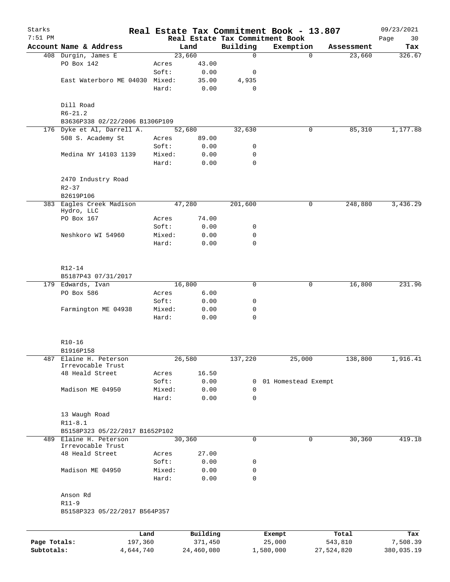| Starks       |                                               |        |          |              | Real Estate Tax Commitment Book - 13.807 |            | 09/23/2021 |
|--------------|-----------------------------------------------|--------|----------|--------------|------------------------------------------|------------|------------|
| $7:51$ PM    |                                               |        |          |              | Real Estate Tax Commitment Book          |            | Page<br>30 |
|              | Account Name & Address                        |        | Land     | Building     | Exemption                                | Assessment | Tax        |
|              | 408 Durgin, James E                           |        | 23,660   | 0            | $\mathbf 0$                              | 23,660     | 326.67     |
|              | PO Box 142                                    | Acres  | 43.00    |              |                                          |            |            |
|              |                                               | Soft:  | 0.00     | 0            |                                          |            |            |
|              | East Waterboro ME 04030 Mixed:                |        | 35.00    | 4,935        |                                          |            |            |
|              |                                               | Hard:  | 0.00     | 0            |                                          |            |            |
|              |                                               |        |          |              |                                          |            |            |
|              | Dill Road                                     |        |          |              |                                          |            |            |
|              | $R6 - 21.2$<br>B3636P338 02/22/2006 B1306P109 |        |          |              |                                          |            |            |
|              | 176 Dyke et Al, Darrell A.                    |        | 52,680   | 32,630       | 0                                        | 85,310     | 1,177.88   |
|              | 508 S. Academy St                             | Acres  | 89.00    |              |                                          |            |            |
|              |                                               | Soft:  | 0.00     | 0            |                                          |            |            |
|              | Medina NY 14103 1139                          | Mixed: | 0.00     | 0            |                                          |            |            |
|              |                                               | Hard:  | 0.00     | 0            |                                          |            |            |
|              |                                               |        |          |              |                                          |            |            |
|              | 2470 Industry Road                            |        |          |              |                                          |            |            |
|              | $R2 - 37$                                     |        |          |              |                                          |            |            |
|              | B2619P106                                     |        |          |              |                                          |            |            |
|              | 383 Eagles Creek Madison                      |        | 47,280   | 201,600      | 0                                        | 248,880    | 3,436.29   |
|              | Hydro, LLC                                    |        |          |              |                                          |            |            |
|              | PO Box 167                                    | Acres  | 74.00    |              |                                          |            |            |
|              |                                               | Soft:  | 0.00     | 0            |                                          |            |            |
|              | Neshkoro WI 54960                             | Mixed: | 0.00     | 0            |                                          |            |            |
|              |                                               | Hard:  | 0.00     | $\mathbf 0$  |                                          |            |            |
|              |                                               |        |          |              |                                          |            |            |
|              |                                               |        |          |              |                                          |            |            |
|              | $R12 - 14$                                    |        |          |              |                                          |            |            |
|              | B5187P43 07/31/2017                           |        |          |              |                                          |            |            |
|              | 179 Edwards, Ivan                             |        | 16,800   | 0            | 0                                        | 16,800     | 231.96     |
|              | PO Box 586                                    | Acres  | 6.00     |              |                                          |            |            |
|              |                                               | Soft:  | 0.00     | 0            |                                          |            |            |
|              | Farmington ME 04938                           | Mixed: | 0.00     | 0            |                                          |            |            |
|              |                                               | Hard:  | 0.00     | 0            |                                          |            |            |
|              | $R10-16$                                      |        |          |              |                                          |            |            |
|              | B1916P158                                     |        |          |              |                                          |            |            |
|              | 487 Elaine H. Peterson                        |        | 26,580   | 137,220      | 25,000                                   | 138,800    | 1,916.41   |
|              | Irrevocable Trust                             |        |          |              |                                          |            |            |
|              | 48 Heald Street                               | Acres  | 16.50    |              |                                          |            |            |
|              |                                               | Soft:  | 0.00     | $\mathbf{0}$ | 01 Homestead Exempt                      |            |            |
|              | Madison ME 04950                              | Mixed: | 0.00     | 0            |                                          |            |            |
|              |                                               | Hard:  | 0.00     | 0            |                                          |            |            |
|              |                                               |        |          |              |                                          |            |            |
|              | 13 Waugh Road                                 |        |          |              |                                          |            |            |
|              | $R11 - 8.1$                                   |        |          |              |                                          |            |            |
|              | B5158P323 05/22/2017 B1652P102                |        |          |              |                                          |            |            |
|              | 489 Elaine H. Peterson<br>Irrevocable Trust   |        | 30,360   | 0            | 0                                        | 30,360     | 419.18     |
|              | 48 Heald Street                               | Acres  | 27.00    |              |                                          |            |            |
|              |                                               | Soft:  | 0.00     | 0            |                                          |            |            |
|              | Madison ME 04950                              | Mixed: | 0.00     | 0            |                                          |            |            |
|              |                                               | Hard:  | 0.00     | 0            |                                          |            |            |
|              | Anson Rd                                      |        |          |              |                                          |            |            |
|              | $R11-9$                                       |        |          |              |                                          |            |            |
|              | B5158P323 05/22/2017 B564P357                 |        |          |              |                                          |            |            |
|              |                                               |        |          |              |                                          |            |            |
|              | Land                                          |        | Building |              | Exempt                                   | Total      | Tax        |
| Page Totals: | 197,360                                       |        | 371,450  |              | 25,000                                   | 543,810    | 7,508.39   |

**Subtotals:** 4,644,740 24,460,080 1,580,000 27,524,820 380,035.19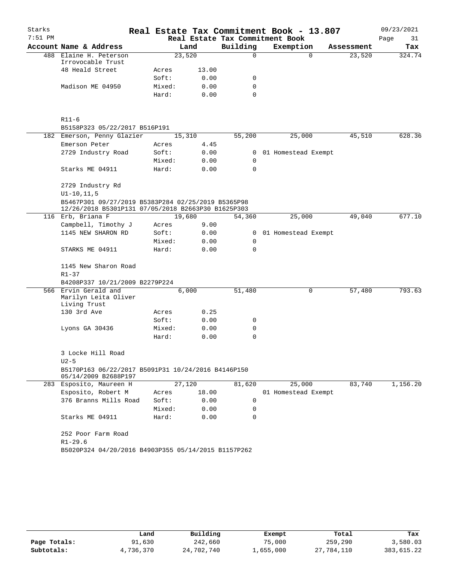| $7:51$ PM<br>Real Estate Tax Commitment Book<br>Page<br>Building<br>Account Name & Address<br>Land<br>Exemption<br>Assessment<br>488 Elaine H. Peterson<br>23,520<br>$\Omega$<br>$\Omega$<br>23,520<br>Irrovocable Trust<br>48 Heald Street<br>13.00<br>Acres<br>Soft:<br>0.00<br>0<br>Madison ME 04950<br>0.00<br>0<br>Mixed:<br>Hard:<br>0.00<br>0<br>$R11-6$<br>B5158P323 05/22/2017 B516P191<br>182 Emerson, Penny Glazier<br>15,310<br>55,200<br>25,000<br>45,510<br>Emerson Peter<br>4.45<br>Acres<br>2729 Industry Road<br>Soft:<br>0.00<br>01 Homestead Exempt<br>0<br>Mixed:<br>0.00<br>0<br>Starks ME 04911<br>Hard:<br>0.00<br>$\Omega$ | Starks |  |  |  | Real Estate Tax Commitment Book - 13.807 | 09/23/2021 |
|----------------------------------------------------------------------------------------------------------------------------------------------------------------------------------------------------------------------------------------------------------------------------------------------------------------------------------------------------------------------------------------------------------------------------------------------------------------------------------------------------------------------------------------------------------------------------------------------------------------------------------------------------|--------|--|--|--|------------------------------------------|------------|
|                                                                                                                                                                                                                                                                                                                                                                                                                                                                                                                                                                                                                                                    |        |  |  |  |                                          | 31         |
|                                                                                                                                                                                                                                                                                                                                                                                                                                                                                                                                                                                                                                                    |        |  |  |  |                                          | Tax        |
|                                                                                                                                                                                                                                                                                                                                                                                                                                                                                                                                                                                                                                                    |        |  |  |  |                                          | 324.74     |
|                                                                                                                                                                                                                                                                                                                                                                                                                                                                                                                                                                                                                                                    |        |  |  |  |                                          |            |
|                                                                                                                                                                                                                                                                                                                                                                                                                                                                                                                                                                                                                                                    |        |  |  |  |                                          |            |
|                                                                                                                                                                                                                                                                                                                                                                                                                                                                                                                                                                                                                                                    |        |  |  |  |                                          |            |
|                                                                                                                                                                                                                                                                                                                                                                                                                                                                                                                                                                                                                                                    |        |  |  |  |                                          |            |
|                                                                                                                                                                                                                                                                                                                                                                                                                                                                                                                                                                                                                                                    |        |  |  |  |                                          |            |
|                                                                                                                                                                                                                                                                                                                                                                                                                                                                                                                                                                                                                                                    |        |  |  |  |                                          |            |
|                                                                                                                                                                                                                                                                                                                                                                                                                                                                                                                                                                                                                                                    |        |  |  |  |                                          | 628.36     |
|                                                                                                                                                                                                                                                                                                                                                                                                                                                                                                                                                                                                                                                    |        |  |  |  |                                          |            |
|                                                                                                                                                                                                                                                                                                                                                                                                                                                                                                                                                                                                                                                    |        |  |  |  |                                          |            |
|                                                                                                                                                                                                                                                                                                                                                                                                                                                                                                                                                                                                                                                    |        |  |  |  |                                          |            |
|                                                                                                                                                                                                                                                                                                                                                                                                                                                                                                                                                                                                                                                    |        |  |  |  |                                          |            |
| 2729 Industry Rd                                                                                                                                                                                                                                                                                                                                                                                                                                                                                                                                                                                                                                   |        |  |  |  |                                          |            |
| $UI-10, 11, 5$                                                                                                                                                                                                                                                                                                                                                                                                                                                                                                                                                                                                                                     |        |  |  |  |                                          |            |
| B5467P301 09/27/2019 B5383P284 02/25/2019 B5365P98<br>12/26/2018 B5301P131 07/05/2018 B2663P30 B1625P303                                                                                                                                                                                                                                                                                                                                                                                                                                                                                                                                           |        |  |  |  |                                          |            |
| 116 Erb, Briana F<br>25,000<br>19,680<br>54,360<br>49,040                                                                                                                                                                                                                                                                                                                                                                                                                                                                                                                                                                                          |        |  |  |  |                                          | 677.10     |
| Campbell, Timothy J<br>9.00<br>Acres                                                                                                                                                                                                                                                                                                                                                                                                                                                                                                                                                                                                               |        |  |  |  |                                          |            |
| 1145 NEW SHARON RD<br>Soft:<br>0.00<br>01 Homestead Exempt<br>0                                                                                                                                                                                                                                                                                                                                                                                                                                                                                                                                                                                    |        |  |  |  |                                          |            |
| Mixed:<br>0.00<br>0                                                                                                                                                                                                                                                                                                                                                                                                                                                                                                                                                                                                                                |        |  |  |  |                                          |            |
| STARKS ME 04911<br>Hard:<br>0.00<br>$\Omega$                                                                                                                                                                                                                                                                                                                                                                                                                                                                                                                                                                                                       |        |  |  |  |                                          |            |
| 1145 New Sharon Road                                                                                                                                                                                                                                                                                                                                                                                                                                                                                                                                                                                                                               |        |  |  |  |                                          |            |
| $R1 - 37$                                                                                                                                                                                                                                                                                                                                                                                                                                                                                                                                                                                                                                          |        |  |  |  |                                          |            |
| B4208P337 10/21/2009 B2279P224<br>566 Ervin Gerald and<br>0                                                                                                                                                                                                                                                                                                                                                                                                                                                                                                                                                                                        |        |  |  |  |                                          | 793.63     |
| 6,000<br>51,480<br>57,480<br>Marilyn Leita Oliver<br>Living Trust                                                                                                                                                                                                                                                                                                                                                                                                                                                                                                                                                                                  |        |  |  |  |                                          |            |
| 130 3rd Ave<br>0.25<br>Acres                                                                                                                                                                                                                                                                                                                                                                                                                                                                                                                                                                                                                       |        |  |  |  |                                          |            |
| Soft:<br>0.00<br>0                                                                                                                                                                                                                                                                                                                                                                                                                                                                                                                                                                                                                                 |        |  |  |  |                                          |            |
| 0.00<br>0<br>Lyons GA 30436<br>Mixed:                                                                                                                                                                                                                                                                                                                                                                                                                                                                                                                                                                                                              |        |  |  |  |                                          |            |
| Hard:<br>0.00<br>0                                                                                                                                                                                                                                                                                                                                                                                                                                                                                                                                                                                                                                 |        |  |  |  |                                          |            |
| 3 Locke Hill Road                                                                                                                                                                                                                                                                                                                                                                                                                                                                                                                                                                                                                                  |        |  |  |  |                                          |            |
| $U2-5$                                                                                                                                                                                                                                                                                                                                                                                                                                                                                                                                                                                                                                             |        |  |  |  |                                          |            |
| B5170P163 06/22/2017 B5091P31 10/24/2016 B4146P150<br>05/14/2009 B2688P197                                                                                                                                                                                                                                                                                                                                                                                                                                                                                                                                                                         |        |  |  |  |                                          |            |
| 27,120<br>25,000<br>83,740<br>283 Esposito, Maureen H<br>81,620                                                                                                                                                                                                                                                                                                                                                                                                                                                                                                                                                                                    |        |  |  |  |                                          | 1,156.20   |
| Esposito, Robert M<br>18.00<br>Acres<br>01 Homestead Exempt                                                                                                                                                                                                                                                                                                                                                                                                                                                                                                                                                                                        |        |  |  |  |                                          |            |
| 376 Branns Mills Road<br>Soft:<br>0.00<br>0                                                                                                                                                                                                                                                                                                                                                                                                                                                                                                                                                                                                        |        |  |  |  |                                          |            |
| Mixed:<br>0.00<br>0                                                                                                                                                                                                                                                                                                                                                                                                                                                                                                                                                                                                                                |        |  |  |  |                                          |            |
| Starks ME 04911<br>Hard:<br>0.00<br>0                                                                                                                                                                                                                                                                                                                                                                                                                                                                                                                                                                                                              |        |  |  |  |                                          |            |
| 252 Poor Farm Road<br>$R1 - 29.6$                                                                                                                                                                                                                                                                                                                                                                                                                                                                                                                                                                                                                  |        |  |  |  |                                          |            |
| B5020P324 04/20/2016 B4903P355 05/14/2015 B1157P262                                                                                                                                                                                                                                                                                                                                                                                                                                                                                                                                                                                                |        |  |  |  |                                          |            |

|              | Land      | Building   | Exempt    | Total      | Tax        |
|--------------|-----------|------------|-----------|------------|------------|
| Page Totals: | 91,630    | 242,660    | 75,000    | 259,290    | 3,580.03   |
| Subtotals:   | 4,736,370 | 24,702,740 | 1,655,000 | 27,784,110 | 383,615.22 |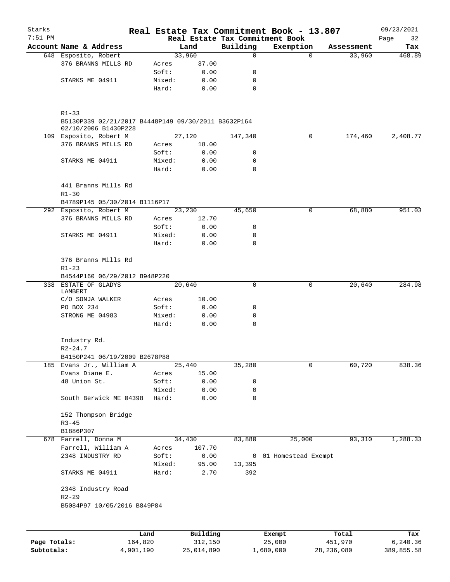| Starks<br>$7:51$ PM |                                                                             |        |        |          |              | Real Estate Tax Commitment Book - 13.807<br>Real Estate Tax Commitment Book |            | 09/23/2021<br>32 |
|---------------------|-----------------------------------------------------------------------------|--------|--------|----------|--------------|-----------------------------------------------------------------------------|------------|------------------|
|                     | Account Name & Address                                                      |        |        | Land     | Building     | Exemption                                                                   | Assessment | Page<br>Tax      |
|                     | 648 Esposito, Robert                                                        |        | 33,960 |          | $\mathsf{O}$ | $\Omega$                                                                    | 33,960     | 468.89           |
|                     | 376 BRANNS MILLS RD                                                         | Acres  |        | 37.00    |              |                                                                             |            |                  |
|                     |                                                                             | Soft:  |        | 0.00     | 0            |                                                                             |            |                  |
|                     | STARKS ME 04911                                                             | Mixed: |        | 0.00     | 0            |                                                                             |            |                  |
|                     |                                                                             | Hard:  |        | 0.00     | 0            |                                                                             |            |                  |
|                     | $R1 - 33$                                                                   |        |        |          |              |                                                                             |            |                  |
|                     | B5130P339 02/21/2017 B4448P149 09/30/2011 B3632P164<br>02/10/2006 B1430P228 |        |        |          |              |                                                                             |            |                  |
|                     | 109 Esposito, Robert M                                                      |        |        | 27,120   | 147,340      | 0                                                                           | 174,460    | 2,408.77         |
|                     | 376 BRANNS MILLS RD                                                         | Acres  |        | 18.00    |              |                                                                             |            |                  |
|                     |                                                                             | Soft:  |        | 0.00     | 0            |                                                                             |            |                  |
|                     | STARKS ME 04911                                                             | Mixed: |        | 0.00     | 0            |                                                                             |            |                  |
|                     |                                                                             | Hard:  |        | 0.00     | 0            |                                                                             |            |                  |
|                     | 441 Branns Mills Rd                                                         |        |        |          |              |                                                                             |            |                  |
|                     | $R1 - 30$                                                                   |        |        |          |              |                                                                             |            |                  |
|                     | B4789P145 05/30/2014 B1116P17                                               |        |        |          |              |                                                                             |            |                  |
|                     | 292 Esposito, Robert M                                                      |        |        | 23,230   | 45,650       | 0                                                                           | 68,880     | 951.03           |
|                     | 376 BRANNS MILLS RD                                                         | Acres  |        | 12.70    |              |                                                                             |            |                  |
|                     |                                                                             | Soft:  |        | 0.00     | 0            |                                                                             |            |                  |
|                     | STARKS ME 04911                                                             | Mixed: |        | 0.00     | 0            |                                                                             |            |                  |
|                     |                                                                             | Hard:  |        | 0.00     | $\Omega$     |                                                                             |            |                  |
|                     | 376 Branns Mills Rd                                                         |        |        |          |              |                                                                             |            |                  |
|                     | $R1 - 23$                                                                   |        |        |          |              |                                                                             |            |                  |
|                     | B4544P160 06/29/2012 B948P220<br>338 ESTATE OF GLADYS                       |        | 20,640 |          | 0            | 0                                                                           | 20,640     | 284.98           |
|                     | LAMBERT                                                                     |        |        |          |              |                                                                             |            |                  |
|                     | C/O SONJA WALKER                                                            | Acres  |        | 10.00    |              |                                                                             |            |                  |
|                     | PO BOX 234                                                                  | Soft:  |        | 0.00     | 0            |                                                                             |            |                  |
|                     | STRONG ME 04983                                                             | Mixed: |        | 0.00     | 0            |                                                                             |            |                  |
|                     |                                                                             | Hard:  |        | 0.00     | $\mathbf 0$  |                                                                             |            |                  |
|                     | Industry Rd.<br>$R2 - 24.7$                                                 |        |        |          |              |                                                                             |            |                  |
|                     | B4150P241 06/19/2009 B2678P88                                               |        |        |          |              |                                                                             |            |                  |
|                     | 185 Evans Jr., William A                                                    |        | 25,440 |          | 35,280       | 0                                                                           | 60,720     | 838.36           |
|                     | Evans Diane E.                                                              | Acres  |        | 15.00    |              |                                                                             |            |                  |
|                     | 48 Union St.                                                                | Soft:  |        | 0.00     | 0            |                                                                             |            |                  |
|                     |                                                                             | Mixed: |        | 0.00     | 0            |                                                                             |            |                  |
|                     | South Berwick ME 04398                                                      | Hard:  |        | 0.00     | 0            |                                                                             |            |                  |
|                     | 152 Thompson Bridge                                                         |        |        |          |              |                                                                             |            |                  |
|                     | $R3 - 45$                                                                   |        |        |          |              |                                                                             |            |                  |
|                     | B1886P307                                                                   |        |        |          |              |                                                                             |            |                  |
|                     | 678 Farrell, Donna M                                                        |        | 34,430 |          | 83,880       | 25,000                                                                      | 93,310     | 1,288.33         |
|                     | Farrell, William A                                                          | Acres  |        | 107.70   |              |                                                                             |            |                  |
|                     | 2348 INDUSTRY RD                                                            | Soft:  |        | 0.00     |              | 0 01 Homestead Exempt                                                       |            |                  |
|                     |                                                                             | Mixed: |        | 95.00    | 13,395       |                                                                             |            |                  |
|                     | STARKS ME 04911                                                             | Hard:  |        | 2.70     | 392          |                                                                             |            |                  |
|                     | 2348 Industry Road                                                          |        |        |          |              |                                                                             |            |                  |
|                     | $R2 - 29$<br>B5084P97 10/05/2016 B849P84                                    |        |        |          |              |                                                                             |            |                  |
|                     |                                                                             |        |        |          |              |                                                                             |            |                  |
|                     |                                                                             | Land   |        | Building |              | Exempt                                                                      | Total      | Tax              |

|              | Land      | Building   | Exempt    | Total      | Tax        |
|--------------|-----------|------------|-----------|------------|------------|
| Page Totals: | 164,820   | 312,150    | 25,000    | 451,970    | 6.240.36   |
| Subtotals:   | 4,901,190 | 25,014,890 | 1,680,000 | 28,236,080 | 389,855.58 |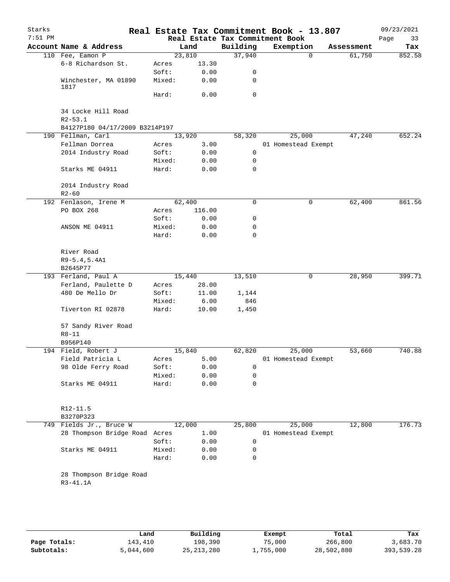| Starks<br>$7:51$ PM |                                     |        |        |          | Real Estate Tax Commitment Book - 13.807<br>Real Estate Tax Commitment Book |            | 09/23/2021<br>Page<br>33 |
|---------------------|-------------------------------------|--------|--------|----------|-----------------------------------------------------------------------------|------------|--------------------------|
|                     | Account Name & Address              |        | Land   | Building | Exemption                                                                   | Assessment | Tax                      |
|                     | 110 Fee, Eamon P                    |        | 23,810 | 37,940   | $\mathbf 0$                                                                 | 61,750     | 852.58                   |
|                     | 6-8 Richardson St.                  | Acres  | 13.30  |          |                                                                             |            |                          |
|                     |                                     | Soft:  | 0.00   | 0        |                                                                             |            |                          |
|                     | Winchester, MA 01890                | Mixed: | 0.00   | 0        |                                                                             |            |                          |
|                     | 1817                                | Hard:  | 0.00   | 0        |                                                                             |            |                          |
|                     |                                     |        |        |          |                                                                             |            |                          |
|                     | 34 Locke Hill Road<br>$R2 - 53.1$   |        |        |          |                                                                             |            |                          |
|                     | B4127P180 04/17/2009 B3214P197      |        |        |          |                                                                             |            |                          |
|                     | 190 Fellman, Carl                   |        | 13,920 | 58,320   | 25,000                                                                      | 47,240     | 652.24                   |
|                     | Fellman Dorrea                      | Acres  | 3.00   |          | 01 Homestead Exempt                                                         |            |                          |
|                     | 2014 Industry Road                  | Soft:  | 0.00   | 0        |                                                                             |            |                          |
|                     |                                     | Mixed: | 0.00   | 0        |                                                                             |            |                          |
|                     | Starks ME 04911                     | Hard:  | 0.00   | 0        |                                                                             |            |                          |
|                     | 2014 Industry Road                  |        |        |          |                                                                             |            |                          |
|                     | $R2 - 60$                           |        |        |          |                                                                             |            |                          |
|                     | 192 Fenlason, Irene M               |        | 62,400 | 0        | 0                                                                           | 62,400     | 861.56                   |
|                     | PO BOX 268                          | Acres  | 116.00 |          |                                                                             |            |                          |
|                     |                                     | Soft:  | 0.00   | 0        |                                                                             |            |                          |
|                     | ANSON ME 04911                      | Mixed: | 0.00   | 0        |                                                                             |            |                          |
|                     |                                     | Hard:  | 0.00   | 0        |                                                                             |            |                          |
|                     | River Road                          |        |        |          |                                                                             |            |                          |
|                     | R9-5.4,5.4A1                        |        |        |          |                                                                             |            |                          |
|                     | B2645P77                            |        |        |          |                                                                             |            |                          |
|                     | 193 Ferland, Paul A                 |        | 15,440 | 13,510   | 0                                                                           | 28,950     | 399.71                   |
|                     | Ferland, Paulette D                 | Acres  | 28.00  |          |                                                                             |            |                          |
|                     | 480 De Mello Dr                     | Soft:  | 11.00  | 1,144    |                                                                             |            |                          |
|                     |                                     | Mixed: | 6.00   | 846      |                                                                             |            |                          |
|                     | Tiverton RI 02878                   | Hard:  | 10.00  | 1,450    |                                                                             |            |                          |
|                     | 57 Sandy River Road                 |        |        |          |                                                                             |            |                          |
|                     | $R8 - 11$                           |        |        |          |                                                                             |            |                          |
|                     | B956P140                            |        |        |          |                                                                             |            |                          |
|                     | 194 Field, Robert J                 |        | 15,840 | 62,820   | 25,000                                                                      | 53,660     | 740.88                   |
|                     | Field Patricia L                    | Acres  | 5.00   |          | 01 Homestead Exempt                                                         |            |                          |
|                     | 98 Olde Ferry Road                  | Soft:  | 0.00   | 0        |                                                                             |            |                          |
|                     |                                     | Mixed: | 0.00   | 0        |                                                                             |            |                          |
|                     | Starks ME 04911                     | Hard:  | 0.00   | 0        |                                                                             |            |                          |
|                     |                                     |        |        |          |                                                                             |            |                          |
|                     | R12-11.5                            |        |        |          |                                                                             |            |                          |
|                     | B3270P323                           |        |        |          |                                                                             |            |                          |
|                     | 749 Fields Jr., Bruce W             |        | 12,000 | 25,800   | 25,000                                                                      | 12,800     | 176.73                   |
|                     | 28 Thompson Bridge Road Acres       |        | 1.00   |          | 01 Homestead Exempt                                                         |            |                          |
|                     |                                     | Soft:  | 0.00   | 0        |                                                                             |            |                          |
|                     | Starks ME 04911                     | Mixed: | 0.00   | 0        |                                                                             |            |                          |
|                     |                                     | Hard:  | 0.00   | 0        |                                                                             |            |                          |
|                     | 28 Thompson Bridge Road<br>R3-41.1A |        |        |          |                                                                             |            |                          |
|                     |                                     |        |        |          |                                                                             |            |                          |
|                     |                                     |        |        |          |                                                                             |            |                          |
|                     |                                     |        |        |          |                                                                             |            |                          |

|              | Land      | Building     | Exempt    | Total      | Tax        |
|--------------|-----------|--------------|-----------|------------|------------|
| Page Totals: | 143,410   | 198,390      | 75,000    | 266,800    | 3,683.70   |
| Subtotals:   | 5,044,600 | 25, 213, 280 | 1,755,000 | 28,502,880 | 393,539.28 |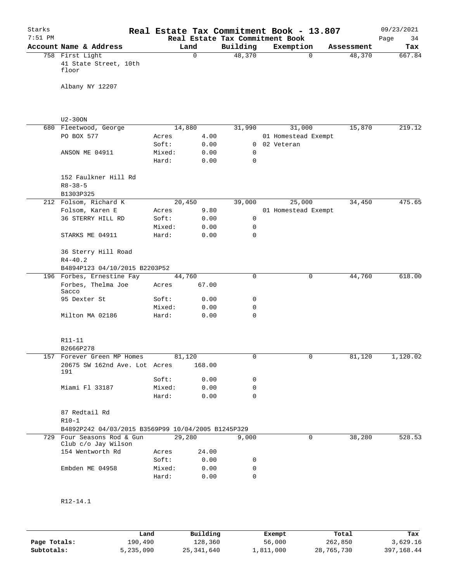| Starks    |                                                    |        |             | Real Estate Tax Commitment Book - 13.807 |                     |             |            | 09/23/2021 |
|-----------|----------------------------------------------------|--------|-------------|------------------------------------------|---------------------|-------------|------------|------------|
| $7:51$ PM |                                                    |        |             | Real Estate Tax Commitment Book          |                     |             |            | Page<br>34 |
|           | Account Name & Address                             |        | Land        | Building                                 | Exemption           |             | Assessment | Tax        |
|           | 758 First Light                                    |        | $\mathbf 0$ | 48,370                                   |                     | $\mathbf 0$ | 48,370     | 667.84     |
|           | 41 State Street, 10th<br>floor                     |        |             |                                          |                     |             |            |            |
|           | Albany NY 12207                                    |        |             |                                          |                     |             |            |            |
|           |                                                    |        |             |                                          |                     |             |            |            |
|           | $U2 - 300N$                                        |        |             |                                          |                     |             |            |            |
|           | 680 Fleetwood, George                              |        | 14,880      | 31,990                                   | 31,000              |             | 15,870     | 219.12     |
|           | PO BOX 577                                         | Acres  | 4.00        |                                          | 01 Homestead Exempt |             |            |            |
|           |                                                    | Soft:  | 0.00        | 0                                        | 02 Veteran          |             |            |            |
|           | ANSON ME 04911                                     | Mixed: | 0.00        | 0                                        |                     |             |            |            |
|           |                                                    | Hard:  | 0.00        | 0                                        |                     |             |            |            |
|           | 152 Faulkner Hill Rd                               |        |             |                                          |                     |             |            |            |
|           | $R8 - 38 - 5$                                      |        |             |                                          |                     |             |            |            |
|           | B1303P325                                          |        |             |                                          |                     |             |            |            |
|           | 212 Folsom, Richard K                              |        | 20,450      | 39,000                                   | 25,000              |             | 34,450     | 475.65     |
|           | Folsom, Karen E                                    | Acres  | 9.80        |                                          | 01 Homestead Exempt |             |            |            |
|           | 36 STERRY HILL RD                                  | Soft:  | 0.00        | 0                                        |                     |             |            |            |
|           |                                                    | Mixed: | 0.00        | 0                                        |                     |             |            |            |
|           | STARKS ME 04911                                    | Hard:  | 0.00        | $\mathbf 0$                              |                     |             |            |            |
|           | 36 Sterry Hill Road<br>$R4 - 40.2$                 |        |             |                                          |                     |             |            |            |
|           | B4894P123 04/10/2015 B2203P52                      |        |             |                                          |                     |             |            |            |
|           | 196 Forbes, Ernestine Fay                          |        | 44,760      | $\mathbf 0$                              |                     | 0           | 44,760     | 618.00     |
|           | Forbes, Thelma Joe<br>Sacco                        | Acres  | 67.00       |                                          |                     |             |            |            |
|           | 95 Dexter St                                       | Soft:  | 0.00        | 0                                        |                     |             |            |            |
|           |                                                    | Mixed: | 0.00        | 0                                        |                     |             |            |            |
|           | Milton MA 02186                                    | Hard:  | 0.00        | $\mathbf 0$                              |                     |             |            |            |
|           | R11-11                                             |        |             |                                          |                     |             |            |            |
|           | B2666P278                                          |        |             |                                          |                     |             |            |            |
| 157       | Forever Green MP Homes                             |        | 81,120      | 0                                        |                     | 0           | 81,120     | 1,120.02   |
|           | 20675 SW 162nd Ave. Lot Acres<br>191               |        | 168.00      |                                          |                     |             |            |            |
|           |                                                    | Soft:  | 0.00        | 0                                        |                     |             |            |            |
|           | Miami Fl 33187                                     | Mixed: | 0.00        | 0                                        |                     |             |            |            |
|           |                                                    | Hard:  | 0.00        | $\Omega$                                 |                     |             |            |            |
|           | 87 Redtail Rd                                      |        |             |                                          |                     |             |            |            |
|           | $R10-1$                                            |        |             |                                          |                     |             |            |            |
|           | B4892P242 04/03/2015 B3569P99 10/04/2005 B1245P329 |        |             |                                          |                     |             |            |            |
| 729       | Four Seasons Rod & Gun<br>Club c/o Jay Wilson      |        | 29,280      | 9,000                                    |                     | $\mathbf 0$ | 38,280     | 528.53     |
|           | 154 Wentworth Rd                                   | Acres  | 24.00       |                                          |                     |             |            |            |
|           |                                                    | Soft:  | 0.00        | 0                                        |                     |             |            |            |
|           | Embden ME 04958                                    | Mixed: | 0.00        | 0                                        |                     |             |            |            |
|           |                                                    | Hard:  | 0.00        | 0                                        |                     |             |            |            |
|           |                                                    |        |             |                                          |                     |             |            |            |
|           |                                                    |        |             |                                          |                     |             |            |            |
|           | $R12 - 14.1$                                       |        |             |                                          |                     |             |            |            |

**Page Totals:** 190,490 128,360 56,000 262,850 3,629.16<br>**Subtotals:** 5,235,090 25,341,640 1,811,000 28,765,730 397,168.44 **Subtotals:** 5,235,090 25,341,640 1,811,000 28,765,730 397,168.44 **Land Building Exempt Total Tax**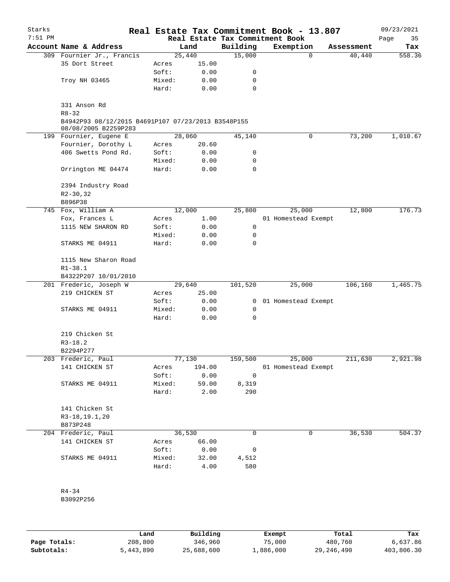| Starks<br>$7:51$ PM |                                                                            |        |        |              | Real Estate Tax Commitment Book - 13.807<br>Real Estate Tax Commitment Book |            | 09/23/2021<br>Page<br>35 |
|---------------------|----------------------------------------------------------------------------|--------|--------|--------------|-----------------------------------------------------------------------------|------------|--------------------------|
|                     | Account Name & Address                                                     |        | Land   | Building     | Exemption                                                                   | Assessment | Tax                      |
|                     | 309 Fournier Jr., Francis                                                  |        | 25,440 | 15,000       | $\Omega$                                                                    | 40,440     | 558.36                   |
|                     | 35 Dort Street                                                             | Acres  | 15.00  |              |                                                                             |            |                          |
|                     |                                                                            | Soft:  | 0.00   | 0            |                                                                             |            |                          |
|                     | Troy NH 03465                                                              | Mixed: | 0.00   | 0            |                                                                             |            |                          |
|                     |                                                                            | Hard:  | 0.00   | 0            |                                                                             |            |                          |
|                     | 331 Anson Rd<br>$R8 - 32$                                                  |        |        |              |                                                                             |            |                          |
|                     | B4942P93 08/12/2015 B4691P107 07/23/2013 B3548P155<br>08/08/2005 B2259P283 |        |        |              |                                                                             |            |                          |
|                     | 199 Fournier, Eugene E                                                     |        | 28,060 | 45,140       | 0                                                                           | 73,200     | 1,010.67                 |
|                     | Fournier, Dorothy L                                                        | Acres  | 20.60  |              |                                                                             |            |                          |
|                     | 406 Swetts Pond Rd.                                                        | Soft:  | 0.00   | 0            |                                                                             |            |                          |
|                     |                                                                            | Mixed: | 0.00   | 0            |                                                                             |            |                          |
|                     | Orrington ME 04474                                                         | Hard:  | 0.00   | 0            |                                                                             |            |                          |
|                     | 2394 Industry Road<br>$R2 - 30, 32$                                        |        |        |              |                                                                             |            |                          |
|                     | B896P38                                                                    |        |        |              |                                                                             |            |                          |
|                     | 745 Fox, William A                                                         |        | 12,000 | 25,800       | 25,000                                                                      | 12,800     | 176.73                   |
|                     | Fox, Frances L                                                             | Acres  | 1.00   |              | 01 Homestead Exempt                                                         |            |                          |
|                     | 1115 NEW SHARON RD                                                         | Soft:  | 0.00   | 0            |                                                                             |            |                          |
|                     |                                                                            | Mixed: | 0.00   | 0            |                                                                             |            |                          |
|                     | STARKS ME 04911                                                            | Hard:  | 0.00   | 0            |                                                                             |            |                          |
|                     | 1115 New Sharon Road                                                       |        |        |              |                                                                             |            |                          |
|                     | $R1 - 38.1$                                                                |        |        |              |                                                                             |            |                          |
|                     | B4322P207 10/01/2010                                                       |        |        |              |                                                                             |            |                          |
|                     | 201 Frederic, Joseph W                                                     |        | 29,640 | 101,520      | 25,000                                                                      | 106,160    | 1,465.75                 |
|                     | 219 CHICKEN ST                                                             | Acres  | 25.00  |              |                                                                             |            |                          |
|                     |                                                                            | Soft:  | 0.00   | $\mathbf{0}$ | 01 Homestead Exempt                                                         |            |                          |
|                     | STARKS ME 04911                                                            | Mixed: | 0.00   | 0            |                                                                             |            |                          |
|                     |                                                                            | Hard:  | 0.00   | 0            |                                                                             |            |                          |
|                     | 219 Chicken St                                                             |        |        |              |                                                                             |            |                          |
|                     | $R3 - 18.2$                                                                |        |        |              |                                                                             |            |                          |
|                     | B2294P277                                                                  |        |        |              |                                                                             |            |                          |
|                     | 203 Frederic, Paul                                                         |        | 77,130 | 159,500      | 25,000                                                                      | 211,630    | 2,921.98                 |
|                     | 141 CHICKEN ST                                                             | Acres  | 194.00 |              | 01 Homestead Exempt                                                         |            |                          |
|                     |                                                                            | Soft:  | 0.00   | 0            |                                                                             |            |                          |
|                     | STARKS ME 04911                                                            | Mixed: | 59.00  | 8,319        |                                                                             |            |                          |
|                     |                                                                            | Hard:  | 2.00   | 290          |                                                                             |            |                          |
|                     | 141 Chicken St                                                             |        |        |              |                                                                             |            |                          |
|                     | R3-18, 19.1, 20                                                            |        |        |              |                                                                             |            |                          |
|                     | B873P248                                                                   |        |        |              |                                                                             |            |                          |
|                     | 204 Frederic, Paul                                                         |        | 36,530 | 0            | 0                                                                           | 36,530     | 504.37                   |
|                     | 141 CHICKEN ST                                                             | Acres  | 66.00  |              |                                                                             |            |                          |
|                     |                                                                            | Soft:  | 0.00   | 0            |                                                                             |            |                          |
|                     | STARKS ME 04911                                                            | Mixed: | 32.00  | 4,512        |                                                                             |            |                          |
|                     |                                                                            | Hard:  | 4.00   | 580          |                                                                             |            |                          |
|                     | $R4 - 34$                                                                  |        |        |              |                                                                             |            |                          |
|                     |                                                                            |        |        |              |                                                                             |            |                          |
|                     | B3092P256                                                                  |        |        |              |                                                                             |            |                          |
|                     |                                                                            |        |        |              |                                                                             |            |                          |

**Page Totals:** 208,800 346,960 75,000 480,760 6,637.86<br>**Subtotals:** 5,443,890 25,688,600 1,886,000 29,246,490 403,806.30 **Subtotals:** 5,443,890 25,688,600 1,886,000 29,246,490 403,806.30 **Land Building Exempt Total Tax**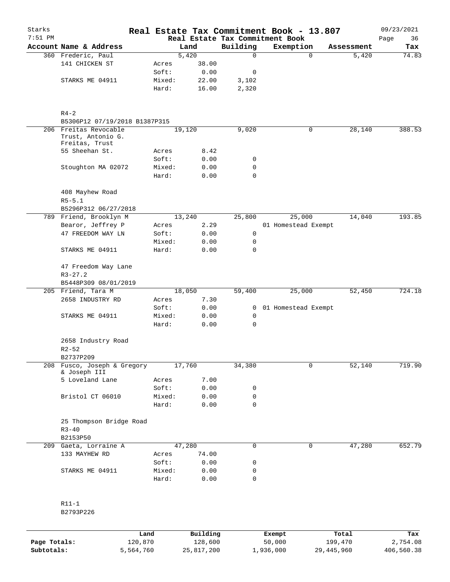| Starks<br>$7:51$ PM |                                            |        |        |                | Real Estate Tax Commitment Book - 13.807<br>Real Estate Tax Commitment Book |            | 09/23/2021<br>Page<br>36 |
|---------------------|--------------------------------------------|--------|--------|----------------|-----------------------------------------------------------------------------|------------|--------------------------|
|                     | Account Name & Address                     |        | Land   | Building       | Exemption                                                                   | Assessment | Tax                      |
|                     | 360 Frederic, Paul                         |        | 5,420  | 0              | 0                                                                           | 5,420      | 74.83                    |
|                     | 141 CHICKEN ST                             | Acres  | 38.00  |                |                                                                             |            |                          |
|                     |                                            | Soft:  | 0.00   | 0              |                                                                             |            |                          |
|                     | STARKS ME 04911                            | Mixed: | 22.00  | 3,102          |                                                                             |            |                          |
|                     |                                            | Hard:  | 16.00  | 2,320          |                                                                             |            |                          |
|                     | $R4 - 2$<br>B5306P12 07/19/2018 B1387P315  |        |        |                |                                                                             |            |                          |
|                     | 206 Freitas Revocable<br>Trust, Antonio G. |        | 19,120 | 9,020          | 0                                                                           | 28,140     | 388.53                   |
|                     | Freitas, Trust                             |        |        |                |                                                                             |            |                          |
|                     | 55 Sheehan St.                             | Acres  | 8.42   |                |                                                                             |            |                          |
|                     |                                            | Soft:  | 0.00   | 0              |                                                                             |            |                          |
|                     | Stoughton MA 02072                         | Mixed: | 0.00   | 0              |                                                                             |            |                          |
|                     |                                            | Hard:  | 0.00   | 0              |                                                                             |            |                          |
|                     | 408 Mayhew Road<br>$R5 - 5.1$              |        |        |                |                                                                             |            |                          |
|                     | B5296P312 06/27/2018                       |        |        |                |                                                                             |            |                          |
|                     | 789 Friend, Brooklyn M                     |        | 13,240 | 25,800         | 25,000                                                                      | 14,040     | 193.85                   |
|                     | Bearor, Jeffrey P                          | Acres  | 2.29   |                | 01 Homestead Exempt                                                         |            |                          |
|                     | 47 FREEDOM WAY LN                          | Soft:  | 0.00   | 0              |                                                                             |            |                          |
|                     |                                            | Mixed: | 0.00   | 0              |                                                                             |            |                          |
|                     | STARKS ME 04911                            | Hard:  | 0.00   | 0              |                                                                             |            |                          |
|                     | 47 Freedom Way Lane                        |        |        |                |                                                                             |            |                          |
|                     | $R3 - 27.2$                                |        |        |                |                                                                             |            |                          |
|                     | B5448P309 08/01/2019                       |        |        |                |                                                                             |            |                          |
|                     | 205 Friend, Tara M                         |        | 18,050 | 59,400         | 25,000                                                                      | 52,450     | 724.18                   |
|                     | 2658 INDUSTRY RD                           | Acres  | 7.30   |                |                                                                             |            |                          |
|                     |                                            | Soft:  | 0.00   | $\overline{0}$ | 01 Homestead Exempt                                                         |            |                          |
|                     | STARKS ME 04911                            | Mixed: | 0.00   | 0              |                                                                             |            |                          |
|                     |                                            | Hard:  | 0.00   | 0              |                                                                             |            |                          |
|                     | 2658 Industry Road<br>$R2 - 52$            |        |        |                |                                                                             |            |                          |
|                     | B2737P209                                  |        |        |                |                                                                             |            |                          |
| 208                 | Fusco, Joseph & Gregory                    |        | 17,760 | 34,380         | 0                                                                           | 52,140     | 719.90                   |
|                     | & Joseph III<br>5 Loveland Lane            | Acres  | 7.00   |                |                                                                             |            |                          |
|                     |                                            | Soft:  | 0.00   | 0              |                                                                             |            |                          |
|                     | Bristol CT 06010                           | Mixed: | 0.00   | 0              |                                                                             |            |                          |
|                     |                                            | Hard:  | 0.00   | 0              |                                                                             |            |                          |
|                     | 25 Thompson Bridge Road<br>$R3 - 40$       |        |        |                |                                                                             |            |                          |
|                     | B2153P50                                   |        |        |                |                                                                             |            |                          |
|                     | 209 Gaeta, Lorraine A                      |        | 47,280 | 0              | 0                                                                           | 47,280     | 652.79                   |
|                     | 133 MAYHEW RD                              | Acres  | 74.00  |                |                                                                             |            |                          |
|                     |                                            | Soft:  | 0.00   | 0              |                                                                             |            |                          |
|                     | STARKS ME 04911                            | Mixed: | 0.00   | 0              |                                                                             |            |                          |
|                     |                                            | Hard:  | 0.00   | 0              |                                                                             |            |                          |
|                     | $R11-1$<br>B2793P226                       |        |        |                |                                                                             |            |                          |
|                     |                                            |        |        |                |                                                                             |            |                          |

|              | Land      | Building   | Exempt    | Total      | Tax        |
|--------------|-----------|------------|-----------|------------|------------|
| Page Totals: | 120,870   | 128,600    | 50,000    | 199,470    | 2,754.08   |
| Subtotals:   | 5,564,760 | 25,817,200 | 1,936,000 | 29,445,960 | 406,560.38 |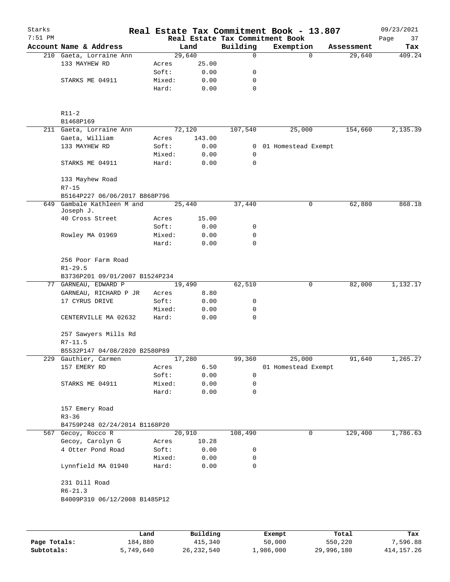| Starks<br>$7:51$ PM |                                                       |                 |              |             | Real Estate Tax Commitment Book - 13.807<br>Real Estate Tax Commitment Book |            | 09/23/2021<br>Page<br>37 |
|---------------------|-------------------------------------------------------|-----------------|--------------|-------------|-----------------------------------------------------------------------------|------------|--------------------------|
|                     | Account Name & Address                                |                 | Land         | Building    | Exemption                                                                   | Assessment | Tax                      |
|                     | 210 Gaeta, Lorraine Ann                               |                 | 29,640       | $\mathbf 0$ | $\Omega$                                                                    | 29,640     | 409.24                   |
|                     | 133 MAYHEW RD                                         | Acres           | 25.00        |             |                                                                             |            |                          |
|                     |                                                       | Soft:           | 0.00         | 0           |                                                                             |            |                          |
|                     | STARKS ME 04911                                       | Mixed:          | 0.00         | 0           |                                                                             |            |                          |
|                     |                                                       | Hard:           | 0.00         | 0           |                                                                             |            |                          |
|                     | $R11-2$<br>B1468P169                                  |                 |              |             |                                                                             |            |                          |
|                     | 211 Gaeta, Lorraine Ann                               |                 | 72,120       | 107,540     | 25,000                                                                      | 154,660    | 2,135.39                 |
|                     | Gaeta, William                                        | Acres           | 143.00       |             |                                                                             |            |                          |
|                     | 133 MAYHEW RD                                         | Soft:           | 0.00         |             | 0 01 Homestead Exempt                                                       |            |                          |
|                     |                                                       | Mixed:          | 0.00         | 0           |                                                                             |            |                          |
|                     | STARKS ME 04911                                       | Hard:           | 0.00         | 0           |                                                                             |            |                          |
|                     | 133 Mayhew Road                                       |                 |              |             |                                                                             |            |                          |
|                     | $R7 - 15$                                             |                 |              |             |                                                                             |            |                          |
|                     | B5164P227 06/06/2017 B868P796                         |                 |              |             |                                                                             |            |                          |
| 649                 | Gambale Kathleen M and<br>Joseph J.                   |                 | 25,440       | 37,440      | 0                                                                           | 62,880     | 868.18                   |
|                     | 40 Cross Street                                       | Acres           | 15.00        |             |                                                                             |            |                          |
|                     |                                                       | Soft:           | 0.00         | 0           |                                                                             |            |                          |
|                     | Rowley MA 01969                                       | Mixed:          | 0.00         | 0           |                                                                             |            |                          |
|                     |                                                       | Hard:           | 0.00         | 0           |                                                                             |            |                          |
|                     | 256 Poor Farm Road                                    |                 |              |             |                                                                             |            |                          |
|                     | $R1 - 29.5$                                           |                 |              |             |                                                                             |            |                          |
|                     | B3736P201 09/01/2007 B1524P234                        |                 |              |             |                                                                             |            |                          |
|                     | 77 GARNEAU, EDWARD P                                  |                 | 19,490       | 62,510      | 0                                                                           | 82,000     | 1,132.17                 |
|                     | GARNEAU, RICHARD P JR                                 | Acres           | 8.80         |             |                                                                             |            |                          |
|                     | 17 CYRUS DRIVE                                        | Soft:           | 0.00         | 0           |                                                                             |            |                          |
|                     | CENTERVILLE MA 02632                                  | Mixed:<br>Hard: | 0.00<br>0.00 | 0<br>0      |                                                                             |            |                          |
|                     |                                                       |                 |              |             |                                                                             |            |                          |
|                     | 257 Sawyers Mills Rd                                  |                 |              |             |                                                                             |            |                          |
|                     | $R7 - 11.5$                                           |                 |              |             |                                                                             |            |                          |
|                     | B5532P147 04/08/2020 B2580P89<br>229 Gauthier, Carmen |                 | 17,280       | 99,360      | 25,000                                                                      | 91,640     | 1,265.27                 |
|                     | 157 EMERY RD                                          | Acres           | 6.50         |             | 01 Homestead Exempt                                                         |            |                          |
|                     |                                                       | Soft:           | 0.00         | 0           |                                                                             |            |                          |
|                     | STARKS ME 04911                                       | Mixed:          | 0.00         | 0           |                                                                             |            |                          |
|                     |                                                       | Hard:           | 0.00         | 0           |                                                                             |            |                          |
|                     | 157 Emery Road                                        |                 |              |             |                                                                             |            |                          |
|                     | $R3 - 36$                                             |                 |              |             |                                                                             |            |                          |
|                     | B4759P248 02/24/2014 B1168P20                         |                 |              |             |                                                                             |            |                          |
|                     | 567 Gecoy, Rocco R                                    |                 | 20,910       | 108,490     | $\mathbf 0$                                                                 | 129,400    | 1,786.63                 |
|                     | Gecoy, Carolyn G                                      | Acres           | 10.28        |             |                                                                             |            |                          |
|                     | 4 Otter Pond Road                                     | Soft:           | 0.00         | 0           |                                                                             |            |                          |
|                     |                                                       | Mixed:          | 0.00         | 0           |                                                                             |            |                          |
|                     | Lynnfield MA 01940                                    | Hard:           | 0.00         | 0           |                                                                             |            |                          |
|                     | 231 Dill Road                                         |                 |              |             |                                                                             |            |                          |
|                     | $R6 - 21.3$                                           |                 |              |             |                                                                             |            |                          |
|                     | B4009P310 06/12/2008 B1485P12                         |                 |              |             |                                                                             |            |                          |
|                     |                                                       |                 |              |             |                                                                             |            |                          |
|                     |                                                       | Land            | Building     |             | Exempt                                                                      | Total      | Tax                      |

**Page Totals:** 184,880 415,340 50,000 550,220 7,596.88 **Subtotals:** 5,749,640 26,232,540 1,986,000 29,996,180 414,157.26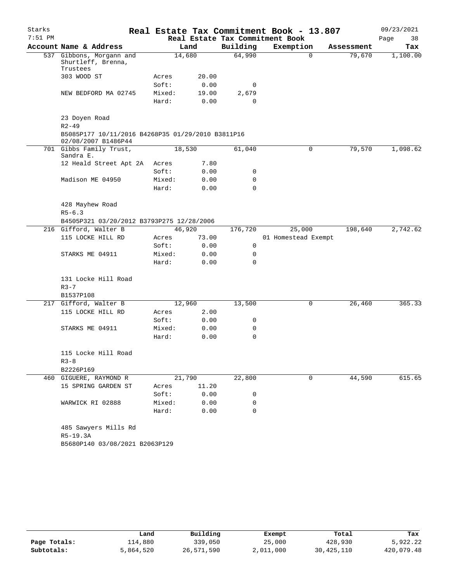| Starks    |                                                                          |                |              |              | Real Estate Tax Commitment Book - 13.807 |            | 09/23/2021 |
|-----------|--------------------------------------------------------------------------|----------------|--------------|--------------|------------------------------------------|------------|------------|
| $7:51$ PM |                                                                          |                |              |              | Real Estate Tax Commitment Book          |            | 38<br>Page |
|           | Account Name & Address                                                   |                | Land         | Building     | Exemption                                | Assessment | Tax        |
|           | 537 Gibbons, Morgann and<br>Shurtleff, Brenna,<br>Trustees               |                | 14,680       | 64,990       | $\Omega$                                 | 79,670     | 1,100.00   |
|           | 303 WOOD ST                                                              | Acres          | 20.00        |              |                                          |            |            |
|           |                                                                          | Soft:          | 0.00         | 0            |                                          |            |            |
|           | NEW BEDFORD MA 02745                                                     | Mixed:         | 19.00        | 2,679        |                                          |            |            |
|           |                                                                          | Hard:          | 0.00         | $\mathbf 0$  |                                          |            |            |
|           | 23 Doyen Road<br>$R2 - 49$                                               |                |              |              |                                          |            |            |
|           | B5085P177 10/11/2016 B4268P35 01/29/2010 B3811P16<br>02/08/2007 B1486P44 |                |              |              |                                          |            |            |
|           | 701 Gibbs Family Trust,<br>Sandra E.                                     |                | 18,530       | 61,040       | 0                                        | 79,570     | 1,098.62   |
|           | 12 Heald Street Apt 2A                                                   | Acres          | 7.80         |              |                                          |            |            |
|           |                                                                          | Soft:          | 0.00         | 0            |                                          |            |            |
|           | Madison ME 04950                                                         | Mixed:         | 0.00         | 0            |                                          |            |            |
|           |                                                                          | Hard:          | 0.00         | $\Omega$     |                                          |            |            |
|           | 428 Mayhew Road                                                          |                |              |              |                                          |            |            |
|           | $R5 - 6.3$                                                               |                |              |              |                                          |            |            |
|           | B4505P321 03/20/2012 B3793P275 12/28/2006                                |                |              |              |                                          |            |            |
|           | 216 Gifford, Walter B                                                    |                | 46,920       | 176,720      | 25,000                                   | 198,640    | 2,742.62   |
|           | 115 LOCKE HILL RD                                                        | Acres          | 73.00        |              | 01 Homestead Exempt                      |            |            |
|           |                                                                          | Soft:          | 0.00         | $\mathsf{O}$ |                                          |            |            |
|           | STARKS ME 04911                                                          | Mixed:         | 0.00         | 0            |                                          |            |            |
|           |                                                                          | Hard:          | 0.00         | 0            |                                          |            |            |
|           | 131 Locke Hill Road                                                      |                |              |              |                                          |            |            |
|           | $R3 - 7$                                                                 |                |              |              |                                          |            |            |
|           | B1537P108                                                                |                |              |              |                                          |            |            |
|           | 217 Gifford, Walter B                                                    |                | 12,960       | 13,500       | 0                                        | 26,460     | 365.33     |
|           | 115 LOCKE HILL RD                                                        | Acres<br>Soft: | 2.00         | 0            |                                          |            |            |
|           | STARKS ME 04911                                                          | Mixed:         | 0.00<br>0.00 | 0            |                                          |            |            |
|           |                                                                          | Hard:          | 0.00         | 0            |                                          |            |            |
|           |                                                                          |                |              |              |                                          |            |            |
|           | 115 Locke Hill Road                                                      |                |              |              |                                          |            |            |
|           | $R3 - 8$                                                                 |                |              |              |                                          |            |            |
|           | B2226P169                                                                |                |              |              |                                          |            |            |
|           | 460 GIGUERE, RAYMOND R                                                   |                | 21,790       | 22,800       | 0                                        | 44,590     | 615.65     |
|           | 15 SPRING GARDEN ST                                                      | Acres          | 11.20        |              |                                          |            |            |
|           |                                                                          | Soft:          | 0.00         | 0            |                                          |            |            |
|           | WARWICK RI 02888                                                         | Mixed:         | 0.00         | 0            |                                          |            |            |
|           |                                                                          | Hard:          | 0.00         | 0            |                                          |            |            |
|           | 485 Sawyers Mills Rd                                                     |                |              |              |                                          |            |            |
|           | R5-19.3A                                                                 |                |              |              |                                          |            |            |
|           | B5680P140 03/08/2021 B2063P129                                           |                |              |              |                                          |            |            |

|              | Land      | Building   | Exempt    | Total      | Tax        |
|--------------|-----------|------------|-----------|------------|------------|
| Page Totals: | 114,880   | 339,050    | 25,000    | 428,930    | 5,922.22   |
| Subtotals:   | 5,864,520 | 26,571,590 | 2,011,000 | 30,425,110 | 420,079.48 |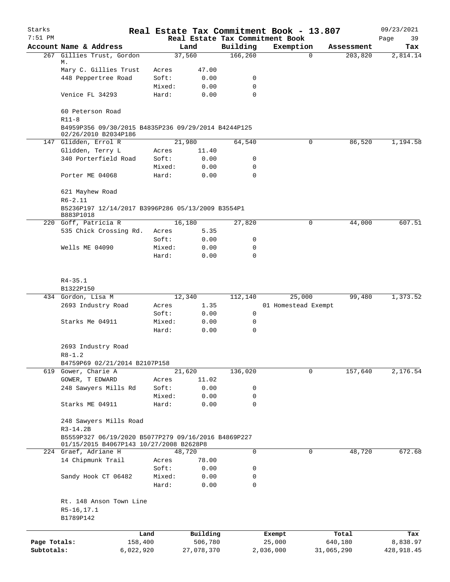| Starks                     |                                                                                                              |                |                       |                      | Real Estate Tax Commitment Book - 13.807 |                       | 09/23/2021             |
|----------------------------|--------------------------------------------------------------------------------------------------------------|----------------|-----------------------|----------------------|------------------------------------------|-----------------------|------------------------|
| $7:51$ PM                  |                                                                                                              |                | Land                  |                      | Real Estate Tax Commitment Book          |                       | Page<br>39             |
|                            | Account Name & Address<br>267 Gillies Trust, Gordon                                                          |                | 37,560                | Building<br>166, 260 | Exemption<br>$\mathbf 0$                 | Assessment<br>203,820 | Tax<br>2,814.14        |
|                            | М.<br>Mary C. Gillies Trust                                                                                  | Acres          | 47.00                 |                      |                                          |                       |                        |
|                            | 448 Peppertree Road                                                                                          | Soft:          | 0.00                  | 0                    |                                          |                       |                        |
|                            |                                                                                                              | Mixed:         | 0.00                  | 0                    |                                          |                       |                        |
|                            | Venice FL 34293                                                                                              | Hard:          | 0.00                  | 0                    |                                          |                       |                        |
|                            | 60 Peterson Road<br>$R11-8$<br>B4959P356 09/30/2015 B4835P236 09/29/2014 B4244P125                           |                |                       |                      |                                          |                       |                        |
|                            | 02/26/2010 B2034P186                                                                                         |                |                       |                      | 0                                        |                       |                        |
|                            | 147 Glidden, Errol R<br>Glidden, Terry L                                                                     |                | 21,980<br>11.40       | 64,540               |                                          | 86,520                | 1,194.58               |
|                            | 340 Porterfield Road                                                                                         | Acres<br>Soft: | 0.00                  | 0                    |                                          |                       |                        |
|                            |                                                                                                              | Mixed:         | 0.00                  | 0                    |                                          |                       |                        |
|                            | Porter ME 04068                                                                                              | Hard:          | 0.00                  | 0                    |                                          |                       |                        |
|                            | 621 Mayhew Road                                                                                              |                |                       |                      |                                          |                       |                        |
|                            | $R6 - 2.11$<br>B5236P197 12/14/2017 B3996P286 05/13/2009 B3554P1                                             |                |                       |                      |                                          |                       |                        |
|                            | B883P1018<br>220 Goff, Patricia R                                                                            |                | 16,180                | 27,820               | 0                                        | 44,000                | 607.51                 |
|                            | 535 Chick Crossing Rd.                                                                                       | Acres          | 5.35                  |                      |                                          |                       |                        |
|                            |                                                                                                              | Soft:          | 0.00                  | 0                    |                                          |                       |                        |
|                            | Wells ME 04090                                                                                               | Mixed:         | 0.00                  | 0                    |                                          |                       |                        |
|                            |                                                                                                              | Hard:          | 0.00                  | 0                    |                                          |                       |                        |
|                            | $R4 - 35.1$                                                                                                  |                |                       |                      |                                          |                       |                        |
|                            | B1322P150                                                                                                    |                |                       |                      |                                          |                       |                        |
|                            | 434 Gordon, Lisa M                                                                                           |                | 12,340                | 112,140              | 25,000                                   | 99,480                | 1,373.52               |
|                            | 2693 Industry Road                                                                                           | Acres          | 1.35                  |                      | 01 Homestead Exempt                      |                       |                        |
|                            |                                                                                                              | Soft:          | 0.00                  | 0                    |                                          |                       |                        |
|                            | Starks Me 04911                                                                                              | Mixed:         | 0.00                  | 0                    |                                          |                       |                        |
|                            |                                                                                                              | Hard:          | 0.00                  | $\mathbf 0$          |                                          |                       |                        |
|                            | 2693 Industry Road                                                                                           |                |                       |                      |                                          |                       |                        |
|                            | $R8 - 1.2$                                                                                                   |                |                       |                      |                                          |                       |                        |
|                            | B4759P69 02/21/2014 B2107P158<br>619 Gower, Charie A                                                         |                |                       |                      | 0                                        | 157,640               | 2,176.54               |
|                            | GOWER, T EDWARD                                                                                              |                | 21,620<br>11.02       | 136,020              |                                          |                       |                        |
|                            | 248 Sawyers Mills Rd                                                                                         | Acres<br>Soft: | 0.00                  | 0                    |                                          |                       |                        |
|                            |                                                                                                              | Mixed:         | 0.00                  | 0                    |                                          |                       |                        |
|                            | Starks ME 04911                                                                                              | Hard:          | 0.00                  | 0                    |                                          |                       |                        |
|                            | 248 Sawyers Mills Road                                                                                       |                |                       |                      |                                          |                       |                        |
|                            | $R3-14.2B$<br>B5559P327 06/19/2020 B5077P279 09/16/2016 B4869P227<br>01/15/2015 B4067P143 10/27/2008 B2628P8 |                |                       |                      |                                          |                       |                        |
|                            | 224 Graef, Adriane H                                                                                         |                | 48,720                | 0                    | 0                                        | 48,720                | 672.68                 |
|                            | 14 Chipmunk Trail                                                                                            | Acres          | 78.00                 |                      |                                          |                       |                        |
|                            |                                                                                                              | Soft:          | 0.00                  | 0                    |                                          |                       |                        |
|                            | Sandy Hook CT 06482                                                                                          | Mixed:         | 0.00                  | 0                    |                                          |                       |                        |
|                            |                                                                                                              | Hard:          | 0.00                  | 0                    |                                          |                       |                        |
|                            | Rt. 148 Anson Town Line                                                                                      |                |                       |                      |                                          |                       |                        |
|                            | R5-16,17.1<br>B1789P142                                                                                      |                |                       |                      |                                          |                       |                        |
|                            |                                                                                                              |                |                       |                      |                                          |                       |                        |
|                            |                                                                                                              | Land           | Building              |                      | Exempt                                   | Total                 | Tax                    |
| Page Totals:<br>Subtotals: | 158,400<br>6,022,920                                                                                         |                | 506,780<br>27,078,370 |                      | 25,000<br>2,036,000                      | 640,180<br>31,065,290 | 8,838.97<br>428,918.45 |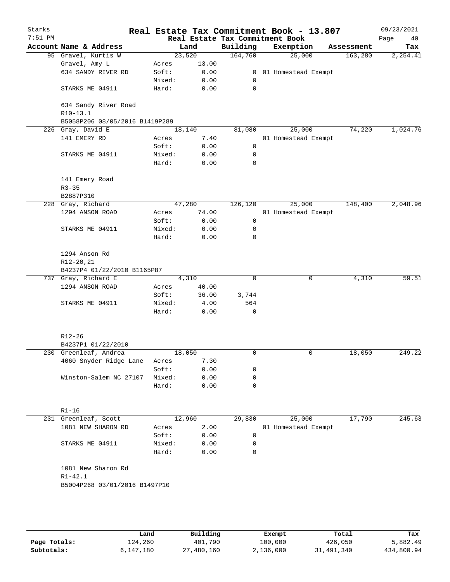| Starks<br>$7:51$ PM |                                              |        |        |                | Real Estate Tax Commitment Book - 13.807<br>Real Estate Tax Commitment Book |            | 09/23/2021<br>Page<br>40 |
|---------------------|----------------------------------------------|--------|--------|----------------|-----------------------------------------------------------------------------|------------|--------------------------|
|                     | Account Name & Address                       |        | Land   | Building       | Exemption                                                                   | Assessment | Tax                      |
|                     | 95 Gravel, Kurtis W                          |        | 23,520 | 164,760        | 25,000                                                                      | 163,280    | 2, 254.41                |
|                     | Gravel, Amy L                                | Acres  | 13.00  |                |                                                                             |            |                          |
|                     | 634 SANDY RIVER RD                           | Soft:  | 0.00   | $\overline{0}$ | 01 Homestead Exempt                                                         |            |                          |
|                     |                                              | Mixed: | 0.00   | 0              |                                                                             |            |                          |
|                     | STARKS ME 04911                              | Hard:  | 0.00   | 0              |                                                                             |            |                          |
|                     | 634 Sandy River Road<br>R10-13.1             |        |        |                |                                                                             |            |                          |
|                     | B5058P206 08/05/2016 B1419P289               |        |        |                |                                                                             |            |                          |
| 226                 | Gray, David E                                |        | 18,140 | 81,080         | 25,000                                                                      | 74,220     | 1,024.76                 |
|                     | 141 EMERY RD                                 | Acres  | 7.40   |                | 01 Homestead Exempt                                                         |            |                          |
|                     |                                              | Soft:  | 0.00   | 0              |                                                                             |            |                          |
|                     | STARKS ME 04911                              | Mixed: | 0.00   | 0              |                                                                             |            |                          |
|                     |                                              | Hard:  | 0.00   | 0              |                                                                             |            |                          |
|                     | 141 Emery Road<br>$R3 - 35$                  |        |        |                |                                                                             |            |                          |
|                     | B2887P310                                    |        |        |                |                                                                             |            |                          |
|                     | 228 Gray, Richard                            |        | 47,280 | 126,120        | 25,000                                                                      | 148,400    | 2,048.96                 |
|                     | 1294 ANSON ROAD                              | Acres  | 74.00  |                | 01 Homestead Exempt                                                         |            |                          |
|                     |                                              | Soft:  | 0.00   | 0              |                                                                             |            |                          |
|                     | STARKS ME 04911                              | Mixed: | 0.00   | 0              |                                                                             |            |                          |
|                     |                                              | Hard:  | 0.00   | $\mathbf 0$    |                                                                             |            |                          |
|                     | 1294 Anson Rd                                |        |        |                |                                                                             |            |                          |
|                     | R12-20,21                                    |        |        |                |                                                                             |            |                          |
|                     | B4237P4 01/22/2010 B1165P87                  |        |        |                |                                                                             |            |                          |
|                     | 737 Gray, Richard E                          |        | 4,310  | 0              | 0                                                                           | 4,310      | 59.51                    |
|                     | 1294 ANSON ROAD                              | Acres  | 40.00  |                |                                                                             |            |                          |
|                     |                                              | Soft:  | 36.00  | 3,744          |                                                                             |            |                          |
|                     | STARKS ME 04911                              | Mixed: | 4.00   | 564            |                                                                             |            |                          |
|                     |                                              | Hard:  | 0.00   | $\mathbf 0$    |                                                                             |            |                          |
|                     | R12-26                                       |        |        |                |                                                                             |            |                          |
|                     | B4237P1 01/22/2010                           |        |        |                |                                                                             |            |                          |
|                     | 230 Greenleaf, Andrea                        |        | 18,050 | 0              | $\mathsf{O}$                                                                | 18,050     | 249.22                   |
|                     | 4060 Snyder Ridge Lane                       | Acres  | 7.30   |                |                                                                             |            |                          |
|                     |                                              | Soft:  | 0.00   | 0              |                                                                             |            |                          |
|                     | Winston-Salem NC 27107                       | Mixed: | 0.00   | 0              |                                                                             |            |                          |
|                     |                                              | Hard:  | 0.00   | 0              |                                                                             |            |                          |
|                     | $R1 - 16$                                    |        |        |                |                                                                             |            |                          |
|                     | 231 Greenleaf, Scott                         |        | 12,960 | 29,830         | 25,000                                                                      | 17,790     | 245.63                   |
|                     | 1081 NEW SHARON RD                           | Acres  | 2.00   |                | 01 Homestead Exempt                                                         |            |                          |
|                     |                                              | Soft:  | 0.00   | 0              |                                                                             |            |                          |
|                     |                                              |        |        | 0              |                                                                             |            |                          |
|                     | STARKS ME 04911                              | Mixed: | 0.00   |                |                                                                             |            |                          |
|                     |                                              | Hard:  | 0.00   | 0              |                                                                             |            |                          |
|                     | 1081 New Sharon Rd                           |        |        |                |                                                                             |            |                          |
|                     | $R1 - 42.1$<br>B5004P268 03/01/2016 B1497P10 |        |        |                |                                                                             |            |                          |
|                     |                                              |        |        |                |                                                                             |            |                          |
|                     |                                              |        |        |                |                                                                             |            |                          |
|                     |                                              |        |        |                |                                                                             |            |                          |
|                     |                                              |        |        |                |                                                                             |            |                          |

|              | Land      | Building   | Exempt    | Total      | Tax        |
|--------------|-----------|------------|-----------|------------|------------|
| Page Totals: | 124,260   | 401,790    | 100,000   | 426,050    | 5,882.49   |
| Subtotals:   | 6,147,180 | 27,480,160 | 2,136,000 | 31,491,340 | 434,800.94 |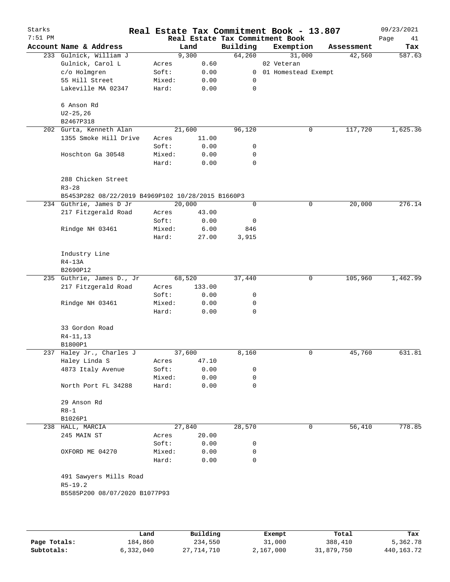| Starks    |                                                   |        |        |             | Real Estate Tax Commitment Book - 13.807 |   |            | 09/23/2021 |
|-----------|---------------------------------------------------|--------|--------|-------------|------------------------------------------|---|------------|------------|
| $7:51$ PM |                                                   |        |        |             | Real Estate Tax Commitment Book          |   |            | Page<br>41 |
|           | Account Name & Address                            |        | Land   | Building    | Exemption                                |   | Assessment | Tax        |
|           | 233 Gulnick, William J                            |        | 9,300  | 64,260      | 31,000                                   |   | 42,560     | 587.63     |
|           | Gulnick, Carol L                                  | Acres  | 0.60   |             | 02 Veteran                               |   |            |            |
|           | c/o Holmgren                                      | Soft:  | 0.00   |             | 0 01 Homestead Exempt                    |   |            |            |
|           | 55 Hill Street                                    | Mixed: | 0.00   | 0           |                                          |   |            |            |
|           | Lakeville MA 02347                                | Hard:  | 0.00   | 0           |                                          |   |            |            |
|           | 6 Anson Rd                                        |        |        |             |                                          |   |            |            |
|           | $U2 - 25, 26$                                     |        |        |             |                                          |   |            |            |
|           | B2467P318                                         |        |        |             |                                          |   |            |            |
|           | 202 Gurta, Kenneth Alan                           |        | 21,600 | 96,120      |                                          | 0 | 117,720    | 1,625.36   |
|           | 1355 Smoke Hill Drive                             | Acres  | 11.00  |             |                                          |   |            |            |
|           |                                                   | Soft:  | 0.00   | 0           |                                          |   |            |            |
|           | Hoschton Ga 30548                                 | Mixed: | 0.00   | 0           |                                          |   |            |            |
|           |                                                   | Hard:  | 0.00   | 0           |                                          |   |            |            |
|           | 288 Chicken Street                                |        |        |             |                                          |   |            |            |
|           | $R3 - 28$                                         |        |        |             |                                          |   |            |            |
|           | B5453P282 08/22/2019 B4969P102 10/28/2015 B1660P3 |        |        |             |                                          |   |            |            |
|           | 234 Guthrie, James D Jr                           |        | 20,000 | 0           |                                          | 0 | 20,000     | 276.14     |
|           | 217 Fitzgerald Road                               | Acres  | 43.00  |             |                                          |   |            |            |
|           |                                                   | Soft:  | 0.00   | 0           |                                          |   |            |            |
|           | Rindge NH 03461                                   | Mixed: | 6.00   | 846         |                                          |   |            |            |
|           |                                                   | Hard:  | 27.00  | 3,915       |                                          |   |            |            |
|           | Industry Line                                     |        |        |             |                                          |   |            |            |
|           | R4-13A                                            |        |        |             |                                          |   |            |            |
|           | B2690P12                                          |        |        |             |                                          |   |            |            |
|           | 235 Guthrie, James D., Jr                         |        | 68,520 | 37,440      |                                          | 0 | 105,960    | 1,462.99   |
|           | 217 Fitzgerald Road                               | Acres  | 133.00 |             |                                          |   |            |            |
|           |                                                   | Soft:  | 0.00   | 0           |                                          |   |            |            |
|           | Rindge NH 03461                                   | Mixed: | 0.00   | 0           |                                          |   |            |            |
|           |                                                   | Hard:  | 0.00   | 0           |                                          |   |            |            |
|           |                                                   |        |        |             |                                          |   |            |            |
|           | 33 Gordon Road                                    |        |        |             |                                          |   |            |            |
|           | $R4-11,13$                                        |        |        |             |                                          |   |            |            |
|           | B1800P1                                           |        |        |             |                                          |   |            |            |
|           | 237 Haley Jr., Charles J                          |        | 37,600 | 8,160       |                                          | 0 | 45,760     | 631.81     |
|           | Haley Linda S                                     | Acres  | 47.10  |             |                                          |   |            |            |
|           | 4873 Italy Avenue                                 | Soft:  | 0.00   | 0           |                                          |   |            |            |
|           |                                                   | Mixed: | 0.00   | 0           |                                          |   |            |            |
|           | North Port FL 34288                               | Hard:  | 0.00   | 0           |                                          |   |            |            |
|           | 29 Anson Rd                                       |        |        |             |                                          |   |            |            |
|           | $R8 - 1$                                          |        |        |             |                                          |   |            |            |
|           | B1026P1                                           |        |        |             |                                          |   |            |            |
|           | 238 HALL, MARCIA                                  |        | 27,840 | 28,570      |                                          | 0 | 56,410     | 778.85     |
|           | 245 MAIN ST                                       | Acres  | 20.00  |             |                                          |   |            |            |
|           |                                                   | Soft:  | 0.00   | 0           |                                          |   |            |            |
|           | OXFORD ME 04270                                   | Mixed: | 0.00   | 0           |                                          |   |            |            |
|           |                                                   | Hard:  | 0.00   | $\mathbf 0$ |                                          |   |            |            |
|           | 491 Sawyers Mills Road                            |        |        |             |                                          |   |            |            |
|           | $R5 - 19.2$                                       |        |        |             |                                          |   |            |            |
|           | B5585P200 08/07/2020 B1077P93                     |        |        |             |                                          |   |            |            |
|           |                                                   |        |        |             |                                          |   |            |            |
|           |                                                   |        |        |             |                                          |   |            |            |
|           |                                                   |        |        |             |                                          |   |            |            |
|           |                                                   |        |        |             |                                          |   |            |            |

|              | Land      | Building   | Exempt    | Total      | Tax        |
|--------------|-----------|------------|-----------|------------|------------|
| Page Totals: | 184,860   | 234,550    | 31,000    | 388,410    | 5,362.78   |
| Subtotals:   | 6,332,040 | 27,714,710 | 2,167,000 | 31,879,750 | 440,163.72 |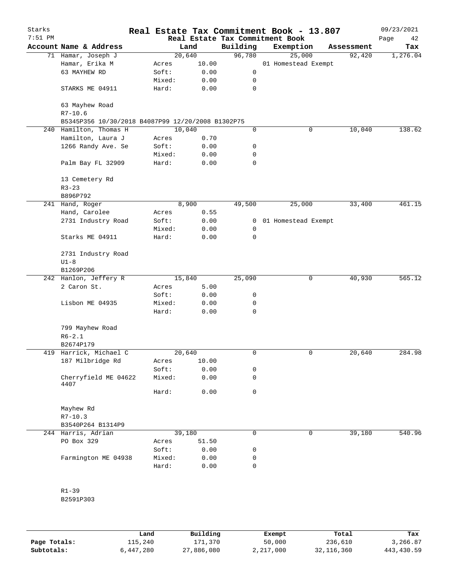| Starks<br>$7:51$ PM |                                                   |        |        | Real Estate Tax Commitment Book - 13.807<br>Real Estate Tax Commitment Book |                     |            | 09/23/2021<br>Page<br>42 |
|---------------------|---------------------------------------------------|--------|--------|-----------------------------------------------------------------------------|---------------------|------------|--------------------------|
|                     | Account Name & Address                            |        | Land   | Building                                                                    | Exemption           | Assessment | Tax                      |
|                     | 71 Hamar, Joseph J                                |        | 20,640 | 96,780                                                                      | 25,000              | 92,420     | 1,276.04                 |
|                     | Hamar, Erika M                                    | Acres  | 10.00  |                                                                             | 01 Homestead Exempt |            |                          |
|                     | 63 MAYHEW RD                                      | Soft:  | 0.00   | 0                                                                           |                     |            |                          |
|                     |                                                   | Mixed: | 0.00   | 0                                                                           |                     |            |                          |
|                     | STARKS ME 04911                                   | Hard:  | 0.00   | 0                                                                           |                     |            |                          |
|                     | 63 Mayhew Road                                    |        |        |                                                                             |                     |            |                          |
|                     | $R7 - 10.6$                                       |        |        |                                                                             |                     |            |                          |
|                     | B5345P356 10/30/2018 B4087P99 12/20/2008 B1302P75 |        |        |                                                                             |                     |            |                          |
|                     | 240 Hamilton, Thomas H                            | 10,040 |        | 0                                                                           | 0                   | 10,040     | 138.62                   |
|                     | Hamilton, Laura J                                 | Acres  | 0.70   |                                                                             |                     |            |                          |
|                     | 1266 Randy Ave. Se                                | Soft:  | 0.00   | 0                                                                           |                     |            |                          |
|                     |                                                   | Mixed: | 0.00   | 0                                                                           |                     |            |                          |
|                     | Palm Bay FL 32909                                 | Hard:  | 0.00   | 0                                                                           |                     |            |                          |
|                     | 13 Cemetery Rd                                    |        |        |                                                                             |                     |            |                          |
|                     | $R3 - 23$                                         |        |        |                                                                             |                     |            |                          |
|                     | B896P792                                          |        |        |                                                                             |                     |            |                          |
|                     | 241 Hand, Roger                                   |        | 8,900  | 49,500                                                                      | 25,000              | 33,400     | 461.15                   |
|                     | Hand, Carolee                                     | Acres  | 0.55   |                                                                             |                     |            |                          |
|                     | 2731 Industry Road                                | Soft:  | 0.00   | $\mathbf{0}$                                                                | 01 Homestead Exempt |            |                          |
|                     |                                                   | Mixed: | 0.00   | 0                                                                           |                     |            |                          |
|                     | Starks ME 04911                                   | Hard:  | 0.00   | 0                                                                           |                     |            |                          |
|                     | 2731 Industry Road                                |        |        |                                                                             |                     |            |                          |
|                     | $U1-8$                                            |        |        |                                                                             |                     |            |                          |
|                     | B1269P206                                         |        |        |                                                                             |                     |            |                          |
|                     | 242 Hanlon, Jeffery R                             |        | 15,840 | 25,090                                                                      | 0                   | 40,930     | 565.12                   |
|                     | 2 Caron St.                                       | Acres  | 5.00   |                                                                             |                     |            |                          |
|                     |                                                   | Soft:  | 0.00   | 0                                                                           |                     |            |                          |
|                     | Lisbon ME 04935                                   | Mixed: | 0.00   | 0                                                                           |                     |            |                          |
|                     |                                                   | Hard:  | 0.00   | 0                                                                           |                     |            |                          |
|                     | 799 Mayhew Road                                   |        |        |                                                                             |                     |            |                          |
|                     | $R6 - 2.1$                                        |        |        |                                                                             |                     |            |                          |
|                     | B2674P179                                         |        |        |                                                                             |                     |            |                          |
|                     | 419 Harrick, Michael C                            | 20,640 |        | 0                                                                           | 0                   | 20,640     | 284.98                   |
|                     | 187 Milbridge Rd                                  | Acres  | 10.00  |                                                                             |                     |            |                          |
|                     |                                                   | Soft:  | 0.00   | 0                                                                           |                     |            |                          |
|                     | Cherryfield ME 04622<br>4407                      | Mixed: | 0.00   | 0                                                                           |                     |            |                          |
|                     |                                                   | Hard:  | 0.00   | 0                                                                           |                     |            |                          |
|                     | Mayhew Rd                                         |        |        |                                                                             |                     |            |                          |
|                     | $R7 - 10.3$                                       |        |        |                                                                             |                     |            |                          |
|                     | B3540P264 B1314P9                                 |        |        |                                                                             |                     |            |                          |
|                     | 244 Harris, Adrian                                |        | 39,180 | 0                                                                           | $\mathsf{O}$        | 39,180     | 540.96                   |
|                     | PO Box 329                                        | Acres  | 51.50  |                                                                             |                     |            |                          |
|                     |                                                   | Soft:  | 0.00   | 0                                                                           |                     |            |                          |
|                     | Farmington ME 04938                               | Mixed: | 0.00   | 0                                                                           |                     |            |                          |
|                     |                                                   | Hard:  | 0.00   | 0                                                                           |                     |            |                          |
|                     |                                                   |        |        |                                                                             |                     |            |                          |
|                     | $R1 - 39$                                         |        |        |                                                                             |                     |            |                          |
|                     |                                                   |        |        |                                                                             |                     |            |                          |

B2591P303

|              | Land      | Building   | Exempt    | Total        | Tax        |
|--------------|-----------|------------|-----------|--------------|------------|
| Page Totals: | ⊥15,240   | 171,370    | 50,000    | 236,610      | 3,266.87   |
| Subtotals:   | 6,447,280 | 27,886,080 | 2,217,000 | 32, 116, 360 | 443,430.59 |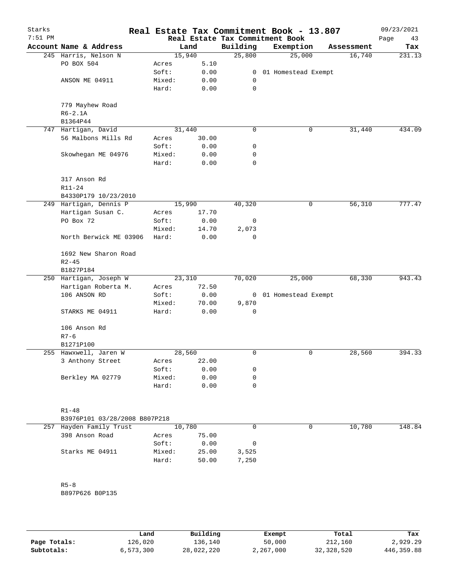| Starks<br>$7:51$ PM |                               |        |        |          | Real Estate Tax Commitment Book - 13.807<br>Real Estate Tax Commitment Book |            | 09/23/2021<br>Page<br>43 |
|---------------------|-------------------------------|--------|--------|----------|-----------------------------------------------------------------------------|------------|--------------------------|
|                     | Account Name & Address        |        | Land   | Building | Exemption                                                                   | Assessment | Tax                      |
|                     | 245 Harris, Nelson N          |        | 15,940 | 25,800   | 25,000                                                                      | 16,740     | 231.13                   |
|                     | PO BOX 504                    | Acres  | 5.10   |          |                                                                             |            |                          |
|                     |                               | Soft:  | 0.00   | 0        | 01 Homestead Exempt                                                         |            |                          |
|                     | ANSON ME 04911                | Mixed: | 0.00   | 0        |                                                                             |            |                          |
|                     |                               | Hard:  | 0.00   | 0        |                                                                             |            |                          |
|                     | 779 Mayhew Road<br>$R6-2.1A$  |        |        |          |                                                                             |            |                          |
|                     | B1364P44                      |        |        |          |                                                                             |            |                          |
| 747                 | Hartigan, David               |        | 31,440 | 0        | 0                                                                           | 31,440     | 434.09                   |
|                     | 56 Malbons Mills Rd           | Acres  | 30.00  |          |                                                                             |            |                          |
|                     |                               | Soft:  | 0.00   | 0        |                                                                             |            |                          |
|                     | Skowhegan ME 04976            | Mixed: | 0.00   | 0        |                                                                             |            |                          |
|                     |                               | Hard:  | 0.00   | 0        |                                                                             |            |                          |
|                     | 317 Anson Rd                  |        |        |          |                                                                             |            |                          |
|                     | R11-24                        |        |        |          |                                                                             |            |                          |
|                     | B4330P179 10/23/2010          |        |        |          |                                                                             |            |                          |
|                     | 249 Hartigan, Dennis P        |        | 15,990 | 40,320   | 0                                                                           | 56,310     | 777.47                   |
|                     | Hartigan Susan C.             | Acres  | 17.70  |          |                                                                             |            |                          |
|                     | PO Box 72                     | Soft:  | 0.00   | 0        |                                                                             |            |                          |
|                     |                               | Mixed: | 14.70  | 2,073    |                                                                             |            |                          |
|                     | North Berwick ME 03906        | Hard:  | 0.00   | 0        |                                                                             |            |                          |
|                     | 1692 New Sharon Road          |        |        |          |                                                                             |            |                          |
|                     | $R2 - 45$                     |        |        |          |                                                                             |            |                          |
|                     | B1827P184                     |        |        |          |                                                                             |            |                          |
|                     | 250 Hartigan, Joseph W        |        | 23,310 | 70,020   | 25,000                                                                      | 68,330     | 943.43                   |
|                     | Hartigan Roberta M.           | Acres  | 72.50  |          |                                                                             |            |                          |
|                     | 106 ANSON RD                  | Soft:  | 0.00   |          | 0 01 Homestead Exempt                                                       |            |                          |
|                     |                               | Mixed: | 70.00  | 9,870    |                                                                             |            |                          |
|                     | STARKS ME 04911               | Hard:  | 0.00   | 0        |                                                                             |            |                          |
|                     | 106 Anson Rd                  |        |        |          |                                                                             |            |                          |
|                     | $R7 - 6$                      |        |        |          |                                                                             |            |                          |
|                     | B1271P100                     |        |        |          |                                                                             |            |                          |
|                     | 255 Hawxwell, Jaren W         |        | 28,560 | 0        | 0                                                                           | 28,560     | 394.33                   |
|                     | 3 Anthony Street              | Acres  | 22.00  |          |                                                                             |            |                          |
|                     |                               | Soft:  | 0.00   | 0        |                                                                             |            |                          |
|                     | Berkley MA 02779              | Mixed: | 0.00   | 0        |                                                                             |            |                          |
|                     |                               | Hard:  | 0.00   | 0        |                                                                             |            |                          |
|                     | $R1 - 48$                     |        |        |          |                                                                             |            |                          |
|                     | B3976P101 03/28/2008 B807P218 |        |        |          |                                                                             |            |                          |
|                     | 257 Hayden Family Trust       |        | 10,780 | 0        | 0                                                                           | 10,780     | 148.84                   |
|                     | 398 Anson Road                | Acres  | 75.00  |          |                                                                             |            |                          |
|                     |                               | Soft:  | 0.00   | 0        |                                                                             |            |                          |
|                     | Starks ME 04911               | Mixed: | 25.00  | 3,525    |                                                                             |            |                          |
|                     |                               | Hard:  | 50.00  | 7,250    |                                                                             |            |                          |
|                     |                               |        |        |          |                                                                             |            |                          |
|                     | $R5 - 8$                      |        |        |          |                                                                             |            |                          |
|                     | B897P626 B0P135               |        |        |          |                                                                             |            |                          |
|                     |                               |        |        |          |                                                                             |            |                          |
|                     |                               |        |        |          |                                                                             |            |                          |
|                     |                               |        |        |          |                                                                             |            |                          |

|              | Land      | Building   | Exempt    | Total      | Tax          |
|--------------|-----------|------------|-----------|------------|--------------|
| Page Totals: | 126,020   | 136,140    | 50,000    | 212,160    | 2,929.29     |
| Subtotals:   | 6,573,300 | 28,022,220 | 2,267,000 | 32,328,520 | 446, 359, 88 |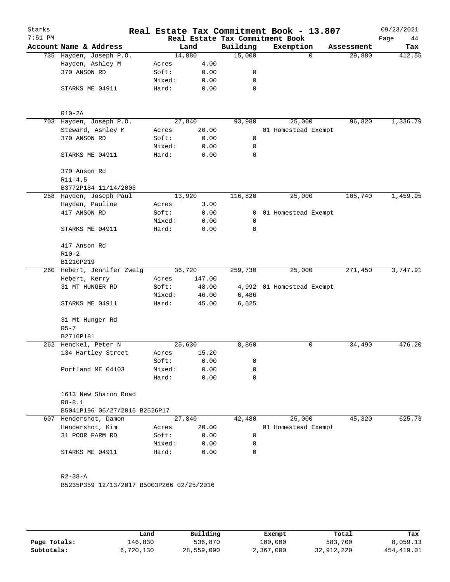| Starks<br>$7:51$ PM |                             |                                           |        |        |              | Real Estate Tax Commitment Book - 13.807<br>Real Estate Tax Commitment Book |                    | 09/23/2021<br>Page<br>44 |
|---------------------|-----------------------------|-------------------------------------------|--------|--------|--------------|-----------------------------------------------------------------------------|--------------------|--------------------------|
|                     |                             | Account Name & Address                    |        | Land   | Building     | Exemption                                                                   | Assessment         | Tax                      |
|                     |                             | 735 Hayden, Joseph P.O.                   |        | 14,880 | 15,000       |                                                                             | $\Omega$<br>29,880 | 412.55                   |
|                     |                             | Hayden, Ashley M                          | Acres  | 4.00   |              |                                                                             |                    |                          |
|                     | 370 ANSON RD                |                                           | Soft:  | 0.00   | 0            |                                                                             |                    |                          |
|                     |                             |                                           | Mixed: | 0.00   | 0            |                                                                             |                    |                          |
|                     |                             | STARKS ME 04911                           | Hard:  | 0.00   | $\mathbf 0$  |                                                                             |                    |                          |
|                     | $R10-2A$                    |                                           |        |        |              |                                                                             |                    |                          |
|                     |                             | 703 Hayden, Joseph P.O.                   |        | 27,840 | 93,980       | 25,000                                                                      | 96,820             | 1,336.79                 |
|                     |                             | Steward, Ashley M                         | Acres  | 20.00  |              | 01 Homestead Exempt                                                         |                    |                          |
|                     | 370 ANSON RD                |                                           | Soft:  | 0.00   | 0            |                                                                             |                    |                          |
|                     |                             |                                           | Mixed: | 0.00   | 0            |                                                                             |                    |                          |
|                     |                             | STARKS ME 04911                           | Hard:  | 0.00   | $\mathbf 0$  |                                                                             |                    |                          |
|                     | 370 Anson Rd<br>$R11 - 4.5$ |                                           |        |        |              |                                                                             |                    |                          |
|                     |                             |                                           |        |        |              |                                                                             |                    |                          |
|                     |                             | B3772P184 11/14/2006                      |        |        |              |                                                                             |                    |                          |
|                     |                             | 258 Hayden, Joseph Paul                   |        | 13,920 | 116,820      | 25,000                                                                      | 105,740            | 1,459.95                 |
|                     | Hayden, Pauline             |                                           | Acres  | 3.00   |              |                                                                             |                    |                          |
|                     | 417 ANSON RD                |                                           | Soft:  | 0.00   | $\mathbf{0}$ | 01 Homestead Exempt                                                         |                    |                          |
|                     |                             |                                           | Mixed: | 0.00   | 0            |                                                                             |                    |                          |
|                     |                             | STARKS ME 04911                           | Hard:  | 0.00   | 0            |                                                                             |                    |                          |
|                     | 417 Anson Rd                |                                           |        |        |              |                                                                             |                    |                          |
|                     | $R10-2$                     |                                           |        |        |              |                                                                             |                    |                          |
|                     | B1210P219                   |                                           |        |        |              |                                                                             |                    |                          |
|                     |                             | 260 Hebert, Jennifer Zweig                |        | 36,720 | 259,730      | 25,000                                                                      | 271,450            | 3,747.91                 |
|                     | Hebert, Kerry               |                                           | Acres  | 147.00 |              |                                                                             |                    |                          |
|                     |                             | 31 MT HUNGER RD                           | Soft:  | 48.00  |              | 4,992 01 Homestead Exempt                                                   |                    |                          |
|                     |                             |                                           | Mixed: | 46.00  | 6,486        |                                                                             |                    |                          |
|                     |                             | STARKS ME 04911                           | Hard:  | 45.00  | 6,525        |                                                                             |                    |                          |
|                     | $R5-7$                      | 31 Mt Hunger Rd                           |        |        |              |                                                                             |                    |                          |
|                     | B2716P181                   |                                           |        |        |              |                                                                             |                    |                          |
|                     |                             | 262 Henckel, Peter N                      |        | 25,630 | 8,860        |                                                                             | 0<br>34,490        | 476.20                   |
|                     |                             | 134 Hartley Street                        | Acres  | 15.20  |              |                                                                             |                    |                          |
|                     |                             |                                           | Soft:  | 0.00   | 0            |                                                                             |                    |                          |
|                     |                             | Portland ME 04103                         | Mixed: | 0.00   | 0            |                                                                             |                    |                          |
|                     |                             |                                           | Hard:  | 0.00   | $\mathbf 0$  |                                                                             |                    |                          |
|                     | $R8 - 8.1$                  | 1613 New Sharon Road                      |        |        |              |                                                                             |                    |                          |
|                     |                             | B5041P196 06/27/2016 B2526P17             |        |        |              |                                                                             |                    |                          |
|                     |                             | 607 Hendershot, Damon                     |        | 27,840 | 42,480       | 25,000                                                                      | 45,320             | 625.73                   |
|                     |                             | Hendershot, Kim                           | Acres  | 20.00  |              | 01 Homestead Exempt                                                         |                    |                          |
|                     |                             | 31 POOR FARM RD                           | Soft:  | 0.00   | 0            |                                                                             |                    |                          |
|                     |                             |                                           | Mixed: | 0.00   | 0            |                                                                             |                    |                          |
|                     |                             | STARKS ME 04911                           | Hard:  | 0.00   | $\Omega$     |                                                                             |                    |                          |
|                     | $R2 - 38 - A$               |                                           |        |        |              |                                                                             |                    |                          |
|                     |                             | B5235P359 12/13/2017 B5003P266 02/25/2016 |        |        |              |                                                                             |                    |                          |
|                     |                             |                                           |        |        |              |                                                                             |                    |                          |

|              | Land      | Building   | Exempt    | Total      | Tax        |
|--------------|-----------|------------|-----------|------------|------------|
| Page Totals: | 146,830   | 536,870    | 100,000   | 583,700    | 8,059.13   |
| Subtotals:   | 6,720,130 | 28,559,090 | 2,367,000 | 32,912,220 | 454,419.01 |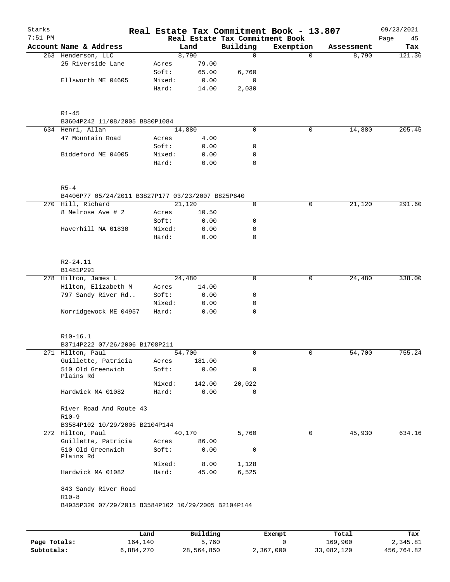| Starks<br>$7:51$ PM |                                                     |                |                | Real Estate Tax Commitment Book | Real Estate Tax Commitment Book - 13.807 |            | 09/23/2021<br>Page<br>45 |
|---------------------|-----------------------------------------------------|----------------|----------------|---------------------------------|------------------------------------------|------------|--------------------------|
|                     | Account Name & Address                              |                | Land           | Building                        | Exemption                                | Assessment | Tax                      |
|                     | 263 Henderson, LLC                                  |                | 8,790          | $\Omega$                        | $\Omega$                                 | 8,790      | 121.36                   |
|                     | 25 Riverside Lane                                   | Acres          | 79.00          |                                 |                                          |            |                          |
|                     |                                                     | Soft:          | 65.00          | 6,760                           |                                          |            |                          |
|                     | Ellsworth ME 04605                                  | Mixed:         | 0.00           | 0                               |                                          |            |                          |
|                     |                                                     | Hard:          | 14.00          | 2,030                           |                                          |            |                          |
|                     | $R1 - 45$                                           |                |                |                                 |                                          |            |                          |
|                     | B3604P242 11/08/2005 B880P1084                      |                |                |                                 |                                          |            |                          |
|                     | 634 Henri, Allan                                    | 14,880         |                | 0                               | 0                                        | 14,880     | 205.45                   |
|                     | 47 Mountain Road                                    | Acres          | 4.00           |                                 |                                          |            |                          |
|                     |                                                     | Soft:          | 0.00           | 0                               |                                          |            |                          |
|                     | Biddeford ME 04005                                  | Mixed:         | 0.00           | 0                               |                                          |            |                          |
|                     |                                                     | Hard:          | 0.00           | 0                               |                                          |            |                          |
|                     | $R5 - 4$                                            |                |                |                                 |                                          |            |                          |
|                     | B4406P77 05/24/2011 B3827P177 03/23/2007 B825P640   |                |                |                                 |                                          |            |                          |
|                     | 270 Hill, Richard                                   | 21,120         |                | 0                               | 0                                        | 21,120     | 291.60                   |
|                     | 8 Melrose Ave # 2                                   | Acres          | 10.50          |                                 |                                          |            |                          |
|                     |                                                     | Soft:          | 0.00           | 0                               |                                          |            |                          |
|                     | Haverhill MA 01830                                  | Mixed:         | 0.00           | 0                               |                                          |            |                          |
|                     |                                                     | Hard:          | 0.00           | $\mathbf 0$                     |                                          |            |                          |
|                     | R2-24.11                                            |                |                |                                 |                                          |            |                          |
|                     | B1481P291                                           |                |                |                                 |                                          |            |                          |
|                     | 278 Hilton, James L                                 | 24,480         |                | $\mathbf 0$                     | 0                                        | 24,480     | 338.00                   |
|                     | Hilton, Elizabeth M                                 | Acres          | 14.00          |                                 |                                          |            |                          |
|                     | 797 Sandy River Rd                                  | Soft:          | 0.00           | 0                               |                                          |            |                          |
|                     |                                                     | Mixed:         | 0.00           | 0                               |                                          |            |                          |
|                     | Norridgewock ME 04957                               | Hard:          | 0.00           | 0                               |                                          |            |                          |
|                     | $R10-16.1$                                          |                |                |                                 |                                          |            |                          |
|                     | B3714P222 07/26/2006 B1708P211                      |                |                |                                 |                                          |            |                          |
| 271                 | Hilton, Paul                                        | 54,700         |                | 0                               | 0                                        | 54,700     | 755.24                   |
|                     | Guillette, Patricia<br>510 Old Greenwich            | Acres<br>Soft: | 181.00<br>0.00 | 0                               |                                          |            |                          |
|                     | Plains Rd                                           |                |                |                                 |                                          |            |                          |
|                     |                                                     | Mixed:         | 142.00         | 20,022                          |                                          |            |                          |
|                     | Hardwick MA 01082                                   | Hard:          | 0.00           | $\Omega$                        |                                          |            |                          |
|                     | River Road And Route 43<br>$R10-9$                  |                |                |                                 |                                          |            |                          |
|                     | B3584P102 10/29/2005 B2104P144                      |                |                |                                 |                                          |            |                          |
|                     | 272 Hilton, Paul                                    | 40,170         |                | 5,760                           | 0                                        | 45,930     | 634.16                   |
|                     | Guillette, Patricia                                 | Acres          | 86.00          |                                 |                                          |            |                          |
|                     | 510 Old Greenwich<br>Plains Rd                      | Soft:          | 0.00           | 0                               |                                          |            |                          |
|                     |                                                     | Mixed:         | 8.00           | 1,128                           |                                          |            |                          |
|                     | Hardwick MA 01082                                   | Hard:          | 45.00          | 6,525                           |                                          |            |                          |
|                     | 843 Sandy River Road                                |                |                |                                 |                                          |            |                          |
|                     | $R10-8$                                             |                |                |                                 |                                          |            |                          |
|                     | B4935P320 07/29/2015 B3584P102 10/29/2005 B2104P144 |                |                |                                 |                                          |            |                          |
|                     |                                                     |                |                |                                 |                                          |            |                          |
|                     |                                                     |                |                |                                 |                                          |            |                          |

|              | Land      | Building   | Exempt    | Total      | Tax        |
|--------------|-----------|------------|-----------|------------|------------|
| Page Totals: | 164,140   | 5,760      |           | 169.900    | 2,345.81   |
| Subtotals:   | 6,884,270 | 28,564,850 | 2,367,000 | 33,082,120 | 456,764.82 |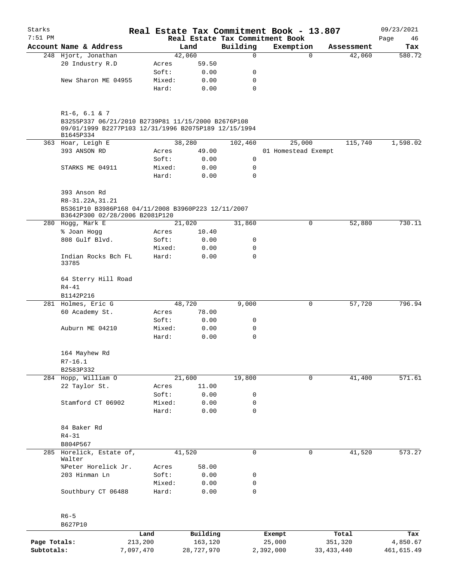| Starks    |                                                                                                                                             |                 |                | Real Estate Tax Commitment Book - 13.807 |           |                     |                      | 09/23/2021    |
|-----------|---------------------------------------------------------------------------------------------------------------------------------------------|-----------------|----------------|------------------------------------------|-----------|---------------------|----------------------|---------------|
| $7:51$ PM |                                                                                                                                             |                 |                | Real Estate Tax Commitment Book          |           |                     |                      | Page<br>46    |
|           | Account Name & Address<br>248 Hjort, Jonathan                                                                                               |                 | Land<br>42,060 | Building<br>$\mathbf 0$                  | Exemption | $\mathbf 0$         | Assessment<br>42,060 | Tax<br>580.72 |
|           | 20 Industry R.D                                                                                                                             | Acres           | 59.50          |                                          |           |                     |                      |               |
|           |                                                                                                                                             | Soft:           | 0.00           | 0                                        |           |                     |                      |               |
|           | New Sharon ME 04955                                                                                                                         | Mixed:          | 0.00           | 0                                        |           |                     |                      |               |
|           |                                                                                                                                             | Hard:           | 0.00           | $\mathbf 0$                              |           |                     |                      |               |
|           | $R1-6, 6.1 \& 7$<br>B3255P337 06/21/2010 B2739P81 11/15/2000 B2676P108<br>09/01/1999 B2277P103 12/31/1996 B2075P189 12/15/1994<br>B1645P334 |                 |                |                                          |           |                     |                      |               |
|           | 363 Hoar, Leigh E                                                                                                                           |                 | 38,280         | 102,460                                  |           | 25,000              | 115,740              | 1,598.02      |
|           | 393 ANSON RD                                                                                                                                | Acres           | 49.00          |                                          |           | 01 Homestead Exempt |                      |               |
|           |                                                                                                                                             | Soft:           | 0.00           | 0                                        |           |                     |                      |               |
|           | STARKS ME 04911                                                                                                                             | Mixed:<br>Hard: | 0.00<br>0.00   | 0<br>$\mathbf 0$                         |           |                     |                      |               |
|           | 393 Anson Rd<br>R8-31.22A, 31.21<br>B5361P10 B3986P168 04/11/2008 B3960P223 12/11/2007                                                      |                 |                |                                          |           |                     |                      |               |
|           | B3642P300 02/28/2006 B2081P120<br>280 Hogg, Mark E                                                                                          |                 |                |                                          |           |                     |                      |               |
|           |                                                                                                                                             |                 | 21,020         | 31,860                                   |           | 0                   | 52,880               | 730.11        |
|           | % Joan Hogg                                                                                                                                 | Acres           | 10.40          |                                          |           |                     |                      |               |
|           | 808 Gulf Blvd.                                                                                                                              | Soft:           | 0.00           | 0                                        |           |                     |                      |               |
|           | Indian Rocks Bch FL<br>33785                                                                                                                | Mixed:<br>Hard: | 0.00<br>0.00   | 0<br>$\mathbf 0$                         |           |                     |                      |               |
|           | 64 Sterry Hill Road<br>$R4 - 41$<br>B1142P216                                                                                               |                 |                |                                          |           |                     |                      |               |
|           | 281 Holmes, Eric G                                                                                                                          |                 | 48,720         | 9,000                                    |           | 0                   | 57,720               | 796.94        |
|           | 60 Academy St.                                                                                                                              | Acres           | 78.00          |                                          |           |                     |                      |               |
|           |                                                                                                                                             | Soft:           | 0.00           | 0                                        |           |                     |                      |               |
|           | Auburn ME 04210                                                                                                                             | Mixed:          | 0.00           | 0                                        |           |                     |                      |               |
|           |                                                                                                                                             | Hard:           | 0.00           | 0                                        |           |                     |                      |               |
|           | 164 Mayhew Rd                                                                                                                               |                 |                |                                          |           |                     |                      |               |
|           | $R7 - 16.1$                                                                                                                                 |                 |                |                                          |           |                     |                      |               |
|           | B2583P332                                                                                                                                   |                 |                |                                          |           |                     |                      |               |
|           | 284 Hopp, William O                                                                                                                         |                 | 21,600         | 19,800                                   |           | $\mathbf 0$         | 41,400               | 571.61        |
|           | 22 Taylor St.                                                                                                                               | Acres           | 11.00          |                                          |           |                     |                      |               |
|           |                                                                                                                                             | Soft:           | 0.00           | 0                                        |           |                     |                      |               |
|           | Stamford CT 06902                                                                                                                           | Mixed:          | 0.00           | 0                                        |           |                     |                      |               |
|           |                                                                                                                                             | Hard:           | 0.00           | 0                                        |           |                     |                      |               |
|           | 84 Baker Rd<br>$R4 - 31$                                                                                                                    |                 |                |                                          |           |                     |                      |               |
|           | B804P567                                                                                                                                    |                 |                |                                          |           |                     |                      |               |
|           | 285 Horelick, Estate of,<br>Walter                                                                                                          |                 | 41,520         | $\mathbf 0$                              |           | 0                   | 41,520               | 573.27        |
|           | %Peter Horelick Jr.                                                                                                                         | Acres           | 58.00          |                                          |           |                     |                      |               |
|           | 203 Hinman Ln                                                                                                                               | Soft:           | 0.00           | 0                                        |           |                     |                      |               |
|           |                                                                                                                                             | Mixed:          | 0.00           | 0                                        |           |                     |                      |               |
|           | Southbury CT 06488                                                                                                                          | Hard:           | 0.00           | 0                                        |           |                     |                      |               |
|           | $R6 - 5$                                                                                                                                    |                 |                |                                          |           |                     |                      |               |
|           | B627P10                                                                                                                                     |                 |                |                                          |           |                     |                      |               |
|           |                                                                                                                                             | Land            | Building       |                                          | Exempt    |                     | Total                | Tax           |

**Page Totals:** 213,200 163,120 25,000 351,320 4,850.67 **Subtotals:** 7,097,470 28,727,970 2,392,000 33,433,440 461,615.49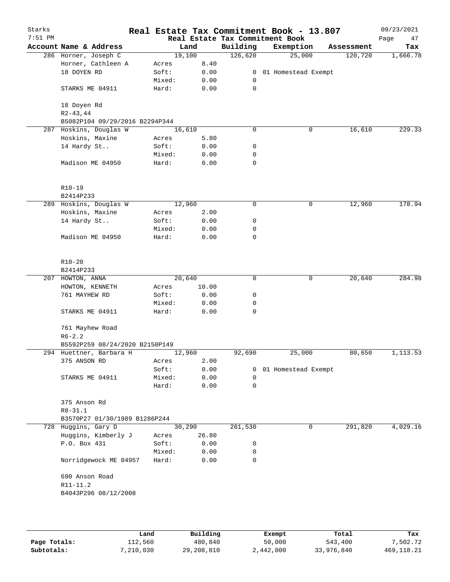| Starks<br>$7:51$ PM |                                |        |        |              | Real Estate Tax Commitment Book - 13.807<br>Real Estate Tax Commitment Book |   |            | 09/23/2021<br>Page<br>47 |
|---------------------|--------------------------------|--------|--------|--------------|-----------------------------------------------------------------------------|---|------------|--------------------------|
|                     | Account Name & Address         |        | Land   | Building     | Exemption                                                                   |   | Assessment | Tax                      |
|                     | 286 Horner, Joseph C           |        | 19,100 | 126,620      | 25,000                                                                      |   | 120,720    | 1,666.78                 |
|                     | Horner, Cathleen A             | Acres  | 8.40   |              |                                                                             |   |            |                          |
|                     | 18 DOYEN RD                    | Soft:  | 0.00   |              | 0 01 Homestead Exempt                                                       |   |            |                          |
|                     |                                | Mixed: | 0.00   | 0            |                                                                             |   |            |                          |
|                     | STARKS ME 04911                | Hard:  | 0.00   | 0            |                                                                             |   |            |                          |
|                     | 18 Doyen Rd                    |        |        |              |                                                                             |   |            |                          |
|                     | $R2 - 43, 44$                  |        |        |              |                                                                             |   |            |                          |
|                     | B5082P104 09/29/2016 B2294P344 |        |        |              |                                                                             |   |            |                          |
|                     | 287 Hoskins, Douglas W         |        | 16,610 | $\mathbf 0$  |                                                                             | 0 | 16,610     | 229.33                   |
|                     | Hoskins, Maxine                | Acres  | 5.80   |              |                                                                             |   |            |                          |
|                     | 14 Hardy St                    | Soft:  | 0.00   | 0            |                                                                             |   |            |                          |
|                     |                                | Mixed: | 0.00   | 0            |                                                                             |   |            |                          |
|                     | Madison ME 04950               | Hard:  | 0.00   | $\mathbf 0$  |                                                                             |   |            |                          |
|                     | R10-19                         |        |        |              |                                                                             |   |            |                          |
|                     | B2414P233                      |        |        |              |                                                                             |   |            |                          |
|                     | 289 Hoskins, Douglas W         |        | 12,960 | 0            |                                                                             | 0 | 12,960     | 178.94                   |
|                     | Hoskins, Maxine                | Acres  | 2.00   |              |                                                                             |   |            |                          |
|                     | 14 Hardy St                    | Soft:  | 0.00   | 0            |                                                                             |   |            |                          |
|                     |                                | Mixed: | 0.00   | 0            |                                                                             |   |            |                          |
|                     | Madison ME 04950               | Hard:  | 0.00   | 0            |                                                                             |   |            |                          |
|                     | $R10 - 20$<br>B2414P233        |        |        |              |                                                                             |   |            |                          |
|                     | 207 HOWTON, ANNA               |        | 20,640 | 0            |                                                                             | 0 | 20,640     | 284.98                   |
|                     | HOWTON, KENNETH                | Acres  | 10.00  |              |                                                                             |   |            |                          |
|                     | 761 MAYHEW RD                  | Soft:  | 0.00   | 0            |                                                                             |   |            |                          |
|                     |                                | Mixed: | 0.00   | 0            |                                                                             |   |            |                          |
|                     | STARKS ME 04911                | Hard:  | 0.00   | 0            |                                                                             |   |            |                          |
|                     | 761 Mayhew Road                |        |        |              |                                                                             |   |            |                          |
|                     | $R6 - 2.2$                     |        |        |              |                                                                             |   |            |                          |
|                     | B5592P259 08/24/2020 B2150P149 |        |        |              |                                                                             |   |            |                          |
|                     | 294 Huettner, Barbara H        |        | 12,960 | 92,690       | 25,000                                                                      |   | 80,650     | 1,113.53                 |
|                     | 375 ANSON RD                   | Acres  | 2.00   |              |                                                                             |   |            |                          |
|                     |                                | Soft:  | 0.00   | $\mathbf{0}$ | 01 Homestead Exempt                                                         |   |            |                          |
|                     | STARKS ME 04911                | Mixed: | 0.00   | $\Omega$     |                                                                             |   |            |                          |
|                     |                                | Hard:  | 0.00   | $\mathbf 0$  |                                                                             |   |            |                          |
|                     | 375 Anson Rd<br>$R8 - 31.1$    |        |        |              |                                                                             |   |            |                          |
|                     | B3570P27 01/30/1989 B1286P244  |        |        |              |                                                                             |   |            |                          |
|                     | 728 Huggins, Gary D            |        | 30,290 | 261,530      |                                                                             | 0 | 291,820    | 4,029.16                 |
|                     | Huggins, Kimberly J            | Acres  | 26.80  |              |                                                                             |   |            |                          |
|                     | P.O. Box 431                   | Soft:  | 0.00   | 0            |                                                                             |   |            |                          |
|                     |                                | Mixed: | 0.00   | 0            |                                                                             |   |            |                          |
|                     | Norridgewock ME 04957          | Hard:  | 0.00   | 0            |                                                                             |   |            |                          |
|                     | 690 Anson Road                 |        |        |              |                                                                             |   |            |                          |
|                     | $R11 - 11.2$                   |        |        |              |                                                                             |   |            |                          |
|                     | B4043P296 08/12/2008           |        |        |              |                                                                             |   |            |                          |
|                     |                                |        |        |              |                                                                             |   |            |                          |
|                     |                                |        |        |              |                                                                             |   |            |                          |
|                     |                                |        |        |              |                                                                             |   |            |                          |

|              | Land      | Building   | Exempt    | Total      | Tax         |
|--------------|-----------|------------|-----------|------------|-------------|
| Page Totals: | 112,560   | 480,840    | 50,000    | 543,400    | 7,502.72    |
| Subtotals:   | 7,210,030 | 29,208,810 | 2,442,000 | 33,976,840 | 469, 118.21 |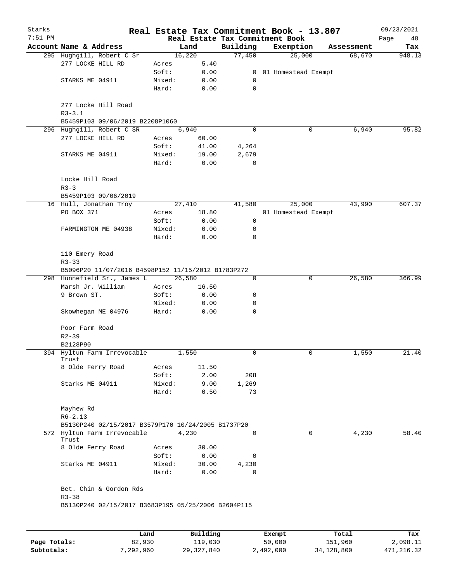| Starks<br>$7:51$ PM |                                                                                            |        |        |             | Real Estate Tax Commitment Book - 13.807<br>Real Estate Tax Commitment Book |            | 09/23/2021<br>Page<br>48 |
|---------------------|--------------------------------------------------------------------------------------------|--------|--------|-------------|-----------------------------------------------------------------------------|------------|--------------------------|
|                     | Account Name & Address                                                                     |        | Land   | Building    | Exemption                                                                   | Assessment | Tax                      |
|                     | 295 Hughgill, Robert C Sr                                                                  |        | 16,220 | 77,450      | 25,000                                                                      | 68,670     | 948.13                   |
|                     | 277 LOCKE HILL RD                                                                          | Acres  | 5.40   |             |                                                                             |            |                          |
|                     |                                                                                            | Soft:  | 0.00   |             | 0 01 Homestead Exempt                                                       |            |                          |
|                     | STARKS ME 04911                                                                            | Mixed: | 0.00   | 0           |                                                                             |            |                          |
|                     |                                                                                            | Hard:  | 0.00   | 0           |                                                                             |            |                          |
|                     | 277 Locke Hill Road<br>$R3 - 3.1$                                                          |        |        |             |                                                                             |            |                          |
|                     | B5459P103 09/06/2019 B2208P1060                                                            |        |        |             |                                                                             |            |                          |
|                     | 296 Hughgill, Robert C SR                                                                  |        | 6,940  | $\mathbf 0$ | 0                                                                           | 6,940      | 95.82                    |
|                     | 277 LOCKE HILL RD                                                                          | Acres  | 60.00  |             |                                                                             |            |                          |
|                     |                                                                                            | Soft:  | 41.00  | 4,264       |                                                                             |            |                          |
|                     | STARKS ME 04911                                                                            | Mixed: | 19.00  | 2,679       |                                                                             |            |                          |
|                     |                                                                                            | Hard:  | 0.00   | $\Omega$    |                                                                             |            |                          |
|                     | Locke Hill Road<br>$R3 - 3$                                                                |        |        |             |                                                                             |            |                          |
|                     | B5459P103 09/06/2019                                                                       |        |        |             |                                                                             |            |                          |
|                     | 16 Hull, Jonathan Troy                                                                     |        | 27,410 | 41,580      | 25,000                                                                      | 43,990     | 607.37                   |
|                     | PO BOX 371                                                                                 | Acres  | 18.80  |             | 01 Homestead Exempt                                                         |            |                          |
|                     |                                                                                            | Soft:  | 0.00   | 0           |                                                                             |            |                          |
|                     | FARMINGTON ME 04938                                                                        | Mixed: | 0.00   | 0           |                                                                             |            |                          |
|                     |                                                                                            | Hard:  | 0.00   | $\Omega$    |                                                                             |            |                          |
|                     | 110 Emery Road<br>$R3 - 33$                                                                |        |        |             |                                                                             |            |                          |
|                     | B5096P20 11/07/2016 B4598P152 11/15/2012 B1783P272                                         |        |        |             |                                                                             |            |                          |
|                     | 298 Hunnefield Sr., James L                                                                |        | 26,580 | 0           | 0                                                                           | 26,580     | 366.99                   |
|                     | Marsh Jr. William                                                                          | Acres  | 16.50  |             |                                                                             |            |                          |
|                     | 9 Brown ST.                                                                                | Soft:  | 0.00   | 0           |                                                                             |            |                          |
|                     |                                                                                            | Mixed: | 0.00   | 0           |                                                                             |            |                          |
|                     | Skowhegan ME 04976                                                                         | Hard:  | 0.00   | 0           |                                                                             |            |                          |
|                     | Poor Farm Road<br>$R2 - 39$                                                                |        |        |             |                                                                             |            |                          |
|                     | B2128P90                                                                                   |        |        |             |                                                                             |            |                          |
|                     | 394 Hyltun Farm Irrevocable<br>Trust                                                       |        | 1,550  | 0           | 0                                                                           | 1,550      | 21.40                    |
|                     | 8 Olde Ferry Road                                                                          | Acres  | 11.50  |             |                                                                             |            |                          |
|                     |                                                                                            | Soft:  | 2.00   | 208         |                                                                             |            |                          |
|                     | Starks ME 04911                                                                            | Mixed: | 9.00   | 1,269       |                                                                             |            |                          |
|                     |                                                                                            | Hard:  | 0.50   | 73          |                                                                             |            |                          |
|                     | Mayhew Rd<br>$R6 - 2.13$                                                                   |        |        |             |                                                                             |            |                          |
|                     | B5130P240 02/15/2017 B3579P170 10/24/2005 B1737P20                                         |        |        |             |                                                                             |            |                          |
|                     | 572 Hyltun Farm Irrevocable                                                                |        | 4,230  | $\Omega$    | $\Omega$                                                                    | 4,230      | 58.40                    |
|                     | Trust                                                                                      |        |        |             |                                                                             |            |                          |
|                     | 8 Olde Ferry Road                                                                          | Acres  | 30.00  |             |                                                                             |            |                          |
|                     |                                                                                            | Soft:  | 0.00   | 0           |                                                                             |            |                          |
|                     | Starks ME 04911                                                                            | Mixed: | 30.00  | 4,230       |                                                                             |            |                          |
|                     |                                                                                            | Hard:  | 0.00   | 0           |                                                                             |            |                          |
|                     | Bet. Chin & Gordon Rds<br>$R3 - 38$<br>B5130P240 02/15/2017 B3683P195 05/25/2006 B2604P115 |        |        |             |                                                                             |            |                          |
|                     |                                                                                            |        |        |             |                                                                             |            |                          |

|              | Land      | Building     | Exempt    | Total      | Tax        |
|--------------|-----------|--------------|-----------|------------|------------|
| Page Totals: | 82,930    | 119,030      | 50,000    | 151,960    | 2,098.11   |
| Subtotals:   | 7,292,960 | 29, 327, 840 | 2,492,000 | 34,128,800 | 471,216.32 |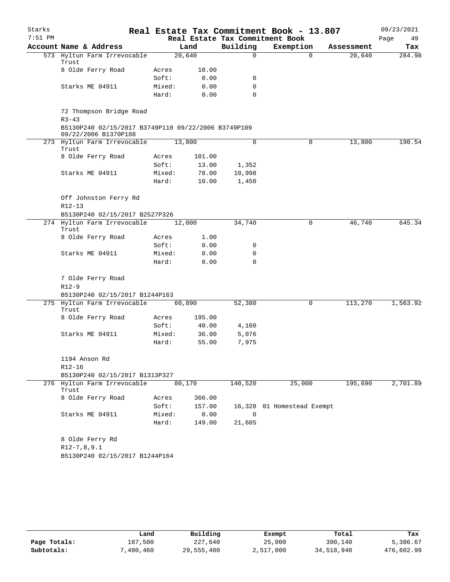| Starks    |                                                                             |                 |                |                       | Real Estate Tax Commitment Book - 13.807 |            | 09/23/2021 |
|-----------|-----------------------------------------------------------------------------|-----------------|----------------|-----------------------|------------------------------------------|------------|------------|
| $7:51$ PM |                                                                             |                 |                |                       | Real Estate Tax Commitment Book          |            | Page<br>49 |
|           | Account Name & Address                                                      |                 | Land           | Building              | Exemption                                | Assessment | Tax        |
|           | 573 Hyltun Farm Irrevocable<br>Trust                                        |                 | 20,640         | $\Omega$              | $\Omega$                                 | 20,640     | 284.98     |
|           | 8 Olde Ferry Road                                                           | Acres           | 10.00          |                       |                                          |            |            |
|           |                                                                             | Soft:           | 0.00           | 0                     |                                          |            |            |
|           | Starks ME 04911                                                             | Mixed:          | 0.00           | 0                     |                                          |            |            |
|           |                                                                             | Hard:           | 0.00           | 0                     |                                          |            |            |
|           | 72 Thompson Bridge Road<br>$R3 - 43$                                        |                 |                |                       |                                          |            |            |
|           | B5130P240 02/15/2017 B3749P110 09/22/2006 B3749P109<br>09/22/2006 B1370P188 |                 |                |                       |                                          |            |            |
|           | 273 Hyltun Farm Irrevocable<br>Trust                                        |                 | 13,800         | $\mathbf 0$           | 0                                        | 13,800     | 190.54     |
|           | 8 Olde Ferry Road                                                           | Acres           | 101.00         |                       |                                          |            |            |
|           |                                                                             | Soft:           | 13.00          | 1,352                 |                                          |            |            |
|           | Starks ME 04911                                                             | Mixed:          | 78.00          | 10,998                |                                          |            |            |
|           |                                                                             | Hard:           | 10.00          | 1,450                 |                                          |            |            |
|           | Off Johnston Ferry Rd<br>$R12 - 13$                                         |                 |                |                       |                                          |            |            |
|           | B5130P240 02/15/2017 B2527P326                                              |                 |                |                       |                                          |            |            |
|           | 274 Hyltun Farm Irrevocable<br>Trust                                        |                 | 12,000         | 34,740                | $\mathbf 0$                              | 46,740     | 645.34     |
|           | 8 Olde Ferry Road                                                           | Acres           | 1.00           |                       |                                          |            |            |
|           |                                                                             | Soft:           | 0.00           | 0                     |                                          |            |            |
|           | Starks ME 04911                                                             | Mixed:          | 0.00           | 0                     |                                          |            |            |
|           |                                                                             | Hard:           | 0.00           | $\Omega$              |                                          |            |            |
|           | 7 Olde Ferry Road                                                           |                 |                |                       |                                          |            |            |
|           | $R12-9$                                                                     |                 |                |                       |                                          |            |            |
|           | B5130P240 02/15/2017 B1244P163                                              |                 |                |                       |                                          |            |            |
|           | 275 Hyltun Farm Irrevocable<br>Trust                                        |                 | 60,890         | 52,380                | 0                                        | 113,270    | 1,563.92   |
|           | 8 Olde Ferry Road                                                           | Acres           | 195.00         |                       |                                          |            |            |
|           |                                                                             | Soft:           | 40.00          | 4,160                 |                                          |            |            |
|           | Starks ME 04911                                                             | Mixed:          | 36.00          | 5,076                 |                                          |            |            |
|           |                                                                             | Hard:           | 55.00          | 7,975                 |                                          |            |            |
|           | 1194 Anson Rd                                                               |                 |                |                       |                                          |            |            |
|           | R12-16                                                                      |                 |                |                       |                                          |            |            |
|           | B5130P240 02/15/2017 B1313P327<br>276 Hyltun Farm Irrevocable               |                 | 80,170         |                       |                                          | 195,690    | 2,701.89   |
|           | Trust                                                                       |                 |                | 140,520               | 25,000                                   |            |            |
|           | 8 Olde Ferry Road                                                           | Acres           | 366.00         |                       |                                          |            |            |
|           |                                                                             | Soft:           | 157.00         |                       | 16,328 01 Homestead Exempt               |            |            |
|           | Starks ME 04911                                                             | Mixed:<br>Hard: | 0.00<br>149.00 | $\mathbf 0$<br>21,605 |                                          |            |            |
|           |                                                                             |                 |                |                       |                                          |            |            |
|           | 8 Olde Ferry Rd                                                             |                 |                |                       |                                          |            |            |
|           | $R12-7, 8, 9.1$                                                             |                 |                |                       |                                          |            |            |
|           | B5130P240 02/15/2017 B1244P164                                              |                 |                |                       |                                          |            |            |

|              | Land      | Building   | Exempt    | Total      | Tax        |  |
|--------------|-----------|------------|-----------|------------|------------|--|
| Page Totals: | 187,500   | 227,640    | 25,000    | 390,140    | 5,386.67   |  |
| Subtotals:   | 7,480,460 | 29,555,480 | 2,517,000 | 34,518,940 | 476,602.99 |  |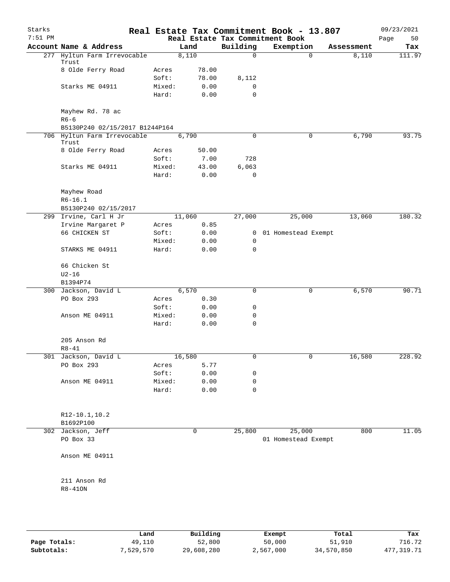| Starks    |                                               |                 |              |             | Real Estate Tax Commitment Book - 13.807 |            | 09/23/2021 |
|-----------|-----------------------------------------------|-----------------|--------------|-------------|------------------------------------------|------------|------------|
| $7:51$ PM |                                               |                 |              |             | Real Estate Tax Commitment Book          |            | 50<br>Page |
|           | Account Name & Address                        |                 | Land         | Building    | Exemption                                | Assessment | Tax        |
|           | 277 Hyltun Farm Irrevocable<br>Trust          |                 | 8,110        | $\Omega$    | $\Omega$                                 | 8,110      | 111.97     |
|           | 8 Olde Ferry Road                             | Acres           | 78.00        |             |                                          |            |            |
|           |                                               | Soft:           | 78.00        | 8,112       |                                          |            |            |
|           | Starks ME 04911                               | Mixed:          | 0.00         | 0           |                                          |            |            |
|           |                                               | Hard:           | 0.00         | 0           |                                          |            |            |
|           | Mayhew Rd. 78 ac<br>$R6-6$                    |                 |              |             |                                          |            |            |
|           | B5130P240 02/15/2017 B1244P164                |                 |              |             |                                          |            |            |
|           | 706 Hyltun Farm Irrevocable<br>Trust          |                 | 6,790        | 0           | 0                                        | 6,790      | 93.75      |
|           | 8 Olde Ferry Road                             | Acres           | 50.00        |             |                                          |            |            |
|           |                                               | Soft:           | 7.00         | 728         |                                          |            |            |
|           | Starks ME 04911                               | Mixed:          | 43.00        | 6,063       |                                          |            |            |
|           |                                               | Hard:           | 0.00         | $\mathbf 0$ |                                          |            |            |
|           | Mayhew Road                                   |                 |              |             |                                          |            |            |
|           | $R6 - 16.1$                                   |                 |              |             |                                          |            |            |
|           | B5130P240 02/15/2017<br>299 Irvine, Carl H Jr |                 | 11,060       |             |                                          |            | 180.32     |
|           |                                               |                 |              | 27,000      | 25,000                                   | 13,060     |            |
|           | Irvine Margaret P                             | Acres           | 0.85         |             |                                          |            |            |
|           | 66 CHICKEN ST                                 | Soft:           | 0.00         | 0           | 01 Homestead Exempt                      |            |            |
|           | STARKS ME 04911                               | Mixed:<br>Hard: | 0.00<br>0.00 | 0<br>0      |                                          |            |            |
|           | 66 Chicken St                                 |                 |              |             |                                          |            |            |
|           | $U2-16$                                       |                 |              |             |                                          |            |            |
|           | B1394P74                                      |                 |              |             |                                          |            |            |
|           | 300 Jackson, David L                          |                 | 6,570        | 0           | 0                                        | 6,570      | 90.71      |
|           | PO Box 293                                    | Acres           | 0.30         |             |                                          |            |            |
|           |                                               | Soft:           | 0.00         | 0           |                                          |            |            |
|           | Anson ME 04911                                | Mixed:          | 0.00         | 0           |                                          |            |            |
|           |                                               | Hard:           | 0.00         | 0           |                                          |            |            |
|           | 205 Anson Rd                                  |                 |              |             |                                          |            |            |
|           | $R8 - 41$                                     |                 |              |             |                                          |            |            |
|           | 301 Jackson, David L                          |                 | 16,580       | U           | U                                        | 16,580     | 228.92     |
|           | PO Box 293                                    | Acres           | 5.77         |             |                                          |            |            |
|           |                                               | Soft:           | 0.00         | 0           |                                          |            |            |
|           | Anson ME 04911                                | Mixed:          | 0.00         | 0           |                                          |            |            |
|           |                                               | Hard:           | 0.00         | 0           |                                          |            |            |
|           |                                               |                 |              |             |                                          |            |            |
|           | R12-10.1,10.2                                 |                 |              |             |                                          |            |            |
|           | B1692P100                                     |                 |              |             |                                          |            |            |
|           | 302 Jackson, Jeff                             |                 | $\mathbf 0$  | 25,800      | 25,000                                   | 800        | 11.05      |
|           | PO Box 33                                     |                 |              |             | 01 Homestead Exempt                      |            |            |
|           | Anson ME 04911                                |                 |              |             |                                          |            |            |
|           |                                               |                 |              |             |                                          |            |            |
|           | 211 Anson Rd<br>$R8-410N$                     |                 |              |             |                                          |            |            |
|           |                                               |                 |              |             |                                          |            |            |
|           |                                               |                 |              |             |                                          |            |            |

|              | Land      | Building   | Exempt    | Total      | Tax        |
|--------------|-----------|------------|-----------|------------|------------|
| Page Totals: | 49,110    | 52,800     | 50,000    | 51,910     | 716.72     |
| Subtotals:   | 7,529,570 | 29,608,280 | 2,567,000 | 34,570,850 | 477,319.71 |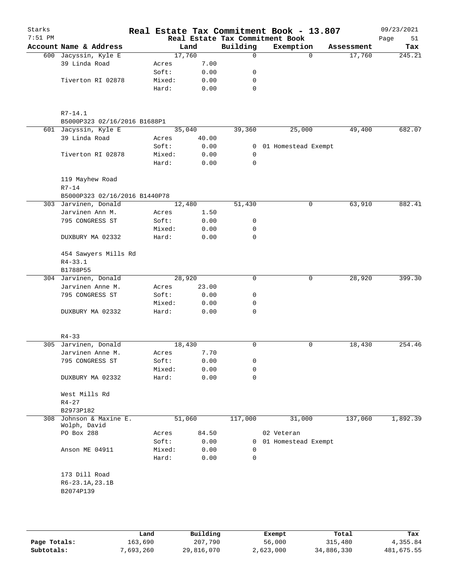| Starks<br>$7:51$ PM |                               |        |        | Real Estate Tax Commitment Book | Real Estate Tax Commitment Book - 13.807 |            | 09/23/2021<br>Page<br>51 |
|---------------------|-------------------------------|--------|--------|---------------------------------|------------------------------------------|------------|--------------------------|
|                     | Account Name & Address        |        | Land   | Building                        | Exemption                                | Assessment | Tax                      |
|                     | 600 Jacyssin, Kyle E          |        | 17,760 | $\Omega$                        | $\Omega$                                 | 17,760     | 245.21                   |
|                     | 39 Linda Road                 | Acres  | 7.00   |                                 |                                          |            |                          |
|                     |                               | Soft:  | 0.00   | 0                               |                                          |            |                          |
|                     | Tiverton RI 02878             | Mixed: | 0.00   | 0                               |                                          |            |                          |
|                     |                               | Hard:  | 0.00   | 0                               |                                          |            |                          |
|                     |                               |        |        |                                 |                                          |            |                          |
|                     |                               |        |        |                                 |                                          |            |                          |
|                     | $R7 - 14.1$                   |        |        |                                 |                                          |            |                          |
|                     | B5000P323 02/16/2016 B1688P1  |        |        |                                 |                                          |            |                          |
|                     | 601 Jacyssin, Kyle E          |        | 35,040 | 39,360                          | 25,000                                   | 49,400     | 682.07                   |
|                     | 39 Linda Road                 | Acres  | 40.00  |                                 |                                          |            |                          |
|                     |                               | Soft:  | 0.00   | $\mathbf{0}$                    | 01 Homestead Exempt                      |            |                          |
|                     | Tiverton RI 02878             | Mixed: | 0.00   | $\mathbf 0$                     |                                          |            |                          |
|                     |                               | Hard:  | 0.00   | 0                               |                                          |            |                          |
|                     |                               |        |        |                                 |                                          |            |                          |
|                     | 119 Mayhew Road               |        |        |                                 |                                          |            |                          |
|                     | $R7 - 14$                     |        |        |                                 |                                          |            |                          |
|                     | B5000P323 02/16/2016 B1440P78 |        |        |                                 |                                          |            |                          |
|                     | 303 Jarvinen, Donald          |        | 12,480 | 51,430                          | 0                                        | 63,910     | 882.41                   |
|                     | Jarvinen Ann M.               | Acres  | 1.50   |                                 |                                          |            |                          |
|                     | 795 CONGRESS ST               | Soft:  | 0.00   | 0                               |                                          |            |                          |
|                     |                               | Mixed: | 0.00   | 0                               |                                          |            |                          |
|                     | DUXBURY MA 02332              | Hard:  | 0.00   | 0                               |                                          |            |                          |
|                     |                               |        |        |                                 |                                          |            |                          |
|                     | 454 Sawyers Mills Rd          |        |        |                                 |                                          |            |                          |
|                     | $R4 - 33.1$                   |        |        |                                 |                                          |            |                          |
|                     | B1788P55                      |        |        |                                 |                                          |            |                          |
|                     | 304 Jarvinen, Donald          |        | 28,920 | 0                               | 0                                        | 28,920     | 399.30                   |
|                     | Jarvinen Anne M.              | Acres  | 23.00  |                                 |                                          |            |                          |
|                     | 795 CONGRESS ST               | Soft:  | 0.00   | 0                               |                                          |            |                          |
|                     |                               | Mixed: | 0.00   | 0                               |                                          |            |                          |
|                     | DUXBURY MA 02332              | Hard:  | 0.00   | 0                               |                                          |            |                          |
|                     |                               |        |        |                                 |                                          |            |                          |
|                     |                               |        |        |                                 |                                          |            |                          |
|                     | $R4 - 33$                     |        |        |                                 |                                          |            |                          |
|                     | 305 Jarvinen, Donald          |        | 18,430 | 0                               | 0                                        | 18,430     | $\overline{254.46}$      |
|                     | Jarvinen Anne M.              | Acres  | 7.70   |                                 |                                          |            |                          |
|                     | 795 CONGRESS ST               | Soft:  | 0.00   | 0                               |                                          |            |                          |
|                     |                               | Mixed: | 0.00   | 0                               |                                          |            |                          |
|                     | DUXBURY MA 02332              | Hard:  | 0.00   | 0                               |                                          |            |                          |
|                     |                               |        |        |                                 |                                          |            |                          |
|                     | West Mills Rd                 |        |        |                                 |                                          |            |                          |
|                     | $R4 - 27$                     |        |        |                                 |                                          |            |                          |
|                     | B2973P182                     |        |        |                                 |                                          |            |                          |
| 308                 | Johnson & Maxine E.           |        | 51,060 | 117,000                         | 31,000                                   | 137,060    | 1,892.39                 |
|                     | Wolph, David                  |        |        |                                 |                                          |            |                          |
|                     | PO Box 288                    | Acres  | 84.50  |                                 | 02 Veteran                               |            |                          |
|                     |                               | Soft:  | 0.00   | 0                               | 01 Homestead Exempt                      |            |                          |
|                     | Anson ME 04911                | Mixed: | 0.00   | 0                               |                                          |            |                          |
|                     |                               | Hard:  | 0.00   | 0                               |                                          |            |                          |
|                     |                               |        |        |                                 |                                          |            |                          |
|                     | 173 Dill Road                 |        |        |                                 |                                          |            |                          |
|                     | $R6 - 23.1A, 23.1B$           |        |        |                                 |                                          |            |                          |
|                     | B2074P139                     |        |        |                                 |                                          |            |                          |
|                     |                               |        |        |                                 |                                          |            |                          |
|                     |                               |        |        |                                 |                                          |            |                          |
|                     |                               |        |        |                                 |                                          |            |                          |

|              | Land      | Building   | Exempt    | Total      | Tax        |
|--------------|-----------|------------|-----------|------------|------------|
| Page Totals: | 163,690   | 207,790    | 56,000    | 315,480    | 4,355.84   |
| Subtotals:   | 7,693,260 | 29,816,070 | 2,623,000 | 34,886,330 | 481,675.55 |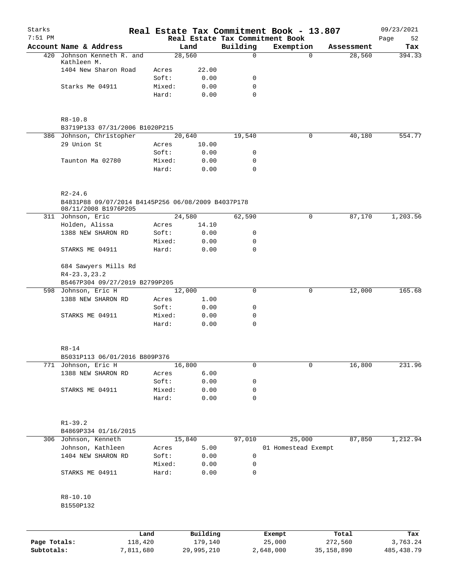| Starks<br>$7:51$ PM |                                                                   |                 |              |             | Real Estate Tax Commitment Book - 13.807<br>Real Estate Tax Commitment Book |            | 09/23/2021<br>Page<br>52 |
|---------------------|-------------------------------------------------------------------|-----------------|--------------|-------------|-----------------------------------------------------------------------------|------------|--------------------------|
|                     | Account Name & Address                                            |                 | Land         | Building    | Exemption                                                                   | Assessment | Tax                      |
|                     | 420 Johnson Kenneth R. and                                        |                 | 28,560       | $\Omega$    | $\Omega$                                                                    | 28,560     | 394.33                   |
|                     | Kathleen M.                                                       |                 |              |             |                                                                             |            |                          |
|                     | 1404 New Sharon Road                                              | Acres           | 22.00        |             |                                                                             |            |                          |
|                     |                                                                   | Soft:           | 0.00         | 0           |                                                                             |            |                          |
|                     | Starks Me 04911                                                   | Mixed:          | 0.00         | 0           |                                                                             |            |                          |
|                     |                                                                   | Hard:           | 0.00         | $\mathbf 0$ |                                                                             |            |                          |
|                     | $R8 - 10.8$                                                       |                 |              |             |                                                                             |            |                          |
|                     | B3719P133 07/31/2006 B1020P215                                    |                 |              |             |                                                                             |            |                          |
|                     | 386 Johnson, Christopher                                          |                 | 20,640       | 19,540      | $\mathbf 0$                                                                 | 40,180     | 554.77                   |
|                     | 29 Union St                                                       | Acres           | 10.00        |             |                                                                             |            |                          |
|                     |                                                                   | Soft:           | 0.00         | 0           |                                                                             |            |                          |
|                     | Taunton Ma 02780                                                  | Mixed:          | 0.00         | 0           |                                                                             |            |                          |
|                     |                                                                   | Hard:           | 0.00         | $\Omega$    |                                                                             |            |                          |
|                     | $R2 - 24.6$<br>B4831P88 09/07/2014 B4145P256 06/08/2009 B4037P178 |                 |              |             |                                                                             |            |                          |
|                     | 08/11/2008 B1976P205                                              |                 |              |             |                                                                             |            |                          |
|                     | 311 Johnson, Eric                                                 |                 | 24,580       | 62,590      | 0                                                                           | 87,170     | 1,203.56                 |
|                     | Holden, Alissa                                                    | Acres           | 14.10        |             |                                                                             |            |                          |
|                     | 1388 NEW SHARON RD                                                | Soft:           | 0.00         | 0           |                                                                             |            |                          |
|                     |                                                                   | Mixed:          | 0.00         | 0           |                                                                             |            |                          |
|                     | STARKS ME 04911                                                   | Hard:           | 0.00         | $\mathbf 0$ |                                                                             |            |                          |
|                     | 684 Sawyers Mills Rd<br>$R4 - 23.3, 23.2$                         |                 |              |             |                                                                             |            |                          |
|                     | B5467P304 09/27/2019 B2799P205                                    |                 |              |             |                                                                             |            | 165.68                   |
|                     | 598 Johnson, Eric H                                               |                 | 12,000       | 0           | 0                                                                           | 12,000     |                          |
|                     | 1388 NEW SHARON RD                                                | Acres           | 1.00         |             |                                                                             |            |                          |
|                     |                                                                   | Soft:           | 0.00         | 0           |                                                                             |            |                          |
|                     | STARKS ME 04911                                                   | Mixed:<br>Hard: | 0.00<br>0.00 | 0<br>0      |                                                                             |            |                          |
|                     | R8-14                                                             |                 |              |             |                                                                             |            |                          |
|                     | B5031P113 06/01/2016 B809P376                                     |                 |              |             |                                                                             |            |                          |
|                     | 771 Johnson, Eric H                                               |                 | 16,800       | 0           | 0                                                                           | 16,800     | 231.96                   |
|                     | 1388 NEW SHARON RD                                                | Acres           | 6.00         |             |                                                                             |            |                          |
|                     |                                                                   | Soft:           | 0.00         | 0           |                                                                             |            |                          |
|                     | STARKS ME 04911                                                   | Mixed:          | 0.00         | 0           |                                                                             |            |                          |
|                     |                                                                   | Hard:           | 0.00         | 0           |                                                                             |            |                          |
|                     |                                                                   |                 |              |             |                                                                             |            |                          |
|                     | $R1 - 39.2$                                                       |                 |              |             |                                                                             |            |                          |
|                     | B4869P334 01/16/2015                                              |                 |              |             |                                                                             |            |                          |
|                     | 306 Johnson, Kenneth                                              |                 | 15,840       | 97,010      | 25,000                                                                      | 87,850     | 1,212.94                 |
|                     | Johnson, Kathleen                                                 | Acres           | 5.00         |             | 01 Homestead Exempt                                                         |            |                          |
|                     | 1404 NEW SHARON RD                                                | Soft:           | 0.00         | 0           |                                                                             |            |                          |
|                     |                                                                   | Mixed:          | 0.00         | 0           |                                                                             |            |                          |
|                     | STARKS ME 04911                                                   | Hard:           | 0.00         | 0           |                                                                             |            |                          |
|                     | R8-10.10                                                          |                 |              |             |                                                                             |            |                          |
|                     | B1550P132                                                         |                 |              |             |                                                                             |            |                          |
|                     |                                                                   |                 |              |             |                                                                             |            |                          |
|                     | Land                                                              |                 | Building     |             | Exempt                                                                      | Total      | Tax                      |
|                     |                                                                   |                 |              |             |                                                                             |            |                          |

|              | -----     | --------   | -------   | -----      | .           |
|--------------|-----------|------------|-----------|------------|-------------|
| Page Totals: | 118,420   | 179,140    | 25,000    | 272,560    | 3,763.24    |
| Subtotals:   | 7,811,680 | 29,995,210 | 2,648,000 | 35,158,890 | 485, 438.79 |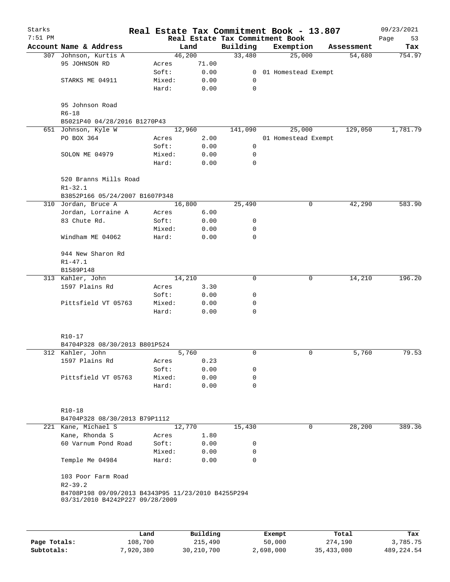| Starks    |                                                                                       |        |        |                                 | Real Estate Tax Commitment Book - 13.807 |            | 09/23/2021 |
|-----------|---------------------------------------------------------------------------------------|--------|--------|---------------------------------|------------------------------------------|------------|------------|
| $7:51$ PM |                                                                                       |        |        | Real Estate Tax Commitment Book |                                          |            | Page<br>53 |
|           | Account Name & Address                                                                |        | Land   | Building                        | Exemption                                | Assessment | Tax        |
|           | 307 Johnson, Kurtis A                                                                 |        | 46,200 | 33,480                          | 25,000                                   | 54,680     | 754.97     |
|           | 95 JOHNSON RD                                                                         | Acres  | 71.00  |                                 |                                          |            |            |
|           |                                                                                       | Soft:  | 0.00   |                                 | 0 01 Homestead Exempt                    |            |            |
|           | STARKS ME 04911                                                                       | Mixed: | 0.00   | $\mathbf 0$                     |                                          |            |            |
|           |                                                                                       | Hard:  | 0.00   | $\mathbf 0$                     |                                          |            |            |
|           | 95 Johnson Road<br>$R6 - 18$                                                          |        |        |                                 |                                          |            |            |
|           | B5021P40 04/28/2016 B1270P43                                                          |        |        |                                 |                                          |            |            |
|           | 651 Johnson, Kyle W                                                                   |        | 12,960 | 141,090                         | 25,000                                   | 129,050    | 1,781.79   |
|           | PO BOX 364                                                                            | Acres  | 2.00   |                                 | 01 Homestead Exempt                      |            |            |
|           |                                                                                       | Soft:  | 0.00   | 0                               |                                          |            |            |
|           | SOLON ME 04979                                                                        | Mixed: | 0.00   | 0                               |                                          |            |            |
|           |                                                                                       | Hard:  | 0.00   | $\mathbf 0$                     |                                          |            |            |
|           | 520 Branns Mills Road<br>$R1 - 32.1$                                                  |        |        |                                 |                                          |            |            |
|           | B3852P166 05/24/2007 B1607P348                                                        |        |        |                                 |                                          |            |            |
|           | 310 Jordan, Bruce A                                                                   |        | 16,800 | 25,490                          | 0                                        | 42,290     | 583.90     |
|           | Jordan, Lorraine A                                                                    | Acres  | 6.00   |                                 |                                          |            |            |
|           | 83 Chute Rd.                                                                          | Soft:  | 0.00   | 0                               |                                          |            |            |
|           |                                                                                       | Mixed: | 0.00   | 0                               |                                          |            |            |
|           | Windham ME 04062                                                                      | Hard:  | 0.00   | 0                               |                                          |            |            |
|           | 944 New Sharon Rd                                                                     |        |        |                                 |                                          |            |            |
|           | $R1 - 47.1$                                                                           |        |        |                                 |                                          |            |            |
|           | B1589P148                                                                             |        |        |                                 |                                          |            |            |
|           | 313 Kahler, John                                                                      |        | 14,210 | 0                               | 0                                        | 14,210     | 196.20     |
|           | 1597 Plains Rd                                                                        | Acres  | 3.30   |                                 |                                          |            |            |
|           |                                                                                       | Soft:  | 0.00   | 0                               |                                          |            |            |
|           | Pittsfield VT 05763                                                                   | Mixed: | 0.00   | 0                               |                                          |            |            |
|           |                                                                                       | Hard:  | 0.00   | $\Omega$                        |                                          |            |            |
|           |                                                                                       |        |        |                                 |                                          |            |            |
|           | R10-17                                                                                |        |        |                                 |                                          |            |            |
|           | B4704P328 08/30/2013 B801P524                                                         |        |        |                                 |                                          |            |            |
|           | 312 Kahler, John                                                                      |        | 5,760  | 0                               | $\mathbf 0$                              | 5,760      | 79.53      |
|           | 1597 Plains Rd                                                                        | Acres  | 0.23   |                                 |                                          |            |            |
|           |                                                                                       | Soft:  | 0.00   | 0                               |                                          |            |            |
|           | Pittsfield VT 05763                                                                   | Mixed: | 0.00   | 0                               |                                          |            |            |
|           |                                                                                       | Hard:  | 0.00   | $\mathbf 0$                     |                                          |            |            |
|           | R10-18                                                                                |        |        |                                 |                                          |            |            |
|           | B4704P328 08/30/2013 B79P1112                                                         |        |        |                                 |                                          |            |            |
|           | 221 Kane, Michael S                                                                   |        | 12,770 | 15,430                          | 0                                        | 28,200     | 389.36     |
|           |                                                                                       |        |        |                                 |                                          |            |            |
|           | Kane, Rhonda S                                                                        | Acres  | 1.80   |                                 |                                          |            |            |
|           | 60 Varnum Pond Road                                                                   | Soft:  | 0.00   | 0                               |                                          |            |            |
|           |                                                                                       | Mixed: | 0.00   | 0                               |                                          |            |            |
|           | Temple Me 04984                                                                       | Hard:  | 0.00   | 0                               |                                          |            |            |
|           | 103 Poor Farm Road<br>$R2 - 39.2$                                                     |        |        |                                 |                                          |            |            |
|           | B4708P198 09/09/2013 B4343P95 11/23/2010 B4255P294<br>03/31/2010 B4242P227 09/28/2009 |        |        |                                 |                                          |            |            |
|           |                                                                                       |        |        |                                 |                                          |            |            |
|           |                                                                                       |        |        |                                 |                                          |            |            |
|           |                                                                                       |        |        |                                 |                                          |            |            |

|              | Land     | Building   | Exempt    | Total      | Tax        |
|--------------|----------|------------|-----------|------------|------------|
| Page Totals: | 108,700  | 215,490    | 50,000    | 274,190    | 3,785.75   |
| Subtotals:   | ,920,380 | 30,210,700 | 2,698,000 | 35,433,080 | 489,224.54 |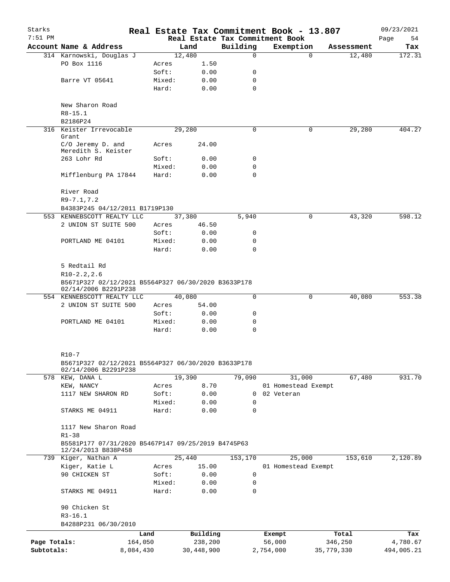| Starks<br>$7:51$ PM |                                                                             |           |                 |              | Real Estate Tax Commitment Book - 13.807<br>Real Estate Tax Commitment Book |                     |            |            | 09/23/2021<br>Page<br>54 |
|---------------------|-----------------------------------------------------------------------------|-----------|-----------------|--------------|-----------------------------------------------------------------------------|---------------------|------------|------------|--------------------------|
|                     | Account Name & Address                                                      |           |                 | Land         | Building                                                                    | Exemption           |            | Assessment | Tax                      |
|                     | 314 Karnowski, Douglas J                                                    |           |                 | 12,480       | $\Omega$                                                                    |                     | $\Omega$   | 12,480     | 172.31                   |
|                     | PO Box 1116                                                                 |           |                 | 1.50         |                                                                             |                     |            |            |                          |
|                     |                                                                             |           | Acres<br>Soft:  | 0.00         | 0                                                                           |                     |            |            |                          |
|                     | Barre VT 05641                                                              |           | Mixed:          | 0.00         | 0                                                                           |                     |            |            |                          |
|                     |                                                                             |           | Hard:           | 0.00         | $\Omega$                                                                    |                     |            |            |                          |
|                     |                                                                             |           |                 |              |                                                                             |                     |            |            |                          |
|                     | New Sharon Road                                                             |           |                 |              |                                                                             |                     |            |            |                          |
|                     | $R8 - 15.1$                                                                 |           |                 |              |                                                                             |                     |            |            |                          |
|                     | B2186P24                                                                    |           |                 |              |                                                                             |                     |            |            |                          |
|                     | 316 Keister Irrevocable<br>Grant                                            |           |                 | 29,280       | 0                                                                           |                     | 0          | 29,280     | 404.27                   |
|                     | C/O Jeremy D. and<br>Meredith S. Keister                                    |           | Acres           | 24.00        |                                                                             |                     |            |            |                          |
|                     | 263 Lohr Rd                                                                 |           | Soft:           | 0.00         | 0                                                                           |                     |            |            |                          |
|                     |                                                                             |           | Mixed:          | 0.00         | 0                                                                           |                     |            |            |                          |
|                     | Mifflenburg PA 17844                                                        |           | Hard:           | 0.00         | $\Omega$                                                                    |                     |            |            |                          |
|                     | River Road                                                                  |           |                 |              |                                                                             |                     |            |            |                          |
|                     | $R9 - 7.1, 7.2$                                                             |           |                 |              |                                                                             |                     |            |            |                          |
|                     | B4383P245 04/12/2011 B1719P130                                              |           |                 |              |                                                                             |                     |            |            |                          |
|                     | 553 KENNEBSCOTT REALTY LLC                                                  |           |                 | 37,380       | 5,940                                                                       |                     | 0          | 43,320     | 598.12                   |
|                     | 2 UNION ST SUITE 500                                                        |           | Acres           | 46.50        |                                                                             |                     |            |            |                          |
|                     |                                                                             |           | Soft:           | 0.00         | 0                                                                           |                     |            |            |                          |
|                     | PORTLAND ME 04101                                                           |           | Mixed:          | 0.00         | 0                                                                           |                     |            |            |                          |
|                     |                                                                             |           | Hard:           | 0.00         | $\Omega$                                                                    |                     |            |            |                          |
|                     | 5 Redtail Rd                                                                |           |                 |              |                                                                             |                     |            |            |                          |
|                     | $R10-2.2, 2.6$                                                              |           |                 |              |                                                                             |                     |            |            |                          |
|                     | B5671P327 02/12/2021 B5564P327 06/30/2020 B3633P178<br>02/14/2006 B2291P238 |           |                 |              |                                                                             |                     |            |            |                          |
|                     | 554 KENNEBSCOTT REALTY LLC                                                  |           |                 | 40,080       | $\Omega$                                                                    |                     | 0          | 40,080     | 553.38                   |
|                     | 2 UNION ST SUITE 500                                                        |           | Acres           | 54.00        |                                                                             |                     |            |            |                          |
|                     |                                                                             |           | Soft:           | 0.00         | 0                                                                           |                     |            |            |                          |
|                     | PORTLAND ME 04101                                                           |           | Mixed:          | 0.00         | 0                                                                           |                     |            |            |                          |
|                     |                                                                             |           | Hard:           | 0.00         | 0                                                                           |                     |            |            |                          |
|                     |                                                                             |           |                 |              |                                                                             |                     |            |            |                          |
|                     | $R10 - 7$                                                                   |           |                 |              |                                                                             |                     |            |            |                          |
|                     | B5671P327 02/12/2021 B5564P327 06/30/2020 B3633P178<br>02/14/2006 B2291P238 |           |                 |              |                                                                             |                     |            |            |                          |
|                     | 578 KEW, DANA L                                                             |           |                 | 19,390       | 79,090                                                                      | 31,000              |            | 67,480     | 931.70                   |
|                     | KEW, NANCY                                                                  |           | Acres           | 8.70         |                                                                             | 01 Homestead Exempt |            |            |                          |
|                     | 1117 NEW SHARON RD                                                          |           | Soft:           | 0.00         | 0                                                                           | 02 Veteran          |            |            |                          |
|                     |                                                                             |           | Mixed:          | 0.00         | 0                                                                           |                     |            |            |                          |
|                     | STARKS ME 04911                                                             |           | Hard:           | 0.00         | 0                                                                           |                     |            |            |                          |
|                     | 1117 New Sharon Road                                                        |           |                 |              |                                                                             |                     |            |            |                          |
|                     | $R1 - 38$                                                                   |           |                 |              |                                                                             |                     |            |            |                          |
|                     | B5581P177 07/31/2020 B5467P147 09/25/2019 B4745P63                          |           |                 |              |                                                                             |                     |            |            |                          |
|                     | 12/24/2013 B838P458<br>739 Kiger, Nathan A                                  |           |                 | 25,440       | 153,170                                                                     | 25,000              |            | 153,610    | 2,120.89                 |
|                     | Kiger, Katie L                                                              |           |                 | 15.00        |                                                                             | 01 Homestead Exempt |            |            |                          |
|                     | 90 CHICKEN ST                                                               |           | Acres           |              | 0                                                                           |                     |            |            |                          |
|                     |                                                                             |           | Soft:           | 0.00         | 0                                                                           |                     |            |            |                          |
|                     | STARKS ME 04911                                                             |           | Mixed:<br>Hard: | 0.00<br>0.00 | 0                                                                           |                     |            |            |                          |
|                     | 90 Chicken St                                                               |           |                 |              |                                                                             |                     |            |            |                          |
|                     | $R3-16.1$                                                                   |           |                 |              |                                                                             |                     |            |            |                          |
|                     | B4288P231 06/30/2010                                                        |           |                 |              |                                                                             |                     |            |            |                          |
|                     |                                                                             | Land      |                 | Building     |                                                                             | Exempt              |            | Total      | Tax                      |
| Page Totals:        |                                                                             | 164,050   |                 | 238,200      |                                                                             | 56,000              |            | 346,250    | 4,780.67                 |
| Subtotals:          |                                                                             |           |                 |              |                                                                             |                     |            |            |                          |
|                     |                                                                             | 8,084,430 |                 | 30,448,900   |                                                                             | 2,754,000           | 35,779,330 |            | 494,005.21               |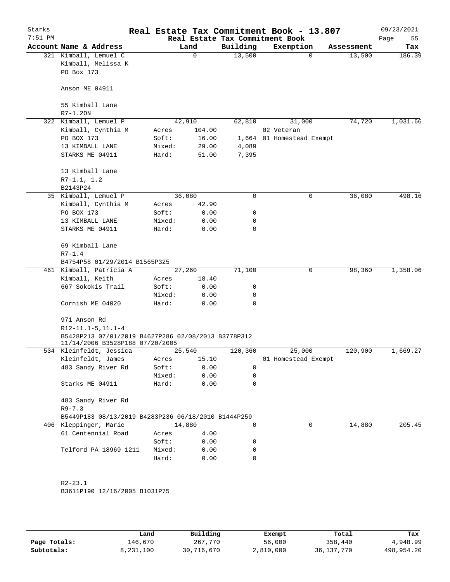| Starks<br>$7:51$ PM |                                                            |                |                 | Real Estate Tax Commitment Book - 13.807<br>Real Estate Tax Commitment Book |                           |          |            | 09/23/2021<br>Page<br>55 |
|---------------------|------------------------------------------------------------|----------------|-----------------|-----------------------------------------------------------------------------|---------------------------|----------|------------|--------------------------|
|                     | Account Name & Address                                     |                | Land            | Building                                                                    | Exemption                 |          | Assessment | Tax                      |
|                     | 321 Kimball, Lemuel C                                      |                | $\mathbf 0$     | 13,500                                                                      |                           | $\Omega$ | 13,500     | 186.39                   |
|                     | Kimball, Melissa K                                         |                |                 |                                                                             |                           |          |            |                          |
|                     | PO Box 173                                                 |                |                 |                                                                             |                           |          |            |                          |
|                     | Anson ME 04911                                             |                |                 |                                                                             |                           |          |            |                          |
|                     | 55 Kimball Lane                                            |                |                 |                                                                             |                           |          |            |                          |
|                     | $R7 - 1.20N$                                               |                |                 |                                                                             |                           |          |            |                          |
|                     | 322 Kimball, Lemuel P                                      |                | 42,910          | 62,810                                                                      | 31,000                    |          | 74,720     | 1,031.66                 |
|                     | Kimball, Cynthia M                                         | Acres          | 104.00          |                                                                             | 02 Veteran                |          |            |                          |
|                     | PO BOX 173                                                 | Soft:          | 16.00           |                                                                             | 1,664 01 Homestead Exempt |          |            |                          |
|                     | 13 KIMBALL LANE                                            | Mixed:         | 29.00           | 4,089                                                                       |                           |          |            |                          |
|                     | STARKS ME 04911                                            | Hard:          | 51.00           | 7,395                                                                       |                           |          |            |                          |
|                     |                                                            |                |                 |                                                                             |                           |          |            |                          |
|                     | 13 Kimball Lane                                            |                |                 |                                                                             |                           |          |            |                          |
|                     | $R7-1.1, 1.2$                                              |                |                 |                                                                             |                           |          |            |                          |
|                     | B2143P24                                                   |                |                 |                                                                             |                           |          |            |                          |
|                     | 35 Kimball, Lemuel P                                       |                | 36,080          | $\mathbf 0$                                                                 |                           | 0        | 36,080     | 498.16                   |
|                     | Kimball, Cynthia M                                         | Acres          | 42.90           |                                                                             |                           |          |            |                          |
|                     | PO BOX 173                                                 | Soft:          | 0.00            | 0                                                                           |                           |          |            |                          |
|                     | 13 KIMBALL LANE                                            | Mixed:         | 0.00            | 0                                                                           |                           |          |            |                          |
|                     | STARKS ME 04911                                            | Hard:          | 0.00            | 0                                                                           |                           |          |            |                          |
|                     | 69 Kimball Lane<br>$R7 - 1.4$                              |                |                 |                                                                             |                           |          |            |                          |
|                     | B4754P58 01/29/2014 B1565P325                              |                |                 |                                                                             |                           |          |            |                          |
|                     | 461 Kimball, Patricia A                                    |                | 27,260          | 71,100                                                                      |                           | 0        | 98,360     | 1,358.06                 |
|                     | Kimball, Keith                                             | Acres          | 18.40           |                                                                             |                           |          |            |                          |
|                     | 667 Sokokis Trail                                          | Soft:          | 0.00            | 0                                                                           |                           |          |            |                          |
|                     |                                                            | Mixed:         | 0.00            | 0                                                                           |                           |          |            |                          |
|                     | Cornish ME 04020                                           | Hard:          | 0.00            | $\Omega$                                                                    |                           |          |            |                          |
|                     |                                                            |                |                 |                                                                             |                           |          |            |                          |
|                     | 971 Anson Rd<br>$R12-11.1-5, 11.1-4$                       |                |                 |                                                                             |                           |          |            |                          |
|                     | B5428P213 07/01/2019 B4627P286 02/08/2013 B3778P312        |                |                 |                                                                             |                           |          |            |                          |
|                     | 11/14/2006 B3528P188 07/20/2005<br>534 Kleinfeldt, Jessica |                |                 | 120,360                                                                     | 25,000                    |          | 120,900    | 1,669.27                 |
|                     | Kleinfeldt, James                                          |                | 25,540<br>15.10 |                                                                             | 01 Homestead Exempt       |          |            |                          |
|                     | 483 Sandy River Rd                                         | Acres<br>Soft: | 0.00            | 0                                                                           |                           |          |            |                          |
|                     |                                                            | Mixed:         | 0.00            | 0                                                                           |                           |          |            |                          |
|                     | Starks ME 04911                                            | Hard:          | 0.00            | 0                                                                           |                           |          |            |                          |
|                     |                                                            |                |                 |                                                                             |                           |          |            |                          |
|                     | 483 Sandy River Rd                                         |                |                 |                                                                             |                           |          |            |                          |
|                     | $R9 - 7.3$                                                 |                |                 |                                                                             |                           |          |            |                          |
|                     | B5449P183 08/13/2019 B4283P236 06/18/2010 B1444P259        |                |                 |                                                                             |                           |          |            |                          |
| 406                 | Kleppinger, Marie                                          |                | 14,880          | 0                                                                           |                           | 0        | 14,880     | 205.45                   |
|                     | 61 Centennial Road                                         | Acres          | 4.00            |                                                                             |                           |          |            |                          |
|                     |                                                            | Soft:          | 0.00            | 0                                                                           |                           |          |            |                          |
|                     | Telford PA 18969 1211                                      | Mixed:         | 0.00            | 0                                                                           |                           |          |            |                          |
|                     |                                                            | Hard:          | 0.00            | 0                                                                           |                           |          |            |                          |
|                     | $R2 - 23.1$                                                |                |                 |                                                                             |                           |          |            |                          |
|                     | B3611P190 12/16/2005 B1031P75                              |                |                 |                                                                             |                           |          |            |                          |
|                     |                                                            |                |                 |                                                                             |                           |          |            |                          |
|                     |                                                            |                |                 |                                                                             |                           |          |            |                          |
|                     |                                                            |                |                 |                                                                             |                           |          |            |                          |

|              | Land      | Building   | Exempt    | Total        | Tax        |
|--------------|-----------|------------|-----------|--------------|------------|
| Page Totals: | 146,670   | 267,770    | 56,000    | 358,440      | 4,948.99   |
| Subtotals:   | 8,231,100 | 30,716,670 | 2,810,000 | 36, 137, 770 | 498,954.20 |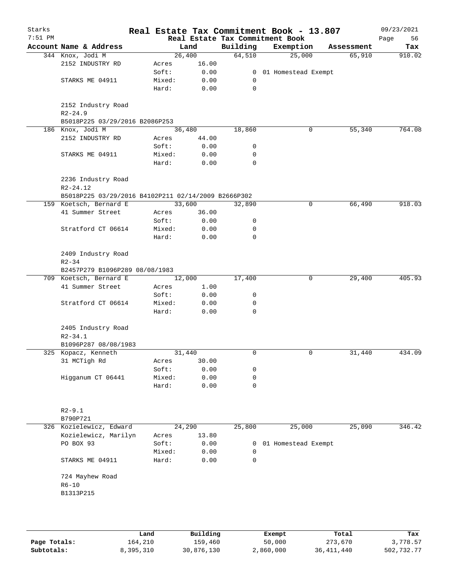| Starks<br>$7:51$ PM |                                                           |                 |              |                | Real Estate Tax Commitment Book - 13.807<br>Real Estate Tax Commitment Book |            | 09/23/2021<br>56<br>Page |
|---------------------|-----------------------------------------------------------|-----------------|--------------|----------------|-----------------------------------------------------------------------------|------------|--------------------------|
|                     | Account Name & Address                                    |                 | Land         | Building       | Exemption                                                                   | Assessment | Tax                      |
|                     | 344 Knox, Jodi M                                          |                 | 26,400       | 64,510         | 25,000                                                                      | 65,910     | 910.02                   |
|                     | 2152 INDUSTRY RD                                          | Acres           | 16.00        |                |                                                                             |            |                          |
|                     |                                                           | Soft:           | 0.00         | $\overline{0}$ | 01 Homestead Exempt                                                         |            |                          |
|                     | STARKS ME 04911                                           | Mixed:          | 0.00         | 0              |                                                                             |            |                          |
|                     |                                                           | Hard:           | 0.00         | 0              |                                                                             |            |                          |
|                     | 2152 Industry Road<br>$R2 - 24.9$                         |                 |              |                |                                                                             |            |                          |
|                     | B5018P225 03/29/2016 B2086P253                            |                 |              |                |                                                                             |            |                          |
|                     | 186 Knox, Jodi M                                          |                 | 36,480       | 18,860         | 0                                                                           | 55,340     | 764.08                   |
|                     | 2152 INDUSTRY RD                                          | Acres           | 44.00        |                |                                                                             |            |                          |
|                     |                                                           | Soft:           | 0.00         | 0              |                                                                             |            |                          |
|                     | STARKS ME 04911                                           | Mixed:          | 0.00         | 0              |                                                                             |            |                          |
|                     |                                                           | Hard:           | 0.00         | $\mathbf 0$    |                                                                             |            |                          |
|                     | 2236 Industry Road<br>$R2 - 24.12$                        |                 |              |                |                                                                             |            |                          |
|                     | B5018P225 03/29/2016 B4102P211 02/14/2009 B2666P302       |                 |              |                |                                                                             |            |                          |
|                     | 159 Koetsch, Bernard E                                    |                 | 33,600       | 32,890         | 0                                                                           | 66,490     | 918.03                   |
|                     | 41 Summer Street                                          | Acres           | 36.00        |                |                                                                             |            |                          |
|                     |                                                           | Soft:           | 0.00         | 0              |                                                                             |            |                          |
|                     | Stratford CT 06614                                        | Mixed:          | 0.00         | 0              |                                                                             |            |                          |
|                     |                                                           | Hard:           | 0.00         | 0              |                                                                             |            |                          |
|                     | 2409 Industry Road<br>$R2 - 34$                           |                 |              |                |                                                                             |            |                          |
|                     | B2457P279 B1096P289 08/08/1983                            |                 |              |                |                                                                             |            |                          |
|                     | 709 Koetsch, Bernard E                                    |                 | 12,000       | 17,400         | 0                                                                           | 29,400     | 405.93                   |
|                     | 41 Summer Street                                          | Acres           | 1.00         |                |                                                                             |            |                          |
|                     |                                                           | Soft:           | 0.00         | 0              |                                                                             |            |                          |
|                     | Stratford CT 06614                                        | Mixed:<br>Hard: | 0.00<br>0.00 | 0<br>0         |                                                                             |            |                          |
|                     | 2405 Industry Road<br>$R2 - 34.1$<br>B1096P287 08/08/1983 |                 |              |                |                                                                             |            |                          |
|                     | 325 Kopacz, Kenneth                                       |                 | 31,440       | $\mathbf 0$    | 0                                                                           | 31,440     | 434.09                   |
|                     | 31 MCTigh Rd                                              | Acres           | 30.00        |                |                                                                             |            |                          |
|                     |                                                           | Soft:           | 0.00         | 0              |                                                                             |            |                          |
|                     | Higganum CT 06441                                         | Mixed:          | 0.00         | 0              |                                                                             |            |                          |
|                     |                                                           | Hard:           | 0.00         | 0              |                                                                             |            |                          |
|                     | $R2 - 9.1$<br>B790P721                                    |                 |              |                |                                                                             |            |                          |
|                     | 326 Kozielewicz, Edward                                   |                 | 24,290       | 25,800         | 25,000                                                                      | 25,090     | 346.42                   |
|                     | Kozielewicz, Marilyn                                      | Acres           | 13.80        |                |                                                                             |            |                          |
|                     | PO BOX 93                                                 | Soft:           | 0.00         | 0              | 01 Homestead Exempt                                                         |            |                          |
|                     |                                                           | Mixed:          | 0.00         | $\mathbf 0$    |                                                                             |            |                          |
|                     | STARKS ME 04911                                           | Hard:           | 0.00         | 0              |                                                                             |            |                          |
|                     | 724 Mayhew Road                                           |                 |              |                |                                                                             |            |                          |
|                     | $R6 - 10$                                                 |                 |              |                |                                                                             |            |                          |
|                     | B1313P215                                                 |                 |              |                |                                                                             |            |                          |
|                     |                                                           |                 |              |                |                                                                             |            |                          |
|                     |                                                           |                 |              |                |                                                                             |            |                          |

|              | Land      | Building   | Exempt    | Total      | Tax        |
|--------------|-----------|------------|-----------|------------|------------|
| Page Totals: | 164,210   | 159,460    | 50,000    | 273,670    | 3,778.57   |
| Subtotals:   | 8,395,310 | 30,876,130 | 2,860,000 | 36,411,440 | 502,732.77 |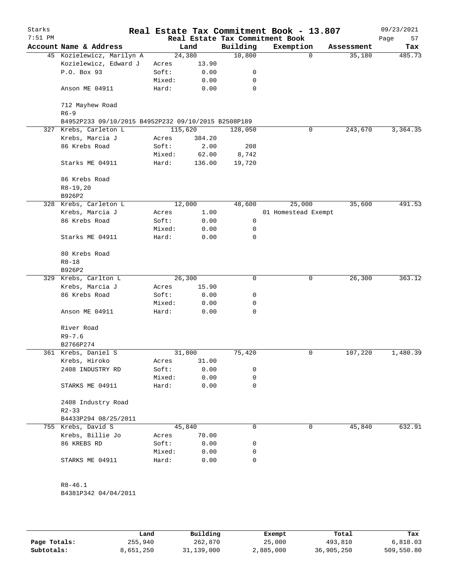| Starks<br>$7:51$ PM |                                                     |                 |              |          | Real Estate Tax Commitment Book - 13.807<br>Real Estate Tax Commitment Book |            | 09/23/2021<br>Page<br>57 |
|---------------------|-----------------------------------------------------|-----------------|--------------|----------|-----------------------------------------------------------------------------|------------|--------------------------|
|                     | Account Name & Address                              |                 | Land         | Building | Exemption                                                                   | Assessment | Tax                      |
|                     | 45 Kozielewicz, Marilyn A                           |                 | 24,380       | 10,800   | 0                                                                           | 35,180     | 485.73                   |
|                     | Kozielewicz, Edward J                               | Acres           | 13.90        |          |                                                                             |            |                          |
|                     | P.O. Box 93                                         | Soft:           | 0.00         | 0        |                                                                             |            |                          |
|                     |                                                     | Mixed:          | 0.00         | 0        |                                                                             |            |                          |
|                     | Anson ME 04911                                      | Hard:           | 0.00         | 0        |                                                                             |            |                          |
|                     | 712 Mayhew Road                                     |                 |              |          |                                                                             |            |                          |
|                     | $R6 - 9$                                            |                 |              |          |                                                                             |            |                          |
|                     | B4952P233 09/10/2015 B4952P232 09/10/2015 B2508P189 |                 |              |          |                                                                             |            |                          |
|                     | 327 Krebs, Carleton L                               |                 | 115,620      | 128,050  | 0                                                                           | 243,670    | 3,364.35                 |
|                     | Krebs, Marcia J                                     | Acres           | 384.20       |          |                                                                             |            |                          |
|                     | 86 Krebs Road                                       | Soft:           | 2.00         | 208      |                                                                             |            |                          |
|                     |                                                     | Mixed:          | 62.00        | 8,742    |                                                                             |            |                          |
|                     | Starks ME 04911                                     | Hard:           | 136.00       | 19,720   |                                                                             |            |                          |
|                     | 86 Krebs Road                                       |                 |              |          |                                                                             |            |                          |
|                     | $R8-19,20$                                          |                 |              |          |                                                                             |            |                          |
|                     | B926P2                                              |                 |              |          |                                                                             |            |                          |
|                     | 328 Krebs, Carleton L                               |                 | 12,000       | 48,600   | 25,000                                                                      | 35,600     | 491.53                   |
|                     | Krebs, Marcia J                                     | Acres           | 1.00         |          | 01 Homestead Exempt                                                         |            |                          |
|                     | 86 Krebs Road                                       | Soft:           | 0.00         | 0        |                                                                             |            |                          |
|                     |                                                     | Mixed:          | 0.00         | 0        |                                                                             |            |                          |
|                     | Starks ME 04911                                     | Hard:           | 0.00         | 0        |                                                                             |            |                          |
|                     | 80 Krebs Road                                       |                 |              |          |                                                                             |            |                          |
|                     | $R8 - 18$                                           |                 |              |          |                                                                             |            |                          |
|                     | B926P2                                              |                 |              |          |                                                                             |            |                          |
|                     | 329 Krebs, Carlton L                                |                 | 26,300       | 0        | 0                                                                           | 26,300     | 363.12                   |
|                     | Krebs, Marcia J                                     | Acres           | 15.90        |          |                                                                             |            |                          |
|                     | 86 Krebs Road                                       | Soft:           | 0.00         | 0        |                                                                             |            |                          |
|                     |                                                     | Mixed:          | 0.00         | 0        |                                                                             |            |                          |
|                     | Anson ME 04911                                      | Hard:           | 0.00         | 0        |                                                                             |            |                          |
|                     | River Road                                          |                 |              |          |                                                                             |            |                          |
|                     | $R9 - 7.6$                                          |                 |              |          |                                                                             |            |                          |
|                     | B2766P274                                           |                 |              |          |                                                                             |            |                          |
|                     | 361 Krebs, Daniel S                                 |                 | 31,800       | 75,420   | 0                                                                           | 107,220    | 1,480.39                 |
|                     | Krebs, Hiroko                                       | Acres           | 31.00        |          |                                                                             |            |                          |
|                     | 2408 INDUSTRY RD                                    | Soft:           | 0.00         | 0        |                                                                             |            |                          |
|                     | STARKS ME 04911                                     | Mixed:<br>Hard: | 0.00<br>0.00 | 0<br>0   |                                                                             |            |                          |
|                     | 2408 Industry Road                                  |                 |              |          |                                                                             |            |                          |
|                     | $R2 - 33$                                           |                 |              |          |                                                                             |            |                          |
|                     | B4433P294 08/25/2011                                |                 |              |          |                                                                             |            |                          |
|                     | 755 Krebs, David S                                  |                 | 45,840       | 0        | 0                                                                           | 45,840     | 632.91                   |
|                     | Krebs, Billie Jo                                    | Acres           | 70.00        |          |                                                                             |            |                          |
|                     | 86 KREBS RD                                         | Soft:           | 0.00         | 0        |                                                                             |            |                          |
|                     |                                                     |                 |              |          |                                                                             |            |                          |
|                     |                                                     | Mixed:          | 0.00         | 0        |                                                                             |            |                          |
|                     | STARKS ME 04911                                     | Hard:           | 0.00         | 0        |                                                                             |            |                          |
|                     | $R8 - 46.1$                                         |                 |              |          |                                                                             |            |                          |
|                     | B4381P342 04/04/2011                                |                 |              |          |                                                                             |            |                          |
|                     |                                                     |                 |              |          |                                                                             |            |                          |

|              | Land      | Building   | Exempt    | Total      | Tax        |
|--------------|-----------|------------|-----------|------------|------------|
| Page Totals: | 255,940   | 262,870    | 25,000    | 493,810    | 6.818.03   |
| Subtotals:   | 8,651,250 | 31,139,000 | 2,885,000 | 36,905,250 | 509,550.80 |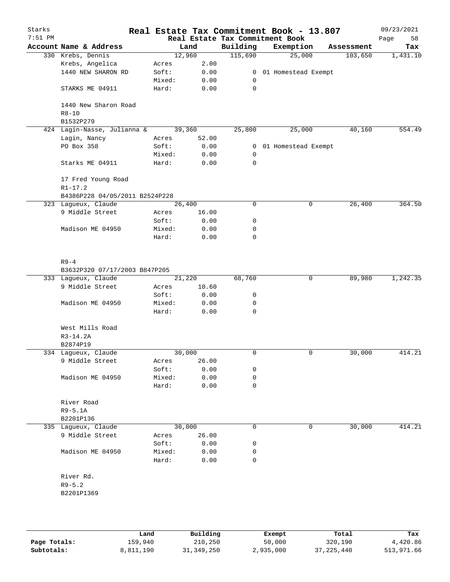| Starks    |                                           |                 |              |                | Real Estate Tax Commitment Book - 13.807 |   |            | 09/23/2021 |
|-----------|-------------------------------------------|-----------------|--------------|----------------|------------------------------------------|---|------------|------------|
| $7:51$ PM |                                           |                 |              |                | Real Estate Tax Commitment Book          |   |            | 58<br>Page |
|           | Account Name & Address                    |                 | Land         | Building       | Exemption                                |   | Assessment | Tax        |
|           | 330 Krebs, Dennis                         |                 | 12,960       | 115,690        | 25,000                                   |   | 103,650    | 1,431.10   |
|           | Krebs, Angelica                           | Acres           | 2.00         |                |                                          |   |            |            |
|           | 1440 NEW SHARON RD                        | Soft:           | 0.00         | $\overline{0}$ | 01 Homestead Exempt                      |   |            |            |
|           |                                           | Mixed:          | 0.00         | 0              |                                          |   |            |            |
|           | STARKS ME 04911                           | Hard:           | 0.00         | $\mathbf 0$    |                                          |   |            |            |
|           | 1440 New Sharon Road                      |                 |              |                |                                          |   |            |            |
|           | $R8 - 10$<br>B1532P279                    |                 |              |                |                                          |   |            |            |
|           | 424 Lagin-Nasse, Julianna &               |                 | 39,360       | 25,800         | 25,000                                   |   | 40,160     | 554.49     |
|           | Lagin, Nancy                              | Acres           | 52.00        |                |                                          |   |            |            |
|           | PO Box 358                                | Soft:           | 0.00         | 0              | 01 Homestead Exempt                      |   |            |            |
|           |                                           | Mixed:          | 0.00         | 0              |                                          |   |            |            |
|           | Starks ME 04911                           | Hard:           | 0.00         | $\mathbf 0$    |                                          |   |            |            |
|           | 17 Fred Young Road                        |                 |              |                |                                          |   |            |            |
|           | $R1 - 17.2$                               |                 |              |                |                                          |   |            |            |
|           | B4386P228 04/05/2011 B2524P228            |                 |              |                |                                          |   |            |            |
|           | 323 Lagueux, Claude                       |                 | 26,400       | 0              |                                          | 0 | 26,400     | 364.50     |
|           | 9 Middle Street                           | Acres           | 16.00        |                |                                          |   |            |            |
|           |                                           | Soft:           | 0.00         | 0              |                                          |   |            |            |
|           | Madison ME 04950                          | Mixed:          | 0.00         | 0              |                                          |   |            |            |
|           |                                           | Hard:           | 0.00         | $\mathbf 0$    |                                          |   |            |            |
|           | $R9 - 4$<br>B3632P320 07/17/2003 B847P205 |                 |              |                |                                          |   |            |            |
|           | 333 Lagueux, Claude                       |                 | 21,220       | 68,760         |                                          | 0 | 89,980     | 1,242.35   |
|           | 9 Middle Street                           | Acres           | 10.60        |                |                                          |   |            |            |
|           |                                           | Soft:           | 0.00         | 0              |                                          |   |            |            |
|           | Madison ME 04950                          | Mixed:          | 0.00         | 0              |                                          |   |            |            |
|           |                                           | Hard:           | 0.00         | 0              |                                          |   |            |            |
|           | West Mills Road                           |                 |              |                |                                          |   |            |            |
|           | $R3-14.2A$                                |                 |              |                |                                          |   |            |            |
|           | B2874P19                                  |                 |              |                |                                          |   |            |            |
|           | 334 Lagueux, Claude                       |                 | 30,000       | 0              |                                          | 0 | 30,000     | 414.21     |
|           | 9 Middle Street                           | Acres           | 26.00        |                |                                          |   |            |            |
|           | Madison ME 04950                          | Soft:           | 0.00         | 0              |                                          |   |            |            |
|           |                                           | Mixed:<br>Hard: | 0.00<br>0.00 | 0<br>0         |                                          |   |            |            |
|           | River Road                                |                 |              |                |                                          |   |            |            |
|           | $R9-5.1A$                                 |                 |              |                |                                          |   |            |            |
|           | B2201P136                                 |                 |              |                |                                          |   |            |            |
|           | 335 Lagueux, Claude                       |                 | 30,000       | 0              |                                          | 0 | 30,000     | 414.21     |
|           | 9 Middle Street                           | Acres           | 26.00        |                |                                          |   |            |            |
|           |                                           | Soft:           | 0.00         | 0              |                                          |   |            |            |
|           | Madison ME 04950                          | Mixed:          | 0.00         | 0              |                                          |   |            |            |
|           |                                           | Hard:           | 0.00         | 0              |                                          |   |            |            |
|           | River Rd.                                 |                 |              |                |                                          |   |            |            |
|           | $R9 - 5.2$                                |                 |              |                |                                          |   |            |            |
|           | B2201P1369                                |                 |              |                |                                          |   |            |            |
|           |                                           |                 |              |                |                                          |   |            |            |
|           |                                           |                 |              |                |                                          |   |            |            |
|           |                                           |                 |              |                |                                          |   |            |            |

|              | Land      | Building   | Exempt    | Total        | Tax        |
|--------------|-----------|------------|-----------|--------------|------------|
| Page Totals: | 159,940   | 210,250    | 50,000    | 320,190      | 4,420.86   |
| Subtotals:   | 8,811,190 | 31,349,250 | 2,935,000 | 37, 225, 440 | 513,971.66 |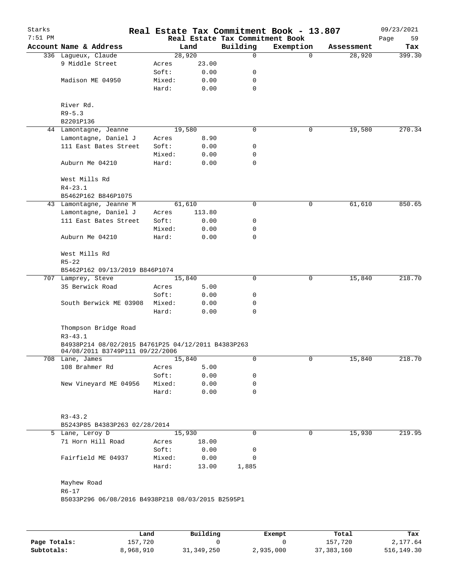| Starks<br>$7:51$ PM |                                                                                       |        |        | Real Estate Tax Commitment Book | Real Estate Tax Commitment Book - 13.807 |            | 09/23/2021<br>Page<br>59 |
|---------------------|---------------------------------------------------------------------------------------|--------|--------|---------------------------------|------------------------------------------|------------|--------------------------|
|                     | Account Name & Address                                                                |        | Land   | Building                        | Exemption                                | Assessment | Tax                      |
|                     | 336 Lagueux, Claude                                                                   |        | 28,920 | 0                               | $\mathbf 0$                              | 28,920     | 399.30                   |
|                     | 9 Middle Street                                                                       | Acres  | 23.00  |                                 |                                          |            |                          |
|                     |                                                                                       | Soft:  | 0.00   | 0                               |                                          |            |                          |
|                     | Madison ME 04950                                                                      | Mixed: | 0.00   | 0                               |                                          |            |                          |
|                     |                                                                                       | Hard:  | 0.00   | 0                               |                                          |            |                          |
|                     | River Rd.                                                                             |        |        |                                 |                                          |            |                          |
|                     | $R9 - 5.3$                                                                            |        |        |                                 |                                          |            |                          |
|                     | B2201P136                                                                             |        |        |                                 |                                          |            |                          |
|                     | 44 Lamontagne, Jeanne                                                                 |        | 19,580 | 0                               | 0                                        | 19,580     | 270.34                   |
|                     | Lamontagne, Daniel J                                                                  | Acres  | 8.90   |                                 |                                          |            |                          |
|                     | 111 East Bates Street                                                                 | Soft:  | 0.00   | 0                               |                                          |            |                          |
|                     |                                                                                       | Mixed: | 0.00   | 0                               |                                          |            |                          |
|                     | Auburn Me 04210                                                                       | Hard:  | 0.00   | 0                               |                                          |            |                          |
|                     | West Mills Rd                                                                         |        |        |                                 |                                          |            |                          |
|                     | $R4 - 23.1$                                                                           |        |        |                                 |                                          |            |                          |
|                     | B5462P162 B846P1075                                                                   |        |        |                                 |                                          |            |                          |
|                     | 43 Lamontagne, Jeanne M                                                               |        | 61,610 | 0                               | 0                                        | 61,610     | 850.65                   |
|                     | Lamontagne, Daniel J                                                                  | Acres  | 113.80 |                                 |                                          |            |                          |
|                     | 111 East Bates Street                                                                 | Soft:  | 0.00   | 0                               |                                          |            |                          |
|                     |                                                                                       | Mixed: | 0.00   | 0                               |                                          |            |                          |
|                     | Auburn Me 04210                                                                       | Hard:  | 0.00   | 0                               |                                          |            |                          |
|                     | West Mills Rd<br>$R5 - 22$                                                            |        |        |                                 |                                          |            |                          |
|                     | B5462P162 09/13/2019 B846P1074                                                        |        |        |                                 |                                          |            |                          |
|                     | 707 Lamprey, Steve                                                                    |        | 15,840 | 0                               | 0                                        | 15,840     | 218.70                   |
|                     | 35 Berwick Road                                                                       | Acres  | 5.00   |                                 |                                          |            |                          |
|                     |                                                                                       | Soft:  | 0.00   | 0                               |                                          |            |                          |
|                     | South Berwick ME 03908                                                                | Mixed: | 0.00   | 0                               |                                          |            |                          |
|                     |                                                                                       | Hard:  | 0.00   | 0                               |                                          |            |                          |
|                     | Thompson Bridge Road<br>$R3 - 43.1$                                                   |        |        |                                 |                                          |            |                          |
|                     | B4938P214 08/02/2015 B4761P25 04/12/2011 B4383P263<br>04/08/2011 B3749P111 09/22/2006 |        |        |                                 |                                          |            |                          |
|                     | 708 Lane, James                                                                       |        | 15,840 | 0                               | 0                                        | 15,840     | 218.70                   |
|                     | 108 Brahmer Rd                                                                        | Acres  | 5.00   |                                 |                                          |            |                          |
|                     |                                                                                       | Soft:  | 0.00   | 0                               |                                          |            |                          |
|                     | New Vineyard ME 04956                                                                 | Mixed: | 0.00   | 0                               |                                          |            |                          |
|                     |                                                                                       | Hard:  | 0.00   | 0                               |                                          |            |                          |
|                     | $R3 - 43.2$                                                                           |        |        |                                 |                                          |            |                          |
|                     | B5243P85 B4383P263 02/28/2014                                                         |        |        |                                 |                                          |            |                          |
|                     | 5 Lane, Leroy D                                                                       |        | 15,930 | 0                               | 0                                        | 15,930     | 219.95                   |
|                     | 71 Horn Hill Road                                                                     | Acres  | 18.00  |                                 |                                          |            |                          |
|                     |                                                                                       | Soft:  | 0.00   | 0                               |                                          |            |                          |
|                     | Fairfield ME 04937                                                                    | Mixed: | 0.00   | 0                               |                                          |            |                          |
|                     |                                                                                       | Hard:  | 13.00  | 1,885                           |                                          |            |                          |
|                     | Mayhew Road                                                                           |        |        |                                 |                                          |            |                          |
|                     | $R6 - 17$<br>B5033P296 06/08/2016 B4938P218 08/03/2015 B2595P1                        |        |        |                                 |                                          |            |                          |
|                     |                                                                                       |        |        |                                 |                                          |            |                          |
|                     |                                                                                       |        |        |                                 |                                          |            |                          |
|                     |                                                                                       |        |        |                                 |                                          |            |                          |

|              | Land      | Building     | Exempt    | Total      | Tax        |
|--------------|-----------|--------------|-----------|------------|------------|
| Page Totals: | 157,720   |              |           | 157,720    | 2,177.64   |
| Subtotals:   | 8,968,910 | 31, 349, 250 | 2,935,000 | 37,383,160 | 516,149.30 |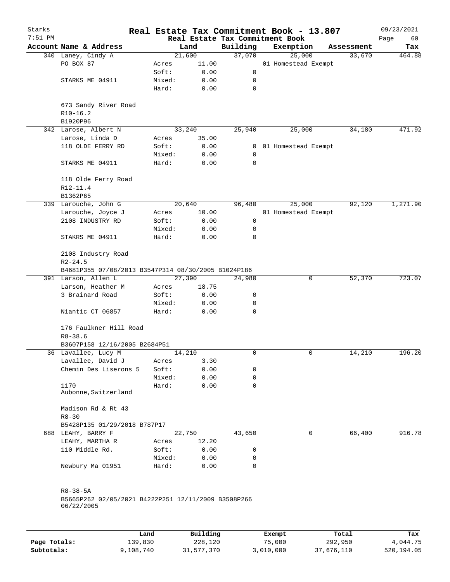| Starks    |                                                     | Real Estate Tax Commitment Book - 13.807 |          |                                             |        |                     |            | 09/23/2021        |
|-----------|-----------------------------------------------------|------------------------------------------|----------|---------------------------------------------|--------|---------------------|------------|-------------------|
| $7:51$ PM | Account Name & Address                              |                                          | Land     | Real Estate Tax Commitment Book<br>Building |        | Exemption           | Assessment | Page<br>60<br>Tax |
|           | 340 Laney, Cindy A                                  |                                          | 21,600   | 37,070                                      |        | 25,000              | 33,670     | 464.88            |
|           | PO BOX 87                                           | Acres                                    | 11.00    |                                             |        | 01 Homestead Exempt |            |                   |
|           |                                                     | Soft:                                    | 0.00     | 0                                           |        |                     |            |                   |
|           | STARKS ME 04911                                     | Mixed:                                   | 0.00     | 0                                           |        |                     |            |                   |
|           |                                                     | Hard:                                    | 0.00     | 0                                           |        |                     |            |                   |
|           | 673 Sandy River Road                                |                                          |          |                                             |        |                     |            |                   |
|           | $R10-16.2$<br>B1920P96                              |                                          |          |                                             |        |                     |            |                   |
|           | 342 Larose, Albert N                                |                                          | 33,240   | 25,940                                      |        | 25,000              | 34,180     | 471.92            |
|           | Larose, Linda D                                     | Acres                                    | 35.00    |                                             |        |                     |            |                   |
|           | 118 OLDE FERRY RD                                   | Soft:                                    | 0.00     | 0                                           |        | 01 Homestead Exempt |            |                   |
|           |                                                     | Mixed:                                   | 0.00     | 0                                           |        |                     |            |                   |
|           | STARKS ME 04911                                     | Hard:                                    | 0.00     | 0                                           |        |                     |            |                   |
|           | 118 Olde Ferry Road                                 |                                          |          |                                             |        |                     |            |                   |
|           | R12-11.4                                            |                                          |          |                                             |        |                     |            |                   |
|           | B1362P65                                            |                                          |          |                                             |        |                     |            |                   |
|           | 339 Larouche, John G                                |                                          | 20,640   | 96,480                                      |        | 25,000              | 92,120     | 1,271.90          |
|           | Larouche, Joyce J                                   | Acres                                    | 10.00    |                                             |        | 01 Homestead Exempt |            |                   |
|           | 2108 INDUSTRY RD                                    | Soft:                                    | 0.00     | 0                                           |        |                     |            |                   |
|           |                                                     | Mixed:                                   | 0.00     | 0                                           |        |                     |            |                   |
|           | STAKRS ME 04911                                     | Hard:                                    | 0.00     | 0                                           |        |                     |            |                   |
|           | 2108 Industry Road<br>$R2 - 24.5$                   |                                          |          |                                             |        |                     |            |                   |
|           | B4681P355 07/08/2013 B3547P314 08/30/2005 B1024P186 |                                          |          |                                             |        |                     |            |                   |
|           | 391 Larson, Allen L                                 |                                          | 27,390   | 24,980                                      |        | 0                   | 52,370     | 723.07            |
|           | Larson, Heather M                                   | Acres                                    | 18.75    |                                             |        |                     |            |                   |
|           | 3 Brainard Road                                     | Soft:                                    | 0.00     | 0                                           |        |                     |            |                   |
|           |                                                     | Mixed:                                   | 0.00     | 0                                           |        |                     |            |                   |
|           | Niantic CT 06857                                    | Hard:                                    | 0.00     | 0                                           |        |                     |            |                   |
|           | 176 Faulkner Hill Road<br>$R8 - 38.6$               |                                          |          |                                             |        |                     |            |                   |
|           | B3607P158 12/16/2005 B2684P51                       |                                          |          |                                             |        |                     |            |                   |
|           | 36 Lavallee, Lucy M                                 |                                          | 14,210   | 0                                           |        | 0                   | 14,210     | 196.20            |
|           | Lavallee, David J                                   | Acres                                    | 3.30     |                                             |        |                     |            |                   |
|           | Chemin Des Liserons 5                               | Soft:                                    | 0.00     | 0                                           |        |                     |            |                   |
|           |                                                     | Mixed:                                   | 0.00     | 0                                           |        |                     |            |                   |
|           | 1170                                                | Hard:                                    | 0.00     | 0                                           |        |                     |            |                   |
|           | Aubonne, Switzerland                                |                                          |          |                                             |        |                     |            |                   |
|           | Madison Rd & Rt 43                                  |                                          |          |                                             |        |                     |            |                   |
|           | $R8 - 30$                                           |                                          |          |                                             |        |                     |            |                   |
|           | B5428P135 01/29/2018 B787P17                        |                                          |          |                                             |        |                     |            |                   |
|           | 688 LEAHY, BARRY F                                  |                                          | 22,750   | 43,650                                      |        | 0                   | 66,400     | 916.78            |
|           | LEAHY, MARTHA R                                     | Acres                                    | 12.20    |                                             |        |                     |            |                   |
|           | 110 Middle Rd.                                      | Soft:                                    | 0.00     | 0                                           |        |                     |            |                   |
|           |                                                     | Mixed:                                   | 0.00     | 0                                           |        |                     |            |                   |
|           | Newbury Ma 01951                                    | Hard:                                    | 0.00     | 0                                           |        |                     |            |                   |
|           | $R8 - 38 - 5A$                                      |                                          |          |                                             |        |                     |            |                   |
|           | B5665P262 02/05/2021 B4222P251 12/11/2009 B3508P266 |                                          |          |                                             |        |                     |            |                   |
|           | 06/22/2005                                          |                                          |          |                                             |        |                     |            |                   |
|           |                                                     |                                          |          |                                             |        |                     |            |                   |
|           |                                                     | Land                                     | Building |                                             | Exempt |                     | Total      | Tax               |

|              | Land      | Building   | Exempt    | Total      | Tax        |
|--------------|-----------|------------|-----------|------------|------------|
| Page Totals: | 139,830   | 228,120    | 75,000    | 292,950    | 4,044.75   |
| Subtotals:   | 9,108,740 | 31,577,370 | 3,010,000 | 37,676,110 | 520,194.05 |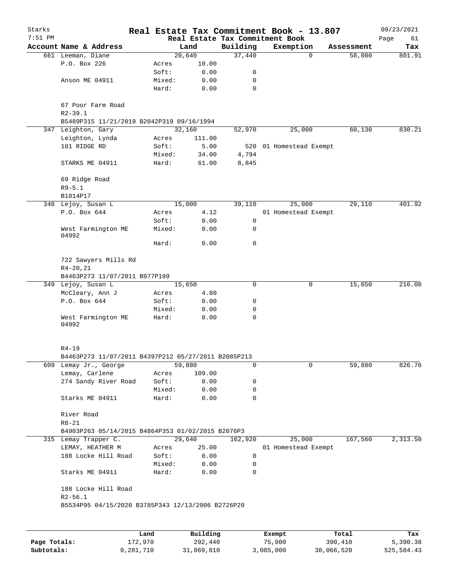| Starks<br>$7:51$ PM |                                                                  |                 |                                     |             | Real Estate Tax Commitment Book - 13.807     |                       | 09/23/2021        |
|---------------------|------------------------------------------------------------------|-----------------|-------------------------------------|-------------|----------------------------------------------|-----------------------|-------------------|
|                     | Account Name & Address                                           |                 | Land                                | Building    | Real Estate Tax Commitment Book<br>Exemption | Assessment            | Page<br>61<br>Tax |
|                     | 661 Leeman, Diane                                                |                 | 20,640                              | 37,440      |                                              | $\mathbf 0$<br>58,080 | 801.91            |
|                     | P.O. Box 226                                                     | Acres           | 10.00                               |             |                                              |                       |                   |
|                     |                                                                  | Soft:           | 0.00                                | 0           |                                              |                       |                   |
|                     | Anson ME 04911                                                   | Mixed:          | 0.00                                | 0           |                                              |                       |                   |
|                     |                                                                  | Hard:           | 0.00                                | $\mathbf 0$ |                                              |                       |                   |
|                     | 67 Poor Farm Road<br>$R2 - 39.1$                                 |                 |                                     |             |                                              |                       |                   |
|                     | B5489P315 11/21/2019 B2042P319 09/16/1994                        |                 |                                     |             |                                              |                       |                   |
|                     | 347 Leighton, Gary                                               |                 | 32,160                              | 52,970      | 25,000                                       | 60,130                | 830.21            |
|                     | Leighton, Lynda                                                  | Acres           | 111.00                              |             |                                              |                       |                   |
|                     | 101 RIDGE RD                                                     | Soft:           | 5.00                                | 520         | 01 Homestead Exempt                          |                       |                   |
|                     |                                                                  | Mixed:          | 34.00                               | 4,794       |                                              |                       |                   |
|                     | STARKS ME 04911                                                  | Hard:           | 61.00                               | 8,845       |                                              |                       |                   |
|                     | 69 Ridge Road<br>$R9 - 5.1$                                      |                 |                                     |             |                                              |                       |                   |
|                     | B1014P17                                                         |                 |                                     |             |                                              |                       |                   |
|                     | 348 Lejoy, Susan L                                               |                 | 15,000                              | 39,110      | 25,000                                       | 29,110                | 401.92            |
|                     | P.O. Box 644                                                     | Acres           | 4.12                                |             | 01 Homestead Exempt                          |                       |                   |
|                     |                                                                  | Soft:           | 0.00                                | 0           |                                              |                       |                   |
|                     | West Farmington ME<br>04992                                      | Mixed:          | 0.00                                | 0           |                                              |                       |                   |
|                     |                                                                  | Hard:           | 0.00                                | $\mathbf 0$ |                                              |                       |                   |
|                     | 722 Sawyers Mills Rd                                             |                 |                                     |             |                                              |                       |                   |
|                     | $R4 - 20, 21$                                                    |                 |                                     |             |                                              |                       |                   |
|                     | B4463P273 11/07/2011 B977P199                                    |                 |                                     |             |                                              |                       |                   |
|                     | 349 Lejoy, Susan L                                               |                 | 15,650                              | 0           |                                              | 0<br>15,650           | 216.08            |
|                     | McCleary, Ann J                                                  | Acres           | 4.80                                |             |                                              |                       |                   |
|                     | P.O. Box 644                                                     | Soft:           | 0.00                                | 0           |                                              |                       |                   |
|                     |                                                                  | Mixed:          | 0.00                                | 0           |                                              |                       |                   |
|                     | West Farmington ME<br>04992                                      | Hard:           | 0.00                                | 0           |                                              |                       |                   |
|                     | $R4 - 19$                                                        |                 |                                     |             |                                              |                       |                   |
|                     | B4463P273 11/07/2011 B4397P212 05/27/2011 B2085P213              |                 |                                     |             |                                              |                       |                   |
|                     | 609 Lemay Jr., George                                            |                 | 59,880                              | 0           |                                              | 0<br>59,880           | 826.76            |
|                     | Lemay, Carlene                                                   |                 | 109.00                              |             |                                              |                       |                   |
|                     | 274 Sandy River Road                                             | Acres<br>Soft:  | 0.00                                | 0           |                                              |                       |                   |
|                     |                                                                  |                 |                                     | 0           |                                              |                       |                   |
|                     | Starks ME 04911                                                  | Mixed:<br>Hard: | 0.00<br>0.00                        | 0           |                                              |                       |                   |
|                     | River Road                                                       |                 |                                     |             |                                              |                       |                   |
|                     | $R8 - 21$                                                        |                 |                                     |             |                                              |                       |                   |
|                     | B4903P263 05/14/2015 B4864P353 01/02/2015 B2076P3                |                 |                                     |             |                                              |                       |                   |
|                     | 315 Lemay Trapper C.                                             |                 | 29,640                              | 162,920     | 25,000                                       | 167,560               | 2,313.50          |
|                     | LEMAY, HEATHER M                                                 | Acres           | 25.00                               |             | 01 Homestead Exempt                          |                       |                   |
|                     | 188 Locke Hill Road                                              | Soft:           | 0.00                                | 0           |                                              |                       |                   |
|                     |                                                                  | Mixed:          | 0.00                                | 0           |                                              |                       |                   |
|                     | Starks ME 04911                                                  | Hard:           | 0.00                                | 0           |                                              |                       |                   |
|                     | 188 Locke Hill Road                                              |                 |                                     |             |                                              |                       |                   |
|                     | $R2 - 56.1$<br>B5534P95 04/15/2020 B3785P343 12/13/2006 B2726P20 |                 |                                     |             |                                              |                       |                   |
|                     |                                                                  |                 |                                     |             |                                              |                       |                   |
|                     |                                                                  |                 |                                     |             |                                              |                       |                   |
|                     |                                                                  |                 | $D_{\text{rel}}$ is a set of $\sim$ |             | $P$ -- $\sim$ mm $+$                         | $T - 1$               | ш.                |

|              | Land      | Building   | Exempt    | Total      | Tax        |
|--------------|-----------|------------|-----------|------------|------------|
| Page Totals: | 172,970   | 292,440    | 75,000    | 390,410    | 5,390.38   |
| Subtotals:   | 9,281,710 | 31,869,810 | 3,085,000 | 38,066,520 | 525,584.43 |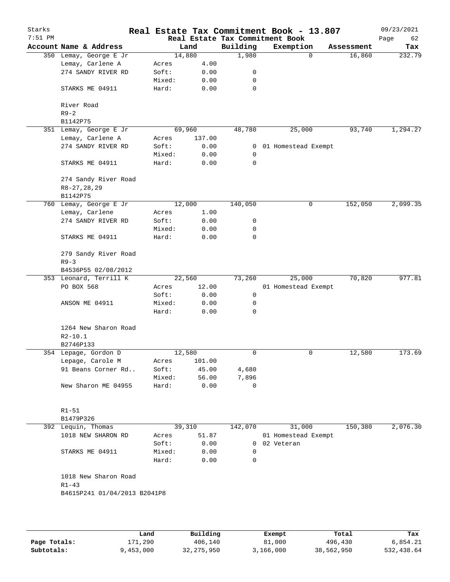| Starks<br>$7:51$ PM |                                          |                 |                  |                         | Real Estate Tax Commitment Book - 13.807<br>Real Estate Tax Commitment Book |            | 09/23/2021<br>Page<br>62 |
|---------------------|------------------------------------------|-----------------|------------------|-------------------------|-----------------------------------------------------------------------------|------------|--------------------------|
|                     | Account Name & Address                   |                 | Land             | Building                | Exemption                                                                   | Assessment | Tax                      |
|                     | 350 Lemay, George E Jr                   | 14,880          |                  | 1,980                   | $\mathbf 0$                                                                 | 16,860     | 232.79                   |
|                     | Lemay, Carlene A                         | Acres           | 4.00             |                         |                                                                             |            |                          |
|                     | 274 SANDY RIVER RD                       | Soft:           | 0.00             | 0                       |                                                                             |            |                          |
|                     |                                          | Mixed:          | 0.00             | 0                       |                                                                             |            |                          |
|                     | STARKS ME 04911                          | Hard:           | 0.00             | 0                       |                                                                             |            |                          |
|                     | River Road<br>$R9 - 2$                   |                 |                  |                         |                                                                             |            |                          |
|                     | B1142P75                                 |                 |                  |                         |                                                                             |            |                          |
|                     | 351 Lemay, George E Jr                   |                 | 69,960           | 48,780                  | 25,000                                                                      | 93,740     | 1,294.27                 |
|                     | Lemay, Carlene A                         | Acres           | 137.00           |                         |                                                                             |            |                          |
|                     | 274 SANDY RIVER RD                       | Soft:           | 0.00             | 0                       | 01 Homestead Exempt                                                         |            |                          |
|                     |                                          | Mixed:          | 0.00             | 0                       |                                                                             |            |                          |
|                     | STARKS ME 04911                          | Hard:           | 0.00             | 0                       |                                                                             |            |                          |
|                     | 274 Sandy River Road<br>R8-27, 28, 29    |                 |                  |                         |                                                                             |            |                          |
|                     | B1142P75                                 |                 |                  |                         |                                                                             |            |                          |
|                     | 760 Lemay, George E Jr                   |                 | 12,000           | 140,050                 | 0                                                                           | 152,050    | 2,099.35                 |
|                     | Lemay, Carlene                           | Acres           | 1.00             |                         |                                                                             |            |                          |
|                     | 274 SANDY RIVER RD                       | Soft:           | 0.00             | 0                       |                                                                             |            |                          |
|                     |                                          | Mixed:          | 0.00             | 0                       |                                                                             |            |                          |
|                     | STARKS ME 04911                          | Hard:           | 0.00             | 0                       |                                                                             |            |                          |
|                     | 279 Sandy River Road                     |                 |                  |                         |                                                                             |            |                          |
|                     | $R9 - 3$                                 |                 |                  |                         |                                                                             |            |                          |
|                     | B4536P55 02/08/2012                      |                 |                  |                         |                                                                             |            |                          |
|                     | 353 Leonard, Terrill K                   |                 | 22,560           | 73,260                  | 25,000                                                                      | 70,820     | 977.81                   |
|                     | PO BOX 568                               | Acres           | 12.00            |                         | 01 Homestead Exempt                                                         |            |                          |
|                     |                                          | Soft:           | 0.00             | 0                       |                                                                             |            |                          |
|                     | ANSON ME 04911                           | Mixed:          | 0.00             | 0                       |                                                                             |            |                          |
|                     |                                          | Hard:           | 0.00             | 0                       |                                                                             |            |                          |
|                     | 1264 New Sharon Road                     |                 |                  |                         |                                                                             |            |                          |
|                     | $R2 - 10.1$                              |                 |                  |                         |                                                                             |            |                          |
|                     | B2746P133                                |                 |                  |                         |                                                                             | 12,580     | 173.69                   |
|                     | 354 Lepage, Gordon D<br>Lepage, Carole M |                 | 12,580<br>101.00 | 0                       | 0                                                                           |            |                          |
|                     | 91 Beans Corner Rd                       | Acres<br>Soft:  | 45.00            | 4,680                   |                                                                             |            |                          |
|                     |                                          | Mixed:          | 56.00            | 7,896                   |                                                                             |            |                          |
|                     | New Sharon ME 04955                      | Hard:           | 0.00             | 0                       |                                                                             |            |                          |
|                     |                                          |                 |                  |                         |                                                                             |            |                          |
|                     | $R1 - 51$                                |                 |                  |                         |                                                                             |            |                          |
|                     | B1479P326                                |                 |                  |                         |                                                                             |            |                          |
|                     | 392 Lequin, Thomas                       |                 | 39,310           | 142,070                 | 31,000                                                                      | 150,380    | 2,076.30                 |
|                     | 1018 NEW SHARON RD                       | Acres           | 51.87            |                         | 01 Homestead Exempt                                                         |            |                          |
|                     |                                          | Soft:           | 0.00             | 0                       | 02 Veteran                                                                  |            |                          |
|                     | STARKS ME 04911                          | Mixed:<br>Hard: | 0.00<br>0.00     | $\mathbf 0$<br>$\Omega$ |                                                                             |            |                          |
|                     | 1018 New Sharon Road                     |                 |                  |                         |                                                                             |            |                          |
|                     | $R1 - 43$                                |                 |                  |                         |                                                                             |            |                          |
|                     | B4615P241 01/04/2013 B2041P8             |                 |                  |                         |                                                                             |            |                          |
|                     |                                          |                 |                  |                         |                                                                             |            |                          |
|                     |                                          |                 |                  |                         |                                                                             |            |                          |
|                     |                                          |                 |                  |                         |                                                                             |            |                          |

|              | Land      | Building   | Exempt    | Total      | Tax        |
|--------------|-----------|------------|-----------|------------|------------|
| Page Totals: | 171,290   | 406,140    | 81,000    | 496,430    | 6,854.21   |
| Subtotals:   | 9,453,000 | 32,275,950 | 3,166,000 | 38,562,950 | 532,438.64 |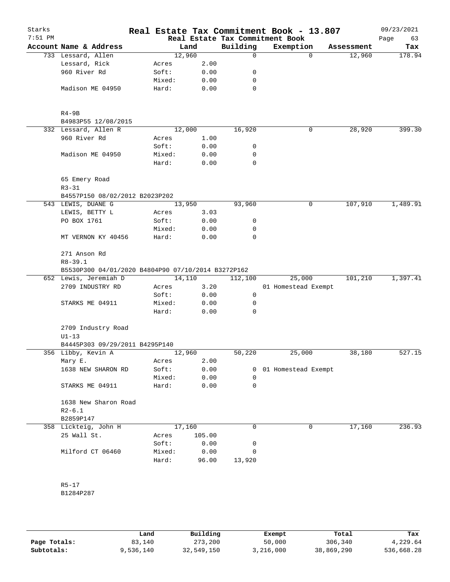| Starks<br>$7:51$ PM |                                                    |                 |              |             | Real Estate Tax Commitment Book - 13.807<br>Real Estate Tax Commitment Book |            | 09/23/2021<br>Page<br>63 |
|---------------------|----------------------------------------------------|-----------------|--------------|-------------|-----------------------------------------------------------------------------|------------|--------------------------|
|                     | Account Name & Address                             |                 | Land         | Building    | Exemption                                                                   | Assessment | Tax                      |
|                     | 733 Lessard, Allen                                 | 12,960          |              | $\mathbf 0$ | $\Omega$                                                                    | 12,960     | 178.94                   |
|                     | Lessard, Rick                                      | Acres           | 2.00         |             |                                                                             |            |                          |
|                     | 960 River Rd                                       | Soft:           | 0.00         | 0           |                                                                             |            |                          |
|                     |                                                    | Mixed:          | 0.00         | 0           |                                                                             |            |                          |
|                     | Madison ME 04950                                   | Hard:           | 0.00         | 0           |                                                                             |            |                          |
|                     | $R4-9B$                                            |                 |              |             |                                                                             |            |                          |
|                     | B4983P55 12/08/2015                                |                 |              |             |                                                                             |            |                          |
|                     | 332 Lessard, Allen R                               | 12,000          |              | 16,920      | 0                                                                           | 28,920     | 399.30                   |
|                     | 960 River Rd                                       | Acres           | 1.00         |             |                                                                             |            |                          |
|                     |                                                    | Soft:           | 0.00         | 0           |                                                                             |            |                          |
|                     | Madison ME 04950                                   | Mixed:          | 0.00         | 0           |                                                                             |            |                          |
|                     |                                                    | Hard:           | 0.00         | 0           |                                                                             |            |                          |
|                     | 65 Emery Road<br>$R3 - 31$                         |                 |              |             |                                                                             |            |                          |
|                     | B4557P150 08/02/2012 B2023P202                     |                 |              |             |                                                                             |            |                          |
|                     | 543 LEWIS, DUANE G                                 | 13,950          |              | 93,960      | 0                                                                           | 107,910    | 1,489.91                 |
|                     | LEWIS, BETTY L                                     | Acres           | 3.03         |             |                                                                             |            |                          |
|                     | PO BOX 1761                                        | Soft:           | 0.00         | 0           |                                                                             |            |                          |
|                     |                                                    | Mixed:          | 0.00         | 0           |                                                                             |            |                          |
|                     | MT VERNON KY 40456                                 | Hard:           | 0.00         | 0           |                                                                             |            |                          |
|                     | 271 Anson Rd<br>$R8 - 39.1$                        |                 |              |             |                                                                             |            |                          |
|                     | B5530P300 04/01/2020 B4804P90 07/10/2014 B3272P162 |                 |              |             |                                                                             |            |                          |
|                     | 652 Lewis, Jeremiah D                              | 14,110          |              | 112,100     | 25,000                                                                      | 101,210    | 1,397.41                 |
|                     | 2709 INDUSTRY RD                                   | Acres           | 3.20         |             | 01 Homestead Exempt                                                         |            |                          |
|                     |                                                    | Soft:           | 0.00         | 0           |                                                                             |            |                          |
|                     | STARKS ME 04911                                    | Mixed:<br>Hard: | 0.00<br>0.00 | 0<br>0      |                                                                             |            |                          |
|                     |                                                    |                 |              |             |                                                                             |            |                          |
|                     | 2709 Industry Road<br>$U1-13$                      |                 |              |             |                                                                             |            |                          |
|                     | B4445P303 09/29/2011 B4295P140                     |                 |              |             |                                                                             |            |                          |
|                     | 356 Libby, Kevin A                                 | 12,960          |              | 50,220      | 25,000                                                                      | 38,180     | 527.15                   |
|                     | Mary E.                                            | Acres           | 2.00         |             |                                                                             |            |                          |
|                     | 1638 NEW SHARON RD                                 | Soft:           | 0.00         |             | 0 01 Homestead Exempt                                                       |            |                          |
|                     |                                                    | Mixed:          | 0.00         | 0           |                                                                             |            |                          |
|                     | STARKS ME 04911                                    | Hard:           | 0.00         | 0           |                                                                             |            |                          |
|                     | 1638 New Sharon Road<br>$R2-6.1$                   |                 |              |             |                                                                             |            |                          |
|                     | B2859P147                                          |                 |              |             |                                                                             |            |                          |
|                     | 358 Lickteig, John H                               | 17,160          |              | $\mathbf 0$ | 0                                                                           | 17,160     | 236.93                   |
|                     | 25 Wall St.                                        | Acres           | 105.00       |             |                                                                             |            |                          |
|                     |                                                    | Soft:           | 0.00         | 0           |                                                                             |            |                          |
|                     | Milford CT 06460                                   | Mixed:          | 0.00         | 0           |                                                                             |            |                          |
|                     |                                                    | Hard:           | 96.00        | 13,920      |                                                                             |            |                          |
|                     | $R5 - 17$                                          |                 |              |             |                                                                             |            |                          |
|                     | B1284P287                                          |                 |              |             |                                                                             |            |                          |
|                     |                                                    |                 |              |             |                                                                             |            |                          |

|              | Land      | Building   | Exempt    | Total      | Tax        |
|--------------|-----------|------------|-----------|------------|------------|
| Page Totals: | 83,140    | 273,200    | 50,000    | 306,340    | 4,229.64   |
| Subtotals:   | 9,536,140 | 32,549,150 | 3,216,000 | 38,869,290 | 536,668.28 |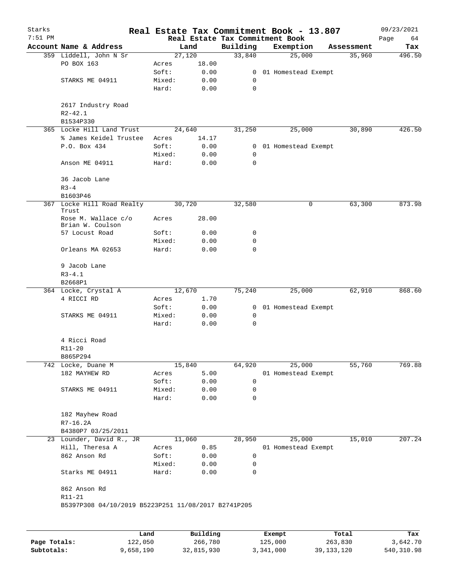| Starks    |                                                     |        |        |              | Real Estate Tax Commitment Book - 13.807     |            | 09/23/2021        |
|-----------|-----------------------------------------------------|--------|--------|--------------|----------------------------------------------|------------|-------------------|
| $7:51$ PM | Account Name & Address                              |        | Land   | Building     | Real Estate Tax Commitment Book<br>Exemption | Assessment | Page<br>64<br>Tax |
|           | 359 Liddell, John N Sr                              |        | 27,120 | 33,840       | 25,000                                       | 35,960     | 496.50            |
|           | PO BOX 163                                          | Acres  | 18.00  |              |                                              |            |                   |
|           |                                                     | Soft:  | 0.00   | $\mathbf{0}$ | 01 Homestead Exempt                          |            |                   |
|           | STARKS ME 04911                                     | Mixed: | 0.00   | 0            |                                              |            |                   |
|           |                                                     | Hard:  | 0.00   | $\mathbf 0$  |                                              |            |                   |
|           | 2617 Industry Road                                  |        |        |              |                                              |            |                   |
|           | $R2 - 42.1$                                         |        |        |              |                                              |            |                   |
|           | B1534P330                                           |        |        |              |                                              |            |                   |
|           | 365 Locke Hill Land Trust                           |        | 24,640 | 31,250       | 25,000                                       | 30,890     | 426.50            |
|           | % James Keidel Trustee                              | Acres  | 14.17  |              |                                              |            |                   |
|           | P.O. Box 434                                        | Soft:  | 0.00   | 0            | 01 Homestead Exempt                          |            |                   |
|           |                                                     | Mixed: | 0.00   | 0            |                                              |            |                   |
|           | Anson ME 04911                                      | Hard:  | 0.00   | 0            |                                              |            |                   |
|           | 36 Jacob Lane                                       |        |        |              |                                              |            |                   |
|           | $R3 - 4$                                            |        |        |              |                                              |            |                   |
|           | B1603P46                                            |        |        |              |                                              |            |                   |
|           | 367 Locke Hill Road Realty<br>Trust                 |        | 30,720 | 32,580       | 0                                            | 63,300     | 873.98            |
|           | Rose M. Wallace c/o<br>Brian W. Coulson             | Acres  | 28.00  |              |                                              |            |                   |
|           | 57 Locust Road                                      | Soft:  | 0.00   | 0            |                                              |            |                   |
|           |                                                     | Mixed: | 0.00   | 0            |                                              |            |                   |
|           | Orleans MA 02653                                    | Hard:  | 0.00   | 0            |                                              |            |                   |
|           | 9 Jacob Lane                                        |        |        |              |                                              |            |                   |
|           | $R3 - 4.1$<br>B2668P1                               |        |        |              |                                              |            |                   |
|           | 364 Locke, Crystal A                                |        | 12,670 | 75,240       | 25,000                                       | 62,910     | 868.60            |
|           | 4 RICCI RD                                          | Acres  | 1.70   |              |                                              |            |                   |
|           |                                                     | Soft:  | 0.00   | $\mathbf{0}$ | 01 Homestead Exempt                          |            |                   |
|           | STARKS ME 04911                                     | Mixed: | 0.00   | 0            |                                              |            |                   |
|           |                                                     | Hard:  | 0.00   | $\mathbf 0$  |                                              |            |                   |
|           | 4 Ricci Road                                        |        |        |              |                                              |            |                   |
|           | R11-20                                              |        |        |              |                                              |            |                   |
|           | B865P294                                            |        |        |              |                                              |            |                   |
|           | 742 Locke, Duane M                                  |        | 15,840 | 64,920       | 25,000                                       | 55,760     | 769.88            |
|           | 182 MAYHEW RD                                       | Acres  | 5.00   |              | 01 Homestead Exempt                          |            |                   |
|           |                                                     | Soft:  | 0.00   | 0            |                                              |            |                   |
|           | STARKS ME 04911                                     | Mixed: | 0.00   | 0            |                                              |            |                   |
|           |                                                     | Hard:  | 0.00   | 0            |                                              |            |                   |
|           | 182 Mayhew Road                                     |        |        |              |                                              |            |                   |
|           | $R7-16.2A$                                          |        |        |              |                                              |            |                   |
|           | B4380P7 03/25/2011                                  |        |        |              |                                              |            |                   |
|           | 23 Lounder, David R., JR                            |        | 11,060 | 28,950       | 25,000                                       | 15,010     | 207.24            |
|           | Hill, Theresa A                                     | Acres  | 0.85   |              | 01 Homestead Exempt                          |            |                   |
|           | 862 Anson Rd                                        | Soft:  | 0.00   | 0            |                                              |            |                   |
|           |                                                     | Mixed: | 0.00   | 0            |                                              |            |                   |
|           | Starks ME 04911                                     | Hard:  | 0.00   | 0            |                                              |            |                   |
|           | 862 Anson Rd                                        |        |        |              |                                              |            |                   |
|           | R11-21                                              |        |        |              |                                              |            |                   |
|           | B5397P308 04/10/2019 B5223P251 11/08/2017 B2741P205 |        |        |              |                                              |            |                   |
|           |                                                     |        |        |              |                                              |            |                   |
|           |                                                     |        |        |              |                                              |            |                   |

|              | Land      | Building   | Exempt    | Total        | Tax        |
|--------------|-----------|------------|-----------|--------------|------------|
| Page Totals: | 122,050   | 266,780    | 125,000   | 263,830      | 3,642.70   |
| Subtotals:   | 9,658,190 | 32,815,930 | 3,341,000 | 39, 133, 120 | 540,310.98 |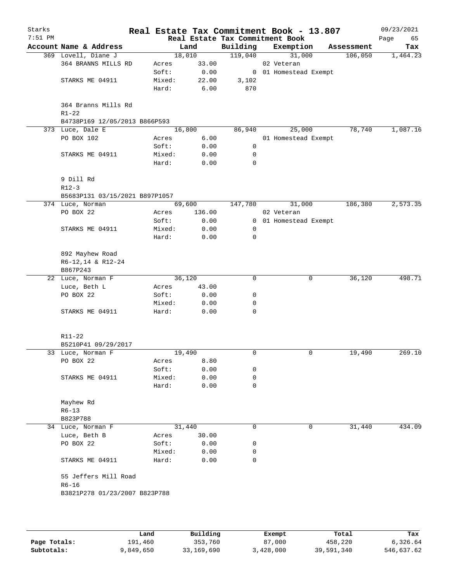| Starks<br>$7:51$ PM |                                |        |        | Real Estate Tax Commitment Book | Real Estate Tax Commitment Book - 13.807 |            | 09/23/2021<br>Page<br>65 |
|---------------------|--------------------------------|--------|--------|---------------------------------|------------------------------------------|------------|--------------------------|
|                     | Account Name & Address         |        | Land   | Building                        | Exemption                                | Assessment | Tax                      |
|                     | 369 Lovell, Diane J            |        | 18,010 | 119,040                         | 31,000                                   | 106,050    | 1,464.23                 |
|                     | 364 BRANNS MILLS RD            | Acres  | 33.00  |                                 | 02 Veteran                               |            |                          |
|                     |                                | Soft:  | 0.00   |                                 | 0 01 Homestead Exempt                    |            |                          |
|                     | STARKS ME 04911                | Mixed: | 22.00  | 3,102                           |                                          |            |                          |
|                     |                                | Hard:  | 6.00   | 870                             |                                          |            |                          |
|                     | 364 Branns Mills Rd            |        |        |                                 |                                          |            |                          |
|                     | $R1 - 22$                      |        |        |                                 |                                          |            |                          |
|                     | B4738P169 12/05/2013 B866P593  |        |        |                                 |                                          |            |                          |
|                     | 373 Luce, Dale E               |        | 16,800 | 86,940                          | 25,000                                   | 78,740     | 1,087.16                 |
|                     | PO BOX 102                     | Acres  | 6.00   |                                 | 01 Homestead Exempt                      |            |                          |
|                     |                                | Soft:  | 0.00   | 0                               |                                          |            |                          |
|                     | STARKS ME 04911                | Mixed: | 0.00   | 0                               |                                          |            |                          |
|                     |                                | Hard:  | 0.00   | 0                               |                                          |            |                          |
|                     | 9 Dill Rd                      |        |        |                                 |                                          |            |                          |
|                     | $R12-3$                        |        |        |                                 |                                          |            |                          |
|                     | B5683P131 03/15/2021 B897P1057 |        |        |                                 |                                          |            |                          |
|                     | 374 Luce, Norman               |        | 69,600 | 147,780                         | 31,000                                   | 186,380    | 2,573.35                 |
|                     | PO BOX 22                      | Acres  | 136.00 |                                 | 02 Veteran                               |            |                          |
|                     |                                | Soft:  | 0.00   |                                 | 0 01 Homestead Exempt                    |            |                          |
|                     | STARKS ME 04911                | Mixed: | 0.00   | 0                               |                                          |            |                          |
|                     |                                | Hard:  | 0.00   | 0                               |                                          |            |                          |
|                     | 892 Mayhew Road                |        |        |                                 |                                          |            |                          |
|                     | R6-12,14 & R12-24              |        |        |                                 |                                          |            |                          |
|                     | B867P243                       |        |        |                                 |                                          |            |                          |
|                     | 22 Luce, Norman F              |        | 36,120 | 0                               | 0                                        | 36,120     | 498.71                   |
|                     | Luce, Beth L                   | Acres  | 43.00  |                                 |                                          |            |                          |
|                     | PO BOX 22                      | Soft:  | 0.00   | 0                               |                                          |            |                          |
|                     |                                | Mixed: | 0.00   | 0                               |                                          |            |                          |
|                     | STARKS ME 04911                | Hard:  | 0.00   | 0                               |                                          |            |                          |
|                     |                                |        |        |                                 |                                          |            |                          |
|                     | R11-22                         |        |        |                                 |                                          |            |                          |
|                     | B5210P41 09/29/2017            |        |        |                                 |                                          |            |                          |
|                     | 33 Luce, Norman F              |        | 19,490 | 0                               | 0                                        | 19,490     | 269.10                   |
|                     | PO BOX 22                      | Acres  | 8.80   |                                 |                                          |            |                          |
|                     |                                | Soft:  | 0.00   | 0                               |                                          |            |                          |
|                     | STARKS ME 04911                | Mixed: | 0.00   | 0                               |                                          |            |                          |
|                     |                                | Hard:  | 0.00   | 0                               |                                          |            |                          |
|                     | Mayhew Rd                      |        |        |                                 |                                          |            |                          |
|                     | $R6 - 13$                      |        |        |                                 |                                          |            |                          |
|                     | B823P788                       |        |        |                                 |                                          |            |                          |
|                     | 34 Luce, Norman F              |        | 31,440 | 0                               | 0                                        | 31,440     | 434.09                   |
|                     | Luce, Beth B                   | Acres  | 30.00  |                                 |                                          |            |                          |
|                     | PO BOX 22                      | Soft:  | 0.00   | 0                               |                                          |            |                          |
|                     |                                | Mixed: | 0.00   | 0                               |                                          |            |                          |
|                     | STARKS ME 04911                | Hard:  | 0.00   | 0                               |                                          |            |                          |
|                     | 55 Jeffers Mill Road           |        |        |                                 |                                          |            |                          |
|                     | $R6 - 16$                      |        |        |                                 |                                          |            |                          |
|                     | B3821P278 01/23/2007 B823P788  |        |        |                                 |                                          |            |                          |
|                     |                                |        |        |                                 |                                          |            |                          |
|                     |                                |        |        |                                 |                                          |            |                          |
|                     |                                |        |        |                                 |                                          |            |                          |

|              | Land      | Building   | Exempt    | Total      | Tax        |
|--------------|-----------|------------|-----------|------------|------------|
| Page Totals: | 191,460   | 353,760    | 87,000    | 458,220    | 6,326.64   |
| Subtotals:   | 9,849,650 | 33,169,690 | 3,428,000 | 39,591,340 | 546,637.62 |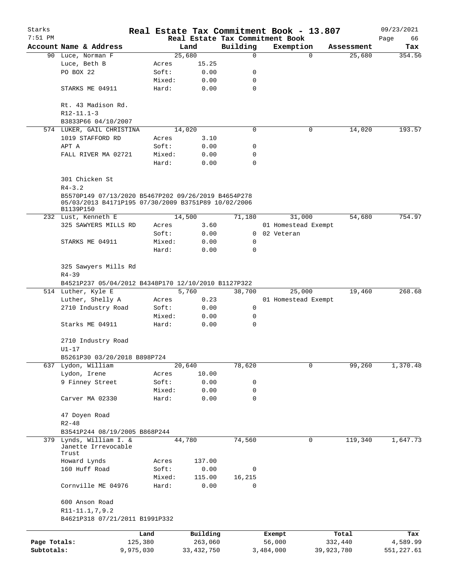| Starks       |                                                                                                                         |                                                                             |                 |                | Real Estate Tax Commitment Book - 13.807 |  |                     |             |                      | 09/23/2021    |
|--------------|-------------------------------------------------------------------------------------------------------------------------|-----------------------------------------------------------------------------|-----------------|----------------|------------------------------------------|--|---------------------|-------------|----------------------|---------------|
| $7:51$ PM    | Account Name & Address                                                                                                  |                                                                             |                 |                | Real Estate Tax Commitment Book          |  |                     |             |                      | Page<br>66    |
|              | 90 Luce, Norman F                                                                                                       |                                                                             |                 | Land<br>25,680 | Building<br>0                            |  | Exemption           | $\mathbf 0$ | Assessment<br>25,680 | Tax<br>354.56 |
|              | Luce, Beth B                                                                                                            |                                                                             | Acres           | 15.25          |                                          |  |                     |             |                      |               |
|              | PO BOX 22                                                                                                               |                                                                             | Soft:           | 0.00           | 0                                        |  |                     |             |                      |               |
|              |                                                                                                                         |                                                                             | Mixed:          | 0.00           | 0                                        |  |                     |             |                      |               |
|              | STARKS ME 04911                                                                                                         |                                                                             | Hard:           | 0.00           | $\mathbf 0$                              |  |                     |             |                      |               |
|              |                                                                                                                         |                                                                             |                 |                |                                          |  |                     |             |                      |               |
|              | Rt. 43 Madison Rd.<br>$R12 - 11.1 - 3$                                                                                  |                                                                             |                 |                |                                          |  |                     |             |                      |               |
|              | B3833P66 04/10/2007                                                                                                     |                                                                             |                 |                |                                          |  |                     |             |                      |               |
|              | 574 LUKER, GAIL CHRISTINA                                                                                               |                                                                             |                 | 14,020         | 0                                        |  |                     | 0           | 14,020               | 193.57        |
|              | 1019 STAFFORD RD                                                                                                        |                                                                             | Acres           | 3.10           |                                          |  |                     |             |                      |               |
|              | APT A                                                                                                                   |                                                                             | Soft:           | 0.00           | 0                                        |  |                     |             |                      |               |
|              | FALL RIVER MA 02721                                                                                                     |                                                                             | Mixed:<br>Hard: | 0.00<br>0.00   | 0<br>0                                   |  |                     |             |                      |               |
|              | 301 Chicken St                                                                                                          |                                                                             |                 |                |                                          |  |                     |             |                      |               |
|              | $R4 - 3.2$                                                                                                              |                                                                             |                 |                |                                          |  |                     |             |                      |               |
|              | B5570P149 07/13/2020 B5467P202 09/26/2019 B4654P278<br>05/03/2013 B4171P195 07/30/2009 B3751P89 10/02/2006<br>B1139P150 |                                                                             |                 |                |                                          |  |                     |             |                      |               |
|              | 232 Lust, Kenneth E                                                                                                     |                                                                             |                 | 14,500         | 71,180                                   |  | 31,000              |             | 54,680               | 754.97        |
|              | 325 SAWYERS MILLS RD                                                                                                    |                                                                             | Acres           | 3.60           |                                          |  | 01 Homestead Exempt |             |                      |               |
|              |                                                                                                                         |                                                                             | Soft:           | 0.00           | $\mathbf{0}$                             |  | 02 Veteran          |             |                      |               |
|              | STARKS ME 04911                                                                                                         |                                                                             | Mixed:          | 0.00           | $\mathbf 0$                              |  |                     |             |                      |               |
|              |                                                                                                                         |                                                                             | Hard:           | 0.00           | $\Omega$                                 |  |                     |             |                      |               |
|              | $R4 - 39$                                                                                                               | 325 Sawyers Mills Rd<br>B4521P237 05/04/2012 B4348P170 12/10/2010 B1127P322 |                 |                |                                          |  |                     |             |                      |               |
|              |                                                                                                                         |                                                                             |                 |                |                                          |  |                     |             |                      |               |
|              | 514 Luther, Kyle E                                                                                                      |                                                                             |                 | 5,760          | 38,700                                   |  | 25,000              |             | 19,460               | 268.68        |
|              | Luther, Shelly A                                                                                                        |                                                                             | Acres           | 0.23           |                                          |  | 01 Homestead Exempt |             |                      |               |
|              | 2710 Industry Road                                                                                                      |                                                                             | Soft:           | 0.00           | 0                                        |  |                     |             |                      |               |
|              |                                                                                                                         |                                                                             | Mixed:          | 0.00           | 0                                        |  |                     |             |                      |               |
|              | Starks ME 04911                                                                                                         |                                                                             | Hard:           | 0.00           | $\mathbf 0$                              |  |                     |             |                      |               |
|              | 2710 Industry Road<br>$U1-17$                                                                                           |                                                                             |                 |                |                                          |  |                     |             |                      |               |
|              | B5261P30 03/20/2018 B898P724                                                                                            |                                                                             |                 |                |                                          |  |                     |             |                      |               |
|              | 637 Lydon, William                                                                                                      |                                                                             |                 | 20,640         | 78,620                                   |  |                     | 0           | 99,260               | 1,370.48      |
|              | Lydon, Irene                                                                                                            |                                                                             | Acres           | 10.00          |                                          |  |                     |             |                      |               |
|              | 9 Finney Street                                                                                                         |                                                                             | Soft:           | 0.00           | 0                                        |  |                     |             |                      |               |
|              |                                                                                                                         |                                                                             | Mixed:          | 0.00           | 0                                        |  |                     |             |                      |               |
|              | Carver MA 02330                                                                                                         |                                                                             | Hard:           | 0.00           | 0                                        |  |                     |             |                      |               |
|              | 47 Doyen Road<br>$R2 - 48$                                                                                              |                                                                             |                 |                |                                          |  |                     |             |                      |               |
|              | B3541P244 08/19/2005 B868P244                                                                                           |                                                                             |                 |                |                                          |  |                     |             |                      |               |
|              | 379 Lynds, William I. &                                                                                                 |                                                                             |                 | 44,780         | 74,560                                   |  |                     | 0           | 119,340              | 1,647.73      |
|              | Janette Irrevocable<br>Trust                                                                                            |                                                                             |                 |                |                                          |  |                     |             |                      |               |
|              | Howard Lynds                                                                                                            |                                                                             | Acres           | 137.00         |                                          |  |                     |             |                      |               |
|              | 160 Huff Road                                                                                                           |                                                                             | Soft:           | 0.00           | 0                                        |  |                     |             |                      |               |
|              |                                                                                                                         |                                                                             | Mixed:          | 115.00         | 16,215                                   |  |                     |             |                      |               |
|              | Cornville ME 04976                                                                                                      |                                                                             | Hard:           | 0.00           | $\Omega$                                 |  |                     |             |                      |               |
|              | 600 Anson Road                                                                                                          |                                                                             |                 |                |                                          |  |                     |             |                      |               |
|              | R11-11.1,7,9.2<br>B4621P318 07/21/2011 B1991P332                                                                        |                                                                             |                 |                |                                          |  |                     |             |                      |               |
|              |                                                                                                                         | Land                                                                        |                 | Building       |                                          |  | Exempt              |             | Total                | Tax           |
| Page Totals: |                                                                                                                         | 125,380                                                                     |                 | 263,060        |                                          |  | 56,000              |             | 332,440              | 4,589.99      |
| Subtotals:   |                                                                                                                         | 9,975,030                                                                   |                 | 33, 432, 750   |                                          |  | 3,484,000           | 39,923,780  |                      | 551, 227.61   |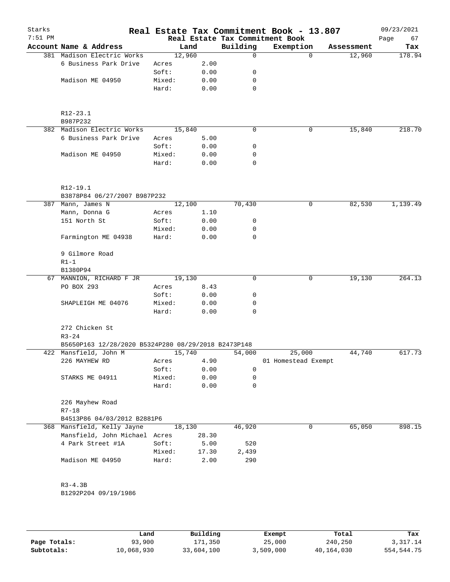| Starks<br>$7:51$ PM |                                                     |                 |              |             | Real Estate Tax Commitment Book - 13.807<br>Real Estate Tax Commitment Book |            | 09/23/2021<br>Page<br>67 |
|---------------------|-----------------------------------------------------|-----------------|--------------|-------------|-----------------------------------------------------------------------------|------------|--------------------------|
|                     | Account Name & Address                              | Land            |              | Building    | Exemption                                                                   | Assessment | Tax                      |
|                     | 381 Madison Electric Works                          | 12,960          |              | $\Omega$    |                                                                             | $\Omega$   | 12,960<br>178.94         |
|                     | 6 Business Park Drive                               | Acres           | 2.00         |             |                                                                             |            |                          |
|                     |                                                     | Soft:           | 0.00         | 0           |                                                                             |            |                          |
|                     | Madison ME 04950                                    | Mixed:          | 0.00         | 0           |                                                                             |            |                          |
|                     |                                                     | Hard:           | 0.00         | 0           |                                                                             |            |                          |
|                     |                                                     |                 |              |             |                                                                             |            |                          |
|                     | R12-23.1<br>B987P232                                |                 |              |             |                                                                             |            |                          |
|                     | 382 Madison Electric Works                          | 15,840          |              | $\mathbf 0$ |                                                                             | 0          | 15,840<br>218.70         |
|                     | 6 Business Park Drive                               | Acres           | 5.00         |             |                                                                             |            |                          |
|                     |                                                     | Soft:           | 0.00         | 0           |                                                                             |            |                          |
|                     | Madison ME 04950                                    | Mixed:          | 0.00         | 0           |                                                                             |            |                          |
|                     |                                                     | Hard:           | 0.00         | 0           |                                                                             |            |                          |
|                     | R12-19.1                                            |                 |              |             |                                                                             |            |                          |
|                     | B3878P84 06/27/2007 B987P232                        |                 |              |             |                                                                             |            |                          |
|                     | 387 Mann, James N                                   | 12,100          |              | 70,430      | 0                                                                           |            | 82,530<br>1,139.49       |
|                     |                                                     |                 |              |             |                                                                             |            |                          |
|                     | Mann, Donna G<br>151 North St                       | Acres           | 1.10         |             |                                                                             |            |                          |
|                     |                                                     | Soft:           | 0.00         | 0           |                                                                             |            |                          |
|                     | Farmington ME 04938                                 | Mixed:<br>Hard: | 0.00<br>0.00 | 0<br>0      |                                                                             |            |                          |
|                     | 9 Gilmore Road                                      |                 |              |             |                                                                             |            |                          |
|                     | $R1-1$                                              |                 |              |             |                                                                             |            |                          |
|                     | B1380P94                                            |                 |              |             |                                                                             |            |                          |
| 67                  | MANNION, RICHARD F JR                               | 19,130          |              | 0           |                                                                             | 0          | 19,130<br>264.13         |
|                     | PO BOX 293                                          | Acres           | 8.43         |             |                                                                             |            |                          |
|                     |                                                     | Soft:           | 0.00         | 0           |                                                                             |            |                          |
|                     | SHAPLEIGH ME 04076                                  | Mixed:          | 0.00         | 0           |                                                                             |            |                          |
|                     |                                                     | Hard:           | 0.00         | $\Omega$    |                                                                             |            |                          |
|                     | 272 Chicken St<br>$R3 - 24$                         |                 |              |             |                                                                             |            |                          |
|                     | B5650P163 12/28/2020 B5324P280 08/29/2018 B2473P148 |                 |              |             |                                                                             |            |                          |
|                     | 422 Mansfield, John M                               | 15,740          |              | 54,000      | 25,000                                                                      |            | 44,740<br>617.73         |
|                     | 226 MAYHEW RD                                       | Acres           | 4.90         |             | 01 Homestead Exempt                                                         |            |                          |
|                     |                                                     | Soft:           | 0.00         | 0           |                                                                             |            |                          |
|                     | STARKS ME 04911                                     | Mixed:          | 0.00         | 0           |                                                                             |            |                          |
|                     |                                                     | Hard:           | 0.00         | 0           |                                                                             |            |                          |
|                     | 226 Mayhew Road<br>$R7 - 18$                        |                 |              |             |                                                                             |            |                          |
|                     | B4513P86 04/03/2012 B2881P6                         |                 |              |             |                                                                             |            |                          |
|                     | 368 Mansfield, Kelly Jayne                          | 18,130          |              | 46,920      |                                                                             | 0          | 65,050<br>898.15         |
|                     | Mansfield, John Michael Acres                       |                 | 28.30        |             |                                                                             |            |                          |
|                     | 4 Park Street #1A                                   | Soft:           | 5.00         | 520         |                                                                             |            |                          |
|                     |                                                     | Mixed:          | 17.30        | 2,439       |                                                                             |            |                          |
|                     | Madison ME 04950                                    | Hard:           | 2.00         | 290         |                                                                             |            |                          |
|                     | $R3 - 4.3B$                                         |                 |              |             |                                                                             |            |                          |
|                     | B1292P204 09/19/1986                                |                 |              |             |                                                                             |            |                          |
|                     |                                                     |                 |              |             |                                                                             |            |                          |

|              | Land       | Building   | Exempt    | Total      | Tax        |
|--------------|------------|------------|-----------|------------|------------|
| Page Totals: | 93,900     | 171,350    | 25,000    | 240,250    | 3,317.14   |
| Subtotals:   | 10,068,930 | 33,604,100 | 3,509,000 | 40,164,030 | 554,544.75 |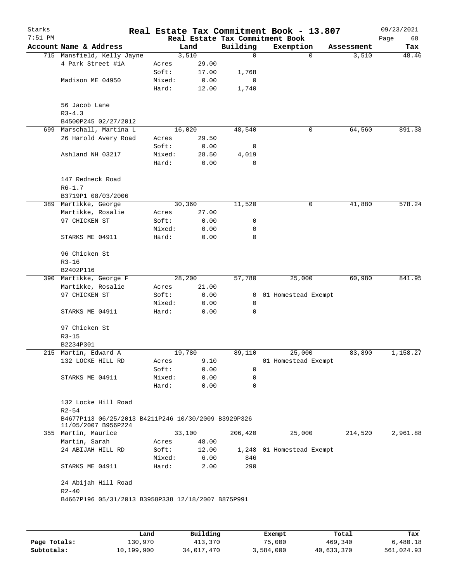| Real Estate Tax Commitment Book<br>Account Name & Address<br>Building<br>Land<br>Exemption<br>Assessment<br>Tax<br>715 Mansfield, Kelly Jayne<br>3,510<br>0<br>$\mathbf 0$<br>3,510<br>48.46<br>4 Park Street #1A<br>29.00<br>Acres<br>Soft:<br>17.00<br>1,768<br>Madison ME 04950<br>Mixed:<br>0.00<br>0<br>Hard:<br>12.00<br>1,740<br>56 Jacob Lane<br>$R3 - 4.3$<br>B4500P245 02/27/2012<br>699 Marschall, Martina L<br>64,560<br>891.38<br>16,020<br>48,540<br>0<br>26 Harold Avery Road<br>29.50<br>Acres<br>Soft:<br>0.00<br>0<br>28.50<br>Ashland NH 03217<br>Mixed:<br>4,019<br>Hard:<br>0.00<br>0<br>147 Redneck Road<br>$R6 - 1.7$<br>B3719P1 08/03/2006<br>30,360<br>11,520<br>578.24<br>389 Martikke, George<br>0<br>41,880<br>Martikke, Rosalie<br>27.00<br>Acres<br>97 CHICKEN ST<br>Soft:<br>0.00<br>0<br>Mixed:<br>0<br>0.00<br>STARKS ME 04911<br>Hard:<br>0.00<br>0<br>96 Chicken St<br>$R3 - 16$<br>B2402P116<br>28,200<br>25,000<br>60,980<br>390 Martikke, George F<br>57,780<br>Martikke, Rosalie<br>21.00<br>Acres<br>97 CHICKEN ST<br>Soft:<br>0.00<br>01 Homestead Exempt<br>0<br>Mixed:<br>0.00<br>0<br>STARKS ME 04911<br>Hard:<br>0<br>0.00<br>97 Chicken St<br>$R3 - 15$<br>B2234P301<br>19,780<br>25,000<br>83,890<br>215 Martin, Edward A<br>89,110<br>9.10<br>132 LOCKE HILL RD<br>Acres<br>01 Homestead Exempt<br>Soft:<br>0.00<br>0<br>STARKS ME 04911<br>Mixed:<br>0.00<br>0<br>Hard:<br>0.00<br>0<br>132 Locke Hill Road<br>$R2 - 54$<br>B4677P113 06/25/2013 B4211P246 10/30/2009 B3929P326<br>11/05/2007 B956P224<br>33,100<br>214,520<br>355 Martin, Maurice<br>206,420<br>25,000<br>Martin, Sarah<br>48.00<br>Acres<br>24 ABIJAH HILL RD<br>Soft:<br>12.00<br>1,248 01 Homestead Exempt<br>Mixed:<br>6.00<br>846<br>290<br>STARKS ME 04911<br>Hard:<br>2.00<br>24 Abijah Hill Road<br>$R2 - 40$<br>B4667P196 05/31/2013 B3958P338 12/18/2007 B875P991 | Starks    |  |  | Real Estate Tax Commitment Book - 13.807 | 09/23/2021 |
|-----------------------------------------------------------------------------------------------------------------------------------------------------------------------------------------------------------------------------------------------------------------------------------------------------------------------------------------------------------------------------------------------------------------------------------------------------------------------------------------------------------------------------------------------------------------------------------------------------------------------------------------------------------------------------------------------------------------------------------------------------------------------------------------------------------------------------------------------------------------------------------------------------------------------------------------------------------------------------------------------------------------------------------------------------------------------------------------------------------------------------------------------------------------------------------------------------------------------------------------------------------------------------------------------------------------------------------------------------------------------------------------------------------------------------------------------------------------------------------------------------------------------------------------------------------------------------------------------------------------------------------------------------------------------------------------------------------------------------------------------------------------------------------------------------------------------------------------------------------------------------------------------|-----------|--|--|------------------------------------------|------------|
|                                                                                                                                                                                                                                                                                                                                                                                                                                                                                                                                                                                                                                                                                                                                                                                                                                                                                                                                                                                                                                                                                                                                                                                                                                                                                                                                                                                                                                                                                                                                                                                                                                                                                                                                                                                                                                                                                               | $7:51$ PM |  |  |                                          | Page<br>68 |
|                                                                                                                                                                                                                                                                                                                                                                                                                                                                                                                                                                                                                                                                                                                                                                                                                                                                                                                                                                                                                                                                                                                                                                                                                                                                                                                                                                                                                                                                                                                                                                                                                                                                                                                                                                                                                                                                                               |           |  |  |                                          |            |
|                                                                                                                                                                                                                                                                                                                                                                                                                                                                                                                                                                                                                                                                                                                                                                                                                                                                                                                                                                                                                                                                                                                                                                                                                                                                                                                                                                                                                                                                                                                                                                                                                                                                                                                                                                                                                                                                                               |           |  |  |                                          |            |
|                                                                                                                                                                                                                                                                                                                                                                                                                                                                                                                                                                                                                                                                                                                                                                                                                                                                                                                                                                                                                                                                                                                                                                                                                                                                                                                                                                                                                                                                                                                                                                                                                                                                                                                                                                                                                                                                                               |           |  |  |                                          |            |
|                                                                                                                                                                                                                                                                                                                                                                                                                                                                                                                                                                                                                                                                                                                                                                                                                                                                                                                                                                                                                                                                                                                                                                                                                                                                                                                                                                                                                                                                                                                                                                                                                                                                                                                                                                                                                                                                                               |           |  |  |                                          |            |
|                                                                                                                                                                                                                                                                                                                                                                                                                                                                                                                                                                                                                                                                                                                                                                                                                                                                                                                                                                                                                                                                                                                                                                                                                                                                                                                                                                                                                                                                                                                                                                                                                                                                                                                                                                                                                                                                                               |           |  |  |                                          |            |
|                                                                                                                                                                                                                                                                                                                                                                                                                                                                                                                                                                                                                                                                                                                                                                                                                                                                                                                                                                                                                                                                                                                                                                                                                                                                                                                                                                                                                                                                                                                                                                                                                                                                                                                                                                                                                                                                                               |           |  |  |                                          |            |
|                                                                                                                                                                                                                                                                                                                                                                                                                                                                                                                                                                                                                                                                                                                                                                                                                                                                                                                                                                                                                                                                                                                                                                                                                                                                                                                                                                                                                                                                                                                                                                                                                                                                                                                                                                                                                                                                                               |           |  |  |                                          |            |
|                                                                                                                                                                                                                                                                                                                                                                                                                                                                                                                                                                                                                                                                                                                                                                                                                                                                                                                                                                                                                                                                                                                                                                                                                                                                                                                                                                                                                                                                                                                                                                                                                                                                                                                                                                                                                                                                                               |           |  |  |                                          |            |
|                                                                                                                                                                                                                                                                                                                                                                                                                                                                                                                                                                                                                                                                                                                                                                                                                                                                                                                                                                                                                                                                                                                                                                                                                                                                                                                                                                                                                                                                                                                                                                                                                                                                                                                                                                                                                                                                                               |           |  |  |                                          |            |
|                                                                                                                                                                                                                                                                                                                                                                                                                                                                                                                                                                                                                                                                                                                                                                                                                                                                                                                                                                                                                                                                                                                                                                                                                                                                                                                                                                                                                                                                                                                                                                                                                                                                                                                                                                                                                                                                                               |           |  |  |                                          |            |
|                                                                                                                                                                                                                                                                                                                                                                                                                                                                                                                                                                                                                                                                                                                                                                                                                                                                                                                                                                                                                                                                                                                                                                                                                                                                                                                                                                                                                                                                                                                                                                                                                                                                                                                                                                                                                                                                                               |           |  |  |                                          |            |
|                                                                                                                                                                                                                                                                                                                                                                                                                                                                                                                                                                                                                                                                                                                                                                                                                                                                                                                                                                                                                                                                                                                                                                                                                                                                                                                                                                                                                                                                                                                                                                                                                                                                                                                                                                                                                                                                                               |           |  |  |                                          |            |
|                                                                                                                                                                                                                                                                                                                                                                                                                                                                                                                                                                                                                                                                                                                                                                                                                                                                                                                                                                                                                                                                                                                                                                                                                                                                                                                                                                                                                                                                                                                                                                                                                                                                                                                                                                                                                                                                                               |           |  |  |                                          |            |
|                                                                                                                                                                                                                                                                                                                                                                                                                                                                                                                                                                                                                                                                                                                                                                                                                                                                                                                                                                                                                                                                                                                                                                                                                                                                                                                                                                                                                                                                                                                                                                                                                                                                                                                                                                                                                                                                                               |           |  |  |                                          |            |
|                                                                                                                                                                                                                                                                                                                                                                                                                                                                                                                                                                                                                                                                                                                                                                                                                                                                                                                                                                                                                                                                                                                                                                                                                                                                                                                                                                                                                                                                                                                                                                                                                                                                                                                                                                                                                                                                                               |           |  |  |                                          |            |
|                                                                                                                                                                                                                                                                                                                                                                                                                                                                                                                                                                                                                                                                                                                                                                                                                                                                                                                                                                                                                                                                                                                                                                                                                                                                                                                                                                                                                                                                                                                                                                                                                                                                                                                                                                                                                                                                                               |           |  |  |                                          |            |
|                                                                                                                                                                                                                                                                                                                                                                                                                                                                                                                                                                                                                                                                                                                                                                                                                                                                                                                                                                                                                                                                                                                                                                                                                                                                                                                                                                                                                                                                                                                                                                                                                                                                                                                                                                                                                                                                                               |           |  |  |                                          |            |
|                                                                                                                                                                                                                                                                                                                                                                                                                                                                                                                                                                                                                                                                                                                                                                                                                                                                                                                                                                                                                                                                                                                                                                                                                                                                                                                                                                                                                                                                                                                                                                                                                                                                                                                                                                                                                                                                                               |           |  |  |                                          |            |
|                                                                                                                                                                                                                                                                                                                                                                                                                                                                                                                                                                                                                                                                                                                                                                                                                                                                                                                                                                                                                                                                                                                                                                                                                                                                                                                                                                                                                                                                                                                                                                                                                                                                                                                                                                                                                                                                                               |           |  |  |                                          |            |
|                                                                                                                                                                                                                                                                                                                                                                                                                                                                                                                                                                                                                                                                                                                                                                                                                                                                                                                                                                                                                                                                                                                                                                                                                                                                                                                                                                                                                                                                                                                                                                                                                                                                                                                                                                                                                                                                                               |           |  |  |                                          |            |
|                                                                                                                                                                                                                                                                                                                                                                                                                                                                                                                                                                                                                                                                                                                                                                                                                                                                                                                                                                                                                                                                                                                                                                                                                                                                                                                                                                                                                                                                                                                                                                                                                                                                                                                                                                                                                                                                                               |           |  |  |                                          |            |
|                                                                                                                                                                                                                                                                                                                                                                                                                                                                                                                                                                                                                                                                                                                                                                                                                                                                                                                                                                                                                                                                                                                                                                                                                                                                                                                                                                                                                                                                                                                                                                                                                                                                                                                                                                                                                                                                                               |           |  |  |                                          | 841.95     |
|                                                                                                                                                                                                                                                                                                                                                                                                                                                                                                                                                                                                                                                                                                                                                                                                                                                                                                                                                                                                                                                                                                                                                                                                                                                                                                                                                                                                                                                                                                                                                                                                                                                                                                                                                                                                                                                                                               |           |  |  |                                          |            |
|                                                                                                                                                                                                                                                                                                                                                                                                                                                                                                                                                                                                                                                                                                                                                                                                                                                                                                                                                                                                                                                                                                                                                                                                                                                                                                                                                                                                                                                                                                                                                                                                                                                                                                                                                                                                                                                                                               |           |  |  |                                          |            |
|                                                                                                                                                                                                                                                                                                                                                                                                                                                                                                                                                                                                                                                                                                                                                                                                                                                                                                                                                                                                                                                                                                                                                                                                                                                                                                                                                                                                                                                                                                                                                                                                                                                                                                                                                                                                                                                                                               |           |  |  |                                          |            |
|                                                                                                                                                                                                                                                                                                                                                                                                                                                                                                                                                                                                                                                                                                                                                                                                                                                                                                                                                                                                                                                                                                                                                                                                                                                                                                                                                                                                                                                                                                                                                                                                                                                                                                                                                                                                                                                                                               |           |  |  |                                          |            |
|                                                                                                                                                                                                                                                                                                                                                                                                                                                                                                                                                                                                                                                                                                                                                                                                                                                                                                                                                                                                                                                                                                                                                                                                                                                                                                                                                                                                                                                                                                                                                                                                                                                                                                                                                                                                                                                                                               |           |  |  |                                          |            |
|                                                                                                                                                                                                                                                                                                                                                                                                                                                                                                                                                                                                                                                                                                                                                                                                                                                                                                                                                                                                                                                                                                                                                                                                                                                                                                                                                                                                                                                                                                                                                                                                                                                                                                                                                                                                                                                                                               |           |  |  |                                          |            |
|                                                                                                                                                                                                                                                                                                                                                                                                                                                                                                                                                                                                                                                                                                                                                                                                                                                                                                                                                                                                                                                                                                                                                                                                                                                                                                                                                                                                                                                                                                                                                                                                                                                                                                                                                                                                                                                                                               |           |  |  |                                          | 1,158.27   |
|                                                                                                                                                                                                                                                                                                                                                                                                                                                                                                                                                                                                                                                                                                                                                                                                                                                                                                                                                                                                                                                                                                                                                                                                                                                                                                                                                                                                                                                                                                                                                                                                                                                                                                                                                                                                                                                                                               |           |  |  |                                          |            |
|                                                                                                                                                                                                                                                                                                                                                                                                                                                                                                                                                                                                                                                                                                                                                                                                                                                                                                                                                                                                                                                                                                                                                                                                                                                                                                                                                                                                                                                                                                                                                                                                                                                                                                                                                                                                                                                                                               |           |  |  |                                          |            |
|                                                                                                                                                                                                                                                                                                                                                                                                                                                                                                                                                                                                                                                                                                                                                                                                                                                                                                                                                                                                                                                                                                                                                                                                                                                                                                                                                                                                                                                                                                                                                                                                                                                                                                                                                                                                                                                                                               |           |  |  |                                          |            |
|                                                                                                                                                                                                                                                                                                                                                                                                                                                                                                                                                                                                                                                                                                                                                                                                                                                                                                                                                                                                                                                                                                                                                                                                                                                                                                                                                                                                                                                                                                                                                                                                                                                                                                                                                                                                                                                                                               |           |  |  |                                          |            |
|                                                                                                                                                                                                                                                                                                                                                                                                                                                                                                                                                                                                                                                                                                                                                                                                                                                                                                                                                                                                                                                                                                                                                                                                                                                                                                                                                                                                                                                                                                                                                                                                                                                                                                                                                                                                                                                                                               |           |  |  |                                          |            |
|                                                                                                                                                                                                                                                                                                                                                                                                                                                                                                                                                                                                                                                                                                                                                                                                                                                                                                                                                                                                                                                                                                                                                                                                                                                                                                                                                                                                                                                                                                                                                                                                                                                                                                                                                                                                                                                                                               |           |  |  |                                          |            |
|                                                                                                                                                                                                                                                                                                                                                                                                                                                                                                                                                                                                                                                                                                                                                                                                                                                                                                                                                                                                                                                                                                                                                                                                                                                                                                                                                                                                                                                                                                                                                                                                                                                                                                                                                                                                                                                                                               |           |  |  |                                          | 2,961.88   |
|                                                                                                                                                                                                                                                                                                                                                                                                                                                                                                                                                                                                                                                                                                                                                                                                                                                                                                                                                                                                                                                                                                                                                                                                                                                                                                                                                                                                                                                                                                                                                                                                                                                                                                                                                                                                                                                                                               |           |  |  |                                          |            |
|                                                                                                                                                                                                                                                                                                                                                                                                                                                                                                                                                                                                                                                                                                                                                                                                                                                                                                                                                                                                                                                                                                                                                                                                                                                                                                                                                                                                                                                                                                                                                                                                                                                                                                                                                                                                                                                                                               |           |  |  |                                          |            |
|                                                                                                                                                                                                                                                                                                                                                                                                                                                                                                                                                                                                                                                                                                                                                                                                                                                                                                                                                                                                                                                                                                                                                                                                                                                                                                                                                                                                                                                                                                                                                                                                                                                                                                                                                                                                                                                                                               |           |  |  |                                          |            |
|                                                                                                                                                                                                                                                                                                                                                                                                                                                                                                                                                                                                                                                                                                                                                                                                                                                                                                                                                                                                                                                                                                                                                                                                                                                                                                                                                                                                                                                                                                                                                                                                                                                                                                                                                                                                                                                                                               |           |  |  |                                          |            |
|                                                                                                                                                                                                                                                                                                                                                                                                                                                                                                                                                                                                                                                                                                                                                                                                                                                                                                                                                                                                                                                                                                                                                                                                                                                                                                                                                                                                                                                                                                                                                                                                                                                                                                                                                                                                                                                                                               |           |  |  |                                          |            |
|                                                                                                                                                                                                                                                                                                                                                                                                                                                                                                                                                                                                                                                                                                                                                                                                                                                                                                                                                                                                                                                                                                                                                                                                                                                                                                                                                                                                                                                                                                                                                                                                                                                                                                                                                                                                                                                                                               |           |  |  |                                          |            |
|                                                                                                                                                                                                                                                                                                                                                                                                                                                                                                                                                                                                                                                                                                                                                                                                                                                                                                                                                                                                                                                                                                                                                                                                                                                                                                                                                                                                                                                                                                                                                                                                                                                                                                                                                                                                                                                                                               |           |  |  |                                          |            |
|                                                                                                                                                                                                                                                                                                                                                                                                                                                                                                                                                                                                                                                                                                                                                                                                                                                                                                                                                                                                                                                                                                                                                                                                                                                                                                                                                                                                                                                                                                                                                                                                                                                                                                                                                                                                                                                                                               |           |  |  |                                          |            |

|              | Land       | Building   | Exempt    | Total      | Tax        |
|--------------|------------|------------|-----------|------------|------------|
| Page Totals: | 130,970    | 413,370    | 75,000    | 469,340    | 6,480.18   |
| Subtotals:   | 10,199,900 | 34,017,470 | 3,584,000 | 40,633,370 | 561,024.93 |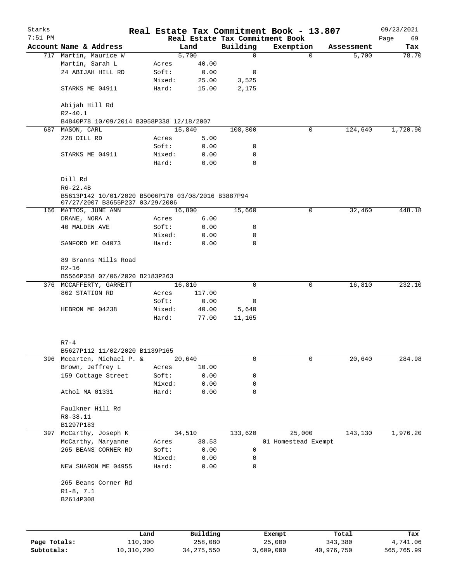| Starks    |                                                                                       |        |          |             | Real Estate Tax Commitment Book - 13.807 |            | 09/23/2021 |
|-----------|---------------------------------------------------------------------------------------|--------|----------|-------------|------------------------------------------|------------|------------|
| $7:51$ PM |                                                                                       |        |          |             | Real Estate Tax Commitment Book          |            | Page<br>69 |
|           | Account Name & Address                                                                |        | Land     | Building    | Exemption                                | Assessment | Tax        |
|           | 717 Martin, Maurice W                                                                 |        | 5,700    | 0           | $\mathbf 0$                              | 5,700      | 78.70      |
|           | Martin, Sarah L                                                                       | Acres  | 40.00    |             |                                          |            |            |
|           | 24 ABIJAH HILL RD                                                                     | Soft:  | 0.00     | 0           |                                          |            |            |
|           |                                                                                       | Mixed: | 25.00    | 3,525       |                                          |            |            |
|           | STARKS ME 04911                                                                       | Hard:  | 15.00    | 2,175       |                                          |            |            |
|           | Abijah Hill Rd<br>$R2 - 40.1$                                                         |        |          |             |                                          |            |            |
|           | B4840P78 10/09/2014 B3958P338 12/18/2007                                              |        |          |             |                                          |            |            |
|           | 687 MASON, CARL                                                                       |        | 15,840   | 108,800     | 0                                        | 124,640    | 1,720.90   |
|           | 228 DILL RD                                                                           | Acres  | 5.00     |             |                                          |            |            |
|           |                                                                                       | Soft:  | 0.00     | 0           |                                          |            |            |
|           | STARKS ME 04911                                                                       | Mixed: | 0.00     | 0           |                                          |            |            |
|           |                                                                                       | Hard:  | 0.00     | 0           |                                          |            |            |
|           | Dill Rd<br>$R6 - 22.4B$                                                               |        |          |             |                                          |            |            |
|           | B5613P142 10/01/2020 B5006P170 03/08/2016 B3887P94<br>07/27/2007 B3655P237 03/29/2006 |        |          |             |                                          |            |            |
|           | 166 MATTOS, JUNE ANN                                                                  |        | 16,800   | 15,660      | 0                                        | 32,460     | 448.18     |
|           | DRANE, NORA A                                                                         | Acres  | 6.00     |             |                                          |            |            |
|           | <b>40 MALDEN AVE</b>                                                                  | Soft:  | 0.00     | 0           |                                          |            |            |
|           |                                                                                       | Mixed: | 0.00     | 0           |                                          |            |            |
|           | SANFORD ME 04073                                                                      | Hard:  | 0.00     | 0           |                                          |            |            |
|           | 89 Branns Mills Road                                                                  |        |          |             |                                          |            |            |
|           | $R2 - 16$                                                                             |        |          |             |                                          |            |            |
|           | B5566P358 07/06/2020 B2183P263                                                        |        |          |             |                                          |            |            |
|           | 376 MCCAFFERTY, GARRETT                                                               |        | 16,810   | $\mathbf 0$ | $\mathbf 0$                              | 16,810     | 232.10     |
|           | 862 STATION RD                                                                        | Acres  | 117.00   |             |                                          |            |            |
|           |                                                                                       | Soft:  | 0.00     | 0           |                                          |            |            |
|           | HEBRON ME 04238                                                                       | Mixed: | 40.00    | 5,640       |                                          |            |            |
|           |                                                                                       | Hard:  | 77.00    | 11,165      |                                          |            |            |
|           | $R7-4$                                                                                |        |          |             |                                          |            |            |
|           | B5627P112 11/02/2020 B1139P165                                                        |        |          |             |                                          |            |            |
|           | 396 Mccarten, Michael P. &                                                            |        | 20,640   | 0           | 0                                        | 20,640     | 284.98     |
|           | Brown, Jeffrey L                                                                      | Acres  | 10.00    |             |                                          |            |            |
|           | 159 Cottage Street                                                                    | Soft:  | 0.00     | 0           |                                          |            |            |
|           |                                                                                       | Mixed: | 0.00     | 0           |                                          |            |            |
|           | Athol MA 01331                                                                        | Hard:  | 0.00     | 0           |                                          |            |            |
|           | Faulkner Hill Rd                                                                      |        |          |             |                                          |            |            |
|           | R8-38.11                                                                              |        |          |             |                                          |            |            |
|           | B1297P183                                                                             |        |          |             |                                          |            |            |
| 397       | McCarthy, Joseph K                                                                    |        | 34,510   | 133,620     | 25,000                                   | 143,130    | 1,976.20   |
|           | McCarthy, Maryanne                                                                    | Acres  | 38.53    |             | 01 Homestead Exempt                      |            |            |
|           | 265 BEANS CORNER RD                                                                   | Soft:  | 0.00     | 0           |                                          |            |            |
|           |                                                                                       | Mixed: | 0.00     | 0           |                                          |            |            |
|           | NEW SHARON ME 04955                                                                   | Hard:  | 0.00     | 0           |                                          |            |            |
|           | 265 Beans Corner Rd                                                                   |        |          |             |                                          |            |            |
|           | $R1-8, 7.1$                                                                           |        |          |             |                                          |            |            |
|           | B2614P308                                                                             |        |          |             |                                          |            |            |
|           |                                                                                       |        |          |             |                                          |            |            |
|           |                                                                                       |        |          |             |                                          |            |            |
|           |                                                                                       | Land   | Building |             | Exempt                                   | Total      | Tax        |

|              | Land       | Building     | Exempt    | Total      | тах        |
|--------------|------------|--------------|-----------|------------|------------|
| Page Totals: | 110,300    | 258,080      | 25,000    | 343,380    | 4,741.06   |
| Subtotals:   | 10,310,200 | 34, 275, 550 | 3,609,000 | 40,976,750 | 565,765.99 |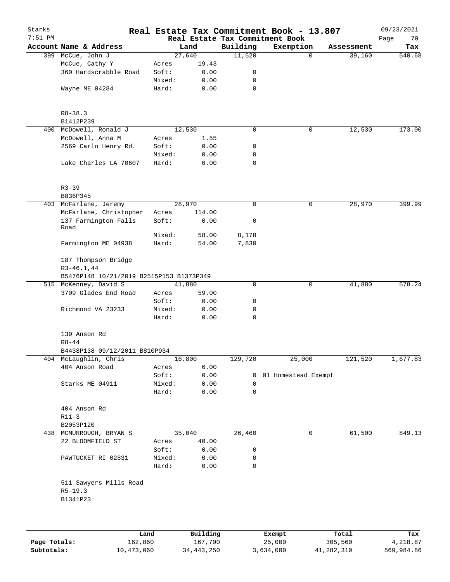| Starks<br>$7:51$ PM |                                          |        |          |             | Real Estate Tax Commitment Book - 13.807<br>Real Estate Tax Commitment Book |            | 09/23/2021<br>Page<br>70 |
|---------------------|------------------------------------------|--------|----------|-------------|-----------------------------------------------------------------------------|------------|--------------------------|
|                     | Account Name & Address                   |        | Land     | Building    | Exemption                                                                   | Assessment | Tax                      |
|                     | 399 McCue, John J                        |        | 27,640   | 11,520      | $\mathbf 0$                                                                 | 39,160     | 540.68                   |
|                     | McCue, Cathy Y                           | Acres  | 19.43    |             |                                                                             |            |                          |
|                     | 360 Hardscrabble Road                    | Soft:  | 0.00     | 0           |                                                                             |            |                          |
|                     |                                          | Mixed: | 0.00     | 0           |                                                                             |            |                          |
|                     | Wayne ME 04284                           | Hard:  | 0.00     | 0           |                                                                             |            |                          |
|                     | $R8 - 38.3$<br>B1412P239                 |        |          |             |                                                                             |            |                          |
| 400                 | McDowell, Ronald J                       |        | 12,530   | $\mathbf 0$ | 0                                                                           | 12,530     | 173.00                   |
|                     | McDowell, Anna M                         | Acres  | 1.55     |             |                                                                             |            |                          |
|                     | 2569 Carlo Henry Rd.                     | Soft:  | 0.00     | 0           |                                                                             |            |                          |
|                     |                                          | Mixed: | 0.00     | 0           |                                                                             |            |                          |
|                     | Lake Charles LA 70607                    | Hard:  | 0.00     | $\mathbf 0$ |                                                                             |            |                          |
|                     | $R3 - 39$<br>B836P345                    |        |          |             |                                                                             |            |                          |
|                     | 403 McFarlane, Jeremy                    |        | 28,970   | 0           | 0                                                                           | 28,970     | 399.99                   |
|                     | McFarlane, Christopher                   | Acres  | 114.00   |             |                                                                             |            |                          |
|                     | 137 Farmington Falls<br>Road             | Soft:  | 0.00     | 0           |                                                                             |            |                          |
|                     |                                          | Mixed: | 58.00    | 8,178       |                                                                             |            |                          |
|                     | Farmington ME 04938                      | Hard:  | 54.00    | 7,830       |                                                                             |            |                          |
|                     | 187 Thompson Bridge                      |        |          |             |                                                                             |            |                          |
|                     | $R3 - 46.1, 44$                          |        |          |             |                                                                             |            |                          |
|                     | B5476P148 10/21/2019 B2515P153 B1373P349 |        |          |             |                                                                             |            |                          |
|                     | 515 McKenney, David S                    |        | 41,880   | 0           | 0                                                                           | 41,880     | 578.24                   |
|                     | 3709 Glades End Road                     | Acres  | 59.00    |             |                                                                             |            |                          |
|                     |                                          | Soft:  | 0.00     | 0           |                                                                             |            |                          |
|                     | Richmond VA 23233                        | Mixed: | 0.00     | 0           |                                                                             |            |                          |
|                     |                                          | Hard:  | 0.00     | 0           |                                                                             |            |                          |
|                     | 139 Anson Rd<br>$R8 - 44$                |        |          |             |                                                                             |            |                          |
|                     | B4438P138 09/12/2011 B810P934            |        |          |             |                                                                             |            |                          |
|                     | 404 McLaughlin, Chris                    |        | 16,800   | 129,720     | 25,000                                                                      | 121,520    | 1,677.83                 |
|                     | 404 Anson Road                           | Acres  | 6.00     |             |                                                                             |            |                          |
|                     |                                          | Soft:  | 0.00     |             | 0 01 Homestead Exempt                                                       |            |                          |
|                     | Starks ME 04911                          | Mixed: | 0.00     | 0           |                                                                             |            |                          |
|                     |                                          | Hard:  | 0.00     | 0           |                                                                             |            |                          |
|                     | 404 Anson Rd                             |        |          |             |                                                                             |            |                          |
|                     | $R11-3$                                  |        |          |             |                                                                             |            |                          |
|                     | B2053P120                                |        |          |             |                                                                             |            |                          |
|                     | 438 MCMURROUGH, BRYAN S                  |        | 35,040   | 26,460      | 0                                                                           | 61,500     | 849.13                   |
|                     | 22 BLOOMFIELD ST                         | Acres  | 40.00    |             |                                                                             |            |                          |
|                     |                                          | Soft:  | 0.00     | 0           |                                                                             |            |                          |
|                     | PAWTUCKET RI 02831                       | Mixed: | 0.00     | 0           |                                                                             |            |                          |
|                     |                                          | Hard:  | 0.00     | 0           |                                                                             |            |                          |
|                     | 511 Sawyers Mills Road<br>$R5-19.3$      |        |          |             |                                                                             |            |                          |
|                     | B1341P23                                 |        |          |             |                                                                             |            |                          |
|                     |                                          |        |          |             |                                                                             |            |                          |
|                     |                                          | Land   | Building |             | Exempt                                                                      | Total      | Tax                      |

|              | Land       | Building     | Exempt    | Total      | Tax        |
|--------------|------------|--------------|-----------|------------|------------|
| Page Totals: | 162,860    | 167.700      | 25,000    | 305,560    | 4,218.87   |
| Subtotals:   | 10,473,060 | 34, 443, 250 | 3,634,000 | 41,282,310 | 569,984.86 |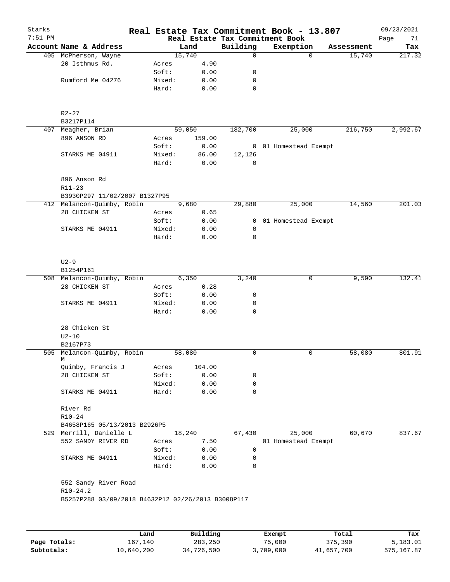| Starks<br>$7:51$ PM |                                                    |        |        | Real Estate Tax Commitment Book | Real Estate Tax Commitment Book - 13.807 |            | 09/23/2021<br>Page<br>71 |
|---------------------|----------------------------------------------------|--------|--------|---------------------------------|------------------------------------------|------------|--------------------------|
|                     | Account Name & Address                             |        | Land   | Building                        | Exemption                                | Assessment | Tax                      |
|                     | 405 McPherson, Wayne                               |        | 15,740 | 0                               | $\Omega$                                 | 15,740     | 217.32                   |
|                     | 20 Isthmus Rd.                                     | Acres  | 4.90   |                                 |                                          |            |                          |
|                     |                                                    | Soft:  | 0.00   | 0                               |                                          |            |                          |
|                     | Rumford Me 04276                                   |        | 0.00   | 0                               |                                          |            |                          |
|                     |                                                    | Mixed: |        |                                 |                                          |            |                          |
|                     |                                                    | Hard:  | 0.00   | 0                               |                                          |            |                          |
|                     | $R2 - 27$                                          |        |        |                                 |                                          |            |                          |
|                     | B3217P114                                          |        |        |                                 |                                          |            |                          |
|                     | 407 Meagher, Brian                                 |        | 59,050 | 182,700                         | 25,000                                   | 216,750    | 2,992.67                 |
|                     | 896 ANSON RD                                       | Acres  | 159.00 |                                 |                                          |            |                          |
|                     |                                                    | Soft:  | 0.00   |                                 | 0 01 Homestead Exempt                    |            |                          |
|                     | STARKS ME 04911                                    | Mixed: | 86.00  | 12,126                          |                                          |            |                          |
|                     |                                                    | Hard:  | 0.00   | 0                               |                                          |            |                          |
|                     |                                                    |        |        |                                 |                                          |            |                          |
|                     | 896 Anson Rd                                       |        |        |                                 |                                          |            |                          |
|                     |                                                    |        |        |                                 |                                          |            |                          |
|                     | $R11 - 23$<br>B3930P297 11/02/2007 B1327P95        |        |        |                                 |                                          |            |                          |
|                     |                                                    |        |        |                                 |                                          |            |                          |
|                     | 412 Melancon-Quimby, Robin                         |        | 9,680  | 29,880                          | 25,000                                   | 14,560     | 201.03                   |
|                     | 28 CHICKEN ST                                      | Acres  | 0.65   |                                 |                                          |            |                          |
|                     |                                                    | Soft:  | 0.00   | $\overline{0}$                  | 01 Homestead Exempt                      |            |                          |
|                     | STARKS ME 04911                                    | Mixed: | 0.00   | 0                               |                                          |            |                          |
|                     |                                                    | Hard:  | 0.00   | $\mathbf 0$                     |                                          |            |                          |
|                     | $U2-9$                                             |        |        |                                 |                                          |            |                          |
|                     | B1254P161                                          |        |        |                                 |                                          |            |                          |
|                     | 508 Melancon-Quimby, Robin                         |        | 6,350  | 3,240                           | 0                                        | 9,590      | 132.41                   |
|                     | 28 CHICKEN ST                                      | Acres  | 0.28   |                                 |                                          |            |                          |
|                     |                                                    | Soft:  | 0.00   | 0                               |                                          |            |                          |
|                     | STARKS ME 04911                                    | Mixed: | 0.00   | 0                               |                                          |            |                          |
|                     |                                                    | Hard:  | 0.00   | 0                               |                                          |            |                          |
|                     | 28 Chicken St<br>$U2-10$                           |        |        |                                 |                                          |            |                          |
|                     | B2167P73                                           |        |        |                                 |                                          |            |                          |
|                     | 505 Melancon-Quimby, Robin                         |        | 58,080 | $\mathbf 0$                     | $\mathbf 0$                              | 58,080     | 801.91                   |
|                     | М                                                  |        |        |                                 |                                          |            |                          |
|                     | Quimby, Francis J                                  | Acres  | 104.00 |                                 |                                          |            |                          |
|                     | 28 CHICKEN ST                                      | Soft:  | 0.00   | 0                               |                                          |            |                          |
|                     |                                                    | Mixed: | 0.00   | 0                               |                                          |            |                          |
|                     | STARKS ME 04911                                    | Hard:  | 0.00   | 0                               |                                          |            |                          |
|                     | River Rd                                           |        |        |                                 |                                          |            |                          |
|                     | $R10 - 24$                                         |        |        |                                 |                                          |            |                          |
|                     | B4658P165 05/13/2013 B2926P5                       |        |        |                                 |                                          |            |                          |
|                     | 529 Merrill, Danielle L                            |        | 18,240 | 67,430                          | 25,000                                   | 60,670     | 837.67                   |
|                     | 552 SANDY RIVER RD                                 | Acres  | 7.50   |                                 | 01 Homestead Exempt                      |            |                          |
|                     |                                                    | Soft:  | 0.00   | 0                               |                                          |            |                          |
|                     | STARKS ME 04911                                    | Mixed: | 0.00   | 0                               |                                          |            |                          |
|                     |                                                    | Hard:  | 0.00   | $\Omega$                        |                                          |            |                          |
|                     | 552 Sandy River Road                               |        |        |                                 |                                          |            |                          |
|                     | $R10-24.2$                                         |        |        |                                 |                                          |            |                          |
|                     | B5257P288 03/09/2018 B4632P12 02/26/2013 B3008P117 |        |        |                                 |                                          |            |                          |
|                     |                                                    |        |        |                                 |                                          |            |                          |
|                     |                                                    |        |        |                                 |                                          |            |                          |
|                     |                                                    |        |        |                                 |                                          |            |                          |
|                     |                                                    |        |        |                                 |                                          |            |                          |

|              | Land       | Building   | Exempt    | Total      | Tax        |
|--------------|------------|------------|-----------|------------|------------|
| Page Totals: | 167,140    | 283,250    | 75,000    | 375,390    | 5,183.01   |
| Subtotals:   | 10,640,200 | 34,726,500 | 3,709,000 | 41,657,700 | 575,167.87 |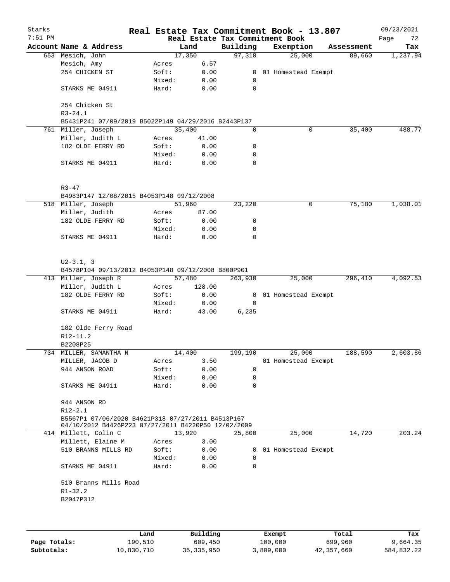| Starks<br>$7:51$ PM |                                                                                                          |        |          |                | Real Estate Tax Commitment Book - 13.807<br>Real Estate Tax Commitment Book |            | 09/23/2021<br>Page<br>72 |
|---------------------|----------------------------------------------------------------------------------------------------------|--------|----------|----------------|-----------------------------------------------------------------------------|------------|--------------------------|
|                     | Account Name & Address                                                                                   |        | Land     | Building       | Exemption                                                                   | Assessment | Tax                      |
|                     | 653 Mesich, John                                                                                         |        | 17,350   | 97,310         | 25,000                                                                      | 89,660     | 1,237.94                 |
|                     | Mesich, Amy                                                                                              | Acres  | 6.57     |                |                                                                             |            |                          |
|                     | 254 CHICKEN ST                                                                                           | Soft:  | 0.00     |                | 0 01 Homestead Exempt                                                       |            |                          |
|                     |                                                                                                          | Mixed: | 0.00     | 0              |                                                                             |            |                          |
|                     | STARKS ME 04911                                                                                          | Hard:  | 0.00     | $\mathbf 0$    |                                                                             |            |                          |
|                     | 254 Chicken St<br>$R3 - 24.1$                                                                            |        |          |                |                                                                             |            |                          |
|                     | B5431P241 07/09/2019 B5022P149 04/29/2016 B2443P137                                                      |        |          |                |                                                                             |            |                          |
|                     | 761 Miller, Joseph                                                                                       |        | 35,400   | 0              | 0                                                                           | 35,400     | 488.77                   |
|                     | Miller, Judith L                                                                                         | Acres  | 41.00    |                |                                                                             |            |                          |
|                     | 182 OLDE FERRY RD                                                                                        | Soft:  | 0.00     | 0              |                                                                             |            |                          |
|                     |                                                                                                          | Mixed: | 0.00     | 0              |                                                                             |            |                          |
|                     | STARKS ME 04911                                                                                          | Hard:  | 0.00     | 0              |                                                                             |            |                          |
|                     | $R3 - 47$                                                                                                |        |          |                |                                                                             |            |                          |
|                     | B4983P147 12/08/2015 B4053P148 09/12/2008                                                                |        |          |                |                                                                             |            |                          |
|                     | 518 Miller, Joseph                                                                                       |        | 51,960   | 23,220         | 0                                                                           | 75,180     | 1,038.01                 |
|                     | Miller, Judith                                                                                           | Acres  | 87.00    |                |                                                                             |            |                          |
|                     | 182 OLDE FERRY RD                                                                                        | Soft:  | 0.00     | 0              |                                                                             |            |                          |
|                     |                                                                                                          | Mixed: | 0.00     | 0              |                                                                             |            |                          |
|                     | STARKS ME 04911                                                                                          | Hard:  | 0.00     | 0              |                                                                             |            |                          |
|                     |                                                                                                          |        |          |                |                                                                             |            |                          |
|                     | $U2 - 3.1, 3$<br>B4578P104 09/13/2012 B4053P148 09/12/2008 B800P901                                      |        |          |                |                                                                             |            |                          |
|                     | 413 Miller, Joseph R                                                                                     |        | 57,480   | 263,930        | 25,000                                                                      | 296,410    | 4,092.53                 |
|                     | Miller, Judith L                                                                                         | Acres  | 128.00   |                |                                                                             |            |                          |
|                     | 182 OLDE FERRY RD                                                                                        | Soft:  | 0.00     | $\overline{0}$ | 01 Homestead Exempt                                                         |            |                          |
|                     |                                                                                                          | Mixed: | 0.00     | 0              |                                                                             |            |                          |
|                     | STARKS ME 04911                                                                                          | Hard:  | 43.00    | 6,235          |                                                                             |            |                          |
|                     | 182 Olde Ferry Road                                                                                      |        |          |                |                                                                             |            |                          |
|                     | R12-11.2                                                                                                 |        |          |                |                                                                             |            |                          |
| 734                 | B2208P25<br>MILLER, SAMANTHA N                                                                           |        | 14,400   | 199,190        | 25,000                                                                      | 188,590    | 2,603.86                 |
|                     | MILLER, JACOB D                                                                                          | Acres  | 3.50     |                | 01 Homestead Exempt                                                         |            |                          |
|                     | 944 ANSON ROAD                                                                                           | Soft:  | 0.00     | 0              |                                                                             |            |                          |
|                     |                                                                                                          | Mixed: |          |                |                                                                             |            |                          |
|                     |                                                                                                          |        | 0.00     | 0              |                                                                             |            |                          |
|                     | STARKS ME 04911                                                                                          | Hard:  | 0.00     | $\mathbf 0$    |                                                                             |            |                          |
|                     | 944 ANSON RD<br>$R12 - 2.1$                                                                              |        |          |                |                                                                             |            |                          |
|                     | B5567P1 07/06/2020 B4621P318 07/27/2011 B4513P167<br>04/10/2012 B4426P223 07/27/2011 B4220P50 12/02/2009 |        |          |                |                                                                             |            |                          |
|                     | 414 Millett, Colin C                                                                                     |        | 13,920   | 25,800         | 25,000                                                                      | 14,720     | 203.24                   |
|                     | Millett, Elaine M                                                                                        | Acres  | 3.00     |                |                                                                             |            |                          |
|                     | 510 BRANNS MILLS RD                                                                                      | Soft:  | 0.00     | 0              | 01 Homestead Exempt                                                         |            |                          |
|                     |                                                                                                          | Mixed: | 0.00     | 0              |                                                                             |            |                          |
|                     | STARKS ME 04911                                                                                          | Hard:  | 0.00     | 0              |                                                                             |            |                          |
|                     | 510 Branns Mills Road<br>$R1 - 32.2$<br>B2047P312                                                        |        |          |                |                                                                             |            |                          |
|                     |                                                                                                          |        |          |                |                                                                             |            |                          |
|                     |                                                                                                          | Land   | Building |                | Exempt                                                                      | Total      | Tax                      |

**Page Totals:** 190,510 609,450 100,000 699,960 9,664.35 **Subtotals:** 10,830,710 35,335,950 3,809,000 42,357,660 584,832.22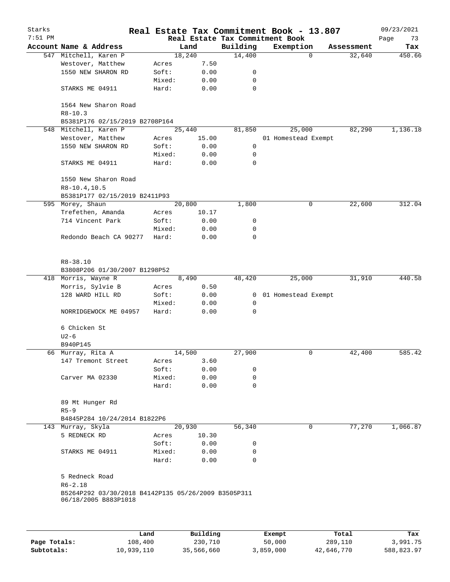| Starks<br>$7:51$ PM |                                                                             |                 |              |             | Real Estate Tax Commitment Book - 13.807<br>Real Estate Tax Commitment Book |            | 09/23/2021<br>Page<br>73 |
|---------------------|-----------------------------------------------------------------------------|-----------------|--------------|-------------|-----------------------------------------------------------------------------|------------|--------------------------|
|                     | Account Name & Address                                                      |                 | Land         | Building    | Exemption                                                                   | Assessment | Tax                      |
|                     | 547 Mitchell, Karen P                                                       |                 | 18,240       | 14,400      | $\Omega$                                                                    | 32,640     | 450.66                   |
|                     | Westover, Matthew                                                           | Acres           | 7.50         |             |                                                                             |            |                          |
|                     | 1550 NEW SHARON RD                                                          | Soft:           | 0.00         | 0           |                                                                             |            |                          |
|                     |                                                                             | Mixed:          | 0.00         | 0           |                                                                             |            |                          |
|                     | STARKS ME 04911                                                             | Hard:           | 0.00         | 0           |                                                                             |            |                          |
|                     | 1564 New Sharon Road<br>$R8 - 10.3$                                         |                 |              |             |                                                                             |            |                          |
|                     | B5381P176 02/15/2019 B2708P164                                              |                 |              |             |                                                                             |            |                          |
|                     | 548 Mitchell, Karen P                                                       |                 | 25,440       | 81,850      | 25,000                                                                      | 82,290     | 1,136.18                 |
|                     | Westover, Matthew                                                           | Acres           | 15.00        |             | 01 Homestead Exempt                                                         |            |                          |
|                     | 1550 NEW SHARON RD                                                          | Soft:           | 0.00         | 0           |                                                                             |            |                          |
|                     |                                                                             |                 |              | 0           |                                                                             |            |                          |
|                     | STARKS ME 04911                                                             | Mixed:<br>Hard: | 0.00<br>0.00 | $\mathbf 0$ |                                                                             |            |                          |
|                     |                                                                             |                 |              |             |                                                                             |            |                          |
|                     | 1550 New Sharon Road                                                        |                 |              |             |                                                                             |            |                          |
|                     | $R8-10.4, 10.5$                                                             |                 |              |             |                                                                             |            |                          |
|                     | B5381P177 02/15/2019 B2411P93                                               |                 |              |             |                                                                             |            |                          |
|                     | 595 Morey, Shaun                                                            |                 | 20,800       | 1,800       | 0                                                                           | 22,600     | 312.04                   |
|                     | Trefethen, Amanda                                                           | Acres           | 10.17        |             |                                                                             |            |                          |
|                     | 714 Vincent Park                                                            | Soft:           | 0.00         | 0           |                                                                             |            |                          |
|                     |                                                                             | Mixed:          | 0.00         | 0           |                                                                             |            |                          |
|                     | Redondo Beach CA 90277                                                      | Hard:           | 0.00         | 0           |                                                                             |            |                          |
|                     | $R8 - 38.10$<br>B3808P206 01/30/2007 B1298P52                               |                 |              |             |                                                                             |            |                          |
|                     | 418 Morris, Wayne R                                                         |                 | 8,490        | 48,420      | 25,000                                                                      | 31,910     | 440.58                   |
|                     | Morris, Sylvie B                                                            | Acres           | 0.50         |             |                                                                             |            |                          |
|                     | 128 WARD HILL RD                                                            | Soft:           | 0.00         | 0           | 01 Homestead Exempt                                                         |            |                          |
|                     |                                                                             | Mixed:          | 0.00         | 0           |                                                                             |            |                          |
|                     | NORRIDGEWOCK ME 04957                                                       | Hard:           | 0.00         | 0           |                                                                             |            |                          |
|                     | 6 Chicken St                                                                |                 |              |             |                                                                             |            |                          |
|                     | $U2-6$                                                                      |                 |              |             |                                                                             |            |                          |
|                     | B940P145                                                                    |                 |              |             |                                                                             |            |                          |
|                     | 66 Murray, Rita A                                                           |                 | 14,500       | 27,900      | 0                                                                           | 42,400     | 585.42                   |
|                     | 147 Tremont Street                                                          | Acres           | 3.60         |             |                                                                             |            |                          |
|                     |                                                                             | Soft:           | 0.00         | 0           |                                                                             |            |                          |
|                     | Carver MA 02330                                                             | Mixed:          | 0.00         | 0           |                                                                             |            |                          |
|                     |                                                                             | Hard:           | 0.00         | $\Omega$    |                                                                             |            |                          |
|                     | 89 Mt Hunger Rd                                                             |                 |              |             |                                                                             |            |                          |
|                     | $R5 - 9$                                                                    |                 |              |             |                                                                             |            |                          |
|                     | B4845P284 10/24/2014 B1822P6                                                |                 |              |             |                                                                             |            |                          |
|                     | 143 Murray, Skyla                                                           |                 | 20,930       | 56,340      | 0                                                                           | 77,270     | 1,066.87                 |
|                     | 5 REDNECK RD                                                                | Acres           | 10.30        |             |                                                                             |            |                          |
|                     |                                                                             | Soft:           | 0.00         | 0           |                                                                             |            |                          |
|                     | STARKS ME 04911                                                             | Mixed:          | 0.00         | 0           |                                                                             |            |                          |
|                     |                                                                             | Hard:           | 0.00         | 0           |                                                                             |            |                          |
|                     | 5 Redneck Road                                                              |                 |              |             |                                                                             |            |                          |
|                     | $R6 - 2.18$                                                                 |                 |              |             |                                                                             |            |                          |
|                     | B5264P292 03/30/2018 B4142P135 05/26/2009 B3505P311<br>06/18/2005 B883P1018 |                 |              |             |                                                                             |            |                          |
|                     |                                                                             |                 |              |             |                                                                             |            |                          |
|                     |                                                                             |                 |              |             |                                                                             |            |                          |
|                     |                                                                             |                 |              |             |                                                                             |            |                          |

|              | Land       | Building   | Exempt    | Total      | Tax        |
|--------------|------------|------------|-----------|------------|------------|
| Page Totals: | 108,400    | 230,710    | 50,000    | 289,110    | 3,991.75   |
| Subtotals:   | 10,939,110 | 35,566,660 | 3,859,000 | 42,646,770 | 588,823.97 |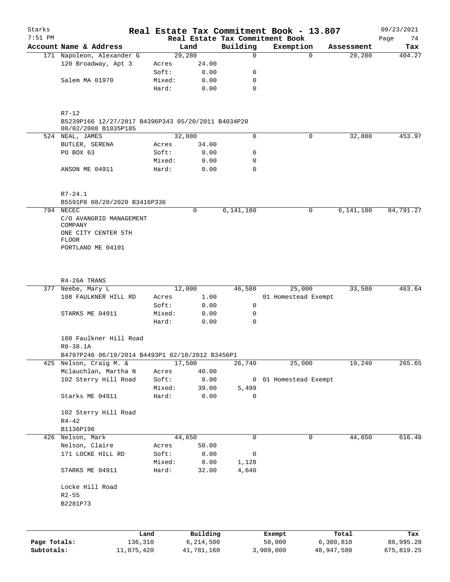| Starks<br>$7:51$ PM |                                                                                         |            |        |            |       | Real Estate Tax Commitment Book - 13.807<br>Real Estate Tax Commitment Book |                     |             |            | 09/23/2021<br>Page<br>74 |
|---------------------|-----------------------------------------------------------------------------------------|------------|--------|------------|-------|-----------------------------------------------------------------------------|---------------------|-------------|------------|--------------------------|
|                     | Account Name & Address                                                                  |            |        | Land       |       | Building                                                                    | Exemption           |             | Assessment | Tax                      |
|                     | 171 Napoleon, Alexander G                                                               |            |        | 29,280     |       | $\mathsf{O}$                                                                |                     | $\Omega$    | 29,280     | 404.27                   |
|                     | 120 Broadway, Apt 3                                                                     |            | Acres  |            | 24.00 |                                                                             |                     |             |            |                          |
|                     |                                                                                         |            | Soft:  |            | 0.00  | 0                                                                           |                     |             |            |                          |
|                     |                                                                                         |            |        |            |       |                                                                             |                     |             |            |                          |
|                     | Salem MA 01970                                                                          |            | Mixed: |            | 0.00  | 0                                                                           |                     |             |            |                          |
|                     |                                                                                         |            | Hard:  |            | 0.00  | 0                                                                           |                     |             |            |                          |
|                     | $R7 - 12$<br>B5239P166 12/27/2017 B4396P343 05/20/2011 B4034P20<br>08/02/2008 B1035P185 |            |        |            |       |                                                                             |                     |             |            |                          |
|                     | 524 NEAL, JAMES                                                                         |            |        | 32,880     |       | $\Omega$                                                                    |                     | 0           | 32,880     | 453.97                   |
|                     | BUTLER, SERENA                                                                          |            | Acres  |            | 34.00 |                                                                             |                     |             |            |                          |
|                     | PO BOX 63                                                                               |            | Soft:  |            | 0.00  | 0                                                                           |                     |             |            |                          |
|                     |                                                                                         |            | Mixed: |            | 0.00  | 0                                                                           |                     |             |            |                          |
|                     |                                                                                         |            |        |            |       |                                                                             |                     |             |            |                          |
|                     | ANSON ME 04911                                                                          |            | Hard:  |            | 0.00  | $\Omega$                                                                    |                     |             |            |                          |
|                     | $R7 - 24.1$                                                                             |            |        |            |       |                                                                             |                     |             |            |                          |
|                     | B5591P8 08/20/2020 B3416P336                                                            |            |        |            |       |                                                                             |                     |             |            |                          |
|                     | 794 NECEC<br>C/O AVANGRID MANAGEMENT                                                    |            |        | 0          |       | 6,141,180                                                                   |                     | 0           | 6,141,180  | 84,791.27                |
|                     | COMPANY<br>ONE CITY CENTER 5TH<br><b>FLOOR</b>                                          |            |        |            |       |                                                                             |                     |             |            |                          |
|                     | PORTLAND ME 04101                                                                       |            |        |            |       |                                                                             |                     |             |            |                          |
|                     |                                                                                         |            |        |            |       |                                                                             |                     |             |            |                          |
|                     | R4-26A TRANS                                                                            |            |        |            |       |                                                                             |                     |             |            |                          |
|                     | 377 Neebe, Mary L                                                                       |            |        | 12,000     |       | 46,580                                                                      | 25,000              |             | 33,580     | 463.64                   |
|                     | 108 FAULKNER HILL RD                                                                    |            | Acres  |            | 1.00  |                                                                             | 01 Homestead Exempt |             |            |                          |
|                     |                                                                                         |            | Soft:  |            | 0.00  | 0                                                                           |                     |             |            |                          |
|                     | STARKS ME 04911                                                                         |            | Mixed: |            | 0.00  | 0                                                                           |                     |             |            |                          |
|                     |                                                                                         |            | Hard:  |            | 0.00  | $\Omega$                                                                    |                     |             |            |                          |
|                     | 108 Faulkner Hill Road<br>R8-38.1A                                                      |            |        |            |       |                                                                             |                     |             |            |                          |
|                     | B4797P246 06/19/2014 B4493P1 02/10/2012 B3456P1                                         |            |        |            |       |                                                                             |                     |             |            |                          |
|                     | Nelson, Craig M. &                                                                      |            |        | 17,500     |       |                                                                             |                     |             |            |                          |
| 425                 |                                                                                         |            |        |            |       | 26,740                                                                      | 25,000              |             | 19,240     | 265.65                   |
|                     | Mclauchlan, Martha N                                                                    |            | Acres  |            | 40.00 |                                                                             |                     |             |            |                          |
|                     | 102 Sterry Hill Road                                                                    |            | Soft:  |            | 0.00  | 0                                                                           | 01 Homestead Exempt |             |            |                          |
|                     |                                                                                         |            | Mixed: |            | 39.00 | 5,499                                                                       |                     |             |            |                          |
|                     | Starks ME 04911                                                                         |            | Hard:  |            | 0.00  | 0                                                                           |                     |             |            |                          |
|                     | 102 Sterry Hill Road<br>$R4 - 42$                                                       |            |        |            |       |                                                                             |                     |             |            |                          |
|                     | B1136P196                                                                               |            |        |            |       |                                                                             |                     |             |            |                          |
|                     |                                                                                         |            |        |            |       | 0                                                                           |                     | $\mathbf 0$ |            |                          |
|                     | 426 Nelson, Mark                                                                        |            |        | 44,650     |       |                                                                             |                     |             | 44,650     | 616.48                   |
|                     | Nelson, Claire                                                                          |            | Acres  |            | 50.00 |                                                                             |                     |             |            |                          |
|                     | 171 LOCKE HILL RD                                                                       |            | Soft:  |            | 0.00  | 0                                                                           |                     |             |            |                          |
|                     |                                                                                         |            | Mixed: |            | 8.00  | 1,128                                                                       |                     |             |            |                          |
|                     | STARKS ME 04911                                                                         |            | Hard:  |            | 32.00 | 4,640                                                                       |                     |             |            |                          |
|                     | Locke Hill Road                                                                         |            |        |            |       |                                                                             |                     |             |            |                          |
|                     | $R2 - 55$                                                                               |            |        |            |       |                                                                             |                     |             |            |                          |
|                     | B2281P73                                                                                |            |        |            |       |                                                                             |                     |             |            |                          |
|                     |                                                                                         |            |        |            |       |                                                                             |                     |             |            |                          |
|                     |                                                                                         | Land       |        | Building   |       |                                                                             | Exempt              |             | Total      | Tax                      |
| Page Totals:        |                                                                                         | 136,310    |        | 6,214,500  |       |                                                                             | 50,000              |             | 6,300,810  | 86,995.28                |
| Subtotals:          |                                                                                         | 11,075,420 |        | 41,781,160 |       |                                                                             | 3,909,000           |             | 48,947,580 | 675,819.25               |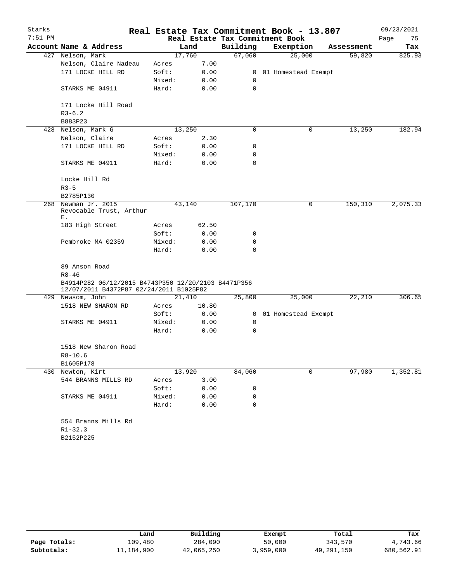| Starks    |                                                                                                |        |        |             | Real Estate Tax Commitment Book - 13.807 |            | 09/23/2021 |
|-----------|------------------------------------------------------------------------------------------------|--------|--------|-------------|------------------------------------------|------------|------------|
| $7:51$ PM |                                                                                                |        |        |             | Real Estate Tax Commitment Book          |            | Page<br>75 |
|           | Account Name & Address                                                                         |        | Land   | Building    | Exemption                                | Assessment | Tax        |
|           | 427 Nelson, Mark                                                                               |        | 17,760 | 67,060      | 25,000                                   | 59,820     | 825.93     |
|           | Nelson, Claire Nadeau                                                                          | Acres  | 7.00   |             |                                          |            |            |
|           | 171 LOCKE HILL RD                                                                              | Soft:  | 0.00   |             | 0 01 Homestead Exempt                    |            |            |
|           |                                                                                                | Mixed: | 0.00   | $\mathbf 0$ |                                          |            |            |
|           | STARKS ME 04911                                                                                | Hard:  | 0.00   | 0           |                                          |            |            |
|           | 171 Locke Hill Road                                                                            |        |        |             |                                          |            |            |
|           | $R3-6.2$                                                                                       |        |        |             |                                          |            |            |
|           | B883P23                                                                                        |        |        |             |                                          |            |            |
| 428       | Nelson, Mark G                                                                                 |        | 13,250 | 0           | 0                                        | 13,250     | 182.94     |
|           | Nelson, Claire                                                                                 | Acres  | 2.30   |             |                                          |            |            |
|           | 171 LOCKE HILL RD                                                                              | Soft:  | 0.00   | 0           |                                          |            |            |
|           |                                                                                                | Mixed: | 0.00   | 0           |                                          |            |            |
|           | STARKS ME 04911                                                                                | Hard:  | 0.00   | 0           |                                          |            |            |
|           | Locke Hill Rd                                                                                  |        |        |             |                                          |            |            |
|           | $R3 - 5$                                                                                       |        |        |             |                                          |            |            |
|           | B2785P130                                                                                      |        |        |             |                                          |            |            |
| 268       | Newman Jr. 2015<br>Revocable Trust, Arthur<br>Ε.                                               |        | 43,140 | 107,170     | 0                                        | 150,310    | 2,075.33   |
|           | 183 High Street                                                                                | Acres  | 62.50  |             |                                          |            |            |
|           |                                                                                                | Soft:  | 0.00   | 0           |                                          |            |            |
|           | Pembroke MA 02359                                                                              | Mixed: | 0.00   | $\mathbf 0$ |                                          |            |            |
|           |                                                                                                | Hard:  | 0.00   | $\Omega$    |                                          |            |            |
|           | 89 Anson Road                                                                                  |        |        |             |                                          |            |            |
|           | $R8 - 46$                                                                                      |        |        |             |                                          |            |            |
|           | B4914P282 06/12/2015 B4743P350 12/20/2103 B4471P356<br>12/07/2011 B4372P87 02/24/2011 B1025P82 |        |        |             |                                          |            |            |
|           | 429 Newsom, John                                                                               |        | 21,410 | 25,800      | 25,000                                   | 22, 210    | 306.65     |
|           | 1518 NEW SHARON RD                                                                             | Acres  | 10.80  |             |                                          |            |            |
|           |                                                                                                | Soft:  | 0.00   |             | 0 01 Homestead Exempt                    |            |            |
|           | STARKS ME 04911                                                                                | Mixed: | 0.00   | 0           |                                          |            |            |
|           |                                                                                                | Hard:  | 0.00   | 0           |                                          |            |            |
|           | 1518 New Sharon Road                                                                           |        |        |             |                                          |            |            |
|           | R8-10.6                                                                                        |        |        |             |                                          |            |            |
|           | B1605P178                                                                                      |        |        |             |                                          |            |            |
|           | 430 Newton, Kirt                                                                               |        | 13,920 | 84,060      | 0                                        | 97,980     | 1,352.81   |
|           | 544 BRANNS MILLS RD                                                                            | Acres  | 3.00   |             |                                          |            |            |
|           |                                                                                                | Soft:  | 0.00   | 0           |                                          |            |            |
|           | STARKS ME 04911                                                                                | Mixed: | 0.00   | 0           |                                          |            |            |
|           |                                                                                                | Hard:  | 0.00   | 0           |                                          |            |            |
|           | 554 Branns Mills Rd                                                                            |        |        |             |                                          |            |            |
|           | $R1 - 32.3$                                                                                    |        |        |             |                                          |            |            |
|           | B2152P225                                                                                      |        |        |             |                                          |            |            |
|           |                                                                                                |        |        |             |                                          |            |            |

|              | Land       | Building   | Exempt    | Total      | Tax        |
|--------------|------------|------------|-----------|------------|------------|
| Page Totals: | 109,480    | 284,090    | 50,000    | 343,570    | 4,743.66   |
| Subtotals:   | 11,184,900 | 42,065,250 | 3,959,000 | 49,291,150 | 680,562.91 |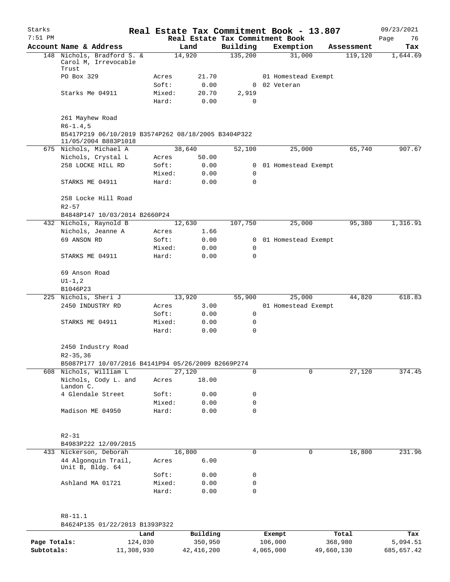| Starks    |                                                                             |        |        |                                 | Real Estate Tax Commitment Book - 13.807 |            | 09/23/2021 |
|-----------|-----------------------------------------------------------------------------|--------|--------|---------------------------------|------------------------------------------|------------|------------|
| $7:51$ PM |                                                                             |        |        | Real Estate Tax Commitment Book |                                          |            | 76<br>Page |
|           | Account Name & Address                                                      |        | Land   | Building                        | Exemption                                | Assessment | Tax        |
|           | 148 Nichols, Bradford S. &<br>Carol M, Irrevocable<br>Trust                 |        | 14,920 | 135,200                         | 31,000                                   | 119,120    | 1,644.69   |
|           | PO Box 329                                                                  | Acres  | 21.70  |                                 | 01 Homestead Exempt                      |            |            |
|           |                                                                             | Soft:  | 0.00   |                                 | 0 02 Veteran                             |            |            |
|           | Starks Me 04911                                                             | Mixed: | 20.70  | 2,919                           |                                          |            |            |
|           |                                                                             | Hard:  | 0.00   | 0                               |                                          |            |            |
|           | 261 Mayhew Road<br>$R6 - 1.4, 5$                                            |        |        |                                 |                                          |            |            |
|           | B5417P219 06/10/2019 B3574P262 08/18/2005 B3404P322<br>11/05/2004 B883P1018 |        |        |                                 |                                          |            |            |
|           | 675 Nichols, Michael A                                                      |        | 38,640 | 52,100                          | 25,000                                   | 65,740     | 907.67     |
|           | Nichols, Crystal L                                                          | Acres  | 50.00  |                                 |                                          |            |            |
|           | 258 LOCKE HILL RD                                                           | Soft:  | 0.00   |                                 | 0 01 Homestead Exempt                    |            |            |
|           |                                                                             | Mixed: | 0.00   | 0                               |                                          |            |            |
|           | STARKS ME 04911                                                             | Hard:  | 0.00   | 0                               |                                          |            |            |
|           | 258 Locke Hill Road<br>$R2 - 57$                                            |        |        |                                 |                                          |            |            |
|           | B4848P147 10/03/2014 B2660P24                                               |        |        |                                 |                                          |            |            |
|           | 432 Nichols, Raynold B                                                      |        | 12,630 | 107,750                         | 25,000                                   | 95,380     | 1,316.91   |
|           | Nichols, Jeanne A                                                           | Acres  | 1.66   |                                 |                                          |            |            |
|           | 69 ANSON RD                                                                 | Soft:  | 0.00   |                                 | 0 01 Homestead Exempt                    |            |            |
|           |                                                                             | Mixed: | 0.00   | 0                               |                                          |            |            |
|           | STARKS ME 04911                                                             | Hard:  | 0.00   | 0                               |                                          |            |            |
|           | 69 Anson Road<br>$UI - 1, 2$                                                |        |        |                                 |                                          |            |            |
|           | B1046P23                                                                    |        |        |                                 |                                          |            |            |
|           | 225 Nichols, Sheri J                                                        |        | 13,920 | 55,900                          | 25,000                                   | 44,820     | 618.83     |
|           | 2450 INDUSTRY RD                                                            | Acres  | 3.00   |                                 | 01 Homestead Exempt                      |            |            |
|           |                                                                             | Soft:  | 0.00   | 0                               |                                          |            |            |
|           | STARKS ME 04911                                                             | Mixed: | 0.00   | 0                               |                                          |            |            |
|           |                                                                             | Hard:  | 0.00   | 0                               |                                          |            |            |
|           | 2450 Industry Road<br>R2-35,36                                              |        |        |                                 |                                          |            |            |
|           | B5087P177 10/07/2016 B4141P94 05/26/2009 B2669P274                          |        |        |                                 |                                          |            |            |
|           | 608 Nichols, William L                                                      |        | 27,120 | $\mathbf 0$                     | 0                                        | 27,120     | 374.45     |
|           | Nichols, Cody L. and<br>Landon C.                                           | Acres  | 18.00  |                                 |                                          |            |            |
|           | 4 Glendale Street                                                           | Soft:  | 0.00   | 0                               |                                          |            |            |
|           |                                                                             | Mixed: | 0.00   | $\mathbf 0$                     |                                          |            |            |
|           | Madison ME 04950                                                            | Hard:  | 0.00   | $\mathbf 0$                     |                                          |            |            |
|           | $R2 - 31$<br>B4983P222 12/09/2015                                           |        |        |                                 |                                          |            |            |
|           | 433 Nickerson, Deborah                                                      |        | 16,800 | $\mathbf 0$                     | 0                                        | 16,800     | 231.96     |
|           | 44 Algonquin Trail,<br>Unit B, Bldg. 64                                     | Acres  | 6.00   |                                 |                                          |            |            |
|           |                                                                             | Soft:  | 0.00   | 0                               |                                          |            |            |
|           | Ashland MA 01721                                                            | Mixed: | 0.00   | $\mathbf 0$                     |                                          |            |            |
|           |                                                                             | Hard:  | 0.00   | $\mathbf 0$                     |                                          |            |            |
|           |                                                                             |        |        |                                 |                                          |            |            |
|           | $R8 - 11.1$                                                                 |        |        |                                 |                                          |            |            |
|           | B4624P135 01/22/2013 B1393P322                                              |        |        |                                 |                                          |            |            |
|           |                                                                             |        |        |                                 |                                          |            |            |

|              | Land       | Building   | Exempt    | Total      | Tax        |
|--------------|------------|------------|-----------|------------|------------|
| Page Totals: | 124,030    | 350,950    | 106,000   | 368,980    | 5,094.51   |
| Subtotals:   | 11,308,930 | 42,416,200 | 4,065,000 | 49,660,130 | 685,657.42 |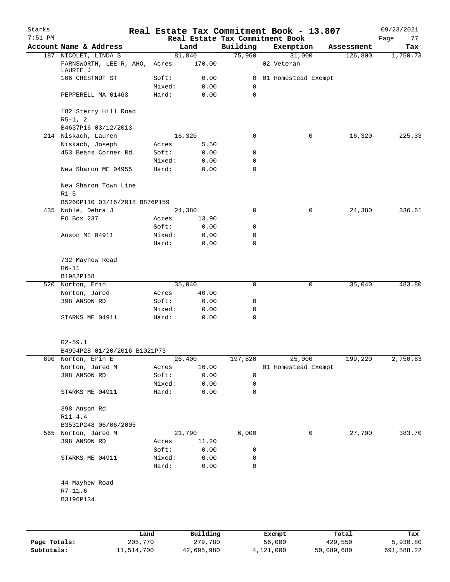| Starks       |                                                                   |         |                  |                    | Real Estate Tax Commitment Book - 13.807 |   |            | 09/23/2021 |
|--------------|-------------------------------------------------------------------|---------|------------------|--------------------|------------------------------------------|---|------------|------------|
| $7:51$ PM    |                                                                   |         |                  |                    | Real Estate Tax Commitment Book          |   |            | Page<br>77 |
|              | Account Name & Address                                            |         | Land             | Building<br>75,960 | Exemption<br>31,000                      |   | Assessment | Tax        |
|              | 187 NICOLET, LINDA S<br>FARNSWORTH, LEE R, AHO, Acres<br>LAURIE J |         | 81,840<br>170.00 |                    | 02 Veteran                               |   | 126,800    | 1,750.73   |
|              | 106 CHESTNUT ST                                                   | Soft:   | 0.00             | $\overline{0}$     | 01 Homestead Exempt                      |   |            |            |
|              |                                                                   | Mixed:  | 0.00             | 0                  |                                          |   |            |            |
|              | PEPPERELL MA 01463                                                | Hard:   | 0.00             | 0                  |                                          |   |            |            |
|              | 182 Sterry Hill Road<br>$R5-1, 2$                                 |         |                  |                    |                                          |   |            |            |
|              | B4637P16 03/12/2013                                               |         |                  |                    |                                          |   |            |            |
|              | 214 Niskach, Lauren                                               |         | 16,320           | 0                  |                                          | 0 | 16,320     | 225.33     |
|              | Niskach, Joseph                                                   | Acres   | 5.50             |                    |                                          |   |            |            |
|              | 453 Beans Corner Rd.                                              | Soft:   | 0.00             | 0                  |                                          |   |            |            |
|              |                                                                   | Mixed:  | 0.00             | 0                  |                                          |   |            |            |
|              | New Sharon ME 04955                                               | Hard:   | 0.00             | 0                  |                                          |   |            |            |
|              | New Sharon Town Line<br>$R1-5$                                    |         |                  |                    |                                          |   |            |            |
|              | B5260P110 03/16/2018 B876P159                                     |         |                  |                    |                                          |   |            |            |
|              | 435 Noble, Debra J                                                |         | 24,380           | 0                  |                                          | 0 | 24,380     | 336.61     |
|              | PO Box 237                                                        | Acres   | 13.90            |                    |                                          |   |            |            |
|              |                                                                   | Soft:   | 0.00             | 0                  |                                          |   |            |            |
|              | Anson ME 04911                                                    | Mixed:  | 0.00             | 0                  |                                          |   |            |            |
|              |                                                                   | Hard:   | 0.00             | 0                  |                                          |   |            |            |
|              | 732 Mayhew Road<br>$R6 - 11$                                      |         |                  |                    |                                          |   |            |            |
|              | B1982P158                                                         |         |                  |                    |                                          |   |            |            |
| 520          | Norton, Erin                                                      |         | 35,040           | 0                  |                                          | 0 | 35,040     | 483.80     |
|              | Norton, Jared                                                     | Acres   | 40.00            |                    |                                          |   |            |            |
|              | 398 ANSON RD                                                      | Soft:   | 0.00             | 0                  |                                          |   |            |            |
|              |                                                                   | Mixed:  | 0.00             | 0                  |                                          |   |            |            |
|              | STARKS ME 04911                                                   | Hard:   | 0.00             | 0                  |                                          |   |            |            |
|              | $R2 - 59.1$                                                       |         |                  |                    |                                          |   |            |            |
|              | B4994P28 01/20/2016 B1021P73                                      |         |                  |                    |                                          |   |            |            |
|              | 690 Norton, Erin E                                                |         | 26,400           | 197,820            | 25,000                                   |   | 199,220    | 2,750.63   |
|              | Norton, Jared M                                                   | Acres   | 16.00            |                    | 01 Homestead Exempt                      |   |            |            |
|              | 398 ANSON RD                                                      | Soft:   | 0.00             | 0                  |                                          |   |            |            |
|              |                                                                   | Mixed:  | 0.00             | 0                  |                                          |   |            |            |
|              | STARKS ME 04911                                                   | Hard:   | 0.00             | 0                  |                                          |   |            |            |
|              | 398 Anson Rd                                                      |         |                  |                    |                                          |   |            |            |
|              | $R11 - 4.4$                                                       |         |                  |                    |                                          |   |            |            |
| 565          | B3531P248 06/06/2005<br>Norton, Jared M                           |         | 21,790           | 6,000              |                                          | 0 | 27,790     | 383.70     |
|              | 398 ANSON RD                                                      | Acres   | 11.20            |                    |                                          |   |            |            |
|              |                                                                   | Soft:   | 0.00             | 0                  |                                          |   |            |            |
|              | STARKS ME 04911                                                   | Mixed:  | 0.00             | 0                  |                                          |   |            |            |
|              |                                                                   | Hard:   | 0.00             | 0                  |                                          |   |            |            |
|              | 44 Mayhew Road                                                    |         |                  |                    |                                          |   |            |            |
|              | $R7 - 11.6$                                                       |         |                  |                    |                                          |   |            |            |
|              | B3196P134                                                         |         |                  |                    |                                          |   |            |            |
|              |                                                                   |         |                  |                    |                                          |   |            |            |
|              |                                                                   | Land    | Building         |                    | Exempt                                   |   | Total      | Tax        |
| Page Totals: |                                                                   | 205,770 | 279,780          |                    | 56,000                                   |   | 429,550    | 5,930.80   |

**Subtotals:** 11,514,700 42,695,980 4,121,000 50,089,680 691,588.22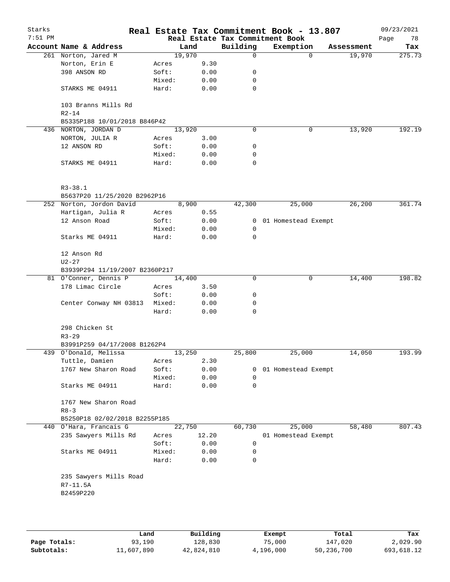| Starks<br>$7:51$ PM |                                    |                 |              |                | Real Estate Tax Commitment Book - 13.807<br>Real Estate Tax Commitment Book |                    | 09/23/2021<br>Page<br>78 |
|---------------------|------------------------------------|-----------------|--------------|----------------|-----------------------------------------------------------------------------|--------------------|--------------------------|
|                     | Account Name & Address             |                 | Land         | Building       | Exemption                                                                   | Assessment         | Tax                      |
|                     | 261 Norton, Jared M                | 19,970          |              | 0              |                                                                             | 19,970<br>$\Omega$ | 275.73                   |
|                     | Norton, Erin E                     | Acres           | 9.30         |                |                                                                             |                    |                          |
|                     | 398 ANSON RD                       | Soft:           | 0.00         | 0              |                                                                             |                    |                          |
|                     |                                    | Mixed:          | 0.00         | 0              |                                                                             |                    |                          |
|                     | STARKS ME 04911                    | Hard:           | 0.00         | 0              |                                                                             |                    |                          |
|                     | 103 Branns Mills Rd                |                 |              |                |                                                                             |                    |                          |
|                     | $R2 - 14$                          |                 |              |                |                                                                             |                    |                          |
|                     | B5335P188 10/01/2018 B846P42       |                 |              |                |                                                                             |                    |                          |
| 436                 | NORTON, JORDAN D                   | 13,920          |              | 0              |                                                                             | 13,920<br>0        | 192.19                   |
|                     | NORTON, JULIA R                    | Acres           | 3.00         |                |                                                                             |                    |                          |
|                     | 12 ANSON RD                        | Soft:           | 0.00         | 0              |                                                                             |                    |                          |
|                     |                                    | Mixed:          | 0.00         | 0              |                                                                             |                    |                          |
|                     | STARKS ME 04911                    | Hard:           | 0.00         | 0              |                                                                             |                    |                          |
|                     | $R3 - 38.1$                        |                 |              |                |                                                                             |                    |                          |
|                     | B5637P20 11/25/2020 B2962P16       |                 |              |                |                                                                             |                    |                          |
|                     | 252 Norton, Jordon David           |                 | 8,900        | 42,300         | 25,000                                                                      | 26,200             | 361.74                   |
|                     | Hartigan, Julia R                  | Acres           | 0.55         |                |                                                                             |                    |                          |
|                     | 12 Anson Road                      | Soft:           | 0.00         | $\overline{0}$ | 01 Homestead Exempt                                                         |                    |                          |
|                     |                                    | Mixed:          | 0.00         | 0              |                                                                             |                    |                          |
|                     | Starks ME 04911                    | Hard:           | 0.00         | $\mathbf 0$    |                                                                             |                    |                          |
|                     | 12 Anson Rd                        |                 |              |                |                                                                             |                    |                          |
|                     | $U2 - 27$                          |                 |              |                |                                                                             |                    |                          |
|                     | B3939P294 11/19/2007 B2360P217     |                 |              |                |                                                                             |                    |                          |
|                     | 81 O'Conner, Dennis P              | 14,400          |              | 0              |                                                                             | 0<br>14,400        | 198.82                   |
|                     | 178 Limac Circle                   | Acres           | 3.50         |                |                                                                             |                    |                          |
|                     |                                    | Soft:           | 0.00         | 0              |                                                                             |                    |                          |
|                     | Center Conway NH 03813             | Mixed:          | 0.00         | 0              |                                                                             |                    |                          |
|                     |                                    | Hard:           | 0.00         | 0              |                                                                             |                    |                          |
|                     | 298 Chicken St                     |                 |              |                |                                                                             |                    |                          |
|                     | $R3 - 29$                          |                 |              |                |                                                                             |                    |                          |
|                     | B3991P259 04/17/2008 B1262P4       |                 |              |                |                                                                             |                    |                          |
|                     | 439 O'Donald, Melissa              | 13,250          |              | 25,800         | 25,000                                                                      | 14,050             | 193.99                   |
|                     | Tuttle, Damien                     | Acres           | 2.30         |                |                                                                             |                    |                          |
|                     | 1767 New Sharon Road               | Soft:           | 0.00         | 0              | 01 Homestead Exempt                                                         |                    |                          |
|                     | Starks ME 04911                    | Mixed:<br>Hard: | 0.00<br>0.00 | 0<br>0         |                                                                             |                    |                          |
|                     | 1767 New Sharon Road<br>$R8 - 3$   |                 |              |                |                                                                             |                    |                          |
|                     | B5250P18 02/02/2018 B2255P185      |                 |              |                |                                                                             |                    |                          |
|                     | 440 O'Hara, Francais G             | 22,750          |              | 60,730         | 25,000                                                                      | 58,480             | 807.43                   |
|                     | 235 Sawyers Mills Rd               | Acres           | 12.20        |                | 01 Homestead Exempt                                                         |                    |                          |
|                     |                                    | Soft:           | 0.00         | 0              |                                                                             |                    |                          |
|                     | Starks ME 04911                    | Mixed:          | 0.00         | 0              |                                                                             |                    |                          |
|                     |                                    | Hard:           | 0.00         | 0              |                                                                             |                    |                          |
|                     | 235 Sawyers Mills Road<br>R7-11.5A |                 |              |                |                                                                             |                    |                          |
|                     | B2459P220                          |                 |              |                |                                                                             |                    |                          |
|                     |                                    |                 |              |                |                                                                             |                    |                          |
|                     |                                    |                 |              |                |                                                                             |                    |                          |
|                     |                                    |                 |              |                |                                                                             |                    |                          |
|                     |                                    |                 |              |                |                                                                             |                    |                          |

|              | Land       | Building   | Exempt    | Total      | Tax        |
|--------------|------------|------------|-----------|------------|------------|
| Page Totals: | 93,190     | 128,830    | 75,000    | 147,020    | 2,029.90   |
| Subtotals:   | 11,607,890 | 42,824,810 | 4,196,000 | 50,236,700 | 693,618.12 |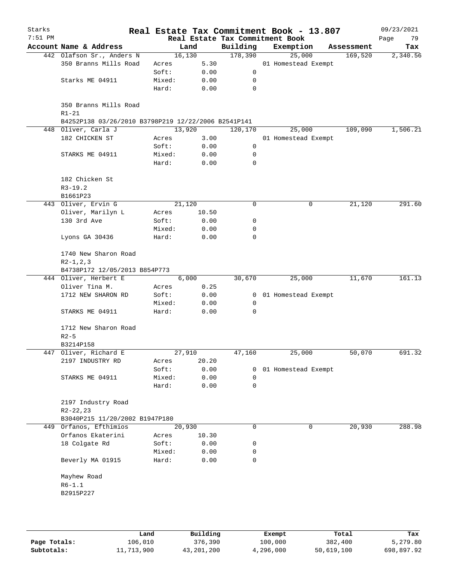| Starks<br>$7:51$ PM |                                                     |                 |              |                | Real Estate Tax Commitment Book - 13.807<br>Real Estate Tax Commitment Book |            | 09/23/2021<br>Page<br>79 |
|---------------------|-----------------------------------------------------|-----------------|--------------|----------------|-----------------------------------------------------------------------------|------------|--------------------------|
|                     | Account Name & Address                              |                 | Land         | Building       | Exemption                                                                   | Assessment | Tax                      |
|                     | 442 Olafson Sr., Anders N                           |                 | 16,130       | 178,390        | 25,000                                                                      | 169,520    | 2,340.56                 |
|                     | 350 Branns Mills Road                               | Acres           | 5.30         |                | 01 Homestead Exempt                                                         |            |                          |
|                     |                                                     | Soft:           | 0.00         | 0              |                                                                             |            |                          |
|                     | Starks ME 04911                                     | Mixed:          | 0.00         | 0              |                                                                             |            |                          |
|                     |                                                     | Hard:           | 0.00         | 0              |                                                                             |            |                          |
|                     | 350 Branns Mills Road<br>$R1-21$                    |                 |              |                |                                                                             |            |                          |
|                     | B4252P138 03/26/2010 B3798P219 12/22/2006 B2541P141 |                 |              |                |                                                                             |            |                          |
|                     | 448 Oliver, Carla J                                 |                 | 13,920       | 120,170        | 25,000                                                                      | 109,090    | 1,506.21                 |
|                     | 182 CHICKEN ST                                      | Acres           | 3.00         |                | 01 Homestead Exempt                                                         |            |                          |
|                     |                                                     | Soft:           | 0.00         | 0              |                                                                             |            |                          |
|                     | STARKS ME 04911                                     | Mixed:          | 0.00         | 0              |                                                                             |            |                          |
|                     |                                                     | Hard:           | 0.00         | $\mathbf 0$    |                                                                             |            |                          |
|                     | 182 Chicken St<br>$R3-19.2$                         |                 |              |                |                                                                             |            |                          |
|                     | B1661P23                                            |                 |              |                |                                                                             |            |                          |
|                     | 443 Oliver, Ervin G                                 |                 | 21,120       | 0              | 0                                                                           | 21,120     | 291.60                   |
|                     | Oliver, Marilyn L                                   | Acres           | 10.50        |                |                                                                             |            |                          |
|                     | 130 3rd Ave                                         | Soft:           | 0.00         | 0              |                                                                             |            |                          |
|                     |                                                     | Mixed:          | 0.00         | 0              |                                                                             |            |                          |
|                     | Lyons GA 30436                                      | Hard:           | 0.00         | 0              |                                                                             |            |                          |
|                     | 1740 New Sharon Road                                |                 |              |                |                                                                             |            |                          |
|                     | $R2-1, 2, 3$<br>B4738P172 12/05/2013 B854P773       |                 |              |                |                                                                             |            |                          |
|                     | 444 Oliver, Herbert E                               |                 | 6,000        | 30,670         | 25,000                                                                      | 11,670     | 161.13                   |
|                     | Oliver Tina M.                                      | Acres           | 0.25         |                |                                                                             |            |                          |
|                     | 1712 NEW SHARON RD                                  | Soft:           | 0.00         | $\overline{0}$ | 01 Homestead Exempt                                                         |            |                          |
|                     |                                                     | Mixed:          | 0.00         | $\mathbf 0$    |                                                                             |            |                          |
|                     | STARKS ME 04911                                     | Hard:           | 0.00         | 0              |                                                                             |            |                          |
|                     | 1712 New Sharon Road<br>$R2-5$                      |                 |              |                |                                                                             |            |                          |
|                     | B3214P158                                           |                 |              |                |                                                                             |            |                          |
|                     | 447 Oliver, Richard E                               |                 | 27,910       | 47,160         | 25,000                                                                      | 50,070     | 691.32                   |
|                     | 2197 INDUSTRY RD                                    | Acres           | 20.20        |                |                                                                             |            |                          |
|                     |                                                     | Soft:           | 0.00         | 0              |                                                                             |            |                          |
|                     |                                                     |                 |              |                | 01 Homestead Exempt                                                         |            |                          |
|                     | STARKS ME 04911                                     | Mixed:<br>Hard: | 0.00<br>0.00 | 0<br>0         |                                                                             |            |                          |
|                     | 2197 Industry Road                                  |                 |              |                |                                                                             |            |                          |
|                     | $R2 - 22, 23$<br>B3040P215 11/20/2002 B1947P180     |                 |              |                |                                                                             |            |                          |
|                     | 449 Orfanos, Efthimios                              |                 | 20,930       | 0              | 0                                                                           |            | 288.98                   |
|                     |                                                     |                 |              |                |                                                                             | 20,930     |                          |
|                     | Orfanos Ekaterini                                   | Acres           | 10.30        |                |                                                                             |            |                          |
|                     | 18 Colgate Rd                                       | Soft:           | 0.00         | 0              |                                                                             |            |                          |
|                     | Beverly MA 01915                                    | Mixed:<br>Hard: | 0.00<br>0.00 | 0<br>0         |                                                                             |            |                          |
|                     | Mayhew Road                                         |                 |              |                |                                                                             |            |                          |
|                     | $R6 - 1.1$                                          |                 |              |                |                                                                             |            |                          |
|                     | B2915P227                                           |                 |              |                |                                                                             |            |                          |
|                     |                                                     |                 |              |                |                                                                             |            |                          |
|                     |                                                     |                 |              |                |                                                                             |            |                          |
|                     |                                                     |                 |              |                |                                                                             |            |                          |
|                     |                                                     |                 |              |                |                                                                             |            |                          |

|              | Land       | Building   | Exempt    | Total      | Tax        |
|--------------|------------|------------|-----------|------------|------------|
| Page Totals: | 106,010    | 376,390    | 100,000   | 382,400    | 5,279.80   |
| Subtotals:   | 11,713,900 | 43,201,200 | 4,296,000 | 50,619,100 | 698,897.92 |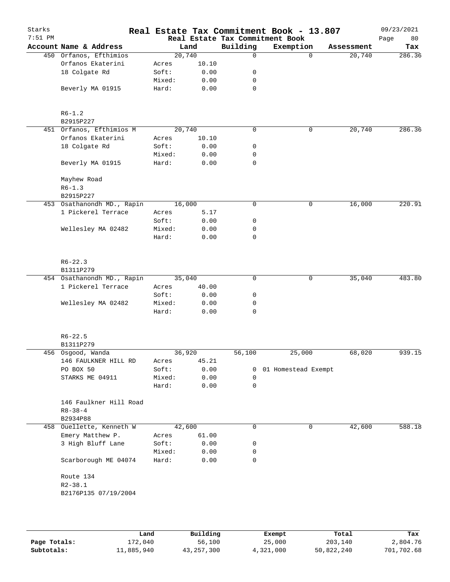| Starks    |                            |        |        |             | Real Estate Tax Commitment Book - 13.807 |            | 09/23/2021 |
|-----------|----------------------------|--------|--------|-------------|------------------------------------------|------------|------------|
| $7:51$ PM |                            |        |        |             | Real Estate Tax Commitment Book          |            | 80<br>Page |
|           | Account Name & Address     |        | Land   | Building    | Exemption                                | Assessment | Tax        |
|           | 450 Orfanos, Efthimios     |        | 20,740 | $\Omega$    | $\Omega$                                 | 20,740     | 286.36     |
|           | Orfanos Ekaterini          | Acres  | 10.10  |             |                                          |            |            |
|           | 18 Colgate Rd              | Soft:  | 0.00   | 0           |                                          |            |            |
|           |                            | Mixed: | 0.00   | 0           |                                          |            |            |
|           | Beverly MA 01915           | Hard:  | 0.00   | $\mathbf 0$ |                                          |            |            |
|           | $R6 - 1.2$                 |        |        |             |                                          |            |            |
|           | B2915P227                  |        |        |             |                                          |            |            |
|           | 451 Orfanos, Efthimios M   |        | 20,740 | $\mathbf 0$ | 0                                        | 20,740     | 286.36     |
|           | Orfanos Ekaterini          | Acres  | 10.10  |             |                                          |            |            |
|           | 18 Colgate Rd              | Soft:  | 0.00   | 0           |                                          |            |            |
|           |                            | Mixed: | 0.00   | 0           |                                          |            |            |
|           | Beverly MA 01915           | Hard:  | 0.00   | $\mathbf 0$ |                                          |            |            |
|           | Mayhew Road                |        |        |             |                                          |            |            |
|           | $R6 - 1.3$                 |        |        |             |                                          |            |            |
|           | B2915P227                  |        |        |             |                                          |            |            |
|           | 453 Osathanondh MD., Rapin |        | 16,000 | 0           | $\mathsf{O}$                             | 16,000     | 220.91     |
|           | 1 Pickerel Terrace         | Acres  | 5.17   |             |                                          |            |            |
|           |                            | Soft:  | 0.00   | 0           |                                          |            |            |
|           | Wellesley MA 02482         | Mixed: | 0.00   | 0           |                                          |            |            |
|           |                            | Hard:  | 0.00   | 0           |                                          |            |            |
|           | $R6 - 22.3$<br>B1311P279   |        |        |             |                                          |            |            |
|           | 454 Osathanondh MD., Rapin |        | 35,040 | 0           | 0                                        | 35,040     | 483.80     |
|           | 1 Pickerel Terrace         | Acres  | 40.00  |             |                                          |            |            |
|           |                            | Soft:  | 0.00   | 0           |                                          |            |            |
|           | Wellesley MA 02482         | Mixed: | 0.00   | 0           |                                          |            |            |
|           |                            | Hard:  | 0.00   | 0           |                                          |            |            |
|           | $R6 - 22.5$                |        |        |             |                                          |            |            |
|           | B1311P279                  |        |        |             |                                          |            |            |
|           | 456 Osgood, Wanda          |        | 36,920 | 56,100      | 25,000                                   | 68,020     | 939.15     |
|           | 146 FAULKNER HILL RD       | Acres  | 45.21  |             |                                          |            |            |
|           | PO BOX 50                  | Soft:  | 0.00   | 0           | 01 Homestead Exempt                      |            |            |
|           | STARKS ME 04911            | Mixed: | 0.00   | 0           |                                          |            |            |
|           |                            | Hard:  | 0.00   | $\mathbf 0$ |                                          |            |            |
|           |                            |        |        |             |                                          |            |            |
|           | 146 Faulkner Hill Road     |        |        |             |                                          |            |            |
|           | $R8 - 38 - 4$              |        |        |             |                                          |            |            |
|           | B2934P88                   |        |        |             |                                          |            |            |
|           | 458 Ouellette, Kenneth W   |        | 42,600 | 0           | 0                                        | 42,600     | 588.18     |
|           | Emery Matthew P.           | Acres  | 61.00  |             |                                          |            |            |
|           | 3 High Bluff Lane          | Soft:  | 0.00   | 0           |                                          |            |            |
|           |                            | Mixed: | 0.00   | 0           |                                          |            |            |
|           | Scarborough ME 04074       | Hard:  | 0.00   | 0           |                                          |            |            |
|           | Route 134                  |        |        |             |                                          |            |            |
|           | $R2 - 38.1$                |        |        |             |                                          |            |            |
|           | B2176P135 07/19/2004       |        |        |             |                                          |            |            |
|           |                            |        |        |             |                                          |            |            |
|           |                            |        |        |             |                                          |            |            |
|           |                            |        |        |             |                                          |            |            |

|              | Land       | Building     |           | Total      | Tax        |
|--------------|------------|--------------|-----------|------------|------------|
|              |            |              | Exempt    |            |            |
| Page Totals: | 172,040    | 56,100       | 25,000    | 203,140    | 2,804.76   |
| Subtotals:   | 11,885,940 | 43, 257, 300 | 4,321,000 | 50,822,240 | 701,702.68 |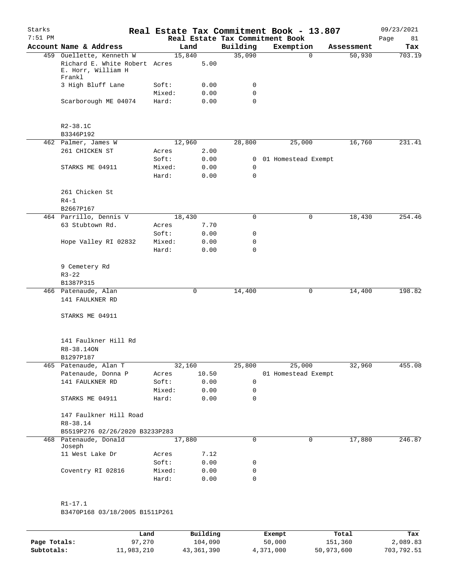| Starks<br>$7:51$ PM |                                                                                 |                 |              |                            | Real Estate Tax Commitment Book - 13.807<br>Real Estate Tax Commitment Book |            | 09/23/2021<br>Page<br>81 |
|---------------------|---------------------------------------------------------------------------------|-----------------|--------------|----------------------------|-----------------------------------------------------------------------------|------------|--------------------------|
|                     | Account Name & Address                                                          |                 | Land         | Building                   | Exemption                                                                   | Assessment | Tax                      |
|                     | 459 Ouellette, Kenneth W<br>Richard E. White Robert Acres<br>E. Horr, William H | 15,840          | 5.00         | 35,090                     | $\Omega$                                                                    | 50,930     | 703.19                   |
|                     | Frankl<br>3 High Bluff Lane                                                     | Soft:           | 0.00         | 0                          |                                                                             |            |                          |
|                     | Scarborough ME 04074                                                            | Mixed:<br>Hard: | 0.00<br>0.00 | $\mathbf 0$<br>$\mathbf 0$ |                                                                             |            |                          |
|                     | $R2 - 38.1C$<br>B3346P192                                                       |                 |              |                            |                                                                             |            |                          |
|                     | 462 Palmer, James W                                                             | 12,960          |              | 28,800                     | 25,000                                                                      | 16,760     | 231.41                   |
|                     | 261 CHICKEN ST                                                                  | Acres           | 2.00         |                            |                                                                             |            |                          |
|                     |                                                                                 | Soft:           | 0.00         |                            | 0 01 Homestead Exempt                                                       |            |                          |
|                     | STARKS ME 04911                                                                 | Mixed:          | 0.00         | 0                          |                                                                             |            |                          |
|                     |                                                                                 | Hard:           | 0.00         | 0                          |                                                                             |            |                          |
|                     | 261 Chicken St<br>$R4-1$<br>B2667P167                                           |                 |              |                            |                                                                             |            |                          |
|                     | 464 Parrillo, Dennis V                                                          | 18,430          |              | $\mathbf 0$                | 0                                                                           | 18,430     | 254.46                   |
|                     | 63 Stubtown Rd.                                                                 | Acres           | 7.70         |                            |                                                                             |            |                          |
|                     |                                                                                 | Soft:           | 0.00         | 0                          |                                                                             |            |                          |
|                     | Hope Valley RI 02832                                                            | Mixed:          | 0.00         | 0                          |                                                                             |            |                          |
|                     |                                                                                 | Hard:           | 0.00         | $\mathbf 0$                |                                                                             |            |                          |
|                     | 9 Cemetery Rd<br>$R3 - 22$                                                      |                 |              |                            |                                                                             |            |                          |
|                     | B1387P315<br>466 Patenaude, Alan                                                |                 | 0            | 14,400                     | 0                                                                           | 14,400     | 198.82                   |
|                     | 141 FAULKNER RD                                                                 |                 |              |                            |                                                                             |            |                          |
|                     | STARKS ME 04911                                                                 |                 |              |                            |                                                                             |            |                          |
|                     | 141 Faulkner Hill Rd<br>R8-38.14ON                                              |                 |              |                            |                                                                             |            |                          |
|                     | B1297P187                                                                       |                 |              |                            |                                                                             |            |                          |
|                     | 465 Patenaude, Alan T                                                           | 32,160          |              | 25,800                     | 25,000                                                                      | 32,960     | 455.08                   |
|                     | Patenaude, Donna P                                                              | Acres           | 10.50        |                            | 01 Homestead Exempt                                                         |            |                          |
|                     | 141 FAULKNER RD                                                                 | Soft:           | 0.00         | 0                          |                                                                             |            |                          |
|                     | STARKS ME 04911                                                                 | Mixed:<br>Hard: | 0.00<br>0.00 | 0<br>0                     |                                                                             |            |                          |
|                     | 147 Faulkner Hill Road<br>R8-38.14                                              |                 |              |                            |                                                                             |            |                          |
|                     | B5519P276 02/26/2020 B3233P283<br>468 Patenaude, Donald                         | 17,880          |              | $\mathbf 0$                | $\mathbf 0$                                                                 | 17,880     | 246.87                   |
|                     | Joseph                                                                          |                 |              |                            |                                                                             |            |                          |
|                     | 11 West Lake Dr                                                                 | Acres           | 7.12         |                            |                                                                             |            |                          |
|                     |                                                                                 | Soft:           | 0.00         | 0                          |                                                                             |            |                          |
|                     | Coventry RI 02816                                                               | Mixed:          | 0.00         | 0                          |                                                                             |            |                          |
|                     |                                                                                 | Hard:           | 0.00         | 0                          |                                                                             |            |                          |
|                     | $R1 - 17.1$                                                                     |                 |              |                            |                                                                             |            |                          |

B3470P168 03/18/2005 B1511P261

|              | Land       | Building   | Exempt    | Total      | Tax        |
|--------------|------------|------------|-----------|------------|------------|
| Page Totals: | 97,270     | 104,090    | 50,000    | 151,360    | 2,089.83   |
| Subtotals:   | 11,983,210 | 43,361,390 | 4,371,000 | 50,973,600 | 703,792.51 |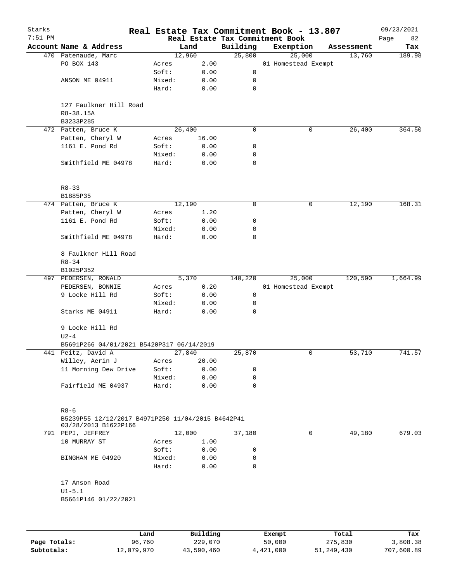| Starks       |                                                                           |        |                |          | Real Estate Tax Commitment Book - 13.807 |                      | 09/23/2021    |
|--------------|---------------------------------------------------------------------------|--------|----------------|----------|------------------------------------------|----------------------|---------------|
| $7:51$ PM    | Account Name & Address                                                    |        |                | Building | Real Estate Tax Commitment Book          |                      | Page<br>82    |
|              | 470 Patenaude, Marc                                                       |        | Land<br>12,960 | 25,800   | Exemption<br>25,000                      | Assessment<br>13,760 | Tax<br>189.98 |
|              | PO BOX 143                                                                | Acres  | 2.00           |          | 01 Homestead Exempt                      |                      |               |
|              |                                                                           | Soft:  | 0.00           | 0        |                                          |                      |               |
|              | ANSON ME 04911                                                            | Mixed: | 0.00           | 0        |                                          |                      |               |
|              |                                                                           | Hard:  | 0.00           | 0        |                                          |                      |               |
|              |                                                                           |        |                |          |                                          |                      |               |
|              | 127 Faulkner Hill Road                                                    |        |                |          |                                          |                      |               |
|              | R8-38.15A                                                                 |        |                |          |                                          |                      |               |
|              | B3233P285                                                                 |        |                |          |                                          |                      |               |
|              | 472 Patten, Bruce K                                                       |        | 26,400         | 0        | 0                                        | 26,400               | 364.50        |
|              | Patten, Cheryl W                                                          | Acres  | 16.00          |          |                                          |                      |               |
|              | 1161 E. Pond Rd                                                           | Soft:  | 0.00           | 0        |                                          |                      |               |
|              |                                                                           | Mixed: | 0.00           | 0        |                                          |                      |               |
|              | Smithfield ME 04978                                                       | Hard:  | 0.00           | 0        |                                          |                      |               |
|              |                                                                           |        |                |          |                                          |                      |               |
|              | $R8 - 33$                                                                 |        |                |          |                                          |                      |               |
|              | B1885P35                                                                  |        |                |          |                                          |                      |               |
|              | 474 Patten, Bruce K                                                       |        | 12,190         | 0        | 0                                        | 12,190               | 168.31        |
|              | Patten, Cheryl W                                                          | Acres  | 1.20           |          |                                          |                      |               |
|              | 1161 E. Pond Rd                                                           | Soft:  | 0.00           | 0        |                                          |                      |               |
|              |                                                                           | Mixed: | 0.00           | 0        |                                          |                      |               |
|              | Smithfield ME 04978                                                       | Hard:  | 0.00           | 0        |                                          |                      |               |
|              | 8 Faulkner Hill Road                                                      |        |                |          |                                          |                      |               |
|              | $R8 - 34$                                                                 |        |                |          |                                          |                      |               |
|              | B1025P352                                                                 |        |                |          |                                          |                      |               |
|              | 497 PEDERSEN, RONALD                                                      |        | 5,370          | 140,220  | 25,000                                   | 120,590              | 1,664.99      |
|              | PEDERSEN, BONNIE                                                          | Acres  | 0.20           |          | 01 Homestead Exempt                      |                      |               |
|              | 9 Locke Hill Rd                                                           | Soft:  | 0.00           | 0        |                                          |                      |               |
|              |                                                                           | Mixed: | 0.00           | 0        |                                          |                      |               |
|              | Starks ME 04911                                                           | Hard:  | 0.00           | 0        |                                          |                      |               |
|              | 9 Locke Hill Rd                                                           |        |                |          |                                          |                      |               |
|              | $U2-4$                                                                    |        |                |          |                                          |                      |               |
|              | B5691P266 04/01/2021 B5420P317 06/14/2019                                 |        |                |          |                                          |                      |               |
|              | 441 Peitz, David A                                                        |        | 27,840         | 25,870   | 0                                        | 53,710               | 741.57        |
|              | Willey, Aerin J                                                           | Acres  | 20.00          |          |                                          |                      |               |
|              | 11 Morning Dew Drive                                                      | Soft:  | 0.00           | 0        |                                          |                      |               |
|              |                                                                           | Mixed: | 0.00           | 0        |                                          |                      |               |
|              | Fairfield ME 04937                                                        | Hard:  | 0.00           | 0        |                                          |                      |               |
|              | $R8 - 6$                                                                  |        |                |          |                                          |                      |               |
|              | B5239P55 12/12/2017 B4971P250 11/04/2015 B4642P41<br>03/28/2013 B1622P166 |        |                |          |                                          |                      |               |
|              | 791 PEPI, JEFFREY                                                         |        | 12,000         | 37,180   | 0                                        | 49,180               | 679.03        |
|              | 10 MURRAY ST                                                              | Acres  | 1.00           |          |                                          |                      |               |
|              |                                                                           | Soft:  | 0.00           | 0        |                                          |                      |               |
|              | BINGHAM ME 04920                                                          | Mixed: | 0.00           | 0        |                                          |                      |               |
|              |                                                                           | Hard:  | 0.00           | 0        |                                          |                      |               |
|              | 17 Anson Road                                                             |        |                |          |                                          |                      |               |
|              | $UI - 5.1$                                                                |        |                |          |                                          |                      |               |
|              | B5661P146 01/22/2021                                                      |        |                |          |                                          |                      |               |
|              |                                                                           |        |                |          |                                          |                      |               |
|              | Land                                                                      |        | Building       |          | Exempt                                   | Total                | Tax           |
| Page Totals: | 96,760                                                                    |        | 229,070        |          | 50,000                                   | 275,830              | 3,808.38      |

**Subtotals:** 12,079,970 43,590,460 4,421,000 51,249,430 707,600.89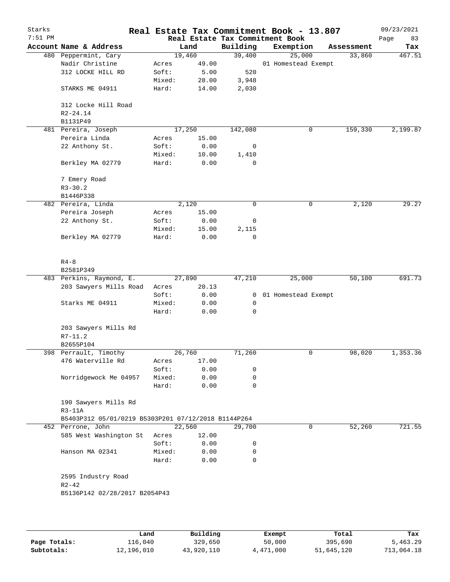| Starks<br>7:51 PM |                                                     |        |        |             | Real Estate Tax Commitment Book - 13.807<br>Real Estate Tax Commitment Book |              |            | 09/23/2021<br>Page<br>83 |
|-------------------|-----------------------------------------------------|--------|--------|-------------|-----------------------------------------------------------------------------|--------------|------------|--------------------------|
|                   | Account Name & Address                              |        | Land   | Building    | Exemption                                                                   |              | Assessment | Tax                      |
|                   | 480 Peppermint, Cary                                |        | 19,460 | 39,400      | 25,000                                                                      |              | 33,860     | 467.51                   |
|                   | Nadir Christine                                     | Acres  | 49.00  |             | 01 Homestead Exempt                                                         |              |            |                          |
|                   | 312 LOCKE HILL RD                                   | Soft:  | 5.00   | 520         |                                                                             |              |            |                          |
|                   |                                                     | Mixed: | 28.00  | 3,948       |                                                                             |              |            |                          |
|                   | STARKS ME 04911                                     | Hard:  | 14.00  | 2,030       |                                                                             |              |            |                          |
|                   | 312 Locke Hill Road                                 |        |        |             |                                                                             |              |            |                          |
|                   | $R2 - 24.14$                                        |        |        |             |                                                                             |              |            |                          |
|                   | B1131P49                                            |        |        |             |                                                                             |              |            |                          |
|                   | 481 Pereira, Joseph                                 |        | 17,250 | 142,080     |                                                                             | 0            | 159,330    | 2,199.87                 |
|                   | Pereira Linda                                       | Acres  | 15.00  |             |                                                                             |              |            |                          |
|                   | 22 Anthony St.                                      | Soft:  | 0.00   | 0           |                                                                             |              |            |                          |
|                   |                                                     | Mixed: | 10.00  | 1,410       |                                                                             |              |            |                          |
|                   | Berkley MA 02779                                    | Hard:  | 0.00   | $\mathbf 0$ |                                                                             |              |            |                          |
|                   | 7 Emery Road                                        |        |        |             |                                                                             |              |            |                          |
|                   | $R3 - 30.2$                                         |        |        |             |                                                                             |              |            |                          |
|                   | B1446P338                                           |        |        |             |                                                                             |              |            |                          |
|                   | 482 Pereira, Linda                                  |        | 2,120  | 0           |                                                                             | 0            | 2,120      | 29.27                    |
|                   | Pereira Joseph                                      | Acres  | 15.00  |             |                                                                             |              |            |                          |
|                   | 22 Anthony St.                                      | Soft:  | 0.00   | 0           |                                                                             |              |            |                          |
|                   |                                                     | Mixed: | 15.00  | 2,115       |                                                                             |              |            |                          |
|                   | Berkley MA 02779                                    | Hard:  | 0.00   | 0           |                                                                             |              |            |                          |
|                   | $R4 - 8$                                            |        |        |             |                                                                             |              |            |                          |
|                   | B2581P349                                           |        |        |             |                                                                             |              |            |                          |
|                   | 483 Perkins, Raymond, E.                            |        | 27,890 | 47,210      | 25,000                                                                      |              | 50,100     | 691.73                   |
|                   | 203 Sawyers Mills Road                              | Acres  | 20.13  |             |                                                                             |              |            |                          |
|                   |                                                     | Soft:  | 0.00   | 0           | 01 Homestead Exempt                                                         |              |            |                          |
|                   | Starks ME 04911                                     | Mixed: | 0.00   | 0           |                                                                             |              |            |                          |
|                   |                                                     | Hard:  | 0.00   | 0           |                                                                             |              |            |                          |
|                   | 203 Sawyers Mills Rd                                |        |        |             |                                                                             |              |            |                          |
|                   | $R7 - 11.2$                                         |        |        |             |                                                                             |              |            |                          |
|                   | B2655P104                                           |        |        |             |                                                                             |              |            |                          |
|                   | 398 Perrault, Timothy                               |        | 26,760 | 71,260      |                                                                             | $\mathsf{O}$ | 98,020     | 1,353.36                 |
|                   | 476 Waterville Rd                                   | Acres  | 17.00  |             |                                                                             |              |            |                          |
|                   |                                                     | Soft:  | 0.00   | 0           |                                                                             |              |            |                          |
|                   | Norridgewock Me 04957                               | Mixed: | 0.00   | $\mathbf 0$ |                                                                             |              |            |                          |
|                   |                                                     | Hard:  | 0.00   | 0           |                                                                             |              |            |                          |
|                   | 190 Sawyers Mills Rd                                |        |        |             |                                                                             |              |            |                          |
|                   | $R3-11A$                                            |        |        |             |                                                                             |              |            |                          |
|                   | B5403P312 05/01/0219 B5303P201 07/12/2018 B1144P264 |        |        |             |                                                                             |              |            |                          |
|                   | 452 Perrone, John                                   |        | 22,560 | 29,700      |                                                                             | 0            | 52,260     | 721.55                   |
|                   | 585 West Washington St                              | Acres  | 12.00  |             |                                                                             |              |            |                          |
|                   |                                                     | Soft:  | 0.00   | 0           |                                                                             |              |            |                          |
|                   | Hanson MA 02341                                     | Mixed: | 0.00   | 0           |                                                                             |              |            |                          |
|                   |                                                     | Hard:  | 0.00   | 0           |                                                                             |              |            |                          |
|                   | 2595 Industry Road<br>$R2 - 42$                     |        |        |             |                                                                             |              |            |                          |
|                   | B5136P142 02/28/2017 B2054P43                       |        |        |             |                                                                             |              |            |                          |
|                   |                                                     |        |        |             |                                                                             |              |            |                          |
|                   |                                                     |        |        |             |                                                                             |              |            |                          |

|              | Land       | Building   | Exempt    | Total      | Tax        |
|--------------|------------|------------|-----------|------------|------------|
| Page Totals: | ⊥16,040    | 329,650    | 50,000    | 395,690    | 5,463.29   |
| Subtotals:   | 12,196,010 | 43,920,110 | 4,471,000 | 51,645,120 | 713,064.18 |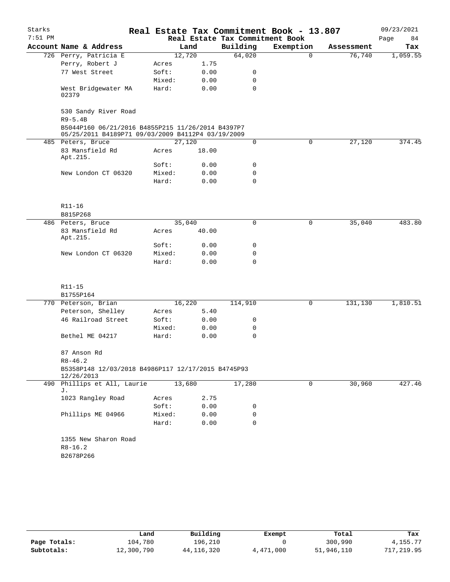| Starks    |                                                                                                        |  |        |       |                                 | Real Estate Tax Commitment Book - 13.807 |            | 09/23/2021 |  |
|-----------|--------------------------------------------------------------------------------------------------------|--|--------|-------|---------------------------------|------------------------------------------|------------|------------|--|
| $7:51$ PM |                                                                                                        |  |        |       | Real Estate Tax Commitment Book |                                          |            | Page<br>84 |  |
|           | Account Name & Address                                                                                 |  |        | Land  | Building                        | Exemption                                | Assessment | Tax        |  |
|           | 726 Perry, Patricia E                                                                                  |  | 12,720 |       | 64,020                          | $\mathbf 0$                              | 76,740     | 1,059.55   |  |
|           | Perry, Robert J                                                                                        |  | Acres  | 1.75  |                                 |                                          |            |            |  |
|           | 77 West Street                                                                                         |  | Soft:  | 0.00  | 0                               |                                          |            |            |  |
|           |                                                                                                        |  | Mixed: | 0.00  | 0                               |                                          |            |            |  |
|           | West Bridgewater MA<br>02379                                                                           |  | Hard:  | 0.00  | 0                               |                                          |            |            |  |
|           | 530 Sandy River Road<br>$R9 - 5.4B$                                                                    |  |        |       |                                 |                                          |            |            |  |
|           | B5044P160 06/21/2016 B4855P215 11/26/2014 B4397P7<br>05/25/2011 B4189P71 09/03/2009 B4112P4 03/19/2009 |  |        |       |                                 |                                          |            |            |  |
|           | 485 Peters, Bruce                                                                                      |  | 27,120 |       | 0                               | $\mathbf 0$                              | 27,120     | 374.45     |  |
|           | 83 Mansfield Rd<br>Apt.215.                                                                            |  | Acres  | 18.00 |                                 |                                          |            |            |  |
|           |                                                                                                        |  | Soft:  | 0.00  | 0                               |                                          |            |            |  |
|           | New London CT 06320                                                                                    |  | Mixed: | 0.00  | 0                               |                                          |            |            |  |
|           |                                                                                                        |  | Hard:  | 0.00  | 0                               |                                          |            |            |  |
|           | R11-16<br>B815P268                                                                                     |  |        |       |                                 |                                          |            |            |  |
|           | 486 Peters, Bruce                                                                                      |  | 35,040 |       | 0                               | $\mathbf 0$                              | 35,040     | 483.80     |  |
|           | 83 Mansfield Rd<br>Apt.215.                                                                            |  | Acres  | 40.00 |                                 |                                          |            |            |  |
|           |                                                                                                        |  | Soft:  | 0.00  | 0                               |                                          |            |            |  |
|           | New London CT 06320                                                                                    |  | Mixed: | 0.00  | 0                               |                                          |            |            |  |
|           |                                                                                                        |  | Hard:  | 0.00  | 0                               |                                          |            |            |  |
|           | R11-15                                                                                                 |  |        |       |                                 |                                          |            |            |  |
|           | B1755P164                                                                                              |  |        |       |                                 |                                          |            |            |  |
|           | 770 Peterson, Brian                                                                                    |  | 16,220 |       | 114,910                         | 0                                        | 131,130    | 1,810.51   |  |
|           | Peterson, Shelley                                                                                      |  | Acres  | 5.40  |                                 |                                          |            |            |  |
|           | 46 Railroad Street                                                                                     |  | Soft:  | 0.00  | 0                               |                                          |            |            |  |
|           |                                                                                                        |  | Mixed: | 0.00  | 0                               |                                          |            |            |  |
|           | Bethel ME 04217                                                                                        |  | Hard:  | 0.00  | 0                               |                                          |            |            |  |
|           | 87 Anson Rd<br>$R8 - 46.2$                                                                             |  |        |       |                                 |                                          |            |            |  |
|           | B5358P148 12/03/2018 B4986P117 12/17/2015 B4745P93<br>12/26/2013                                       |  |        |       |                                 |                                          |            |            |  |
|           | 490 Phillips et All, Laurie<br>J.                                                                      |  | 13,680 |       | 17,280                          | $\mathsf{O}$                             | 30,960     | 427.46     |  |
|           | 1023 Rangley Road                                                                                      |  | Acres  | 2.75  |                                 |                                          |            |            |  |
|           |                                                                                                        |  | Soft:  | 0.00  | 0                               |                                          |            |            |  |
|           | Phillips ME 04966                                                                                      |  | Mixed: | 0.00  | 0                               |                                          |            |            |  |
|           |                                                                                                        |  | Hard:  | 0.00  | $\Omega$                        |                                          |            |            |  |
|           | 1355 New Sharon Road                                                                                   |  |        |       |                                 |                                          |            |            |  |
|           | $R8 - 16.2$                                                                                            |  |        |       |                                 |                                          |            |            |  |
|           | B2678P266                                                                                              |  |        |       |                                 |                                          |            |            |  |
|           |                                                                                                        |  |        |       |                                 |                                          |            |            |  |

|              | Land       | Building   | Exempt    | Total      | Tax        |
|--------------|------------|------------|-----------|------------|------------|
| Page Totals: | 104,780    | 196,210    |           | 300,990    | 4,155.77   |
| Subtotals:   | 12,300,790 | 44,116,320 | 4,471,000 | 51,946,110 | 717,219.95 |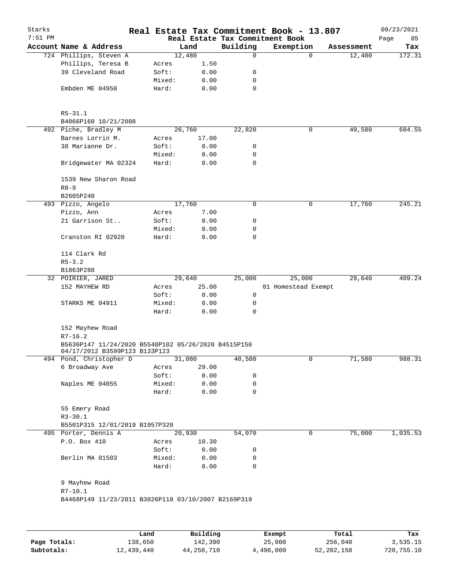| Starks<br>$7:51$ PM |                                                                                                     |                 |               |             | Real Estate Tax Commitment Book - 13.807<br>Real Estate Tax Commitment Book |             | 09/23/2021<br>85<br>Page |
|---------------------|-----------------------------------------------------------------------------------------------------|-----------------|---------------|-------------|-----------------------------------------------------------------------------|-------------|--------------------------|
|                     | Account Name & Address                                                                              |                 | Land          | Building    | Exemption                                                                   | Assessment  | Tax                      |
|                     | 724 Phillips, Steven A                                                                              |                 | 12,480        | 0           |                                                                             | 0<br>12,480 | 172.31                   |
|                     | Phillips, Teresa B                                                                                  | Acres           | 1.50          |             |                                                                             |             |                          |
|                     | 39 Cleveland Road                                                                                   | Soft:           | 0.00          | 0           |                                                                             |             |                          |
|                     |                                                                                                     | Mixed:          | 0.00          | 0           |                                                                             |             |                          |
|                     | Embden ME 04958                                                                                     | Hard:           | 0.00          | $\mathbf 0$ |                                                                             |             |                          |
|                     | $R5 - 31.1$<br>B4066P160 10/21/2008                                                                 |                 |               |             |                                                                             |             |                          |
|                     | 492 Piche, Bradley M                                                                                |                 | 26,760        | 22,820      |                                                                             | 49,580<br>0 | 684.55                   |
|                     | Barnes Lorrin M.                                                                                    | Acres           | 17.00         |             |                                                                             |             |                          |
|                     | 38 Marianne Dr.                                                                                     | Soft:           | 0.00          | 0           |                                                                             |             |                          |
|                     |                                                                                                     | Mixed:          | 0.00          | 0           |                                                                             |             |                          |
|                     | Bridgewater MA 02324                                                                                | Hard:           | 0.00          | 0           |                                                                             |             |                          |
|                     | 1539 New Sharon Road<br>$R8 - 9$                                                                    |                 |               |             |                                                                             |             |                          |
|                     | B2605P240                                                                                           |                 |               |             |                                                                             |             |                          |
|                     | 493 Pizzo, Angelo                                                                                   |                 | 17,760        | 0           |                                                                             | 17,760<br>0 | 245.21                   |
|                     | Pizzo, Ann                                                                                          | Acres           | 7.00          |             |                                                                             |             |                          |
|                     | 21 Garrison St                                                                                      | Soft:           | 0.00          | 0           |                                                                             |             |                          |
|                     |                                                                                                     | Mixed:          | 0.00          | 0           |                                                                             |             |                          |
|                     | Cranston RI 02920                                                                                   | Hard:           | 0.00          | $\mathbf 0$ |                                                                             |             |                          |
|                     | 114 Clark Rd                                                                                        |                 |               |             |                                                                             |             |                          |
|                     | $R5 - 3.2$                                                                                          |                 |               |             |                                                                             |             |                          |
|                     | B1863P288                                                                                           |                 |               |             |                                                                             |             |                          |
|                     | 32 POIRIER, JARED                                                                                   |                 | 29,640        | 25,000      | 25,000                                                                      | 29,640      | 409.24                   |
|                     | 152 MAYHEW RD                                                                                       | Acres           | 25.00         |             | 01 Homestead Exempt                                                         |             |                          |
|                     |                                                                                                     | Soft:           | 0.00          | 0           |                                                                             |             |                          |
|                     | STARKS ME 04911                                                                                     | Mixed:<br>Hard: | 0.00<br>0.00  | 0<br>0      |                                                                             |             |                          |
|                     | 152 Mayhew Road                                                                                     |                 |               |             |                                                                             |             |                          |
|                     | $R7 - 16.2$<br>B5636P147 11/24/2020 B5548P102 05/26/2020 B4515P150<br>04/17/2012 B3599P123 B133P123 |                 |               |             |                                                                             |             |                          |
|                     | 494 Pond, Christopher D                                                                             |                 | 31,080        | 40,500      |                                                                             | 0<br>71,580 | 988.31                   |
|                     | 6 Broadway Ave                                                                                      | Acres           | 29.00         |             |                                                                             |             |                          |
|                     |                                                                                                     | Soft:           | 0.00          | 0           |                                                                             |             |                          |
|                     | Naples ME 04055                                                                                     | Mixed:          | 0.00          | 0           |                                                                             |             |                          |
|                     |                                                                                                     | Hard:           | 0.00          | 0           |                                                                             |             |                          |
|                     | 55 Emery Road<br>$R3 - 30.1$                                                                        |                 |               |             |                                                                             |             |                          |
|                     | B5501P315 12/01/2019 B1957P320                                                                      |                 |               |             |                                                                             |             |                          |
|                     | 495 Porter, Dennis A                                                                                |                 | 20,930        | 54,070      |                                                                             | 75,000<br>0 | 1,035.53                 |
|                     | P.O. Box 410                                                                                        | Acres<br>Soft:  | 10.30<br>0.00 | 0           |                                                                             |             |                          |
|                     | Berlin MA 01503                                                                                     | Mixed:          | 0.00          | 0           |                                                                             |             |                          |
|                     |                                                                                                     | Hard:           | 0.00          | 0           |                                                                             |             |                          |
|                     | 9 Mayhew Road                                                                                       |                 |               |             |                                                                             |             |                          |
|                     | $R7 - 10.1$<br>B4468P149 11/23/2011 B3826P118 03/10/2007 B2169P319                                  |                 |               |             |                                                                             |             |                          |
|                     |                                                                                                     |                 |               |             |                                                                             |             |                          |
|                     |                                                                                                     | Land            | Building      |             | Exempt                                                                      | Total       | Tax                      |

|              | Land       | Building   | Exempt    | Total      | Tax        |
|--------------|------------|------------|-----------|------------|------------|
| Page Totals: | 138,650    | 142,390    | 25,000    | 256,040    | 3,535.15   |
| Subtotals:   | 12,439,440 | 44,258,710 | 4,496,000 | 52,202,150 | 720,755.10 |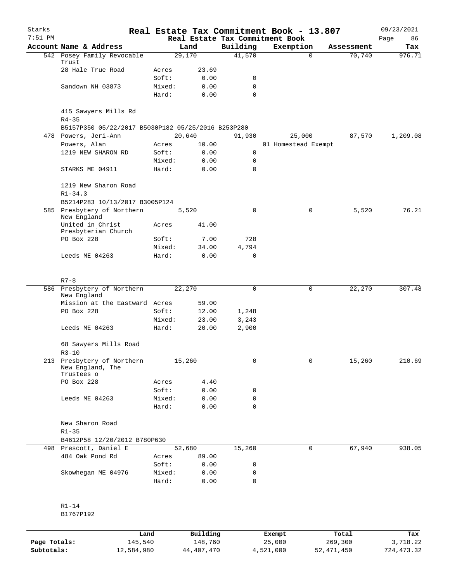| Starks    |                                                    |        |        |             | Real Estate Tax Commitment Book - 13.807 |                    | 09/23/2021 |
|-----------|----------------------------------------------------|--------|--------|-------------|------------------------------------------|--------------------|------------|
| $7:51$ PM |                                                    |        |        |             | Real Estate Tax Commitment Book          |                    | Page<br>86 |
|           | Account Name & Address                             |        | Land   | Building    | Exemption                                | Assessment         | Tax        |
|           | 542 Posey Family Revocable<br>Trust                |        | 29,170 | 41,570      |                                          | 70,740<br>$\Omega$ | 976.71     |
|           | 28 Hale True Road                                  | Acres  | 23.69  |             |                                          |                    |            |
|           |                                                    | Soft:  | 0.00   | 0           |                                          |                    |            |
|           | Sandown NH 03873                                   | Mixed: | 0.00   | 0           |                                          |                    |            |
|           |                                                    | Hard:  | 0.00   | $\mathbf 0$ |                                          |                    |            |
|           | 415 Sawyers Mills Rd<br>$R4 - 35$                  |        |        |             |                                          |                    |            |
|           | B5157P350 05/22/2017 B5030P182 05/25/2016 B253P280 |        |        |             |                                          |                    |            |
|           | 478 Powers, Jeri-Ann                               |        | 20,640 | 91,930      | 25,000                                   | 87,570             | 1,209.08   |
|           | Powers, Alan                                       | Acres  | 10.00  |             | 01 Homestead Exempt                      |                    |            |
|           | 1219 NEW SHARON RD                                 | Soft:  | 0.00   | 0           |                                          |                    |            |
|           |                                                    | Mixed: | 0.00   | 0           |                                          |                    |            |
|           | STARKS ME 04911                                    | Hard:  | 0.00   | $\mathbf 0$ |                                          |                    |            |
|           | 1219 New Sharon Road<br>$R1 - 34.3$                |        |        |             |                                          |                    |            |
|           | B5214P283 10/13/2017 B3005P124                     |        |        |             |                                          |                    |            |
|           | 585 Presbytery of Northern<br>New England          |        | 5,520  | $\mathbf 0$ |                                          | 0<br>5,520         | 76.21      |
|           | United in Christ<br>Presbyterian Church            | Acres  | 41.00  |             |                                          |                    |            |
|           | PO Box 228                                         | Soft:  | 7.00   | 728         |                                          |                    |            |
|           |                                                    | Mixed: | 34.00  | 4,794       |                                          |                    |            |
|           | Leeds ME 04263                                     | Hard:  | 0.00   | 0           |                                          |                    |            |
|           |                                                    |        |        |             |                                          |                    |            |
|           | $R7 - 8$                                           |        |        |             |                                          |                    |            |
|           | 586 Presbytery of Northern<br>New England          |        | 22,270 | 0           |                                          | 0<br>22,270        | 307.48     |
|           | Mission at the Eastward Acres                      |        | 59.00  |             |                                          |                    |            |
|           | PO Box 228                                         | Soft:  | 12.00  | 1,248       |                                          |                    |            |
|           |                                                    | Mixed: | 23.00  | 3,243       |                                          |                    |            |
|           | Leeds ME 04263                                     | Hard:  | 20.00  | 2,900       |                                          |                    |            |
|           | 68 Sawyers Mills Road<br>$R3 - 10$                 |        |        |             |                                          |                    |            |
|           | 213 Presbytery of Northern                         |        | 15,260 | 0           |                                          | 0<br>15,260        | 210.69     |
|           | New England, The<br>Trustees o                     |        |        |             |                                          |                    |            |
|           | PO Box 228                                         | Acres  | 4.40   |             |                                          |                    |            |
|           |                                                    | Soft:  | 0.00   | 0           |                                          |                    |            |
|           | Leeds ME 04263                                     | Mixed: | 0.00   | 0           |                                          |                    |            |
|           |                                                    | Hard:  | 0.00   | 0           |                                          |                    |            |
|           | New Sharon Road                                    |        |        |             |                                          |                    |            |
|           | $R1 - 35$                                          |        |        |             |                                          |                    |            |
|           | B4612P58 12/20/2012 B780P630                       |        |        |             |                                          |                    |            |
|           | 498 Prescott, Daniel E                             |        | 52,680 | 15,260      |                                          | 0<br>67,940        | 938.05     |
|           | 484 Oak Pond Rd                                    | Acres  | 89.00  |             |                                          |                    |            |
|           |                                                    | Soft:  | 0.00   | 0           |                                          |                    |            |
|           | Skowhegan ME 04976                                 | Mixed: | 0.00   | 0           |                                          |                    |            |
|           |                                                    | Hard:  | 0.00   | 0           |                                          |                    |            |
|           |                                                    |        |        |             |                                          |                    |            |
|           | R1-14                                              |        |        |             |                                          |                    |            |
|           | B1767P192                                          |        |        |             |                                          |                    |            |

|              | Land       | Building   | Exempt    | Total      | Tax        |
|--------------|------------|------------|-----------|------------|------------|
| Page Totals: | 145,540    | 148,760    | 25,000    | 269,300    | 3,718.22   |
| Subtotals:   | 12,584,980 | 44,407,470 | 4,521,000 | 52,471,450 | 724,473.32 |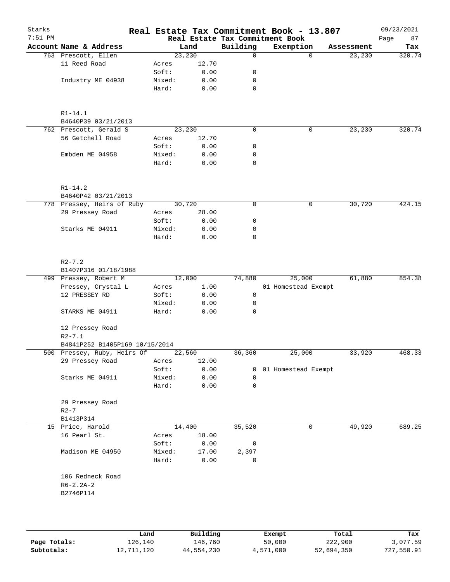| Starks<br>$7:51$ PM |                                    |      |        |          |             | Real Estate Tax Commitment Book - 13.807<br>Real Estate Tax Commitment Book |            | 09/23/2021        |
|---------------------|------------------------------------|------|--------|----------|-------------|-----------------------------------------------------------------------------|------------|-------------------|
|                     | Account Name & Address             |      |        | Land     | Building    | Exemption                                                                   | Assessment | Page<br>87<br>Tax |
|                     | 763 Prescott, Ellen                |      |        | 23,230   | $\Omega$    | $\Omega$                                                                    | 23,230     | 320.74            |
|                     | 11 Reed Road                       |      | Acres  | 12.70    |             |                                                                             |            |                   |
|                     |                                    |      | Soft:  | 0.00     | 0           |                                                                             |            |                   |
|                     | Industry ME 04938                  |      | Mixed: | 0.00     | 0           |                                                                             |            |                   |
|                     |                                    |      | Hard:  | 0.00     | 0           |                                                                             |            |                   |
|                     | $R1 - 14.1$                        |      |        |          |             |                                                                             |            |                   |
|                     | B4640P39 03/21/2013                |      |        |          |             |                                                                             |            |                   |
|                     | 762 Prescott, Gerald S             |      |        | 23,230   | 0           | 0                                                                           | 23,230     | 320.74            |
|                     | 56 Getchell Road                   |      | Acres  | 12.70    |             |                                                                             |            |                   |
|                     |                                    |      | Soft:  | 0.00     | 0           |                                                                             |            |                   |
|                     | Embden ME 04958                    |      | Mixed: | 0.00     | 0           |                                                                             |            |                   |
|                     |                                    |      | Hard:  | 0.00     | 0           |                                                                             |            |                   |
|                     | $R1 - 14.2$                        |      |        |          |             |                                                                             |            |                   |
|                     | B4640P42 03/21/2013                |      |        |          |             |                                                                             |            |                   |
|                     | 778 Pressey, Heirs of Ruby         |      |        | 30,720   | $\mathbf 0$ | 0                                                                           | 30,720     | 424.15            |
|                     | 29 Pressey Road                    |      | Acres  | 28.00    |             |                                                                             |            |                   |
|                     |                                    |      | Soft:  | 0.00     | 0           |                                                                             |            |                   |
|                     | Starks ME 04911                    |      | Mixed: | 0.00     | 0           |                                                                             |            |                   |
|                     |                                    |      | Hard:  | 0.00     | $\mathbf 0$ |                                                                             |            |                   |
|                     | $R2 - 7.2$<br>B1407P316 01/18/1988 |      |        |          |             |                                                                             |            |                   |
|                     | 499 Pressey, Robert M              |      |        | 12,000   | 74,880      | 25,000                                                                      | 61,880     | 854.38            |
|                     | Pressey, Crystal L                 |      | Acres  | 1.00     |             | 01 Homestead Exempt                                                         |            |                   |
|                     | 12 PRESSEY RD                      |      | Soft:  | 0.00     | 0           |                                                                             |            |                   |
|                     |                                    |      | Mixed: | 0.00     | 0           |                                                                             |            |                   |
|                     | STARKS ME 04911                    |      | Hard:  | 0.00     | 0           |                                                                             |            |                   |
|                     | 12 Pressey Road<br>$R2 - 7.1$      |      |        |          |             |                                                                             |            |                   |
|                     | B4841P252 B1405P169 10/15/2014     |      |        |          |             |                                                                             |            |                   |
|                     | 500 Pressey, Ruby, Heirs Of        |      |        | 22,560   | 36,360      | 25,000                                                                      | 33,920     | 468.33            |
|                     | 29 Pressey Road                    |      | Acres  | 12.00    |             |                                                                             |            |                   |
|                     |                                    |      | Soft:  | 0.00     | 0           | 01 Homestead Exempt                                                         |            |                   |
|                     | Starks ME 04911                    |      | Mixed: | 0.00     | 0           |                                                                             |            |                   |
|                     |                                    |      | Hard:  | 0.00     | 0           |                                                                             |            |                   |
|                     | 29 Pressey Road<br>$R2-7$          |      |        |          |             |                                                                             |            |                   |
|                     | B1413P314                          |      |        |          |             |                                                                             |            |                   |
|                     | 15 Price, Harold                   |      |        | 14,400   | 35,520      | 0                                                                           | 49,920     | 689.25            |
|                     | 16 Pearl St.                       |      | Acres  | 18.00    |             |                                                                             |            |                   |
|                     |                                    |      | Soft:  | 0.00     | 0           |                                                                             |            |                   |
|                     | Madison ME 04950                   |      | Mixed: | 17.00    | 2,397       |                                                                             |            |                   |
|                     |                                    |      | Hard:  | 0.00     | 0           |                                                                             |            |                   |
|                     | 106 Redneck Road                   |      |        |          |             |                                                                             |            |                   |
|                     | $R6 - 2.2A - 2$<br>B2746P114       |      |        |          |             |                                                                             |            |                   |
|                     |                                    |      |        |          |             |                                                                             |            |                   |
|                     |                                    | Land |        | Building |             | Exempt                                                                      | Total      | Tax               |

|              | Land       | Building   | Exempt    | Total      | Tax        |
|--------------|------------|------------|-----------|------------|------------|
| Page Totals: | 126,140    | 146,760    | 50,000    | 222,900    | 3,077.59   |
| Subtotals:   | 12,711,120 | 44,554,230 | 4,571,000 | 52,694,350 | 727,550.91 |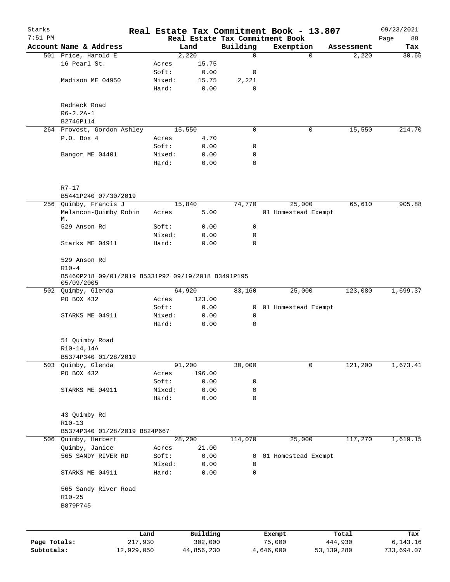| Starks       |                                                                  |                 |               |               | Real Estate Tax Commitment Book - 13.807 |                     | 09/23/2021   |
|--------------|------------------------------------------------------------------|-----------------|---------------|---------------|------------------------------------------|---------------------|--------------|
| $7:51$ PM    |                                                                  |                 |               |               | Real Estate Tax Commitment Book          |                     | Page<br>88   |
|              | Account Name & Address<br>501 Price, Harold E                    |                 | Land<br>2,220 | Building<br>0 | Exemption<br>$\mathbf 0$                 | Assessment<br>2,220 | Tax<br>30.65 |
|              | 16 Pearl St.                                                     | Acres           | 15.75         |               |                                          |                     |              |
|              |                                                                  | Soft:           | 0.00          | 0             |                                          |                     |              |
|              | Madison ME 04950                                                 | Mixed:          | 15.75         | 2,221         |                                          |                     |              |
|              |                                                                  | Hard:           | 0.00          | $\mathbf 0$   |                                          |                     |              |
|              | Redneck Road                                                     |                 |               |               |                                          |                     |              |
|              | $R6 - 2.2A - 1$                                                  |                 |               |               |                                          |                     |              |
|              | B2746P114                                                        |                 |               |               |                                          |                     |              |
|              | 264 Provost, Gordon Ashley                                       |                 | 15,550        | 0             | 0                                        | 15,550              | 214.70       |
|              | P.O. Box 4                                                       | Acres           | 4.70          |               |                                          |                     |              |
|              |                                                                  | Soft:           | 0.00          | 0             |                                          |                     |              |
|              | Bangor ME 04401                                                  | Mixed:          | 0.00          | 0             |                                          |                     |              |
|              |                                                                  | Hard:           | 0.00          | 0             |                                          |                     |              |
|              | $R7-17$                                                          |                 |               |               |                                          |                     |              |
|              | B5441P240 07/30/2019                                             |                 |               |               |                                          |                     |              |
|              | 256 Quimby, Francis J                                            |                 | 15,840        | 74,770        | 25,000                                   | 65,610              | 905.88       |
|              | Melancon-Quimby Robin<br>М.                                      | Acres           | 5.00          |               | 01 Homestead Exempt                      |                     |              |
|              | 529 Anson Rd                                                     | Soft:           | 0.00          | 0             |                                          |                     |              |
|              |                                                                  | Mixed:          | 0.00          | 0             |                                          |                     |              |
|              | Starks ME 04911                                                  | Hard:           | 0.00          | 0             |                                          |                     |              |
|              | 529 Anson Rd<br>$R10-4$                                          |                 |               |               |                                          |                     |              |
|              | B5460P218 09/01/2019 B5331P92 09/19/2018 B3491P195<br>05/09/2005 |                 |               |               |                                          |                     |              |
|              | 502 Quimby, Glenda                                               |                 | 64,920        | 83,160        | 25,000                                   | 123,080             | 1,699.37     |
|              | PO BOX 432                                                       | Acres           | 123.00        |               |                                          |                     |              |
|              |                                                                  | Soft:           | 0.00          | 0             | 01 Homestead Exempt                      |                     |              |
|              | STARKS ME 04911                                                  | Mixed:          | 0.00          | 0             |                                          |                     |              |
|              |                                                                  | Hard:           | 0.00          | 0             |                                          |                     |              |
|              | 51 Quimby Road<br>$R10-14,14A$                                   |                 |               |               |                                          |                     |              |
|              | B5374P340 01/28/2019                                             |                 |               |               |                                          |                     |              |
| 503          | Quimby, Glenda                                                   |                 | 91,200        | 30,000        | 0                                        | 121,200             | 1,673.41     |
|              | PO BOX 432                                                       | Acres           | 196.00        |               |                                          |                     |              |
|              |                                                                  | Soft:           | 0.00          | 0             |                                          |                     |              |
|              | STARKS ME 04911                                                  | Mixed:          | 0.00          | 0             |                                          |                     |              |
|              |                                                                  | Hard:           | 0.00          | 0             |                                          |                     |              |
|              | 43 Quimby Rd                                                     |                 |               |               |                                          |                     |              |
|              | $R10-13$                                                         |                 |               |               |                                          |                     |              |
|              | B5374P340 01/28/2019 B824P667                                    |                 |               |               |                                          |                     |              |
|              | 506 Quimby, Herbert                                              |                 | 28,200        | 114,070       | 25,000                                   | 117,270             | 1,619.15     |
|              | Quimby, Janice                                                   | Acres           | 21.00         |               |                                          |                     |              |
|              | 565 SANDY RIVER RD                                               | Soft:           | 0.00          | 0             | 01 Homestead Exempt                      |                     |              |
|              | STARKS ME 04911                                                  | Mixed:<br>Hard: | 0.00<br>0.00  | 0<br>0        |                                          |                     |              |
|              | 565 Sandy River Road                                             |                 |               |               |                                          |                     |              |
|              | $R10 - 25$<br>B879P745                                           |                 |               |               |                                          |                     |              |
|              |                                                                  |                 |               |               |                                          |                     |              |
|              |                                                                  | Land            | Building      |               | Exempt                                   | Total               | Tax          |
| Page Totals: |                                                                  | 217,930         | 302,000       |               | 75,000                                   | 444,930             | 6,143.16     |

**Subtotals:** 12,929,050 44,856,230 4,646,000 53,139,280 733,694.07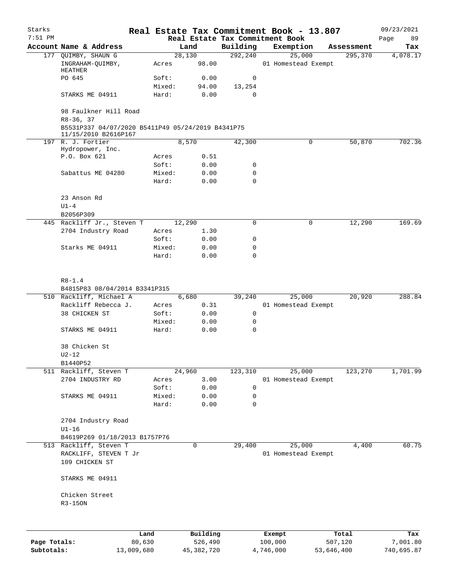| Starks       |                                                                                                                   |                 |                     |                  | Real Estate Tax Commitment Book - 13.807 |                  | 09/23/2021      |
|--------------|-------------------------------------------------------------------------------------------------------------------|-----------------|---------------------|------------------|------------------------------------------|------------------|-----------------|
| $7:51$ PM    |                                                                                                                   |                 |                     |                  | Real Estate Tax Commitment Book          |                  | Page<br>89      |
|              | Account Name & Address                                                                                            |                 | Land                | Building         | Exemption                                | Assessment       | Tax             |
|              | 177 QUIMBY, SHAUN G<br>INGRAHAM-QUIMBY,<br>HEATHER                                                                | Acres           | 28,130<br>98.00     | 292,240          | 25,000<br>01 Homestead Exempt            | 295,370          | 4,078.17        |
|              | PO 645                                                                                                            | Soft:           | 0.00                | 0                |                                          |                  |                 |
|              |                                                                                                                   | Mixed:          | 94.00               | 13,254           |                                          |                  |                 |
|              | STARKS ME 04911                                                                                                   | Hard:           | 0.00                | 0                |                                          |                  |                 |
|              | 98 Faulkner Hill Road<br>$R8-36, 37$<br>B5531P337 04/07/2020 B5411P49 05/24/2019 B4341P75<br>11/15/2010 B2616P167 |                 |                     |                  |                                          |                  |                 |
|              | 197 R. J. Fortier                                                                                                 |                 | 8,570               | 42,300           | 0                                        | 50,870           | 702.36          |
|              | Hydropower, Inc.                                                                                                  |                 |                     |                  |                                          |                  |                 |
|              | P.O. Box 621                                                                                                      | Acres           | 0.51                |                  |                                          |                  |                 |
|              |                                                                                                                   | Soft:           | 0.00                | 0                |                                          |                  |                 |
|              | Sabattus ME 04280                                                                                                 | Mixed:<br>Hard: | 0.00<br>0.00        | 0<br>$\mathbf 0$ |                                          |                  |                 |
|              | 23 Anson Rd                                                                                                       |                 |                     |                  |                                          |                  |                 |
|              | $U1-4$                                                                                                            |                 |                     |                  |                                          |                  |                 |
|              | B2056P309                                                                                                         |                 |                     |                  |                                          |                  |                 |
|              | 445 Rackliff Jr., Steven T                                                                                        |                 | 12,290              | 0                | 0                                        | 12,290           | 169.69          |
|              | 2704 Industry Road                                                                                                | Acres           | 1.30                |                  |                                          |                  |                 |
|              |                                                                                                                   | Soft:           | 0.00                | 0                |                                          |                  |                 |
|              | Starks ME 04911                                                                                                   | Mixed:          | 0.00                | 0                |                                          |                  |                 |
|              |                                                                                                                   | Hard:           | 0.00                | 0                |                                          |                  |                 |
|              | $R8 - 1.4$<br>B4815P83 08/04/2014 B3341P315                                                                       |                 |                     |                  |                                          |                  |                 |
|              | 510 Rackliff, Michael A                                                                                           |                 | 6,680               | 39,240           | 25,000                                   | 20,920           | 288.84          |
|              | Rackliff Rebecca J.                                                                                               | Acres           | 0.31                |                  | 01 Homestead Exempt                      |                  |                 |
|              | 38 CHICKEN ST                                                                                                     | Soft:           | 0.00                | 0                |                                          |                  |                 |
|              |                                                                                                                   | Mixed:          | 0.00                | 0                |                                          |                  |                 |
|              | STARKS ME 04911                                                                                                   | Hard:           | 0.00                | $\mathbf 0$      |                                          |                  |                 |
|              | 38 Chicken St                                                                                                     |                 |                     |                  |                                          |                  |                 |
|              | $U2-12$<br>B1440P52                                                                                               |                 |                     |                  |                                          |                  |                 |
|              | 511 Rackliff, Steven T                                                                                            |                 | 24,960              | 123,310          | 25,000                                   | 123,270          | 1,701.99        |
|              | 2704 INDUSTRY RD                                                                                                  | Acres           | 3.00                |                  | 01 Homestead Exempt                      |                  |                 |
|              |                                                                                                                   | Soft:           | 0.00                | 0                |                                          |                  |                 |
|              | STARKS ME 04911                                                                                                   | Mixed:          | 0.00                | 0                |                                          |                  |                 |
|              |                                                                                                                   | Hard:           | 0.00                | $\mathbf 0$      |                                          |                  |                 |
|              | 2704 Industry Road<br>$UI-16$                                                                                     |                 |                     |                  |                                          |                  |                 |
|              | B4619P269 01/18/2013 B1757P76                                                                                     |                 |                     |                  |                                          |                  |                 |
|              | 513 Rackliff, Steven T                                                                                            |                 | 0                   | 29,400           | 25,000                                   | 4,400            | 60.75           |
|              | RACKLIFF, STEVEN T Jr<br>109 CHICKEN ST                                                                           |                 |                     |                  | 01 Homestead Exempt                      |                  |                 |
|              | STARKS ME 04911                                                                                                   |                 |                     |                  |                                          |                  |                 |
|              | Chicken Street<br>R3-150N                                                                                         |                 |                     |                  |                                          |                  |                 |
|              |                                                                                                                   |                 |                     |                  |                                          |                  |                 |
| Page Totals: |                                                                                                                   | Land<br>80,630  | Building<br>526,490 |                  | Exempt<br>100,000                        | Total<br>507,120 | Tax<br>7,001.80 |

**Subtotals:** 13,009,680 45,382,720 4,746,000 53,646,400 740,695.87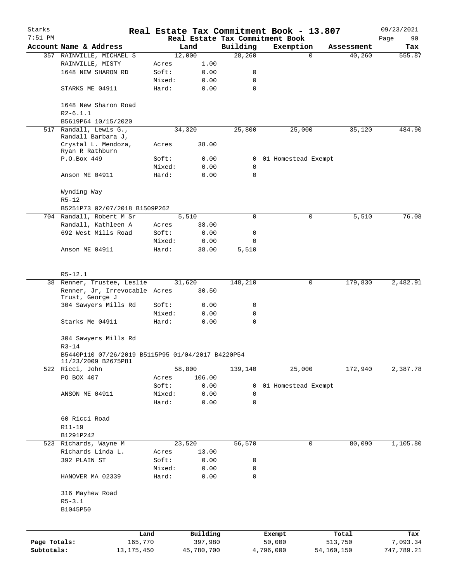| Starks<br>$7:51$ PM |                                                                          |        |            |          | Real Estate Tax Commitment Book - 13.807<br>Real Estate Tax Commitment Book |            | 09/23/2021<br>Page<br>90 |
|---------------------|--------------------------------------------------------------------------|--------|------------|----------|-----------------------------------------------------------------------------|------------|--------------------------|
|                     | Account Name & Address                                                   |        | Land       | Building | Exemption                                                                   | Assessment | Tax                      |
|                     | 357 RAINVILLE, MICHAEL S                                                 |        | 12,000     | 28,260   | $\Omega$                                                                    | 40,260     | 555.87                   |
|                     | RAINVILLE, MISTY                                                         | Acres  | 1.00       |          |                                                                             |            |                          |
|                     | 1648 NEW SHARON RD                                                       | Soft:  | 0.00       | 0        |                                                                             |            |                          |
|                     |                                                                          | Mixed: | 0.00       | 0        |                                                                             |            |                          |
|                     | STARKS ME 04911                                                          | Hard:  | 0.00       | 0        |                                                                             |            |                          |
|                     | 1648 New Sharon Road<br>$R2 - 6.1.1$                                     |        |            |          |                                                                             |            |                          |
|                     | B5619P64 10/15/2020                                                      |        |            |          |                                                                             |            |                          |
| 517                 | Randall, Lewis G.,<br>Randall Barbara J,                                 |        | 34,320     | 25,800   | 25,000                                                                      | 35,120     | 484.90                   |
|                     | Crystal L. Mendoza,<br>Ryan R Rathburn                                   | Acres  | 38.00      |          |                                                                             |            |                          |
|                     | P.O.Box 449                                                              | Soft:  | 0.00       | 0        | 01 Homestead Exempt                                                         |            |                          |
|                     |                                                                          | Mixed: | 0.00       | 0        |                                                                             |            |                          |
|                     | Anson ME 04911                                                           | Hard:  | 0.00       | 0        |                                                                             |            |                          |
|                     | Wynding Way<br>$R5 - 12$                                                 |        |            |          |                                                                             |            |                          |
|                     | B5251P73 02/07/2018 B1509P262                                            |        |            |          |                                                                             |            |                          |
|                     | 704 Randall, Robert M Sr                                                 |        | 5,510      | 0        | 0                                                                           | 5,510      | 76.08                    |
|                     | Randall, Kathleen A                                                      | Acres  | 38.00      |          |                                                                             |            |                          |
|                     | 692 West Mills Road                                                      | Soft:  | 0.00       | 0        |                                                                             |            |                          |
|                     |                                                                          | Mixed: | 0.00       | 0        |                                                                             |            |                          |
|                     | Anson ME 04911                                                           | Hard:  | 38.00      | 5,510    |                                                                             |            |                          |
|                     |                                                                          |        |            |          |                                                                             |            |                          |
|                     | $R5 - 12.1$                                                              |        |            |          |                                                                             |            |                          |
|                     | 38 Renner, Trustee, Leslie                                               |        | 31,620     | 148,210  | 0                                                                           | 179,830    | 2,482.91                 |
|                     | Renner, Jr, Irrevocable Acres<br>Trust, George J                         |        | 30.50      |          |                                                                             |            |                          |
|                     | 304 Sawyers Mills Rd                                                     | Soft:  | 0.00       | 0        |                                                                             |            |                          |
|                     |                                                                          | Mixed: | 0.00       | 0        |                                                                             |            |                          |
|                     | Starks Me 04911                                                          | Hard:  | 0.00       | 0        |                                                                             |            |                          |
|                     | 304 Sawyers Mills Rd<br>$R3 - 14$                                        |        |            |          |                                                                             |            |                          |
|                     | B5440P110 07/26/2019 B5115P95 01/04/2017 B4220P54<br>11/23/2009 B2675P81 |        |            |          |                                                                             |            |                          |
|                     | 522 Ricci, John                                                          |        | 58,800     | 139,140  | 25,000                                                                      | 172,940    | 2,387.78                 |
|                     | PO BOX 407                                                               | Acres  | 106.00     |          |                                                                             |            |                          |
|                     |                                                                          | Soft:  | 0.00       | 0        | 01 Homestead Exempt                                                         |            |                          |
|                     | ANSON ME 04911                                                           | Mixed: | 0.00       | 0        |                                                                             |            |                          |
|                     |                                                                          | Hard:  | 0.00       | 0        |                                                                             |            |                          |
|                     | 60 Ricci Road                                                            |        |            |          |                                                                             |            |                          |
|                     | R11-19                                                                   |        |            |          |                                                                             |            |                          |
|                     | B1291P242                                                                |        |            |          |                                                                             |            |                          |
|                     | 523 Richards, Wayne M                                                    |        | 23,520     | 56,570   | 0                                                                           | 80,090     | 1,105.80                 |
|                     | Richards Linda L.                                                        | Acres  | 13.00      |          |                                                                             |            |                          |
|                     | 392 PLAIN ST                                                             | Soft:  | 0.00       | 0        |                                                                             |            |                          |
|                     |                                                                          | Mixed: | 0.00       | 0        |                                                                             |            |                          |
|                     | HANOVER MA 02339                                                         | Hard:  | 0.00       | 0        |                                                                             |            |                          |
|                     | 316 Mayhew Road                                                          |        |            |          |                                                                             |            |                          |
|                     | $R5 - 3.1$                                                               |        |            |          |                                                                             |            |                          |
|                     | B1045P50                                                                 |        |            |          |                                                                             |            |                          |
|                     | Land                                                                     |        | Building   |          | Exempt                                                                      | Total      | Tax                      |
| Page Totals:        | 165,770                                                                  |        | 397,980    |          | 50,000                                                                      | 513,750    | 7,093.34                 |
| Subtotals:          | 13, 175, 450                                                             |        | 45,780,700 |          | 4,796,000                                                                   | 54,160,150 | 747,789.21               |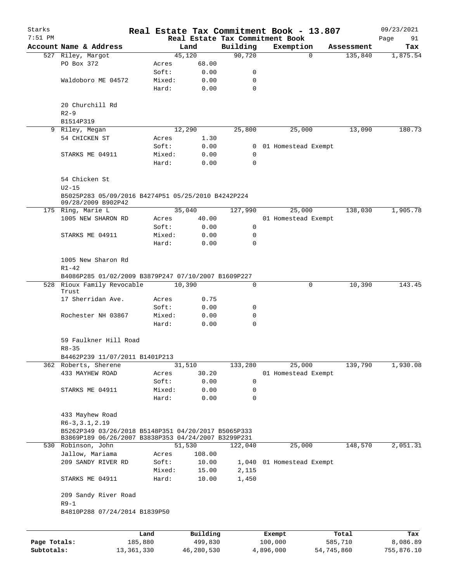| Starks       |                                                                           |         |                |                 |                                 | Real Estate Tax Commitment Book - 13.807 |            | 09/23/2021 |
|--------------|---------------------------------------------------------------------------|---------|----------------|-----------------|---------------------------------|------------------------------------------|------------|------------|
| $7:51$ PM    |                                                                           |         |                |                 | Real Estate Tax Commitment Book |                                          |            | Page<br>91 |
|              | Account Name & Address                                                    |         |                | Land            | Building                        | Exemption                                | Assessment | Tax        |
|              | 527 Riley, Margot                                                         |         |                | 45,120          | 90,720                          | $\Omega$                                 | 135,840    | 1,875.54   |
|              | PO Box 372                                                                |         | Acres          | 68.00           |                                 |                                          |            |            |
|              |                                                                           |         | Soft:          | 0.00            | 0                               |                                          |            |            |
|              | Waldoboro ME 04572                                                        |         | Mixed:         | 0.00            | 0                               |                                          |            |            |
|              |                                                                           |         | Hard:          | 0.00            | 0                               |                                          |            |            |
|              | 20 Churchill Rd                                                           |         |                |                 |                                 |                                          |            |            |
|              | $R2 - 9$                                                                  |         |                |                 |                                 |                                          |            |            |
|              | B1514P319                                                                 |         |                |                 |                                 |                                          |            |            |
|              | 9 Riley, Megan                                                            |         |                | 12,290          | 25,800                          | 25,000                                   | 13,090     | 180.73     |
|              | 54 CHICKEN ST                                                             |         | Acres          | 1.30            |                                 |                                          |            |            |
|              |                                                                           |         | Soft:          | 0.00            | $\overline{0}$                  | 01 Homestead Exempt                      |            |            |
|              | STARKS ME 04911                                                           |         | Mixed:         | 0.00            | 0                               |                                          |            |            |
|              |                                                                           |         | Hard:          | 0.00            | 0                               |                                          |            |            |
|              |                                                                           |         |                |                 |                                 |                                          |            |            |
|              | 54 Chicken St                                                             |         |                |                 |                                 |                                          |            |            |
|              | $U2-15$                                                                   |         |                |                 |                                 |                                          |            |            |
|              | B5025P283 05/09/2016 B4274P51 05/25/2010 B4242P224                        |         |                |                 |                                 |                                          |            |            |
|              | 09/28/2009 B902P42                                                        |         |                |                 |                                 |                                          |            |            |
|              | 175 Ring, Marie L                                                         |         |                | 35,040          | 127,990                         | 25,000                                   | 138,030    | 1,905.78   |
|              | 1005 NEW SHARON RD                                                        |         | Acres          | 40.00           |                                 | 01 Homestead Exempt                      |            |            |
|              |                                                                           |         | Soft:          | 0.00            | 0                               |                                          |            |            |
|              | STARKS ME 04911                                                           |         | Mixed:         | 0.00            | 0                               |                                          |            |            |
|              |                                                                           |         | Hard:          | 0.00            | 0                               |                                          |            |            |
|              |                                                                           |         |                |                 |                                 |                                          |            |            |
|              | 1005 New Sharon Rd                                                        |         |                |                 |                                 |                                          |            |            |
|              | $R1 - 42$                                                                 |         |                |                 |                                 |                                          |            |            |
|              | B4086P285 01/02/2009 B3879P247 07/10/2007 B1609P227                       |         |                |                 |                                 |                                          |            |            |
|              | 528 Rioux Family Revocable                                                |         |                | 10,390          | 0                               | 0                                        | 10,390     | 143.45     |
|              | Trust                                                                     |         |                |                 |                                 |                                          |            |            |
|              | 17 Sherridan Ave.                                                         |         | Acres          | 0.75            |                                 |                                          |            |            |
|              |                                                                           |         | Soft:          | 0.00            | 0                               |                                          |            |            |
|              | Rochester NH 03867                                                        |         | Mixed:         | 0.00            | 0                               |                                          |            |            |
|              |                                                                           |         | Hard:          | 0.00            | 0                               |                                          |            |            |
|              |                                                                           |         |                |                 |                                 |                                          |            |            |
|              | 59 Faulkner Hill Road                                                     |         |                |                 |                                 |                                          |            |            |
|              | $R8 - 35$                                                                 |         |                |                 |                                 |                                          |            |            |
|              | B4462P239 11/07/2011 B1401P213                                            |         |                |                 |                                 |                                          |            |            |
|              | 362 Roberts, Sherene                                                      |         |                | 31,510          | 133,280                         | 25,000                                   | 139,790    | 1,930.08   |
|              | 433 MAYHEW ROAD                                                           |         | Acres          | 30.20           |                                 | 01 Homestead Exempt                      |            |            |
|              |                                                                           |         | Soft:          | 0.00            | 0                               |                                          |            |            |
|              | STARKS ME 04911                                                           |         | Mixed:         | 0.00            | 0                               |                                          |            |            |
|              |                                                                           |         | Hard:          | 0.00            | 0                               |                                          |            |            |
|              |                                                                           |         |                |                 |                                 |                                          |            |            |
|              | 433 Mayhew Road                                                           |         |                |                 |                                 |                                          |            |            |
|              | $R6-3, 3.1, 2.19$                                                         |         |                |                 |                                 |                                          |            |            |
|              | B5262P349 03/26/2018 B5148P351 04/20/2017 B5065P333                       |         |                |                 |                                 |                                          |            |            |
|              | B3869P189 06/26/2007 B3838P353 04/24/2007 B3299P231<br>530 Robinson, John |         |                | 51,530          |                                 | 25,000                                   | 148,570    | 2,051.31   |
|              | Jallow, Mariama                                                           |         |                |                 | 122,040                         |                                          |            |            |
|              | 209 SANDY RIVER RD                                                        |         | Acres<br>Soft: | 108.00<br>10.00 |                                 | 01 Homestead Exempt                      |            |            |
|              |                                                                           |         |                |                 | 1,040                           |                                          |            |            |
|              |                                                                           |         | Mixed:         | 15.00           | 2,115                           |                                          |            |            |
|              | STARKS ME 04911                                                           |         | Hard:          | 10.00           | 1,450                           |                                          |            |            |
|              | 209 Sandy River Road                                                      |         |                |                 |                                 |                                          |            |            |
|              |                                                                           |         |                |                 |                                 |                                          |            |            |
|              | $R9-1$                                                                    |         |                |                 |                                 |                                          |            |            |
|              | B4810P288 07/24/2014 B1839P50                                             |         |                |                 |                                 |                                          |            |            |
|              |                                                                           |         |                |                 |                                 |                                          |            |            |
|              |                                                                           | Land    |                | Building        |                                 | Exempt                                   | Total      | Tax        |
| Page Totals: |                                                                           | 185,880 |                | 499,830         |                                 | 100,000                                  | 585,710    | 8,086.89   |

**Subtotals:** 13,361,330 46,280,530 4,896,000 54,745,860 755,876.10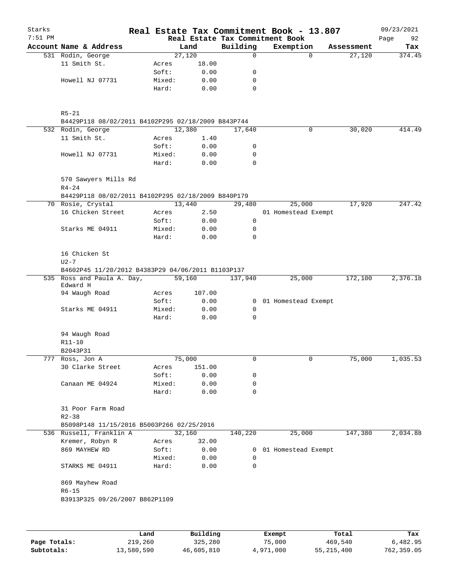| Starks<br>$7:51$ PM |                                                    |                 |              |                  | Real Estate Tax Commitment Book - 13.807<br>Real Estate Tax Commitment Book |            | 09/23/2021<br>Page<br>92 |
|---------------------|----------------------------------------------------|-----------------|--------------|------------------|-----------------------------------------------------------------------------|------------|--------------------------|
|                     | Account Name & Address                             |                 | Land         | Building         | Exemption                                                                   | Assessment | Tax                      |
|                     | 531 Rodin, George                                  |                 | 27,120       | 0                | $\Omega$                                                                    | 27,120     | 374.45                   |
|                     | 11 Smith St.                                       | Acres           | 18.00        |                  |                                                                             |            |                          |
|                     |                                                    | Soft:           | 0.00         | 0                |                                                                             |            |                          |
|                     | Howell NJ 07731                                    | Mixed:          | 0.00         | 0                |                                                                             |            |                          |
|                     |                                                    | Hard:           | 0.00         | 0                |                                                                             |            |                          |
|                     | $R5 - 21$                                          |                 |              |                  |                                                                             |            |                          |
|                     | B4429P118 08/02/2011 B4102P295 02/18/2009 B843P744 |                 |              |                  |                                                                             |            |                          |
|                     | 532 Rodin, George                                  |                 | 12,380       | 17,640           | 0                                                                           | 30,020     | 414.49                   |
|                     | 11 Smith St.                                       | Acres           | 1.40         |                  |                                                                             |            |                          |
|                     |                                                    | Soft:           | 0.00         | 0                |                                                                             |            |                          |
|                     | Howell NJ 07731                                    | Mixed:<br>Hard: | 0.00<br>0.00 | 0<br>$\mathbf 0$ |                                                                             |            |                          |
|                     | 570 Sawyers Mills Rd<br>$R4 - 24$                  |                 |              |                  |                                                                             |            |                          |
|                     | B4429P118 08/02/2011 B4102P295 02/18/2009 B840P179 |                 |              |                  |                                                                             |            |                          |
|                     | 70 Rosie, Crystal                                  |                 | 13,440       | 29,480           | 25,000                                                                      | 17,920     | 247.42                   |
|                     | 16 Chicken Street                                  | Acres           | 2.50         |                  | 01 Homestead Exempt                                                         |            |                          |
|                     |                                                    | Soft:           | 0.00         | 0                |                                                                             |            |                          |
|                     | Starks ME 04911                                    | Mixed:          | 0.00         | 0                |                                                                             |            |                          |
|                     |                                                    | Hard:           | 0.00         | $\Omega$         |                                                                             |            |                          |
|                     | 16 Chicken St<br>$U2 - 7$                          |                 |              |                  |                                                                             |            |                          |
|                     | B4602P45 11/20/2012 B4383P29 04/06/2011 B1103P137  |                 |              |                  |                                                                             |            |                          |
|                     | 535 Ross and Paula A. Day,<br>Edward H             |                 | 59,160       | 137,940          | 25,000                                                                      | 172,100    | 2,376.18                 |
|                     | 94 Waugh Road                                      | Acres           | 107.00       |                  |                                                                             |            |                          |
|                     |                                                    | Soft:           | 0.00         | $\mathbf{0}$     | 01 Homestead Exempt                                                         |            |                          |
|                     | Starks ME 04911                                    | Mixed:          | 0.00         | 0                |                                                                             |            |                          |
|                     |                                                    | Hard:           | 0.00         | $\mathbf 0$      |                                                                             |            |                          |
|                     | 94 Waugh Road                                      |                 |              |                  |                                                                             |            |                          |
|                     | R11-10                                             |                 |              |                  |                                                                             |            |                          |
|                     | B2043P31                                           |                 |              |                  |                                                                             |            |                          |
|                     | 777 Ross, Jon A                                    |                 | 75,000       | 0                | 0                                                                           | 75,000     | 1,035.53                 |
|                     | 30 Clarke Street                                   | Acres           | 151.00       |                  |                                                                             |            |                          |
|                     |                                                    | Soft:           | 0.00         | 0                |                                                                             |            |                          |
|                     | Canaan ME 04924                                    | Mixed:          | 0.00         | 0                |                                                                             |            |                          |
|                     |                                                    | Hard:           | 0.00         | 0                |                                                                             |            |                          |
|                     | 31 Poor Farm Road<br>$R2 - 38$                     |                 |              |                  |                                                                             |            |                          |
|                     | B5098P148 11/15/2016 B5003P266 02/25/2016          |                 |              |                  |                                                                             |            |                          |
|                     | 536 Russell, Franklin A                            |                 | 32,160       | 140,220          | 25,000                                                                      | 147,380    | 2,034.88                 |
|                     | Kremer, Robyn R                                    | Acres           | 32.00        |                  |                                                                             |            |                          |
|                     | 869 MAYHEW RD                                      | Soft:           | 0.00         | 0                | 01 Homestead Exempt                                                         |            |                          |
|                     |                                                    | Mixed:          | 0.00         | $\mathbf 0$      |                                                                             |            |                          |
|                     | STARKS ME 04911                                    | Hard:           | 0.00         | 0                |                                                                             |            |                          |
|                     | 869 Mayhew Road                                    |                 |              |                  |                                                                             |            |                          |
|                     | $R6 - 15$<br>B3913P325 09/26/2007 B862P1109        |                 |              |                  |                                                                             |            |                          |
|                     |                                                    |                 |              |                  |                                                                             |            |                          |
|                     |                                                    |                 |              |                  |                                                                             |            |                          |
|                     |                                                    | Land            | Building     |                  | Exempt                                                                      | Total      | Tax                      |

|              | Land       | Building   | Exempt    | Total      | Tax        |
|--------------|------------|------------|-----------|------------|------------|
| Page Totals: | 219,260    | 325,280    | 75,000    | 469,540    | 6,482.95   |
| Subtotals:   | 13,580,590 | 46,605,810 | 4,971,000 | 55,215,400 | 762,359.05 |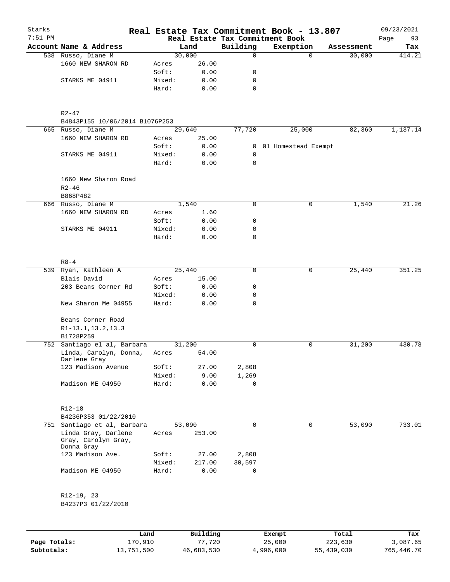| Starks<br>$7:51$ PM |                                                          |                 |              |             | Real Estate Tax Commitment Book - 13.807<br>Real Estate Tax Commitment Book |                    | 09/23/2021        |
|---------------------|----------------------------------------------------------|-----------------|--------------|-------------|-----------------------------------------------------------------------------|--------------------|-------------------|
|                     | Account Name & Address                                   |                 | Land         | Building    | Exemption                                                                   | Assessment         | Page<br>93<br>Tax |
|                     | 538 Russo, Diane M                                       |                 | 30,000       | $\Omega$    |                                                                             | $\Omega$<br>30,000 | 414.21            |
|                     | 1660 NEW SHARON RD                                       | Acres           | 26.00        |             |                                                                             |                    |                   |
|                     |                                                          | Soft:           | 0.00         | 0           |                                                                             |                    |                   |
|                     | STARKS ME 04911                                          | Mixed:          | 0.00         | 0           |                                                                             |                    |                   |
|                     |                                                          | Hard:           | 0.00         | 0           |                                                                             |                    |                   |
|                     | R2-47                                                    |                 |              |             |                                                                             |                    |                   |
|                     | B4843P155 10/06/2014 B1076P253                           |                 |              |             |                                                                             |                    |                   |
|                     | 665 Russo, Diane M                                       |                 | 29,640       | 77,720      | 25,000                                                                      | 82,360             | 1,137.14          |
|                     | 1660 NEW SHARON RD                                       | Acres           | 25.00        |             |                                                                             |                    |                   |
|                     |                                                          | Soft:           | 0.00         |             | 0 01 Homestead Exempt                                                       |                    |                   |
|                     | STARKS ME 04911                                          | Mixed:          | 0.00         | 0           |                                                                             |                    |                   |
|                     |                                                          | Hard:           | 0.00         | 0           |                                                                             |                    |                   |
|                     | 1660 New Sharon Road<br>$R2 - 46$                        |                 |              |             |                                                                             |                    |                   |
|                     | B868P482                                                 |                 |              |             |                                                                             |                    |                   |
|                     | 666 Russo, Diane M                                       |                 | 1,540        | $\mathbf 0$ |                                                                             | 1,540<br>0         | 21.26             |
|                     | 1660 NEW SHARON RD                                       | Acres           | 1.60         |             |                                                                             |                    |                   |
|                     |                                                          | Soft:           | 0.00         | 0           |                                                                             |                    |                   |
|                     | STARKS ME 04911                                          | Mixed:          | 0.00         | 0           |                                                                             |                    |                   |
|                     |                                                          | Hard:           | 0.00         | 0           |                                                                             |                    |                   |
|                     |                                                          |                 |              |             |                                                                             |                    |                   |
|                     | $R8 - 4$                                                 |                 |              |             |                                                                             |                    |                   |
|                     | 539 Ryan, Kathleen A                                     |                 | 25,440       | $\mathbf 0$ |                                                                             | 25,440<br>0        | 351.25            |
|                     | Blais David                                              | Acres           | 15.00        |             |                                                                             |                    |                   |
|                     | 203 Beans Corner Rd                                      | Soft:           | 0.00         | 0           |                                                                             |                    |                   |
|                     | New Sharon Me 04955                                      | Mixed:<br>Hard: | 0.00<br>0.00 | 0<br>0      |                                                                             |                    |                   |
|                     |                                                          |                 |              |             |                                                                             |                    |                   |
|                     | Beans Corner Road                                        |                 |              |             |                                                                             |                    |                   |
|                     | R1-13.1, 13.2, 13.3                                      |                 |              |             |                                                                             |                    |                   |
|                     | B1728P259                                                |                 |              |             |                                                                             |                    |                   |
|                     | 752 Santiago el al, Barbara                              |                 | 31,200       | 0           |                                                                             | 0<br>31,200        | 430.78            |
|                     | Linda, Carolyn, Donna,<br>Darlene Gray                   | Acres           | 54.00        |             |                                                                             |                    |                   |
|                     | 123 Madison Avenue                                       | Soft:           | 27.00        | 2,808       |                                                                             |                    |                   |
|                     |                                                          | Mixed:          | 9.00         | 1,269       |                                                                             |                    |                   |
|                     | Madison ME 04950                                         | Hard:           | 0.00         | 0           |                                                                             |                    |                   |
|                     | $R12 - 18$                                               |                 |              |             |                                                                             |                    |                   |
|                     | B4236P353 01/22/2010                                     |                 |              |             |                                                                             |                    |                   |
|                     | 751 Santiago et al, Barbara                              |                 | 53,090       | $\mathbf 0$ |                                                                             | 0<br>53,090        | 733.01            |
|                     | Linda Gray, Darlene<br>Gray, Carolyn Gray,<br>Donna Gray | Acres           | 253.00       |             |                                                                             |                    |                   |
|                     | 123 Madison Ave.                                         | Soft:           | 27.00        | 2,808       |                                                                             |                    |                   |
|                     |                                                          | Mixed:          | 217.00       | 30,597      |                                                                             |                    |                   |
|                     | Madison ME 04950                                         | Hard:           | 0.00         | 0           |                                                                             |                    |                   |
|                     | R12-19, 23<br>B4237P3 01/22/2010                         |                 |              |             |                                                                             |                    |                   |
|                     |                                                          |                 |              |             |                                                                             |                    |                   |

|              | Land       | Building   | Exempt    | Total      | Tax        |
|--------------|------------|------------|-----------|------------|------------|
| Page Totals: | 170,910    | 77,720     | 25,000    | 223,630    | 3,087.65   |
| Subtotals:   | 13,751,500 | 46,683,530 | 4,996,000 | 55,439,030 | 765,446.70 |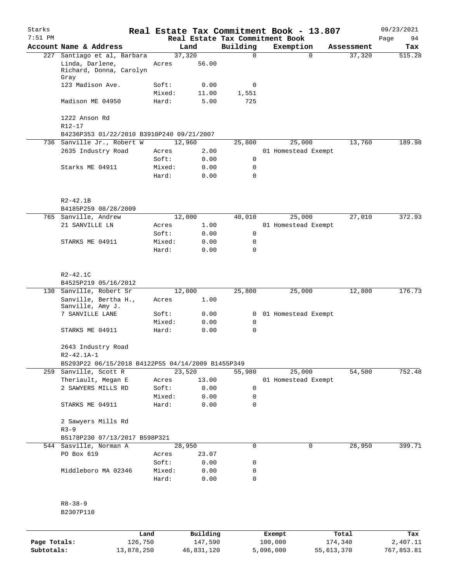| Starks<br>$7:51$ PM |                                                                        |                 |                |                  | Real Estate Tax Commitment Book - 13.807<br>Real Estate Tax Commitment Book |            |            | 09/23/2021<br>Page<br>94 |
|---------------------|------------------------------------------------------------------------|-----------------|----------------|------------------|-----------------------------------------------------------------------------|------------|------------|--------------------------|
|                     | Account Name & Address                                                 |                 | Land           | Building         | Exemption                                                                   |            | Assessment | Tax                      |
|                     | 227 Santiago et al, Barbara                                            |                 | 37,320         | $\Omega$         |                                                                             | $\Omega$   | 37,320     | 515.28                   |
|                     | Linda, Darlene,<br>Richard, Donna, Carolyn<br>Gray                     | Acres           | 56.00          |                  |                                                                             |            |            |                          |
|                     | 123 Madison Ave.                                                       | Soft:           | 0.00           | 0                |                                                                             |            |            |                          |
|                     |                                                                        | Mixed:          | 11.00          | 1,551            |                                                                             |            |            |                          |
|                     | Madison ME 04950                                                       | Hard:           | 5.00           | 725              |                                                                             |            |            |                          |
|                     | 1222 Anson Rd<br>$R12 - 17$                                            |                 |                |                  |                                                                             |            |            |                          |
|                     | B4236P353 01/22/2010 B3910P240 09/21/2007                              |                 |                |                  |                                                                             |            |            |                          |
|                     | 736 Sanville Jr., Robert W                                             |                 | 12,960         | 25,800           | 25,000                                                                      |            | 13,760     | 189.98                   |
|                     | 2635 Industry Road                                                     | Acres           | 2.00           |                  | 01 Homestead Exempt                                                         |            |            |                          |
|                     |                                                                        | Soft:           | 0.00           | 0                |                                                                             |            |            |                          |
|                     | Starks ME 04911                                                        | Mixed:<br>Hard: | 0.00<br>0.00   | 0<br>$\mathbf 0$ |                                                                             |            |            |                          |
|                     |                                                                        |                 |                |                  |                                                                             |            |            |                          |
|                     | $R2 - 42.1B$<br>B4185P259 08/28/2009                                   |                 |                |                  |                                                                             |            |            |                          |
|                     |                                                                        |                 |                |                  |                                                                             |            | 27,010     | 372.93                   |
|                     | 765 Sanville, Andrew<br>21 SANVILLE LN                                 | Acres           | 12,000<br>1.00 | 40,010           | 25,000<br>01 Homestead Exempt                                               |            |            |                          |
|                     |                                                                        | Soft:           | 0.00           | 0                |                                                                             |            |            |                          |
|                     |                                                                        | Mixed:          | 0.00           | 0                |                                                                             |            |            |                          |
|                     | STARKS ME 04911                                                        | Hard:           | 0.00           | 0                |                                                                             |            |            |                          |
|                     |                                                                        |                 |                |                  |                                                                             |            |            |                          |
|                     | $R2 - 42.1C$                                                           |                 |                |                  |                                                                             |            |            |                          |
|                     | B4525P219 05/16/2012                                                   |                 |                |                  |                                                                             |            |            |                          |
|                     | 130 Sanville, Robert Sr                                                |                 | 12,000         | 25,800           | 25,000                                                                      |            | 12,800     | 176.73                   |
|                     | Sanville, Bertha H.,<br>Sanville, Amy J.                               | Acres           | 1.00           |                  |                                                                             |            |            |                          |
|                     | 7 SANVILLE LANE                                                        | Soft:           | 0.00           | $\mathbf{0}$     | 01 Homestead Exempt                                                         |            |            |                          |
|                     |                                                                        | Mixed:          | 0.00           | 0                |                                                                             |            |            |                          |
|                     | STARKS ME 04911                                                        | Hard:           | 0.00           | 0                |                                                                             |            |            |                          |
|                     | 2643 Industry Road                                                     |                 |                |                  |                                                                             |            |            |                          |
|                     | R2-42.1A-1                                                             |                 |                |                  |                                                                             |            |            |                          |
| 259                 | B5293P22 06/15/2018 B4122P55 04/14/2009 B1455P349<br>Sanville, Scott R |                 | 23,520         | 55,980           | 25,000                                                                      |            | 54,500     | 752.48                   |
|                     | Theriault, Megan E                                                     | Acres           | 13.00          |                  | 01 Homestead Exempt                                                         |            |            |                          |
|                     | 2 SAWYERS MILLS RD                                                     | Soft:           | 0.00           | 0                |                                                                             |            |            |                          |
|                     |                                                                        | Mixed:          | 0.00           | 0                |                                                                             |            |            |                          |
|                     | STARKS ME 04911                                                        | Hard:           | 0.00           | 0                |                                                                             |            |            |                          |
|                     | 2 Sawyers Mills Rd                                                     |                 |                |                  |                                                                             |            |            |                          |
|                     | $R3 - 9$                                                               |                 |                |                  |                                                                             |            |            |                          |
|                     | B5178P230 07/13/2017 B598P321                                          |                 |                |                  |                                                                             |            |            |                          |
|                     | 544 Sasville, Norman A                                                 |                 | 28,950         | 0                |                                                                             | 0          | 28,950     | 399.71                   |
|                     | PO Box 619                                                             | Acres           | 23.07          |                  |                                                                             |            |            |                          |
|                     |                                                                        | Soft:           | 0.00           | 0                |                                                                             |            |            |                          |
|                     | Middleboro MA 02346                                                    | Mixed:          | 0.00           | 0                |                                                                             |            |            |                          |
|                     |                                                                        | Hard:           | 0.00           | 0                |                                                                             |            |            |                          |
|                     | $R8 - 38 - 9$<br>B2307P110                                             |                 |                |                  |                                                                             |            |            |                          |
|                     |                                                                        |                 |                |                  |                                                                             |            |            |                          |
|                     | Land                                                                   |                 | Building       |                  | Exempt                                                                      | Total      |            | Tax                      |
| Page Totals:        | 126,750                                                                |                 | 147,590        |                  | 100,000                                                                     | 174,340    |            | 2,407.11                 |
| Subtotals:          | 13,878,250                                                             |                 | 46,831,120     |                  | 5,096,000                                                                   | 55,613,370 |            | 767,853.81               |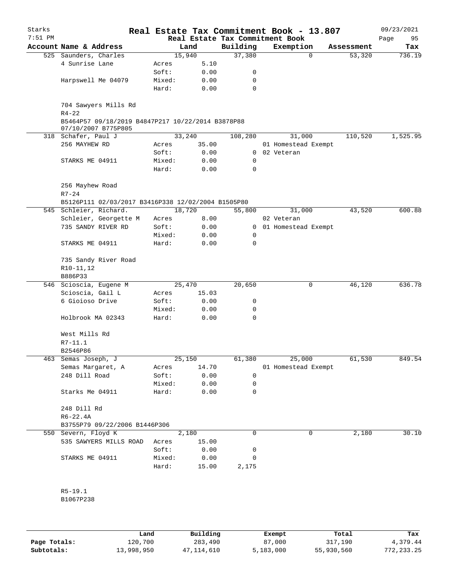| Starks    |                                                    |                 |              |                                 | Real Estate Tax Commitment Book - 13.807 |            | 09/23/2021 |
|-----------|----------------------------------------------------|-----------------|--------------|---------------------------------|------------------------------------------|------------|------------|
| $7:51$ PM |                                                    |                 |              | Real Estate Tax Commitment Book |                                          |            | 95<br>Page |
|           | Account Name & Address                             |                 | Land         | Building                        | Exemption                                | Assessment | Tax        |
|           | 525 Saunders, Charles<br>4 Sunrise Lane            |                 | 15,940       | 37,380                          | $\mathbf 0$                              | 53,320     | 736.19     |
|           |                                                    | Acres           | 5.10         |                                 |                                          |            |            |
|           |                                                    | Soft:           | 0.00         | 0<br>0                          |                                          |            |            |
|           | Harpswell Me 04079                                 | Mixed:          | 0.00         | $\mathbf 0$                     |                                          |            |            |
|           |                                                    | Hard:           | 0.00         |                                 |                                          |            |            |
|           | 704 Sawyers Mills Rd                               |                 |              |                                 |                                          |            |            |
|           | $R4 - 22$                                          |                 |              |                                 |                                          |            |            |
|           | B5464P57 09/18/2019 B4847P217 10/22/2014 B3878P88  |                 |              |                                 |                                          |            |            |
|           | 07/10/2007 B775P805                                |                 |              |                                 |                                          |            |            |
|           | 318 Schafer, Paul J                                |                 | 33,240       | 108,280                         | 31,000                                   | 110,520    | 1,525.95   |
|           | 256 MAYHEW RD                                      | Acres           | 35.00        |                                 | 01 Homestead Exempt                      |            |            |
|           |                                                    | Soft:           | 0.00         |                                 | 0 02 Veteran                             |            |            |
|           | STARKS ME 04911                                    | Mixed:          | 0.00         | 0                               |                                          |            |            |
|           |                                                    | Hard:           | 0.00         | 0                               |                                          |            |            |
|           |                                                    |                 |              |                                 |                                          |            |            |
|           | 256 Mayhew Road                                    |                 |              |                                 |                                          |            |            |
|           | $R7 - 24$                                          |                 |              |                                 |                                          |            |            |
|           | B5126P111 02/03/2017 B3416P338 12/02/2004 B1505P80 |                 |              |                                 |                                          |            |            |
|           | 545 Schleier, Richard.                             |                 | 18,720       | 55,800                          | 31,000                                   | 43,520     | 600.88     |
|           | Schleier, Georgette M                              | Acres           | 8.00         |                                 | 02 Veteran                               |            |            |
|           | 735 SANDY RIVER RD                                 | Soft:           | 0.00         | 0                               | 01 Homestead Exempt                      |            |            |
|           |                                                    | Mixed:          | 0.00         | 0                               |                                          |            |            |
|           | STARKS ME 04911                                    | Hard:           | 0.00         | 0                               |                                          |            |            |
|           |                                                    |                 |              |                                 |                                          |            |            |
|           | 735 Sandy River Road                               |                 |              |                                 |                                          |            |            |
|           | R10-11,12                                          |                 |              |                                 |                                          |            |            |
|           | B886P33                                            |                 |              |                                 |                                          |            |            |
|           | 546 Scioscia, Eugene M                             |                 | 25,470       | 20,650                          | 0                                        | 46,120     | 636.78     |
|           | Scioscia, Gail L                                   | Acres           | 15.03        |                                 |                                          |            |            |
|           | 6 Gioioso Drive                                    | Soft:           | 0.00         | 0                               |                                          |            |            |
|           |                                                    | Mixed:          | 0.00         | 0                               |                                          |            |            |
|           | Holbrook MA 02343                                  | Hard:           | 0.00         | $\mathbf 0$                     |                                          |            |            |
|           |                                                    |                 |              |                                 |                                          |            |            |
|           | West Mills Rd                                      |                 |              |                                 |                                          |            |            |
|           | $R7 - 11.1$                                        |                 |              |                                 |                                          |            |            |
|           | B2546P86                                           |                 |              |                                 |                                          |            |            |
| 463       | Semas Joseph, J                                    |                 | 25,150       | 61,380                          | 25,000                                   | 61,530     | 849.54     |
|           | Semas Margaret, A<br>248 Dill Road                 | Acres<br>Soft:  | 14.70        |                                 | 01 Homestead Exempt                      |            |            |
|           |                                                    |                 | 0.00         | 0                               |                                          |            |            |
|           | Starks Me 04911                                    | Mixed:<br>Hard: | 0.00<br>0.00 | 0<br>0                          |                                          |            |            |
|           |                                                    |                 |              |                                 |                                          |            |            |
|           | 248 Dill Rd                                        |                 |              |                                 |                                          |            |            |
|           | $R6 - 22.4A$                                       |                 |              |                                 |                                          |            |            |
|           | B3755P79 09/22/2006 B1446P306                      |                 |              |                                 |                                          |            |            |
|           | 550 Severn, Floyd K                                |                 | 2,180        | 0                               | 0                                        | 2,180      | 30.10      |
|           | 535 SAWYERS MILLS ROAD                             | Acres           | 15.00        |                                 |                                          |            |            |
|           |                                                    | Soft:           | 0.00         | 0                               |                                          |            |            |
|           | STARKS ME 04911                                    | Mixed:          | 0.00         | 0                               |                                          |            |            |
|           |                                                    | Hard:           | 15.00        | 2,175                           |                                          |            |            |
|           |                                                    |                 |              |                                 |                                          |            |            |
|           |                                                    |                 |              |                                 |                                          |            |            |
|           | $R5-19.1$                                          |                 |              |                                 |                                          |            |            |
|           | B1067P238                                          |                 |              |                                 |                                          |            |            |
|           |                                                    |                 |              |                                 |                                          |            |            |

|              | Land       | Building   | Exempt    | Total      | Tax        |
|--------------|------------|------------|-----------|------------|------------|
| Page Totals: | 120,700    | 283,490    | 87,000    | 317,190    | 4,379.44   |
| Subtotals:   | 13,998,950 | 47,114,610 | 5,183,000 | 55,930,560 | 772,233.25 |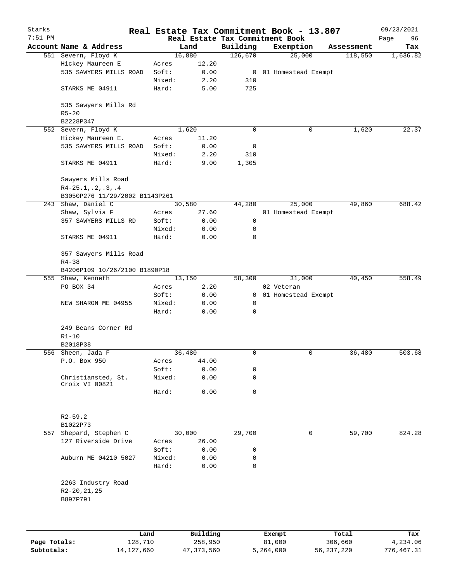| Starks       |                                     |                 |                     |                                             | Real Estate Tax Commitment Book - 13.807 |                  | 09/23/2021        |
|--------------|-------------------------------------|-----------------|---------------------|---------------------------------------------|------------------------------------------|------------------|-------------------|
| $7:51$ PM    | Account Name & Address              |                 | Land                | Real Estate Tax Commitment Book<br>Building | Exemption                                | Assessment       | Page<br>96<br>Tax |
|              | 551 Severn, Floyd K                 |                 | 16,880              | 126,670                                     | 25,000                                   | 118,550          | 1,636.82          |
|              | Hickey Maureen E                    | Acres           | 12.20               |                                             |                                          |                  |                   |
|              | 535 SAWYERS MILLS ROAD              | Soft:           | 0.00                |                                             | 0 01 Homestead Exempt                    |                  |                   |
|              |                                     | Mixed:          | 2.20                | 310                                         |                                          |                  |                   |
|              | STARKS ME 04911                     | Hard:           | 5.00                | 725                                         |                                          |                  |                   |
|              | 535 Sawyers Mills Rd<br>$R5 - 20$   |                 |                     |                                             |                                          |                  |                   |
|              | B2228P347                           |                 |                     |                                             |                                          |                  |                   |
|              | 552 Severn, Floyd K                 |                 | 1,620               | $\Omega$                                    | 0                                        | 1,620            | 22.37             |
|              | Hickey Maureen E.                   | Acres           | 11.20               |                                             |                                          |                  |                   |
|              | 535 SAWYERS MILLS ROAD              | Soft:           | 0.00                | 0                                           |                                          |                  |                   |
|              |                                     | Mixed:          | 2.20                | 310                                         |                                          |                  |                   |
|              | STARKS ME 04911                     | Hard:           | 9.00                | 1,305                                       |                                          |                  |                   |
|              | Sawyers Mills Road                  |                 |                     |                                             |                                          |                  |                   |
|              |                                     |                 |                     |                                             |                                          |                  |                   |
|              | $R4-25.1, .2, .3, .4$               |                 |                     |                                             |                                          |                  |                   |
|              | B3050P276 11/29/2002 B1143P261      |                 |                     |                                             |                                          |                  |                   |
|              | 243 Shaw, Daniel C                  |                 | 30,580              | 44,280                                      | 25,000                                   | 49,860           | 688.42            |
|              | Shaw, Sylvia F                      | Acres           | 27.60               |                                             | 01 Homestead Exempt                      |                  |                   |
|              | 357 SAWYERS MILLS RD                | Soft:           | 0.00                | 0                                           |                                          |                  |                   |
|              |                                     | Mixed:          | 0.00                | 0                                           |                                          |                  |                   |
|              | STARKS ME 04911                     | Hard:           | 0.00                | 0                                           |                                          |                  |                   |
|              | 357 Sawyers Mills Road<br>$R4 - 38$ |                 |                     |                                             |                                          |                  |                   |
|              | B4206P109 10/26/2100 B1890P18       |                 |                     |                                             |                                          |                  |                   |
|              | 555 Shaw, Kenneth                   |                 | 13,150              | 58,300                                      | 31,000                                   | 40,450           | 558.49            |
|              | PO BOX 34                           | Acres           | 2.20                |                                             | 02 Veteran                               |                  |                   |
|              |                                     | Soft:           | 0.00                | $\mathbf{0}$                                | 01 Homestead Exempt                      |                  |                   |
|              | NEW SHARON ME 04955                 | Mixed:          | 0.00                | 0                                           |                                          |                  |                   |
|              |                                     | Hard:           | 0.00                | 0                                           |                                          |                  |                   |
|              | 249 Beans Corner Rd<br>$R1 - 10$    |                 |                     |                                             |                                          |                  |                   |
|              | B2018P38                            |                 |                     |                                             |                                          |                  |                   |
|              | 556 Sheen, Jada F                   |                 | 36,480              | 0                                           | 0                                        | 36,480           | 503.68            |
|              | P.O. Box 950                        | Acres           | 44.00               |                                             |                                          |                  |                   |
|              |                                     | Soft:           | 0.00                | 0                                           |                                          |                  |                   |
|              | Christiansted, St.                  | Mixed:          | 0.00                | 0                                           |                                          |                  |                   |
|              | Croix VI 00821                      | Hard:           | 0.00                | 0                                           |                                          |                  |                   |
|              |                                     |                 |                     |                                             |                                          |                  |                   |
|              | $R2 - 59.2$                         |                 |                     |                                             |                                          |                  |                   |
|              | B1022P73                            |                 |                     |                                             |                                          |                  |                   |
| 557          | Shepard, Stephen C                  |                 | 30,000              | 29,700                                      | 0                                        | 59,700           | 824.28            |
|              | 127 Riverside Drive                 | Acres           | 26.00               |                                             |                                          |                  |                   |
|              |                                     | Soft:           | 0.00                | 0                                           |                                          |                  |                   |
|              |                                     |                 |                     |                                             |                                          |                  |                   |
|              | Auburn ME 04210 5027                | Mixed:<br>Hard: | 0.00<br>0.00        | 0<br>0                                      |                                          |                  |                   |
|              | 2263 Industry Road<br>R2-20, 21, 25 |                 |                     |                                             |                                          |                  |                   |
|              | B897P791                            |                 |                     |                                             |                                          |                  |                   |
|              |                                     |                 |                     |                                             |                                          |                  |                   |
| Page Totals: | 128,710                             | Land            | Building<br>258,950 |                                             | Exempt<br>81,000                         | Total<br>306,660 | Tax<br>4,234.06   |
|              |                                     |                 |                     |                                             |                                          |                  |                   |

**Subtotals:** 14,127,660 47,373,560 5,264,000 56,237,220 776,467.31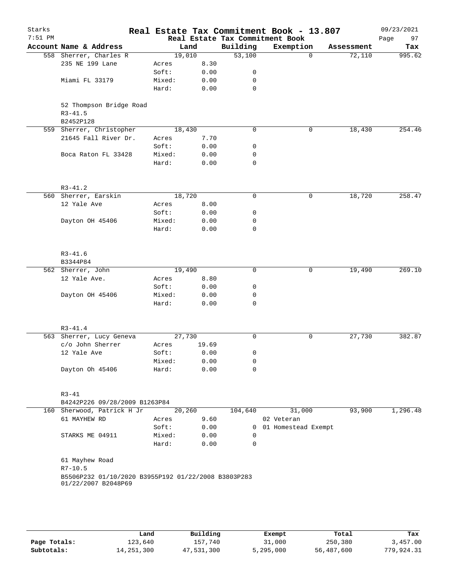| Starks    |                                                                            |        |       |             | Real Estate Tax Commitment Book - 13.807     |            | 09/23/2021        |
|-----------|----------------------------------------------------------------------------|--------|-------|-------------|----------------------------------------------|------------|-------------------|
| $7:51$ PM | Account Name & Address                                                     | Land   |       | Building    | Real Estate Tax Commitment Book<br>Exemption | Assessment | Page<br>97<br>Tax |
|           | 558 Sherrer, Charles R                                                     | 19,010 |       | 53,100      | $\Omega$                                     | 72,110     | 995.62            |
|           | 235 NE 199 Lane                                                            | Acres  | 8.30  |             |                                              |            |                   |
|           |                                                                            | Soft:  | 0.00  | 0           |                                              |            |                   |
|           | Miami FL 33179                                                             | Mixed: | 0.00  | $\mathbf 0$ |                                              |            |                   |
|           |                                                                            | Hard:  | 0.00  | $\mathbf 0$ |                                              |            |                   |
|           |                                                                            |        |       |             |                                              |            |                   |
|           | 52 Thompson Bridge Road<br>$R3 - 41.5$<br>B2452P128                        |        |       |             |                                              |            |                   |
|           | 559 Sherrer, Christopher                                                   | 18,430 |       | $\mathbf 0$ | 0                                            | 18,430     | 254.46            |
|           | 21645 Fall River Dr.                                                       | Acres  | 7.70  |             |                                              |            |                   |
|           |                                                                            |        |       | 0           |                                              |            |                   |
|           |                                                                            | Soft:  | 0.00  |             |                                              |            |                   |
|           | Boca Raton FL 33428                                                        | Mixed: | 0.00  | 0           |                                              |            |                   |
|           |                                                                            | Hard:  | 0.00  | 0           |                                              |            |                   |
|           | $R3 - 41.2$                                                                |        |       |             |                                              |            |                   |
|           | 560 Sherrer, Earskin                                                       | 18,720 |       | $\mathbf 0$ | 0                                            | 18,720     | 258.47            |
|           | 12 Yale Ave                                                                | Acres  | 8.00  |             |                                              |            |                   |
|           |                                                                            | Soft:  | 0.00  | 0           |                                              |            |                   |
|           | Dayton OH 45406                                                            | Mixed: | 0.00  | 0           |                                              |            |                   |
|           |                                                                            | Hard:  | 0.00  | $\mathbf 0$ |                                              |            |                   |
|           |                                                                            |        |       |             |                                              |            |                   |
|           | $R3 - 41.6$                                                                |        |       |             |                                              |            |                   |
|           | B3344P84                                                                   |        |       |             |                                              |            |                   |
|           | 562 Sherrer, John                                                          | 19,490 |       | 0           | 0                                            | 19,490     | 269.10            |
|           | 12 Yale Ave.                                                               | Acres  | 8.80  |             |                                              |            |                   |
|           |                                                                            | Soft:  | 0.00  | 0           |                                              |            |                   |
|           | Dayton OH 45406                                                            | Mixed: | 0.00  | 0           |                                              |            |                   |
|           |                                                                            | Hard:  | 0.00  | $\mathbf 0$ |                                              |            |                   |
|           | $R3 - 41.4$                                                                |        |       |             |                                              |            |                   |
|           | 563 Sherrer, Lucy Geneva                                                   | 27,730 |       | 0           | 0                                            | 27,730     | 382.87            |
|           | c/o John Sherrer                                                           | Acres  | 19.69 |             |                                              |            |                   |
|           | 12 Yale Ave                                                                | Soft:  | 0.00  | 0           |                                              |            |                   |
|           |                                                                            | Mixed: | 0.00  | 0           |                                              |            |                   |
|           | Dayton Oh 45406                                                            | Hard:  | 0.00  | 0           |                                              |            |                   |
|           |                                                                            |        |       |             |                                              |            |                   |
|           | $R3 - 41$                                                                  |        |       |             |                                              |            |                   |
|           | B4242P226 09/28/2009 B1263P84                                              |        |       |             |                                              |            |                   |
|           | 160 Sherwood, Patrick H Jr                                                 | 20,260 |       | 104,640     | 31,000                                       | 93,900     | 1,296.48          |
|           | 61 MAYHEW RD                                                               | Acres  | 9.60  |             | 02 Veteran                                   |            |                   |
|           |                                                                            | Soft:  | 0.00  |             | 0 01 Homestead Exempt                        |            |                   |
|           | STARKS ME 04911                                                            | Mixed: | 0.00  | 0           |                                              |            |                   |
|           |                                                                            | Hard:  | 0.00  | 0           |                                              |            |                   |
|           | 61 Mayhew Road                                                             |        |       |             |                                              |            |                   |
|           | $R7 - 10.5$                                                                |        |       |             |                                              |            |                   |
|           | B5506P232 01/10/2020 B3955P192 01/22/2008 B3803P283<br>01/22/2007 B2048P69 |        |       |             |                                              |            |                   |
|           |                                                                            |        |       |             |                                              |            |                   |
|           |                                                                            |        |       |             |                                              |            |                   |
|           |                                                                            |        |       |             |                                              |            |                   |

|              | Land         | Building   | Exempt    | Total      | Tax        |
|--------------|--------------|------------|-----------|------------|------------|
| Page Totals: | 123,640      | 157,740    | 31,000    | 250,380    | 3,457.00   |
| Subtotals:   | 14, 251, 300 | 47,531,300 | 5,295,000 | 56,487,600 | 779,924.31 |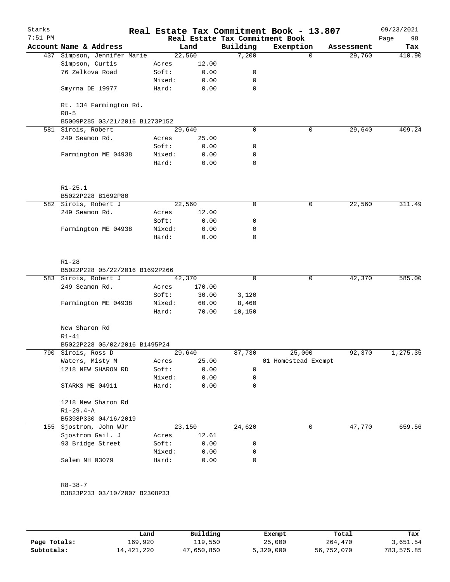| Starks    |                                                      |        |        |             | Real Estate Tax Commitment Book - 13.807     |             |            | 09/23/2021        |
|-----------|------------------------------------------------------|--------|--------|-------------|----------------------------------------------|-------------|------------|-------------------|
| $7:51$ PM | Account Name & Address                               |        | Land   | Building    | Real Estate Tax Commitment Book<br>Exemption |             | Assessment | Page<br>98<br>Tax |
|           | 437 Simpson, Jennifer Marie                          | 22,560 |        | 7,200       |                                              | $\mathbf 0$ | 29,760     | 410.90            |
|           | Simpson, Curtis                                      | Acres  | 12.00  |             |                                              |             |            |                   |
|           | 76 Zelkova Road                                      | Soft:  | 0.00   | 0           |                                              |             |            |                   |
|           |                                                      | Mixed: | 0.00   | 0           |                                              |             |            |                   |
|           | Smyrna DE 19977                                      | Hard:  | 0.00   | $\mathbf 0$ |                                              |             |            |                   |
|           |                                                      |        |        |             |                                              |             |            |                   |
|           | Rt. 134 Farmington Rd.                               |        |        |             |                                              |             |            |                   |
|           | $R8 - 5$                                             |        |        |             |                                              |             |            |                   |
|           | B5009P285 03/21/2016 B1273P152<br>581 Sirois, Robert | 29,640 |        | $\mathbf 0$ |                                              | 0           | 29,640     | 409.24            |
|           | 249 Seamon Rd.                                       | Acres  | 25.00  |             |                                              |             |            |                   |
|           |                                                      | Soft:  | 0.00   | 0           |                                              |             |            |                   |
|           | Farmington ME 04938                                  | Mixed: | 0.00   | 0           |                                              |             |            |                   |
|           |                                                      | Hard:  | 0.00   | 0           |                                              |             |            |                   |
|           |                                                      |        |        |             |                                              |             |            |                   |
|           | $R1 - 25.1$                                          |        |        |             |                                              |             |            |                   |
|           | B5022P228 B1692P80                                   |        |        |             |                                              |             |            |                   |
|           | 582 Sirois, Robert J                                 | 22,560 |        | $\mathbf 0$ |                                              | $\mathbf 0$ | 22,560     | 311.49            |
|           | 249 Seamon Rd.                                       | Acres  | 12.00  |             |                                              |             |            |                   |
|           |                                                      | Soft:  | 0.00   | 0           |                                              |             |            |                   |
|           | Farmington ME 04938                                  | Mixed: | 0.00   | 0           |                                              |             |            |                   |
|           |                                                      | Hard:  | 0.00   | $\mathbf 0$ |                                              |             |            |                   |
|           | $R1 - 28$<br>B5022P228 05/22/2016 B1692P266          |        |        |             |                                              |             |            |                   |
|           | 583 Sirois, Robert J                                 | 42,370 |        | $\mathbf 0$ |                                              | 0           | 42,370     | 585.00            |
|           | 249 Seamon Rd.                                       | Acres  | 170.00 |             |                                              |             |            |                   |
|           |                                                      | Soft:  | 30.00  | 3,120       |                                              |             |            |                   |
|           | Farmington ME 04938                                  | Mixed: | 60.00  | 8,460       |                                              |             |            |                   |
|           |                                                      | Hard:  | 70.00  | 10,150      |                                              |             |            |                   |
|           | New Sharon Rd                                        |        |        |             |                                              |             |            |                   |
|           | $R1 - 41$                                            |        |        |             |                                              |             |            |                   |
| 790       | B5022P228 05/02/2016 B1495P24<br>Sirois, Ross D      | 29,640 |        | 87,730      | 25,000                                       |             | 92,370     | 1,275.35          |
|           | Waters, Misty M                                      | Acres  | 25.00  |             | 01 Homestead Exempt                          |             |            |                   |
|           | 1218 NEW SHARON RD                                   | Soft:  | 0.00   | 0           |                                              |             |            |                   |
|           |                                                      | Mixed: | 0.00   | 0           |                                              |             |            |                   |
|           | STARKS ME 04911                                      | Hard:  | 0.00   | 0           |                                              |             |            |                   |
|           |                                                      |        |        |             |                                              |             |            |                   |
|           | 1218 New Sharon Rd                                   |        |        |             |                                              |             |            |                   |
|           | $R1 - 29.4 - A$                                      |        |        |             |                                              |             |            |                   |
|           | B5398P330 04/16/2019                                 |        |        |             |                                              |             |            |                   |
|           | 155 Sjostrom, John WJr                               | 23,150 |        | 24,620      |                                              | 0           | 47,770     | 659.56            |
|           | Sjostrom Gail. J                                     | Acres  | 12.61  |             |                                              |             |            |                   |
|           | 93 Bridge Street                                     | Soft:  | 0.00   | 0           |                                              |             |            |                   |
|           |                                                      | Mixed: | 0.00   | 0           |                                              |             |            |                   |
|           | Salem NH 03079                                       | Hard:  | 0.00   | 0           |                                              |             |            |                   |
|           | $R8 - 38 - 7$                                        |        |        |             |                                              |             |            |                   |
|           | B3823P233 03/10/2007 B2308P33                        |        |        |             |                                              |             |            |                   |
|           |                                                      |        |        |             |                                              |             |            |                   |
|           |                                                      |        |        |             |                                              |             |            |                   |
|           |                                                      |        |        |             |                                              |             |            |                   |

|              | Land         | Building   | Exempt    | Total      | Tax        |
|--------------|--------------|------------|-----------|------------|------------|
| Page Totals: | 169,920      | 119,550    | 25,000    | 264,470    | 3,651.54   |
| Subtotals:   | 14, 421, 220 | 47,650,850 | 5,320,000 | 56,752,070 | 783,575.85 |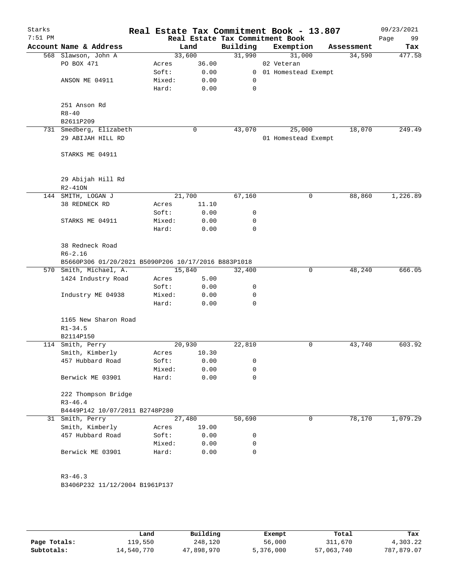| Account Name & Address<br>Building<br>Exemption<br>Land<br>Assessment<br>31,990<br>33,600<br>31,000<br>568 Slawson, John A<br>34,590<br>36.00<br>PO BOX 471<br>02 Veteran<br>Acres<br>Soft:<br>0.00<br>01 Homestead Exempt<br>$\mathbf{0}$<br>Mixed:<br>0.00<br>ANSON ME 04911<br>0<br>Hard:<br>0.00<br>0<br>251 Anson Rd<br>$R8 - 40$<br>B2611P209<br>731 Smedberg, Elizabeth<br>43,070<br>25,000<br>18,070<br>0<br>29 ABIJAH HILL RD<br>01 Homestead Exempt<br>STARKS ME 04911<br>29 Abijah Hill Rd<br>$R2 - 410N$<br>1,226.89<br>144 SMITH, LOGAN J<br>21,700<br>67,160<br>0<br>88,860<br>38 REDNECK RD<br>11.10<br>Acres<br>Soft:<br>0.00<br>0<br>STARKS ME 04911<br>Mixed:<br>0.00<br>0<br>Hard:<br>0.00<br>0<br>38 Redneck Road<br>$R6 - 2.16$<br>B5660P306 01/20/2021 B5090P206 10/17/2016 B883P1018<br>570 Smith, Michael, A.<br>15,840<br>48,240<br>666.05<br>32,400<br>0<br>1424 Industry Road<br>5.00<br>Acres<br>Soft:<br>0.00<br>0<br>Industry ME 04938<br>Mixed:<br>0.00<br>0<br>$\Omega$<br>Hard:<br>0.00<br>1165 New Sharon Road<br>$R1 - 34.5$<br>B2114P150<br>603.92<br>114 Smith, Perry<br>20,930<br>22,810<br>0<br>43,740<br>Smith, Kimberly<br>10.30<br>Acres<br>457 Hubbard Road<br>Soft:<br>0<br>0.00<br>Mixed:<br>0.00<br>0<br>Berwick ME 03901<br>0.00<br>0<br>Hard:<br>222 Thompson Bridge<br>$R3 - 46.4$<br>B4449P142 10/07/2011 B2748P280<br>27,480<br>50,690<br>78,170<br>1,079.29<br>31 Smith, Perry<br>0<br>Smith, Kimberly<br>19.00<br>Acres<br>457 Hubbard Road<br>Soft:<br>0.00<br>0<br>Mixed:<br>0.00<br>0<br>$\mathbf 0$<br>Berwick ME 03901<br>Hard:<br>0.00<br>$R3 - 46.3$<br>B3406P232 11/12/2004 B1961P137 | Starks<br>$7:51$ PM |  | Real Estate Tax Commitment Book | Real Estate Tax Commitment Book - 13.807 | 09/23/2021<br>99<br>Page |
|----------------------------------------------------------------------------------------------------------------------------------------------------------------------------------------------------------------------------------------------------------------------------------------------------------------------------------------------------------------------------------------------------------------------------------------------------------------------------------------------------------------------------------------------------------------------------------------------------------------------------------------------------------------------------------------------------------------------------------------------------------------------------------------------------------------------------------------------------------------------------------------------------------------------------------------------------------------------------------------------------------------------------------------------------------------------------------------------------------------------------------------------------------------------------------------------------------------------------------------------------------------------------------------------------------------------------------------------------------------------------------------------------------------------------------------------------------------------------------------------------------------------------------------------------------------------------------------------------------------------------------------------------|---------------------|--|---------------------------------|------------------------------------------|--------------------------|
|                                                                                                                                                                                                                                                                                                                                                                                                                                                                                                                                                                                                                                                                                                                                                                                                                                                                                                                                                                                                                                                                                                                                                                                                                                                                                                                                                                                                                                                                                                                                                                                                                                                    |                     |  |                                 |                                          | Tax                      |
|                                                                                                                                                                                                                                                                                                                                                                                                                                                                                                                                                                                                                                                                                                                                                                                                                                                                                                                                                                                                                                                                                                                                                                                                                                                                                                                                                                                                                                                                                                                                                                                                                                                    |                     |  |                                 |                                          | 477.58                   |
|                                                                                                                                                                                                                                                                                                                                                                                                                                                                                                                                                                                                                                                                                                                                                                                                                                                                                                                                                                                                                                                                                                                                                                                                                                                                                                                                                                                                                                                                                                                                                                                                                                                    |                     |  |                                 |                                          |                          |
|                                                                                                                                                                                                                                                                                                                                                                                                                                                                                                                                                                                                                                                                                                                                                                                                                                                                                                                                                                                                                                                                                                                                                                                                                                                                                                                                                                                                                                                                                                                                                                                                                                                    |                     |  |                                 |                                          |                          |
|                                                                                                                                                                                                                                                                                                                                                                                                                                                                                                                                                                                                                                                                                                                                                                                                                                                                                                                                                                                                                                                                                                                                                                                                                                                                                                                                                                                                                                                                                                                                                                                                                                                    |                     |  |                                 |                                          |                          |
|                                                                                                                                                                                                                                                                                                                                                                                                                                                                                                                                                                                                                                                                                                                                                                                                                                                                                                                                                                                                                                                                                                                                                                                                                                                                                                                                                                                                                                                                                                                                                                                                                                                    |                     |  |                                 |                                          |                          |
|                                                                                                                                                                                                                                                                                                                                                                                                                                                                                                                                                                                                                                                                                                                                                                                                                                                                                                                                                                                                                                                                                                                                                                                                                                                                                                                                                                                                                                                                                                                                                                                                                                                    |                     |  |                                 |                                          |                          |
|                                                                                                                                                                                                                                                                                                                                                                                                                                                                                                                                                                                                                                                                                                                                                                                                                                                                                                                                                                                                                                                                                                                                                                                                                                                                                                                                                                                                                                                                                                                                                                                                                                                    |                     |  |                                 |                                          |                          |
|                                                                                                                                                                                                                                                                                                                                                                                                                                                                                                                                                                                                                                                                                                                                                                                                                                                                                                                                                                                                                                                                                                                                                                                                                                                                                                                                                                                                                                                                                                                                                                                                                                                    |                     |  |                                 |                                          |                          |
|                                                                                                                                                                                                                                                                                                                                                                                                                                                                                                                                                                                                                                                                                                                                                                                                                                                                                                                                                                                                                                                                                                                                                                                                                                                                                                                                                                                                                                                                                                                                                                                                                                                    |                     |  |                                 |                                          | 249.49                   |
|                                                                                                                                                                                                                                                                                                                                                                                                                                                                                                                                                                                                                                                                                                                                                                                                                                                                                                                                                                                                                                                                                                                                                                                                                                                                                                                                                                                                                                                                                                                                                                                                                                                    |                     |  |                                 |                                          |                          |
|                                                                                                                                                                                                                                                                                                                                                                                                                                                                                                                                                                                                                                                                                                                                                                                                                                                                                                                                                                                                                                                                                                                                                                                                                                                                                                                                                                                                                                                                                                                                                                                                                                                    |                     |  |                                 |                                          |                          |
|                                                                                                                                                                                                                                                                                                                                                                                                                                                                                                                                                                                                                                                                                                                                                                                                                                                                                                                                                                                                                                                                                                                                                                                                                                                                                                                                                                                                                                                                                                                                                                                                                                                    |                     |  |                                 |                                          |                          |
|                                                                                                                                                                                                                                                                                                                                                                                                                                                                                                                                                                                                                                                                                                                                                                                                                                                                                                                                                                                                                                                                                                                                                                                                                                                                                                                                                                                                                                                                                                                                                                                                                                                    |                     |  |                                 |                                          |                          |
|                                                                                                                                                                                                                                                                                                                                                                                                                                                                                                                                                                                                                                                                                                                                                                                                                                                                                                                                                                                                                                                                                                                                                                                                                                                                                                                                                                                                                                                                                                                                                                                                                                                    |                     |  |                                 |                                          |                          |
|                                                                                                                                                                                                                                                                                                                                                                                                                                                                                                                                                                                                                                                                                                                                                                                                                                                                                                                                                                                                                                                                                                                                                                                                                                                                                                                                                                                                                                                                                                                                                                                                                                                    |                     |  |                                 |                                          |                          |
|                                                                                                                                                                                                                                                                                                                                                                                                                                                                                                                                                                                                                                                                                                                                                                                                                                                                                                                                                                                                                                                                                                                                                                                                                                                                                                                                                                                                                                                                                                                                                                                                                                                    |                     |  |                                 |                                          |                          |
|                                                                                                                                                                                                                                                                                                                                                                                                                                                                                                                                                                                                                                                                                                                                                                                                                                                                                                                                                                                                                                                                                                                                                                                                                                                                                                                                                                                                                                                                                                                                                                                                                                                    |                     |  |                                 |                                          |                          |
|                                                                                                                                                                                                                                                                                                                                                                                                                                                                                                                                                                                                                                                                                                                                                                                                                                                                                                                                                                                                                                                                                                                                                                                                                                                                                                                                                                                                                                                                                                                                                                                                                                                    |                     |  |                                 |                                          |                          |
|                                                                                                                                                                                                                                                                                                                                                                                                                                                                                                                                                                                                                                                                                                                                                                                                                                                                                                                                                                                                                                                                                                                                                                                                                                                                                                                                                                                                                                                                                                                                                                                                                                                    |                     |  |                                 |                                          |                          |
|                                                                                                                                                                                                                                                                                                                                                                                                                                                                                                                                                                                                                                                                                                                                                                                                                                                                                                                                                                                                                                                                                                                                                                                                                                                                                                                                                                                                                                                                                                                                                                                                                                                    |                     |  |                                 |                                          |                          |
|                                                                                                                                                                                                                                                                                                                                                                                                                                                                                                                                                                                                                                                                                                                                                                                                                                                                                                                                                                                                                                                                                                                                                                                                                                                                                                                                                                                                                                                                                                                                                                                                                                                    |                     |  |                                 |                                          |                          |
|                                                                                                                                                                                                                                                                                                                                                                                                                                                                                                                                                                                                                                                                                                                                                                                                                                                                                                                                                                                                                                                                                                                                                                                                                                                                                                                                                                                                                                                                                                                                                                                                                                                    |                     |  |                                 |                                          |                          |
|                                                                                                                                                                                                                                                                                                                                                                                                                                                                                                                                                                                                                                                                                                                                                                                                                                                                                                                                                                                                                                                                                                                                                                                                                                                                                                                                                                                                                                                                                                                                                                                                                                                    |                     |  |                                 |                                          |                          |
|                                                                                                                                                                                                                                                                                                                                                                                                                                                                                                                                                                                                                                                                                                                                                                                                                                                                                                                                                                                                                                                                                                                                                                                                                                                                                                                                                                                                                                                                                                                                                                                                                                                    |                     |  |                                 |                                          |                          |
|                                                                                                                                                                                                                                                                                                                                                                                                                                                                                                                                                                                                                                                                                                                                                                                                                                                                                                                                                                                                                                                                                                                                                                                                                                                                                                                                                                                                                                                                                                                                                                                                                                                    |                     |  |                                 |                                          |                          |
|                                                                                                                                                                                                                                                                                                                                                                                                                                                                                                                                                                                                                                                                                                                                                                                                                                                                                                                                                                                                                                                                                                                                                                                                                                                                                                                                                                                                                                                                                                                                                                                                                                                    |                     |  |                                 |                                          |                          |
|                                                                                                                                                                                                                                                                                                                                                                                                                                                                                                                                                                                                                                                                                                                                                                                                                                                                                                                                                                                                                                                                                                                                                                                                                                                                                                                                                                                                                                                                                                                                                                                                                                                    |                     |  |                                 |                                          |                          |
|                                                                                                                                                                                                                                                                                                                                                                                                                                                                                                                                                                                                                                                                                                                                                                                                                                                                                                                                                                                                                                                                                                                                                                                                                                                                                                                                                                                                                                                                                                                                                                                                                                                    |                     |  |                                 |                                          |                          |
|                                                                                                                                                                                                                                                                                                                                                                                                                                                                                                                                                                                                                                                                                                                                                                                                                                                                                                                                                                                                                                                                                                                                                                                                                                                                                                                                                                                                                                                                                                                                                                                                                                                    |                     |  |                                 |                                          |                          |
|                                                                                                                                                                                                                                                                                                                                                                                                                                                                                                                                                                                                                                                                                                                                                                                                                                                                                                                                                                                                                                                                                                                                                                                                                                                                                                                                                                                                                                                                                                                                                                                                                                                    |                     |  |                                 |                                          |                          |
|                                                                                                                                                                                                                                                                                                                                                                                                                                                                                                                                                                                                                                                                                                                                                                                                                                                                                                                                                                                                                                                                                                                                                                                                                                                                                                                                                                                                                                                                                                                                                                                                                                                    |                     |  |                                 |                                          |                          |
|                                                                                                                                                                                                                                                                                                                                                                                                                                                                                                                                                                                                                                                                                                                                                                                                                                                                                                                                                                                                                                                                                                                                                                                                                                                                                                                                                                                                                                                                                                                                                                                                                                                    |                     |  |                                 |                                          |                          |
|                                                                                                                                                                                                                                                                                                                                                                                                                                                                                                                                                                                                                                                                                                                                                                                                                                                                                                                                                                                                                                                                                                                                                                                                                                                                                                                                                                                                                                                                                                                                                                                                                                                    |                     |  |                                 |                                          |                          |
|                                                                                                                                                                                                                                                                                                                                                                                                                                                                                                                                                                                                                                                                                                                                                                                                                                                                                                                                                                                                                                                                                                                                                                                                                                                                                                                                                                                                                                                                                                                                                                                                                                                    |                     |  |                                 |                                          |                          |
|                                                                                                                                                                                                                                                                                                                                                                                                                                                                                                                                                                                                                                                                                                                                                                                                                                                                                                                                                                                                                                                                                                                                                                                                                                                                                                                                                                                                                                                                                                                                                                                                                                                    |                     |  |                                 |                                          |                          |
|                                                                                                                                                                                                                                                                                                                                                                                                                                                                                                                                                                                                                                                                                                                                                                                                                                                                                                                                                                                                                                                                                                                                                                                                                                                                                                                                                                                                                                                                                                                                                                                                                                                    |                     |  |                                 |                                          |                          |
|                                                                                                                                                                                                                                                                                                                                                                                                                                                                                                                                                                                                                                                                                                                                                                                                                                                                                                                                                                                                                                                                                                                                                                                                                                                                                                                                                                                                                                                                                                                                                                                                                                                    |                     |  |                                 |                                          |                          |
|                                                                                                                                                                                                                                                                                                                                                                                                                                                                                                                                                                                                                                                                                                                                                                                                                                                                                                                                                                                                                                                                                                                                                                                                                                                                                                                                                                                                                                                                                                                                                                                                                                                    |                     |  |                                 |                                          |                          |
|                                                                                                                                                                                                                                                                                                                                                                                                                                                                                                                                                                                                                                                                                                                                                                                                                                                                                                                                                                                                                                                                                                                                                                                                                                                                                                                                                                                                                                                                                                                                                                                                                                                    |                     |  |                                 |                                          |                          |
|                                                                                                                                                                                                                                                                                                                                                                                                                                                                                                                                                                                                                                                                                                                                                                                                                                                                                                                                                                                                                                                                                                                                                                                                                                                                                                                                                                                                                                                                                                                                                                                                                                                    |                     |  |                                 |                                          |                          |
|                                                                                                                                                                                                                                                                                                                                                                                                                                                                                                                                                                                                                                                                                                                                                                                                                                                                                                                                                                                                                                                                                                                                                                                                                                                                                                                                                                                                                                                                                                                                                                                                                                                    |                     |  |                                 |                                          |                          |
|                                                                                                                                                                                                                                                                                                                                                                                                                                                                                                                                                                                                                                                                                                                                                                                                                                                                                                                                                                                                                                                                                                                                                                                                                                                                                                                                                                                                                                                                                                                                                                                                                                                    |                     |  |                                 |                                          |                          |
|                                                                                                                                                                                                                                                                                                                                                                                                                                                                                                                                                                                                                                                                                                                                                                                                                                                                                                                                                                                                                                                                                                                                                                                                                                                                                                                                                                                                                                                                                                                                                                                                                                                    |                     |  |                                 |                                          |                          |
|                                                                                                                                                                                                                                                                                                                                                                                                                                                                                                                                                                                                                                                                                                                                                                                                                                                                                                                                                                                                                                                                                                                                                                                                                                                                                                                                                                                                                                                                                                                                                                                                                                                    |                     |  |                                 |                                          |                          |
|                                                                                                                                                                                                                                                                                                                                                                                                                                                                                                                                                                                                                                                                                                                                                                                                                                                                                                                                                                                                                                                                                                                                                                                                                                                                                                                                                                                                                                                                                                                                                                                                                                                    |                     |  |                                 |                                          |                          |

|              | Land       | Building   | Exempt    | Total      | Tax        |
|--------------|------------|------------|-----------|------------|------------|
| Page Totals: | 119,550    | 248,120    | 56,000    | 311,670    | 4,303.22   |
| Subtotals:   | 14,540,770 | 47,898,970 | 5,376,000 | 57,063,740 | 787,879.07 |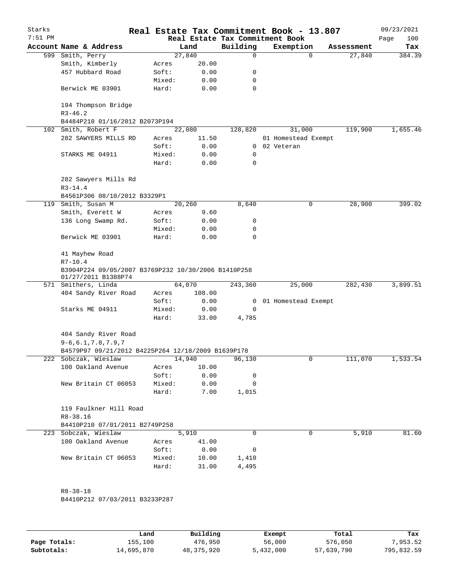| Starks<br>$7:51$ PM |                                                                            |        |        |        | Real Estate Tax Commitment Book | Real Estate Tax Commitment Book - 13.807 |            | 09/23/2021<br>Page<br>100 |
|---------------------|----------------------------------------------------------------------------|--------|--------|--------|---------------------------------|------------------------------------------|------------|---------------------------|
|                     | Account Name & Address                                                     |        | Land   |        | Building                        | Exemption                                | Assessment | Tax                       |
|                     | 599 Smith, Perry                                                           |        | 27,840 |        | 0                               | $\mathbf 0$                              | 27,840     | 384.39                    |
|                     | Smith, Kimberly                                                            | Acres  |        | 20.00  |                                 |                                          |            |                           |
|                     | 457 Hubbard Road                                                           | Soft:  |        | 0.00   | 0                               |                                          |            |                           |
|                     |                                                                            | Mixed: |        | 0.00   | 0                               |                                          |            |                           |
|                     | Berwick ME 03901                                                           | Hard:  |        | 0.00   | 0                               |                                          |            |                           |
|                     | 194 Thompson Bridge<br>$R3 - 46.2$                                         |        |        |        |                                 |                                          |            |                           |
|                     | B4484P210 01/16/2012 B2073P194                                             |        |        |        |                                 |                                          |            |                           |
|                     | 102 Smith, Robert F                                                        |        | 22,080 |        | 128,820                         | 31,000                                   | 119,900    | 1,655.46                  |
|                     | 282 SAWYERS MILLS RD                                                       | Acres  |        | 11.50  |                                 | 01 Homestead Exempt                      |            |                           |
|                     |                                                                            | Soft:  |        | 0.00   |                                 | 0 02 Veteran                             |            |                           |
|                     | STARKS ME 04911                                                            | Mixed: |        | 0.00   | 0                               |                                          |            |                           |
|                     |                                                                            | Hard:  |        | 0.00   | 0                               |                                          |            |                           |
|                     | 282 Sawyers Mills Rd<br>$R3 - 14.4$                                        |        |        |        |                                 |                                          |            |                           |
|                     | B4561P306 08/10/2012 B3329P1                                               |        |        |        |                                 |                                          |            |                           |
|                     | 119 Smith, Susan M                                                         |        | 20,260 |        | 8,640                           | 0                                        | 28,900     | 399.02                    |
|                     | Smith, Everett W                                                           | Acres  |        | 9.60   |                                 |                                          |            |                           |
|                     | 136 Long Swamp Rd.                                                         | Soft:  |        | 0.00   | 0                               |                                          |            |                           |
|                     |                                                                            | Mixed: |        | 0.00   | 0                               |                                          |            |                           |
|                     | Berwick ME 03901                                                           | Hard:  |        | 0.00   | 0                               |                                          |            |                           |
|                     | 41 Mayhew Road<br>$R7 - 10.4$                                              |        |        |        |                                 |                                          |            |                           |
|                     | B3904P224 09/05/2007 B3769P232 10/30/2006 B1410P258<br>01/27/2011 B1388P74 |        |        |        |                                 |                                          |            |                           |
|                     | 571 Smithers, Linda                                                        |        | 64,070 |        | 243,360                         | 25,000                                   | 282,430    | 3,899.51                  |
|                     | 404 Sandy River Road                                                       | Acres  |        | 108.00 |                                 |                                          |            |                           |
|                     |                                                                            | Soft:  |        | 0.00   | $\mathbf{0}$                    | 01 Homestead Exempt                      |            |                           |
|                     | Starks ME 04911                                                            | Mixed: |        | 0.00   | 0                               |                                          |            |                           |
|                     |                                                                            | Hard:  |        | 33.00  | 4,785                           |                                          |            |                           |
|                     | 404 Sandy River Road<br>$9-6, 6.1, 7.8, 7.9, 7$                            |        |        |        |                                 |                                          |            |                           |
|                     | B4579P97 09/21/2012 B4225P264 12/18/2009 B1639P178                         |        |        |        |                                 |                                          |            |                           |
|                     | 222 Sobczak, Wieslaw                                                       |        | 14,940 |        | 96,130                          | 0                                        | 111,070    | 1,533.54                  |
|                     | 100 Oakland Avenue                                                         | Acres  |        | 10.00  |                                 |                                          |            |                           |
|                     |                                                                            | Soft:  |        | 0.00   | 0                               |                                          |            |                           |
|                     | New Britain CT 06053                                                       | Mixed: |        | 0.00   | 0                               |                                          |            |                           |
|                     |                                                                            | Hard:  |        | 7.00   | 1,015                           |                                          |            |                           |
|                     | 119 Faulkner Hill Road<br>$R8 - 38.16$                                     |        |        |        |                                 |                                          |            |                           |
|                     | B4410P210 07/01/2011 B2749P258                                             |        |        |        |                                 |                                          |            |                           |
|                     | 223 Sobczak, Wieslaw                                                       |        | 5,910  |        | $\Omega$                        | 0                                        | 5,910      | 81.60                     |
|                     | 100 Oakland Avenue                                                         | Acres  |        | 41.00  |                                 |                                          |            |                           |
|                     |                                                                            | Soft:  |        | 0.00   | 0                               |                                          |            |                           |
|                     | New Britain CT 06053                                                       | Mixed: |        | 10.00  | 1,410                           |                                          |            |                           |
|                     |                                                                            | Hard:  |        | 31.00  | 4,495                           |                                          |            |                           |
|                     | $R8 - 38 - 18$                                                             |        |        |        |                                 |                                          |            |                           |
|                     | B4410P212 07/03/2011 B3233P287                                             |        |        |        |                                 |                                          |            |                           |
|                     |                                                                            |        |        |        |                                 |                                          |            |                           |
|                     |                                                                            |        |        |        |                                 |                                          |            |                           |

|              | Land       | Building   | Exempt    | Total      | Tax        |
|--------------|------------|------------|-----------|------------|------------|
| Page Totals: | 155,100    | 476,950    | 56,000    | 576,050    | 7,953.52   |
| Subtotals:   | 14,695,870 | 48,375,920 | 5,432,000 | 57,639,790 | 795,832.59 |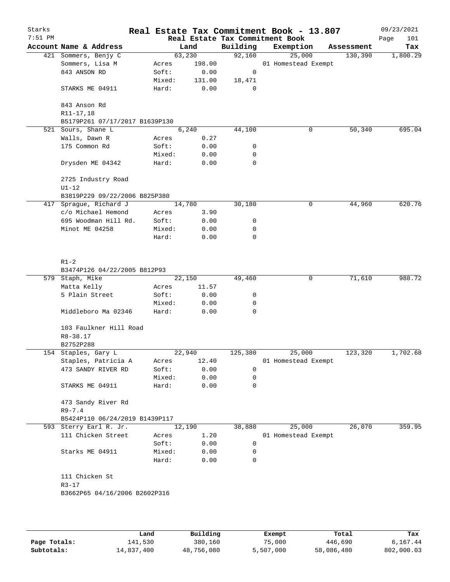| Starks<br>$7:51$ PM |                                                         |                 |              |          | Real Estate Tax Commitment Book - 13.807<br>Real Estate Tax Commitment Book |            | 09/23/2021<br>Page<br>101 |
|---------------------|---------------------------------------------------------|-----------------|--------------|----------|-----------------------------------------------------------------------------|------------|---------------------------|
|                     | Account Name & Address                                  |                 | Land         | Building | Exemption                                                                   | Assessment | Tax                       |
|                     | 421 Sommers, Benjy C                                    | 63,230          |              | 92,160   | 25,000                                                                      | 130,390    | 1,800.29                  |
|                     | Sommers, Lisa M                                         | Acres           | 198.00       |          | 01 Homestead Exempt                                                         |            |                           |
|                     | 843 ANSON RD                                            | Soft:           | 0.00         | 0        |                                                                             |            |                           |
|                     |                                                         | Mixed:          | 131.00       | 18,471   |                                                                             |            |                           |
|                     | STARKS ME 04911                                         | Hard:           | 0.00         | 0        |                                                                             |            |                           |
|                     | 843 Anson Rd                                            |                 |              |          |                                                                             |            |                           |
|                     | R11-17,18                                               |                 |              |          |                                                                             |            |                           |
|                     | B5179P261 07/17/2017 B1639P130                          |                 |              |          |                                                                             |            |                           |
|                     | 521 Sours, Shane L                                      |                 | 6,240        | 44,100   | 0                                                                           | 50,340     | 695.04                    |
|                     | Walls, Dawn R                                           | Acres           | 0.27         |          |                                                                             |            |                           |
|                     | 175 Common Rd                                           | Soft:           | 0.00         | 0        |                                                                             |            |                           |
|                     |                                                         | Mixed:          | 0.00         | 0        |                                                                             |            |                           |
|                     | Drysden ME 04342                                        | Hard:           | 0.00         | 0        |                                                                             |            |                           |
|                     | 2725 Industry Road                                      |                 |              |          |                                                                             |            |                           |
|                     | $U1-12$                                                 |                 |              |          |                                                                             |            |                           |
|                     | B3819P229 09/22/2006 B825P380<br>417 Sprague, Richard J | 14,780          |              | 30,180   | 0                                                                           | 44,960     | 620.76                    |
|                     | c/o Michael Hemond                                      |                 |              |          |                                                                             |            |                           |
|                     |                                                         | Acres           | 3.90         |          |                                                                             |            |                           |
|                     | 695 Woodman Hill Rd.<br>Minot ME 04258                  | Soft:           | 0.00         | 0        |                                                                             |            |                           |
|                     |                                                         | Mixed:<br>Hard: | 0.00<br>0.00 | 0<br>0   |                                                                             |            |                           |
|                     |                                                         |                 |              |          |                                                                             |            |                           |
|                     | $R1-2$                                                  |                 |              |          |                                                                             |            |                           |
|                     | B3474P126 04/22/2005 B812P93                            |                 |              |          |                                                                             |            |                           |
|                     | 579 Staph, Mike                                         | 22,150          |              | 49,460   | 0                                                                           | 71,610     | 988.72                    |
|                     | Matta Kelly                                             | Acres           | 11.57        |          |                                                                             |            |                           |
|                     | 5 Plain Street                                          | Soft:           | 0.00         | 0        |                                                                             |            |                           |
|                     |                                                         | Mixed:          | 0.00         | 0        |                                                                             |            |                           |
|                     | Middleboro Ma 02346                                     | Hard:           | 0.00         | 0        |                                                                             |            |                           |
|                     | 103 Faulkner Hill Road                                  |                 |              |          |                                                                             |            |                           |
|                     | $R8 - 38.17$                                            |                 |              |          |                                                                             |            |                           |
|                     | B2752P288                                               |                 |              |          |                                                                             |            |                           |
|                     | 154 Staples, Gary L                                     | 22,940          |              | 125,380  | 25,000                                                                      | 123,320    | 1,702.68                  |
|                     | Staples, Patricia A                                     | Acres           | 12.40        |          | 01 Homestead Exempt                                                         |            |                           |
|                     | 473 SANDY RIVER RD                                      | Soft:           | 0.00         | 0        |                                                                             |            |                           |
|                     |                                                         | Mixed:          | 0.00         | 0        |                                                                             |            |                           |
|                     | STARKS ME 04911                                         | Hard:           | 0.00         | 0        |                                                                             |            |                           |
|                     | 473 Sandy River Rd                                      |                 |              |          |                                                                             |            |                           |
|                     | $R9 - 7.4$                                              |                 |              |          |                                                                             |            |                           |
|                     | B5424P110 06/24/2019 B1439P117                          |                 |              |          |                                                                             |            |                           |
|                     | 593 Sterry Earl R. Jr.                                  | 12,190          |              | 38,880   | 25,000                                                                      | 26,070     | 359.95                    |
|                     | 111 Chicken Street                                      | Acres           | 1.20         |          | 01 Homestead Exempt                                                         |            |                           |
|                     |                                                         | Soft:           | 0.00         | 0        |                                                                             |            |                           |
|                     | Starks ME 04911                                         | Mixed:<br>Hard: | 0.00<br>0.00 | 0<br>0   |                                                                             |            |                           |
|                     | 111 Chicken St                                          |                 |              |          |                                                                             |            |                           |
|                     | $R3 - 17$                                               |                 |              |          |                                                                             |            |                           |
|                     |                                                         |                 |              |          |                                                                             |            |                           |
|                     | B3662P65 04/16/2006 B2602P316                           |                 |              |          |                                                                             |            |                           |
|                     |                                                         |                 |              |          |                                                                             |            |                           |
|                     |                                                         |                 |              |          |                                                                             |            |                           |
|                     |                                                         |                 |              |          |                                                                             |            |                           |

|              | Land       | Building   | Exempt    | Total      | Tax        |
|--------------|------------|------------|-----------|------------|------------|
| Page Totals: | 141,530    | 380,160    | 75,000    | 446,690    | 6,167.44   |
| Subtotals:   | 14,837,400 | 48,756,080 | 5,507,000 | 58,086,480 | 802,000.03 |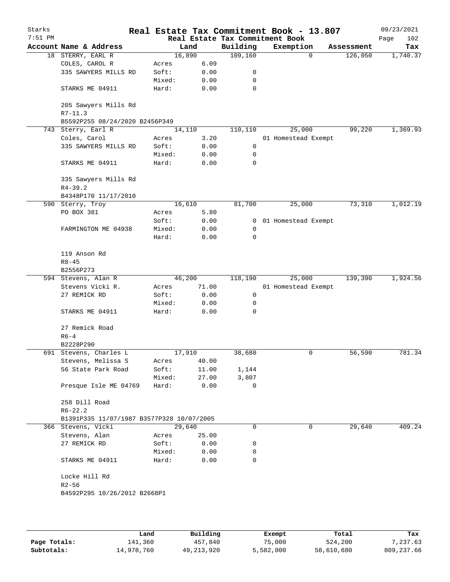| Starks<br>$7:51$ PM |                                           |        |        |       | Real Estate Tax Commitment Book | Real Estate Tax Commitment Book - 13.807 |            | 09/23/2021<br>Page<br>102 |
|---------------------|-------------------------------------------|--------|--------|-------|---------------------------------|------------------------------------------|------------|---------------------------|
|                     | Account Name & Address                    |        | Land   |       | Building                        | Exemption                                | Assessment | Tax                       |
|                     | 18 STERRY, EARL R                         |        | 16,890 |       | 109, 160                        | $\Omega$                                 | 126,050    | 1,740.37                  |
|                     | COLES, CAROL R                            | Acres  |        | 6.09  |                                 |                                          |            |                           |
|                     | 335 SAWYERS MILLS RD                      | Soft:  |        | 0.00  | 0                               |                                          |            |                           |
|                     |                                           | Mixed: |        | 0.00  | 0                               |                                          |            |                           |
|                     | STARKS ME 04911                           | Hard:  |        | 0.00  | 0                               |                                          |            |                           |
|                     | 205 Sawyers Mills Rd                      |        |        |       |                                 |                                          |            |                           |
|                     | $R7 - 11.3$                               |        |        |       |                                 |                                          |            |                           |
|                     | B5592P255 08/24/2020 B2456P349            |        |        |       |                                 |                                          |            |                           |
|                     | 743 Sterry, Earl R                        |        | 14,110 |       | 110,110                         | 25,000                                   | 99,220     | 1,369.93                  |
|                     | Coles, Carol                              | Acres  |        | 3.20  |                                 | 01 Homestead Exempt                      |            |                           |
|                     | 335 SAWYERS MILLS RD                      | Soft:  |        | 0.00  | 0                               |                                          |            |                           |
|                     |                                           | Mixed: |        | 0.00  | 0                               |                                          |            |                           |
|                     | STARKS ME 04911                           | Hard:  |        | 0.00  | 0                               |                                          |            |                           |
|                     | 335 Sawyers Mills Rd                      |        |        |       |                                 |                                          |            |                           |
|                     | $R4 - 39.2$                               |        |        |       |                                 |                                          |            |                           |
|                     | B4348P170 11/17/2010                      |        |        |       |                                 |                                          |            |                           |
|                     | 590 Sterry, Troy                          |        | 16,610 |       | 81,700                          | 25,000                                   | 73,310     | 1,012.19                  |
|                     | PO BOX 381                                | Acres  |        | 5.80  |                                 |                                          |            |                           |
|                     |                                           | Soft:  |        | 0.00  |                                 | 0 01 Homestead Exempt                    |            |                           |
|                     | FARMINGTON ME 04938                       | Mixed: |        | 0.00  | 0                               |                                          |            |                           |
|                     |                                           | Hard:  |        | 0.00  | 0                               |                                          |            |                           |
|                     | 119 Anson Rd                              |        |        |       |                                 |                                          |            |                           |
|                     | $R8 - 45$                                 |        |        |       |                                 |                                          |            |                           |
|                     | B2556P273                                 |        |        |       |                                 |                                          |            |                           |
|                     | 594 Stevens, Alan R                       |        | 46,200 |       | 118,190                         | 25,000                                   | 139,390    | 1,924.56                  |
|                     | Stevens Vicki R.                          | Acres  |        | 71.00 |                                 | 01 Homestead Exempt                      |            |                           |
|                     | 27 REMICK RD                              | Soft:  |        | 0.00  | $\mathsf 0$                     |                                          |            |                           |
|                     |                                           | Mixed: |        | 0.00  | 0                               |                                          |            |                           |
|                     | STARKS ME 04911                           | Hard:  |        | 0.00  | 0                               |                                          |            |                           |
|                     | 27 Remick Road                            |        |        |       |                                 |                                          |            |                           |
|                     | $R6 - 4$                                  |        |        |       |                                 |                                          |            |                           |
|                     | B2228P290                                 |        |        |       |                                 |                                          |            |                           |
|                     | 691 Stevens, Charles L                    |        | 17,910 |       | 38,680                          | 0                                        | 56,590     | 781.34                    |
|                     | Stevens, Melissa S                        | Acres  |        | 40.00 |                                 |                                          |            |                           |
|                     | 56 State Park Road                        | Soft:  |        | 11.00 | 1,144                           |                                          |            |                           |
|                     |                                           | Mixed: |        | 27.00 | 3,807                           |                                          |            |                           |
|                     | Presque Isle ME 04769                     | Hard:  |        | 0.00  | 0                               |                                          |            |                           |
|                     | 258 Dill Road                             |        |        |       |                                 |                                          |            |                           |
|                     | $R6 - 22.2$                               |        |        |       |                                 |                                          |            |                           |
|                     | B1391P335 11/07/1987 B3577P328 10/07/2005 |        |        |       |                                 |                                          |            |                           |
|                     | 366 Stevens, Vicki                        |        | 29,640 |       | 0                               | 0                                        | 29,640     |                           |
|                     |                                           |        |        |       |                                 |                                          |            | 409.24                    |
|                     | Stevens, Alan                             | Acres  |        | 25.00 |                                 |                                          |            |                           |
|                     | 27 REMICK RD                              | Soft:  |        | 0.00  | 0                               |                                          |            |                           |
|                     |                                           | Mixed: |        | 0.00  | 0                               |                                          |            |                           |
|                     | STARKS ME 04911                           | Hard:  |        | 0.00  | 0                               |                                          |            |                           |
|                     | Locke Hill Rd                             |        |        |       |                                 |                                          |            |                           |
|                     | $R2 - 56$                                 |        |        |       |                                 |                                          |            |                           |
|                     | B4592P295 10/26/2012 B2668P1              |        |        |       |                                 |                                          |            |                           |
|                     |                                           |        |        |       |                                 |                                          |            |                           |
|                     |                                           |        |        |       |                                 |                                          |            |                           |
|                     |                                           |        |        |       |                                 |                                          |            |                           |

|              | Land       | Building     | Exempt    | Total      | Tax          |
|--------------|------------|--------------|-----------|------------|--------------|
| Page Totals: | 141,360    | 457,840      | 75,000    | 524,200    | 7,237.63     |
| Subtotals:   | 14,978,760 | 49, 213, 920 | 5,582,000 | 58,610,680 | 809, 237, 66 |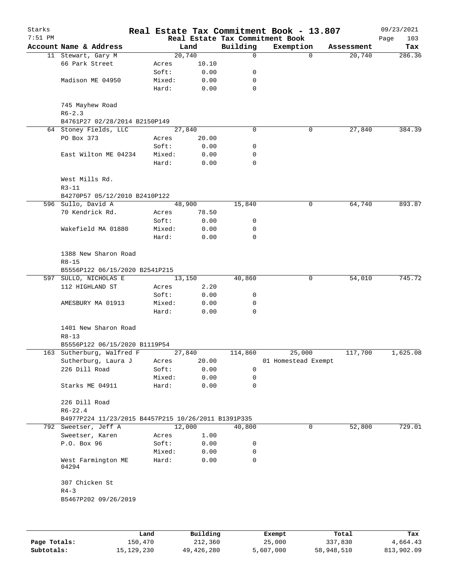| Starks    |                                                     |        |        |             | Real Estate Tax Commitment Book - 13.807     |            | 09/23/2021         |
|-----------|-----------------------------------------------------|--------|--------|-------------|----------------------------------------------|------------|--------------------|
| $7:51$ PM | Account Name & Address                              |        | Land   | Building    | Real Estate Tax Commitment Book<br>Exemption | Assessment | Page<br>103<br>Tax |
|           | 11 Stewart, Gary M                                  |        | 20,740 | $\mathbf 0$ | $\mathbf 0$                                  | 20,740     | 286.36             |
|           | 66 Park Street                                      | Acres  | 10.10  |             |                                              |            |                    |
|           |                                                     | Soft:  | 0.00   | 0           |                                              |            |                    |
|           | Madison ME 04950                                    | Mixed: | 0.00   | 0           |                                              |            |                    |
|           |                                                     | Hard:  | 0.00   | 0           |                                              |            |                    |
|           | 745 Mayhew Road<br>$R6 - 2.3$                       |        |        |             |                                              |            |                    |
|           | B4761P27 02/28/2014 B2150P149                       |        |        |             |                                              |            |                    |
|           | 64 Stoney Fields, LLC                               |        | 27,840 | $\Omega$    | $\mathbf 0$                                  | 27,840     | 384.39             |
|           | PO Box 373                                          | Acres  | 20.00  |             |                                              |            |                    |
|           |                                                     | Soft:  | 0.00   | 0           |                                              |            |                    |
|           | East Wilton ME 04234                                | Mixed: | 0.00   | 0           |                                              |            |                    |
|           |                                                     | Hard:  | 0.00   | $\mathbf 0$ |                                              |            |                    |
|           | West Mills Rd.<br>$R3 - 11$                         |        |        |             |                                              |            |                    |
|           | B4270P57 05/12/2010 B2410P122                       |        |        |             |                                              |            |                    |
|           | 596 Sullo, David A                                  |        | 48,900 | 15,840      | 0                                            | 64,740     | 893.87             |
|           | 70 Kendrick Rd.                                     | Acres  | 78.50  |             |                                              |            |                    |
|           |                                                     | Soft:  | 0.00   | 0           |                                              |            |                    |
|           | Wakefield MA 01880                                  | Mixed: | 0.00   | 0           |                                              |            |                    |
|           |                                                     | Hard:  | 0.00   | 0           |                                              |            |                    |
|           | 1388 New Sharon Road<br>$R8 - 15$                   |        |        |             |                                              |            |                    |
|           | B5556P122 06/15/2020 B2541P215                      |        |        |             |                                              |            |                    |
|           | 597 SULLO, NICHOLAS E                               |        | 13,150 | 40,860      | 0                                            | 54,010     | 745.72             |
|           | 112 HIGHLAND ST                                     | Acres  | 2.20   |             |                                              |            |                    |
|           |                                                     | Soft:  | 0.00   | 0           |                                              |            |                    |
|           | AMESBURY MA 01913                                   | Mixed: | 0.00   | 0           |                                              |            |                    |
|           |                                                     | Hard:  | 0.00   | 0           |                                              |            |                    |
|           | 1401 New Sharon Road<br>$R8 - 13$                   |        |        |             |                                              |            |                    |
|           | B5556P122 06/15/2020 B1119P54                       |        |        |             |                                              |            |                    |
|           | 163 Sutherburg, Walfred F                           |        | 27,840 | 114,860     | 25,000                                       | 117,700    | 1,625.08           |
|           | Sutherburg, Laura J                                 | Acres  | 20.00  |             | 01 Homestead Exempt                          |            |                    |
|           | 226 Dill Road                                       | Soft:  | 0.00   | 0           |                                              |            |                    |
|           |                                                     | Mixed: | 0.00   | 0           |                                              |            |                    |
|           | Starks ME 04911                                     | Hard:  | 0.00   | 0           |                                              |            |                    |
|           | 226 Dill Road<br>$R6 - 22.4$                        |        |        |             |                                              |            |                    |
|           | B4977P224 11/23/2015 B4457P215 10/26/2011 B1391P335 |        |        |             |                                              |            |                    |
|           | 792 Sweetser, Jeff A                                |        | 12,000 | 40,800      | 0                                            | 52,800     | 729.01             |
|           | Sweetser, Karen                                     | Acres  | 1.00   |             |                                              |            |                    |
|           | P.O. Box 96                                         | Soft:  | 0.00   | 0           |                                              |            |                    |
|           |                                                     | Mixed: | 0.00   | 0           |                                              |            |                    |
|           | West Farmington ME<br>04294                         | Hard:  | 0.00   | 0           |                                              |            |                    |
|           | 307 Chicken St                                      |        |        |             |                                              |            |                    |
|           | $R4 - 3$<br>B5467P202 09/26/2019                    |        |        |             |                                              |            |                    |
|           |                                                     |        |        |             |                                              |            |                    |
|           |                                                     |        |        |             |                                              |            |                    |
|           |                                                     |        |        |             |                                              |            |                    |

|              | Land       | Building   | Exempt    | Total      | Tax        |
|--------------|------------|------------|-----------|------------|------------|
| Page Totals: | 150,470    | 212,360    | 25,000    | 337,830    | 4,664.43   |
| Subtotals:   | 15,129,230 | 49,426,280 | 5,607,000 | 58,948,510 | 813,902.09 |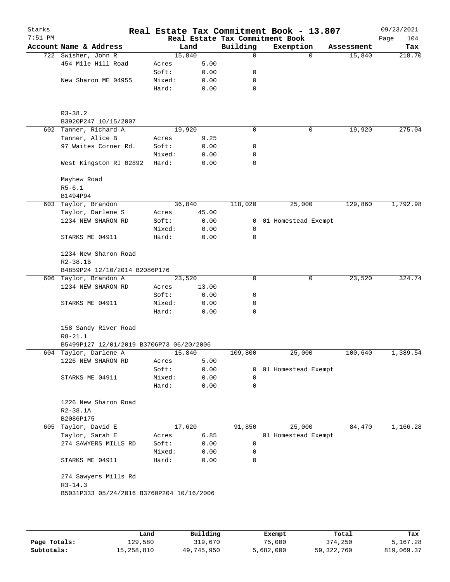| Starks<br>$7:51$ PM |                                           |                 |              |                | Real Estate Tax Commitment Book - 13.807<br>Real Estate Tax Commitment Book |            | 09/23/2021<br>104<br>Page |
|---------------------|-------------------------------------------|-----------------|--------------|----------------|-----------------------------------------------------------------------------|------------|---------------------------|
|                     | Account Name & Address                    |                 | Land         | Building       | Exemption                                                                   | Assessment | Tax                       |
|                     | 722 Swisher, John R                       |                 | 15,840       | 0              | $\Omega$                                                                    | 15,840     | 218.70                    |
|                     | 454 Mile Hill Road                        | Acres           | 5.00         |                |                                                                             |            |                           |
|                     |                                           | Soft:           | 0.00         | 0              |                                                                             |            |                           |
|                     | New Sharon ME 04955                       | Mixed:          | 0.00         | 0              |                                                                             |            |                           |
|                     |                                           | Hard:           | 0.00         | 0              |                                                                             |            |                           |
|                     | $R3 - 38.2$                               |                 |              |                |                                                                             |            |                           |
|                     | B3920P247 10/15/2007                      |                 |              |                |                                                                             |            |                           |
|                     | 602 Tanner, Richard A                     |                 | 19,920       | 0              | 0                                                                           | 19,920     | 275.04                    |
|                     | Tanner, Alice B                           | Acres           | 9.25         |                |                                                                             |            |                           |
|                     | 97 Waites Corner Rd.                      | Soft:           | 0.00         | 0              |                                                                             |            |                           |
|                     | West Kingston RI 02892                    | Mixed:<br>Hard: | 0.00<br>0.00 | 0<br>0         |                                                                             |            |                           |
|                     |                                           |                 |              |                |                                                                             |            |                           |
|                     | Mayhew Road                               |                 |              |                |                                                                             |            |                           |
|                     | $R5 - 6.1$                                |                 |              |                |                                                                             |            |                           |
|                     | B1494P94<br>603 Taylor, Brandon           |                 | 36,840       | 118,020        | 25,000                                                                      | 129,860    | 1,792.98                  |
|                     | Taylor, Darlene S                         | Acres           | 45.00        |                |                                                                             |            |                           |
|                     | 1234 NEW SHARON RD                        | Soft:           | 0.00         | $\overline{0}$ | 01 Homestead Exempt                                                         |            |                           |
|                     |                                           | Mixed:          | 0.00         | 0              |                                                                             |            |                           |
|                     | STARKS ME 04911                           | Hard:           | 0.00         | $\mathbf 0$    |                                                                             |            |                           |
|                     | 1234 New Sharon Road                      |                 |              |                |                                                                             |            |                           |
|                     | $R2 - 38.1B$                              |                 |              |                |                                                                             |            |                           |
|                     | B4859P24 12/10/2014 B2086P176             |                 |              |                |                                                                             |            |                           |
|                     | 606 Taylor, Brandon A                     |                 | 23,520       | 0              | 0                                                                           | 23,520     | 324.74                    |
|                     | 1234 NEW SHARON RD                        | Acres           | 13.00        |                |                                                                             |            |                           |
|                     |                                           | Soft:           | 0.00         | 0              |                                                                             |            |                           |
|                     | STARKS ME 04911                           | Mixed:          | 0.00         | 0              |                                                                             |            |                           |
|                     |                                           | Hard:           | 0.00         | 0              |                                                                             |            |                           |
|                     | 158 Sandy River Road<br>$R8 - 21.1$       |                 |              |                |                                                                             |            |                           |
|                     | B5499P127 12/01/2019 B3706P73 06/20/2006  |                 |              |                |                                                                             |            |                           |
|                     | 604 Taylor, Darlene A                     |                 | 15,840       | 109,800        | 25,000                                                                      | 100,640    | 1,389.54                  |
|                     | 1226 NEW SHARON RD                        | Acres           | 5.00         |                |                                                                             |            |                           |
|                     |                                           | Soft:           | 0.00         | 0              | 01 Homestead Exempt                                                         |            |                           |
|                     | STARKS ME 04911                           | Mixed:          | 0.00         | 0              |                                                                             |            |                           |
|                     |                                           | Hard:           | 0.00         | 0              |                                                                             |            |                           |
|                     | 1226 New Sharon Road                      |                 |              |                |                                                                             |            |                           |
|                     | $R2 - 38.1A$                              |                 |              |                |                                                                             |            |                           |
|                     | B2086P175                                 |                 |              |                |                                                                             |            |                           |
|                     | 605 Taylor, David E                       |                 | 17,620       | 91,850         | 25,000                                                                      | 84,470     | 1,166.28                  |
|                     | Taylor, Sarah E                           | Acres           | 6.85         |                | 01 Homestead Exempt                                                         |            |                           |
|                     | 274 SAWYERS MILLS RD                      | Soft:           | 0.00         | 0              |                                                                             |            |                           |
|                     | STARKS ME 04911                           | Mixed:<br>Hard: | 0.00<br>0.00 | 0<br>0         |                                                                             |            |                           |
|                     | 274 Sawyers Mills Rd                      |                 |              |                |                                                                             |            |                           |
|                     | $R3 - 14.3$                               |                 |              |                |                                                                             |            |                           |
|                     | B5031P333 05/24/2016 B3760P204 10/16/2006 |                 |              |                |                                                                             |            |                           |
|                     |                                           |                 |              |                |                                                                             |            |                           |
|                     |                                           |                 |              |                |                                                                             |            |                           |

|              | Land       | Building   | Exempt    | Total        | Tax        |
|--------------|------------|------------|-----------|--------------|------------|
| Page Totals: | 129,580    | 319,670    | 75,000    | 374,250      | 5,167.28   |
| Subtotals:   | 15,258,810 | 49,745,950 | 5,682,000 | 59, 322, 760 | 819,069.37 |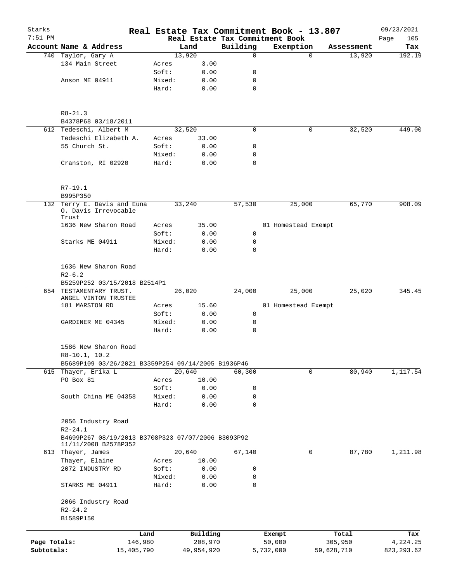| Starks       |                                                                                         |                 |                |               | Real Estate Tax Commitment Book - 13.807 |                                     | 09/23/2021    |
|--------------|-----------------------------------------------------------------------------------------|-----------------|----------------|---------------|------------------------------------------|-------------------------------------|---------------|
| $7:51$ PM    |                                                                                         |                 |                |               | Real Estate Tax Commitment Book          |                                     | Page<br>105   |
|              | Account Name & Address<br>740 Taylor, Gary A                                            |                 | Land<br>13,920 | Building<br>0 | Exemption                                | Assessment<br>$\mathbf 0$<br>13,920 | Tax<br>192.19 |
|              | 134 Main Street                                                                         | Acres           | 3.00           |               |                                          |                                     |               |
|              |                                                                                         | Soft:           | 0.00           | 0             |                                          |                                     |               |
|              | Anson ME 04911                                                                          | Mixed:          | 0.00           | 0             |                                          |                                     |               |
|              |                                                                                         | Hard:           | 0.00           | 0             |                                          |                                     |               |
|              |                                                                                         |                 |                |               |                                          |                                     |               |
|              | $R8 - 21.3$                                                                             |                 |                |               |                                          |                                     |               |
|              | B4378P68 03/18/2011                                                                     |                 |                |               |                                          |                                     |               |
|              | 612 Tedeschi, Albert M                                                                  |                 | 32,520         | 0             |                                          | 0<br>32,520                         | 449.00        |
|              | Tedeschi Elizabeth A.<br>55 Church St.                                                  | Acres<br>Soft:  | 33.00          | 0             |                                          |                                     |               |
|              |                                                                                         |                 | 0.00           |               |                                          |                                     |               |
|              | Cranston, RI 02920                                                                      | Mixed:<br>Hard: | 0.00<br>0.00   | 0<br>$\Omega$ |                                          |                                     |               |
|              | $R7-19.1$                                                                               |                 |                |               |                                          |                                     |               |
|              | B995P350                                                                                |                 |                |               |                                          |                                     |               |
|              | 132 Terry E. Davis and Euna<br>0. Davis Irrevocable<br>Trust                            |                 | 33,240         | 57,530        | 25,000                                   | 65,770                              | 908.09        |
|              | 1636 New Sharon Road                                                                    | Acres           | 35.00          |               | 01 Homestead Exempt                      |                                     |               |
|              |                                                                                         | Soft:           | 0.00           | 0             |                                          |                                     |               |
|              | Starks ME 04911                                                                         | Mixed:          | 0.00           | 0             |                                          |                                     |               |
|              |                                                                                         | Hard:           | 0.00           | 0             |                                          |                                     |               |
|              | 1636 New Sharon Road<br>$R2 - 6.2$                                                      |                 |                |               |                                          |                                     |               |
|              | B5259P252 03/15/2018 B2514P1                                                            |                 |                |               |                                          |                                     |               |
|              | 654 TESTAMENTARY TRUST.<br>ANGEL VINTON TRUSTEE                                         |                 | 26,020         | 24,000        | 25,000                                   | 25,020                              | 345.45        |
|              | 181 MARSTON RD                                                                          | Acres           | 15.60          |               | 01 Homestead Exempt                      |                                     |               |
|              |                                                                                         | Soft:           | 0.00           | 0             |                                          |                                     |               |
|              | GARDINER ME 04345                                                                       | Mixed:          | 0.00           | 0             |                                          |                                     |               |
|              |                                                                                         | Hard:           | 0.00           | 0             |                                          |                                     |               |
|              | 1586 New Sharon Road                                                                    |                 |                |               |                                          |                                     |               |
|              | R8-10.1, 10.2                                                                           |                 |                |               |                                          |                                     |               |
|              | B5689P109 03/26/2021 B3359P254 09/14/2005 B1936P46                                      |                 |                |               |                                          |                                     |               |
|              | 615 Thayer, Erika L                                                                     |                 | 20,640         | 60,300        |                                          | 80,940<br>0                         | 1,117.54      |
|              | PO Box 81                                                                               | Acres           | 10.00          |               |                                          |                                     |               |
|              |                                                                                         | Soft:           | 0.00           | 0             |                                          |                                     |               |
|              | South China ME 04358                                                                    | Mixed:          | 0.00           | 0             |                                          |                                     |               |
|              |                                                                                         | Hard:           | 0.00           | 0             |                                          |                                     |               |
|              | 2056 Industry Road<br>$R2 - 24.1$<br>B4699P267 08/19/2013 B3708P323 07/07/2006 B3093P92 |                 |                |               |                                          |                                     |               |
|              | 11/11/2008 B2578P352                                                                    |                 |                |               |                                          |                                     |               |
|              | 613 Thayer, James                                                                       |                 | 20,640         | 67,140        |                                          | 87,780<br>0                         | 1,211.98      |
|              | Thayer, Elaine                                                                          | Acres           | 10.00          |               |                                          |                                     |               |
|              | 2072 INDUSTRY RD                                                                        | Soft:           | 0.00           | 0             |                                          |                                     |               |
|              |                                                                                         | Mixed:          | 0.00           | 0             |                                          |                                     |               |
|              | STARKS ME 04911                                                                         | Hard:           | 0.00           | 0             |                                          |                                     |               |
|              | 2066 Industry Road<br>$R2 - 24.2$<br>B1589P150                                          |                 |                |               |                                          |                                     |               |
|              |                                                                                         |                 |                |               |                                          |                                     |               |
|              |                                                                                         | Land            | Building       |               | Exempt                                   | Total                               | Tax           |
| Page Totals: |                                                                                         | 146,980         | 208,970        |               | 50,000                                   | 305,950                             | 4,224.25      |
| Subtotals:   |                                                                                         | 15,405,790      | 49,954,920     |               | 5,732,000                                | 59,628,710                          | 823, 293.62   |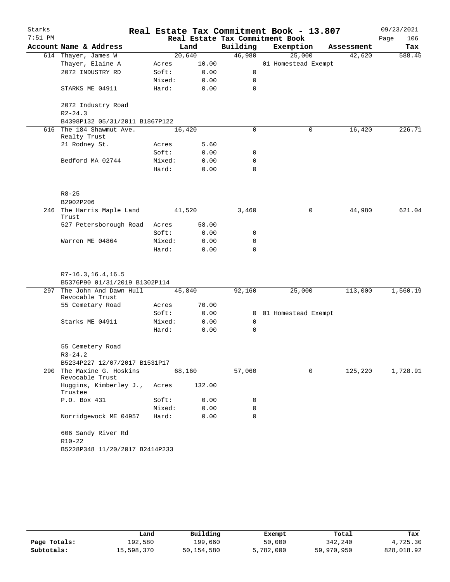| Starks<br>$7:51$ PM |                                                        |        |        |                | Real Estate Tax Commitment Book - 13.807<br>Real Estate Tax Commitment Book |   |            | 09/23/2021<br>Page<br>106 |
|---------------------|--------------------------------------------------------|--------|--------|----------------|-----------------------------------------------------------------------------|---|------------|---------------------------|
|                     | Account Name & Address                                 |        | Land   | Building       | Exemption                                                                   |   | Assessment | Tax                       |
|                     | 614 Thayer, James W                                    |        | 20,640 | 46,980         | 25,000                                                                      |   | 42,620     | 588.45                    |
|                     | Thayer, Elaine A                                       | Acres  | 10.00  |                | 01 Homestead Exempt                                                         |   |            |                           |
|                     | 2072 INDUSTRY RD                                       | Soft:  | 0.00   | 0              |                                                                             |   |            |                           |
|                     |                                                        | Mixed: | 0.00   | $\mathbf 0$    |                                                                             |   |            |                           |
|                     | STARKS ME 04911                                        | Hard:  | 0.00   | $\Omega$       |                                                                             |   |            |                           |
|                     | 2072 Industry Road<br>$R2 - 24.3$                      |        |        |                |                                                                             |   |            |                           |
|                     | B4398P132 05/31/2011 B1867P122                         |        |        |                |                                                                             |   |            |                           |
| 616                 | The 184 Shawmut Ave.<br>Realty Trust                   |        | 16,420 | 0              |                                                                             | 0 | 16,420     | 226.71                    |
|                     | 21 Rodney St.                                          | Acres  | 5.60   |                |                                                                             |   |            |                           |
|                     |                                                        | Soft:  | 0.00   | 0              |                                                                             |   |            |                           |
|                     | Bedford MA 02744                                       | Mixed: | 0.00   | 0              |                                                                             |   |            |                           |
|                     |                                                        | Hard:  | 0.00   | 0              |                                                                             |   |            |                           |
|                     | $R8 - 25$                                              |        |        |                |                                                                             |   |            |                           |
|                     | B2902P206                                              |        |        |                |                                                                             |   |            |                           |
| 246                 | The Harris Maple Land<br>Trust                         |        | 41,520 | 3,460          |                                                                             | 0 | 44,980     | 621.04                    |
|                     | 527 Petersborough Road                                 | Acres  | 58.00  |                |                                                                             |   |            |                           |
|                     |                                                        | Soft:  | 0.00   | 0              |                                                                             |   |            |                           |
|                     | Warren ME 04864                                        | Mixed: | 0.00   | 0              |                                                                             |   |            |                           |
|                     |                                                        | Hard:  | 0.00   | $\Omega$       |                                                                             |   |            |                           |
|                     | $R7-16.3, 16.4, 16.5$<br>B5376P90 01/31/2019 B1302P114 |        |        |                |                                                                             |   |            |                           |
| 297                 | The John And Dawn Hull<br>Revocable Trust              |        | 45,840 | 92,160         | 25,000                                                                      |   | 113,000    | 1,560.19                  |
|                     | 55 Cemetary Road                                       | Acres  | 70.00  |                |                                                                             |   |            |                           |
|                     |                                                        | Soft:  | 0.00   | $\overline{0}$ | 01 Homestead Exempt                                                         |   |            |                           |
|                     | Starks ME 04911                                        | Mixed: | 0.00   | 0              |                                                                             |   |            |                           |
|                     |                                                        | Hard:  | 0.00   | 0              |                                                                             |   |            |                           |
|                     | 55 Cemetery Road<br>$R3 - 24.2$                        |        |        |                |                                                                             |   |            |                           |
|                     | B5234P227 12/07/2017 B1531P17                          |        |        |                |                                                                             |   |            |                           |
|                     | 290 The Maxine G. Hoskins<br>Revocable Trust           |        | 68,160 | 57,060         |                                                                             | 0 | 125,220    | 1,728.91                  |
|                     | Huggins, Kimberley J.,<br>Trustee                      | Acres  | 132.00 |                |                                                                             |   |            |                           |
|                     | P.O. Box 431                                           | Soft:  | 0.00   | 0              |                                                                             |   |            |                           |
|                     |                                                        | Mixed: | 0.00   | 0              |                                                                             |   |            |                           |
|                     | Norridgewock ME 04957                                  | Hard:  | 0.00   | 0              |                                                                             |   |            |                           |
|                     | 606 Sandy River Rd<br>$R10-22$                         |        |        |                |                                                                             |   |            |                           |
|                     | B5228P348 11/20/2017 B2414P233                         |        |        |                |                                                                             |   |            |                           |

|              | Land       | Building   | Exempt    | Total      | Tax        |
|--------------|------------|------------|-----------|------------|------------|
| Page Totals: | 192,580    | 199,660    | 50,000    | 342,240    | 4,725.30   |
| Subtotals:   | 15,598,370 | 50,154,580 | 5,782,000 | 59,970,950 | 828,018.92 |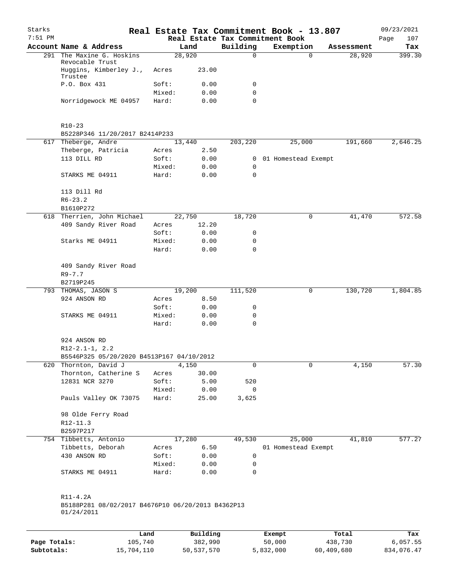| Starks<br>$7:51$ PM |                                                                    |                 |                     |              | Real Estate Tax Commitment Book - 13.807<br>Real Estate Tax Commitment Book |                  | 09/23/2021<br>Page<br>107 |
|---------------------|--------------------------------------------------------------------|-----------------|---------------------|--------------|-----------------------------------------------------------------------------|------------------|---------------------------|
|                     | Account Name & Address                                             |                 | Land                | Building     | Exemption                                                                   | Assessment       | Tax                       |
|                     | 291 The Maxine G. Hoskins                                          |                 | 28,920              | $\Omega$     | $\Omega$                                                                    | 28,920           | 399.30                    |
|                     | Revocable Trust<br>Huggins, Kimberley J.,                          | Acres           | 23.00               |              |                                                                             |                  |                           |
|                     | Trustee                                                            |                 |                     |              |                                                                             |                  |                           |
|                     | P.O. Box 431                                                       | Soft:           | 0.00                | 0            |                                                                             |                  |                           |
|                     |                                                                    | Mixed:          | 0.00                | 0            |                                                                             |                  |                           |
|                     | Norridgewock ME 04957                                              | Hard:           | 0.00                | 0            |                                                                             |                  |                           |
|                     | $R10-23$                                                           |                 |                     |              |                                                                             |                  |                           |
|                     | B5228P346 11/20/2017 B2414P233                                     |                 |                     |              |                                                                             |                  |                           |
|                     | 617 Theberge, Andre                                                |                 | 13,440              | 203,220      | 25,000                                                                      | 191,660          | 2,646.25                  |
|                     | Theberge, Patricia                                                 | Acres           | 2.50                |              |                                                                             |                  |                           |
|                     | 113 DILL RD                                                        | Soft:           | 0.00                | $\mathbf{0}$ | 01 Homestead Exempt                                                         |                  |                           |
|                     |                                                                    | Mixed:          | 0.00                | 0            |                                                                             |                  |                           |
|                     | STARKS ME 04911                                                    | Hard:           | 0.00                | $\mathbf 0$  |                                                                             |                  |                           |
|                     | 113 Dill Rd                                                        |                 |                     |              |                                                                             |                  |                           |
|                     | $R6 - 23.2$                                                        |                 |                     |              |                                                                             |                  |                           |
|                     | B1610P272                                                          |                 |                     |              |                                                                             |                  | 572.58                    |
|                     | 618 Therrien, John Michael                                         |                 | 22,750              | 18,720       | 0                                                                           | 41,470           |                           |
|                     | 409 Sandy River Road                                               | Acres           | 12.20               |              |                                                                             |                  |                           |
|                     |                                                                    | Soft:           | 0.00                | 0            |                                                                             |                  |                           |
|                     | Starks ME 04911                                                    | Mixed:          | 0.00                | 0            |                                                                             |                  |                           |
|                     |                                                                    | Hard:           | 0.00                | 0            |                                                                             |                  |                           |
|                     | 409 Sandy River Road                                               |                 |                     |              |                                                                             |                  |                           |
|                     | $R9 - 7.7$                                                         |                 |                     |              |                                                                             |                  |                           |
|                     | B2719P245                                                          |                 |                     |              |                                                                             |                  |                           |
|                     | 793 THOMAS, JASON S                                                |                 | 19,200              | 111,520      | 0                                                                           | 130,720          | 1,804.85                  |
|                     | 924 ANSON RD                                                       | Acres           | 8.50                |              |                                                                             |                  |                           |
|                     |                                                                    | Soft:           | 0.00                | 0            |                                                                             |                  |                           |
|                     | STARKS ME 04911                                                    | Mixed:          | 0.00                | 0            |                                                                             |                  |                           |
|                     |                                                                    | Hard:           | 0.00                | 0            |                                                                             |                  |                           |
|                     | 924 ANSON RD                                                       |                 |                     |              |                                                                             |                  |                           |
|                     | $R12-2.1-1, 2.2$                                                   |                 |                     |              |                                                                             |                  |                           |
|                     | B5546P325 05/20/2020 B4513P167 04/10/2012<br>620 Thornton, David J |                 | 4,150               | 0            | 0                                                                           | 4,150            | 57.30                     |
|                     | Thornton, Catherine S                                              | Acres           |                     |              |                                                                             |                  |                           |
|                     |                                                                    |                 | 30.00               |              |                                                                             |                  |                           |
|                     | 12831 NCR 3270                                                     | Soft:           | 5.00                | 520          |                                                                             |                  |                           |
|                     | Pauls Valley OK 73075                                              | Mixed:<br>Hard: | 0.00<br>25.00       | 0<br>3,625   |                                                                             |                  |                           |
|                     | 98 Olde Ferry Road                                                 |                 |                     |              |                                                                             |                  |                           |
|                     | R12-11.3                                                           |                 |                     |              |                                                                             |                  |                           |
|                     | B2597P217                                                          |                 |                     |              |                                                                             |                  |                           |
|                     | 754 Tibbetts, Antonio                                              |                 | 17,280              | 49,530       | 25,000                                                                      | 41,810           | 577.27                    |
|                     | Tibbetts, Deborah                                                  | Acres           | 6.50                |              | 01 Homestead Exempt                                                         |                  |                           |
|                     | 430 ANSON RD                                                       | Soft:           | 0.00                | 0            |                                                                             |                  |                           |
|                     |                                                                    | Mixed:          | 0.00                | 0            |                                                                             |                  |                           |
|                     | STARKS ME 04911                                                    | Hard:           | 0.00                | 0            |                                                                             |                  |                           |
|                     | R11-4.2A                                                           |                 |                     |              |                                                                             |                  |                           |
|                     | B5188P281 08/02/2017 B4676P10 06/20/2013 B4362P13<br>01/24/2011    |                 |                     |              |                                                                             |                  |                           |
|                     |                                                                    |                 |                     |              |                                                                             |                  |                           |
| Page Totals:        | 105,740                                                            | Land            | Building<br>382,990 |              | Exempt<br>50,000                                                            | Total<br>438,730 | Tax<br>6,057.55           |
|                     |                                                                    |                 |                     |              |                                                                             |                  |                           |

**Subtotals:** 15,704,110 50,537,570 5,832,000 60,409,680 834,076.47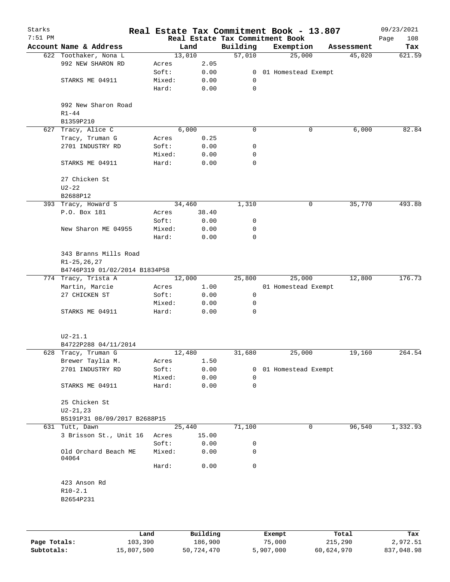| Starks    |                                             |                 |              |             | Real Estate Tax Commitment Book - 13.807     |            | 09/23/2021         |
|-----------|---------------------------------------------|-----------------|--------------|-------------|----------------------------------------------|------------|--------------------|
| $7:51$ PM | Account Name & Address                      |                 | Land         | Building    | Real Estate Tax Commitment Book<br>Exemption | Assessment | Page<br>108<br>Tax |
|           | 622 Toothaker, Nona L                       |                 | 13,010       | 57,010      | 25,000                                       | 45,020     | 621.59             |
|           | 992 NEW SHARON RD                           | Acres           | 2.05         |             |                                              |            |                    |
|           |                                             | Soft:           | 0.00         |             | 0 01 Homestead Exempt                        |            |                    |
|           | STARKS ME 04911                             | Mixed:          | 0.00         | 0           |                                              |            |                    |
|           |                                             | Hard:           | 0.00         | 0           |                                              |            |                    |
|           | 992 New Sharon Road<br>$R1 - 44$            |                 |              |             |                                              |            |                    |
|           | B1359P210                                   |                 |              |             |                                              |            |                    |
| 627       | Tracy, Alice C                              |                 | 6,000        | $\mathbf 0$ | 0                                            | 6,000      | 82.84              |
|           | Tracy, Truman G                             | Acres           | 0.25         |             |                                              |            |                    |
|           | 2701 INDUSTRY RD                            | Soft:           | 0.00         | 0           |                                              |            |                    |
|           |                                             | Mixed:          | 0.00         | 0           |                                              |            |                    |
|           | STARKS ME 04911                             | Hard:           | 0.00         | 0           |                                              |            |                    |
|           | 27 Chicken St                               |                 |              |             |                                              |            |                    |
|           | $U2 - 22$                                   |                 |              |             |                                              |            |                    |
|           | B2688P12                                    |                 |              |             |                                              |            |                    |
|           | 393 Tracy, Howard S                         |                 | 34,460       | 1,310       | 0                                            | 35,770     | 493.88             |
|           | P.O. Box 181                                | Acres           | 38.40        |             |                                              |            |                    |
|           |                                             | Soft:           | 0.00         | 0           |                                              |            |                    |
|           | New Sharon ME 04955                         | Mixed:          | 0.00         | 0           |                                              |            |                    |
|           |                                             | Hard:           | 0.00         | 0           |                                              |            |                    |
|           | 343 Branns Mills Road<br>$R1 - 25, 26, 27$  |                 |              |             |                                              |            |                    |
|           | B4746P319 01/02/2014 B1834P58               |                 |              |             |                                              |            |                    |
|           | 774 Tracy, Trista A                         |                 | 12,000       | 25,800      | 25,000                                       | 12,800     | 176.73             |
|           | Martin, Marcie                              | Acres           | 1.00         |             | 01 Homestead Exempt                          |            |                    |
|           | 27 CHICKEN ST                               | Soft:           | 0.00         | 0           |                                              |            |                    |
|           | STARKS ME 04911                             | Mixed:<br>Hard: | 0.00<br>0.00 | 0<br>0      |                                              |            |                    |
|           |                                             |                 |              |             |                                              |            |                    |
|           | $U2 - 21.1$                                 |                 |              |             |                                              |            |                    |
|           | B4722P288 04/11/2014<br>628 Tracy, Truman G |                 | 12,480       |             |                                              |            |                    |
|           | Brewer Taylia M.                            |                 | 1.50         | 31,680      | 25,000                                       | 19,160     | 264.54             |
|           | 2701 INDUSTRY RD                            | Acres<br>Soft:  | 0.00         | 0           | 01 Homestead Exempt                          |            |                    |
|           |                                             | Mixed:          | 0.00         | 0           |                                              |            |                    |
|           | STARKS ME 04911                             | Hard:           | 0.00         | 0           |                                              |            |                    |
|           |                                             |                 |              |             |                                              |            |                    |
|           | 25 Chicken St<br>$U2 - 21, 23$              |                 |              |             |                                              |            |                    |
|           | B5191P31 08/09/2017 B2688P15                |                 |              |             |                                              |            |                    |
|           | 631 Tutt, Dawn                              |                 | 25,440       | 71,100      | 0                                            | 96,540     | 1,332.93           |
|           | 3 Brisson St., Unit 16                      | Acres           | 15.00        |             |                                              |            |                    |
|           |                                             | Soft:           | 0.00         | 0           |                                              |            |                    |
|           | Old Orchard Beach ME<br>04064               | Mixed:          | 0.00         | 0           |                                              |            |                    |
|           |                                             | Hard:           | 0.00         | 0           |                                              |            |                    |
|           | 423 Anson Rd                                |                 |              |             |                                              |            |                    |
|           | $R10-2.1$                                   |                 |              |             |                                              |            |                    |
|           | B2654P231                                   |                 |              |             |                                              |            |                    |
|           |                                             |                 |              |             |                                              |            |                    |
|           |                                             | Land            | Building     |             | Exempt                                       | Total      | Tax                |

|              | Land       | Building   | Exempt    | Total      | Tax        |
|--------------|------------|------------|-----------|------------|------------|
| Page Totals: | 103,390    | 186,900    | 75,000    | 215,290    | 2,972.51   |
| Subtotals:   | 15,807,500 | 50,724,470 | 5,907,000 | 60,624,970 | 837,048.98 |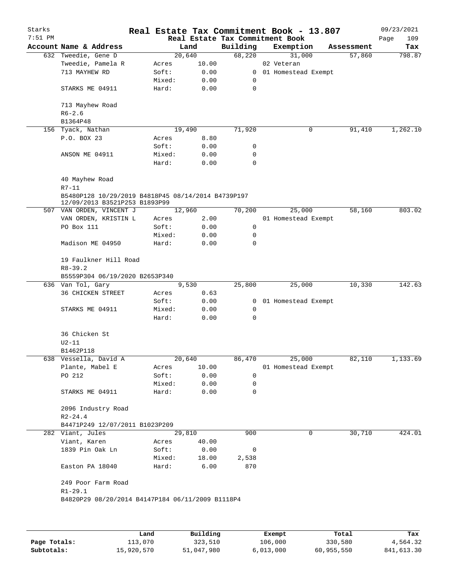| Starks    |                                                                                     |        |                |                                 | Real Estate Tax Commitment Book - 13.807 |                      | 09/23/2021         |
|-----------|-------------------------------------------------------------------------------------|--------|----------------|---------------------------------|------------------------------------------|----------------------|--------------------|
| $7:51$ PM | Account Name & Address                                                              |        |                | Real Estate Tax Commitment Book |                                          |                      | 109<br>Page<br>Tax |
|           | 632 Tweedie, Gene D                                                                 |        | Land<br>20,640 | Building<br>68,220              | Exemption<br>31,000                      | Assessment<br>57,860 | 798.87             |
|           | Tweedie, Pamela R                                                                   | Acres  | 10.00          |                                 | 02 Veteran                               |                      |                    |
|           | 713 MAYHEW RD                                                                       | Soft:  | 0.00           |                                 | 0 01 Homestead Exempt                    |                      |                    |
|           |                                                                                     | Mixed: | 0.00           | 0                               |                                          |                      |                    |
|           | STARKS ME 04911                                                                     | Hard:  | 0.00           | 0                               |                                          |                      |                    |
|           | 713 Mayhew Road                                                                     |        |                |                                 |                                          |                      |                    |
|           | $R6 - 2.6$                                                                          |        |                |                                 |                                          |                      |                    |
|           | B1364P48                                                                            |        |                |                                 |                                          |                      |                    |
|           | 156 Tyack, Nathan                                                                   |        | 19,490         | 71,920                          | 0                                        | 91,410               | 1,262.10           |
|           | P.O. BOX 23                                                                         | Acres  | 8.80           |                                 |                                          |                      |                    |
|           |                                                                                     | Soft:  | 0.00           | 0                               |                                          |                      |                    |
|           | ANSON ME 04911                                                                      | Mixed: | 0.00           | 0                               |                                          |                      |                    |
|           |                                                                                     | Hard:  | 0.00           | 0                               |                                          |                      |                    |
|           | 40 Mayhew Road                                                                      |        |                |                                 |                                          |                      |                    |
|           | $R7 - 11$                                                                           |        |                |                                 |                                          |                      |                    |
|           | B5480P128 10/29/2019 B4818P45 08/14/2014 B4739P197<br>12/09/2013 B3521P253 B1893P99 |        |                |                                 |                                          |                      |                    |
|           | 507 VAN ORDEN, VINCENT J                                                            |        | 12,960         | 70,200                          | 25,000                                   | 58,160               | 803.02             |
|           | VAN ORDEN, KRISTIN L                                                                | Acres  | 2.00           |                                 | 01 Homestead Exempt                      |                      |                    |
|           | PO Box 111                                                                          | Soft:  | 0.00           | 0                               |                                          |                      |                    |
|           |                                                                                     | Mixed: | 0.00           | 0                               |                                          |                      |                    |
|           | Madison ME 04950                                                                    | Hard:  | 0.00           | 0                               |                                          |                      |                    |
|           | 19 Faulkner Hill Road<br>$R8 - 39.2$                                                |        |                |                                 |                                          |                      |                    |
|           | B5559P304 06/19/2020 B2653P340                                                      |        |                |                                 |                                          |                      |                    |
|           | 636 Van Tol, Gary                                                                   |        | 9,530          | 25,800                          | 25,000                                   | 10,330               | 142.63             |
|           | <b>36 CHICKEN STREET</b>                                                            | Acres  | 0.63           |                                 |                                          |                      |                    |
|           |                                                                                     | Soft:  | 0.00           |                                 | 0 01 Homestead Exempt                    |                      |                    |
|           | STARKS ME 04911                                                                     | Mixed: | 0.00           | 0                               |                                          |                      |                    |
|           |                                                                                     | Hard:  | 0.00           | 0                               |                                          |                      |                    |
|           | 36 Chicken St                                                                       |        |                |                                 |                                          |                      |                    |
|           | U2-11                                                                               |        |                |                                 |                                          |                      |                    |
|           | B1462P118                                                                           |        |                |                                 |                                          |                      |                    |
|           | 638 Vessella, David A                                                               |        | 20,640         | 86,470                          | 25,000                                   | 82,110               | 1,133.69           |
|           | Plante, Mabel E                                                                     | Acres  | 10.00          |                                 | 01 Homestead Exempt                      |                      |                    |
|           | PO 212                                                                              | Soft:  | 0.00           | 0                               |                                          |                      |                    |
|           |                                                                                     | Mixed: | 0.00           | 0                               |                                          |                      |                    |
|           | STARKS ME 04911                                                                     | Hard:  | 0.00           | 0                               |                                          |                      |                    |
|           | 2096 Industry Road                                                                  |        |                |                                 |                                          |                      |                    |
|           | $R2 - 24.4$                                                                         |        |                |                                 |                                          |                      |                    |
|           | B4471P249 12/07/2011 B1023P209                                                      |        |                |                                 |                                          |                      |                    |
|           | 282 Viant, Jules                                                                    |        | 29,810         | 900                             | 0                                        | 30,710               | 424.01             |
|           | Viant, Karen                                                                        | Acres  | 40.00          |                                 |                                          |                      |                    |
|           | 1839 Pin Oak Ln                                                                     | Soft:  | 0.00           | 0                               |                                          |                      |                    |
|           |                                                                                     | Mixed: | 18.00          | 2,538                           |                                          |                      |                    |
|           | Easton PA 18040                                                                     | Hard:  | 6.00           | 870                             |                                          |                      |                    |
|           | 249 Poor Farm Road<br>$R1 - 29.1$                                                   |        |                |                                 |                                          |                      |                    |
|           | B4820P29 08/20/2014 B4147P184 06/11/2009 B1118P4                                    |        |                |                                 |                                          |                      |                    |
|           |                                                                                     |        |                |                                 |                                          |                      |                    |

|              | Land       | Building   | Exempt    | Total      | Tax        |
|--------------|------------|------------|-----------|------------|------------|
| Page Totals: | 113,070    | 323,510    | 106,000   | 330,580    | 4,564.32   |
| Subtotals:   | 15,920,570 | 51,047,980 | 6,013,000 | 60,955,550 | 841,613.30 |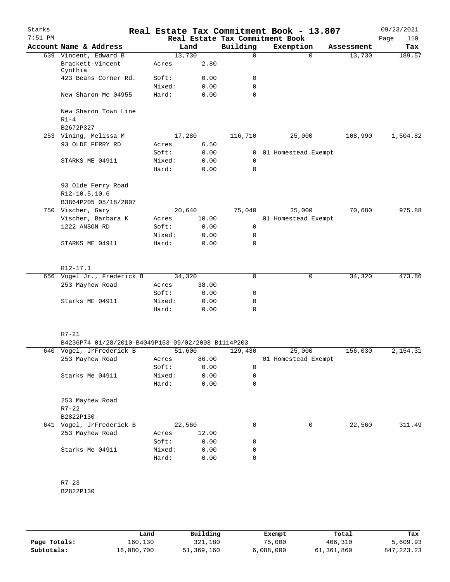| Starks    |                                                             |                 |              |                                 | Real Estate Tax Commitment Book - 13.807 |            | 09/23/2021  |
|-----------|-------------------------------------------------------------|-----------------|--------------|---------------------------------|------------------------------------------|------------|-------------|
| $7:51$ PM |                                                             |                 |              | Real Estate Tax Commitment Book |                                          |            | Page<br>110 |
|           | Account Name & Address                                      |                 | Land         | Building                        | Exemption                                | Assessment | Tax         |
|           | 639 Vincent, Edward B                                       | 13,730          |              | $\Omega$                        | $\Omega$                                 | 13,730     | 189.57      |
|           | Brackett-Vincent<br>Cynthia                                 | Acres           | 2.80         |                                 |                                          |            |             |
|           | 423 Beans Corner Rd.                                        | Soft:           | 0.00         | 0                               |                                          |            |             |
|           |                                                             | Mixed:          | 0.00         | 0                               |                                          |            |             |
|           | New Sharon Me 04955                                         | Hard:           | 0.00         | $\mathbf 0$                     |                                          |            |             |
|           | New Sharon Town Line<br>$R1-4$                              |                 |              |                                 |                                          |            |             |
|           | B2672P327                                                   |                 |              |                                 |                                          |            |             |
|           | 253 Vining, Melissa M                                       | 17,280          |              | 116,710                         | 25,000                                   | 108,990    | 1,504.82    |
|           | 93 OLDE FERRY RD                                            | Acres           | 6.50         |                                 |                                          |            |             |
|           |                                                             | Soft:           | 0.00         | $\mathbf{0}$                    | 01 Homestead Exempt                      |            |             |
|           | STARKS ME 04911                                             | Mixed:<br>Hard: | 0.00<br>0.00 | $\mathbf 0$<br>$\mathbf 0$      |                                          |            |             |
|           | 93 Olde Ferry Road<br>R12-10.5,10.6<br>B3864P205 05/18/2007 |                 |              |                                 |                                          |            |             |
|           | 750 Vischer, Gary                                           | 20,640          |              | 75,040                          | 25,000                                   | 70,680     | 975.88      |
|           | Vischer, Barbara K                                          | Acres           | 10.00        |                                 | 01 Homestead Exempt                      |            |             |
|           | 1222 ANSON RD                                               | Soft:           | 0.00         | $\mathsf{O}$                    |                                          |            |             |
|           |                                                             | Mixed:          | 0.00         | 0                               |                                          |            |             |
|           | STARKS ME 04911                                             | Hard:           | 0.00         | $\mathbf 0$                     |                                          |            |             |
|           | R12-17.1                                                    |                 |              |                                 |                                          |            |             |
|           | 656 Vogel Jr., Frederick B                                  | 34,320          |              | $\mathbf 0$                     | 0                                        | 34,320     | 473.86      |
|           | 253 Mayhew Road                                             | Acres           | 38.00        |                                 |                                          |            |             |
|           |                                                             | Soft:           | 0.00         | 0                               |                                          |            |             |
|           | Starks ME 04911                                             | Mixed:          | 0.00         | 0                               |                                          |            |             |
|           |                                                             | Hard:           | 0.00         | 0                               |                                          |            |             |
|           | $R7 - 21$                                                   |                 |              |                                 |                                          |            |             |
|           | B4236P74 01/28/2010 B4049P163 09/02/2008 B1114P203          |                 |              |                                 |                                          |            |             |
|           | 640 Vogel, JrFrederick B                                    | 51,600          |              | 129,430                         | 25,000                                   | 156,030    | 2,154.31    |
|           | 253 Mayhew Road                                             | Acres           | 86.00        |                                 | 01 Homestead Exempt                      |            |             |
|           |                                                             | Soft:           | 0.00         | 0                               |                                          |            |             |
|           | Starks Me 04911                                             | Mixed:          | 0.00         | 0                               |                                          |            |             |
|           |                                                             | Hard:           | 0.00         | 0                               |                                          |            |             |
|           | 253 Mayhew Road                                             |                 |              |                                 |                                          |            |             |
|           | $R7 - 22$                                                   |                 |              |                                 |                                          |            |             |
|           | B2822P130                                                   |                 |              |                                 |                                          |            |             |
| 641       | Vogel, JrFrederick B                                        | 22,560          |              | 0                               | 0                                        | 22,560     | 311.49      |
|           | 253 Mayhew Road                                             | Acres           | 12.00        |                                 |                                          |            |             |
|           |                                                             | Soft:           | 0.00         | 0                               |                                          |            |             |
|           | Starks Me 04911                                             | Mixed:          | 0.00         | 0                               |                                          |            |             |
|           |                                                             | Hard:           | 0.00         | $\mathbf 0$                     |                                          |            |             |
|           | $R7 - 23$                                                   |                 |              |                                 |                                          |            |             |
|           | B2822P130                                                   |                 |              |                                 |                                          |            |             |
|           |                                                             |                 |              |                                 |                                          |            |             |

|              | Land       | Building   | Exempt    | Total      | Tax          |
|--------------|------------|------------|-----------|------------|--------------|
| Page Totals: | 160,130    | 321,180    | 75,000    | 406,310    | 5,609.93     |
| Subtotals:   | 16,080,700 | 51,369,160 | 6,088,000 | 61,361,860 | 847, 223, 23 |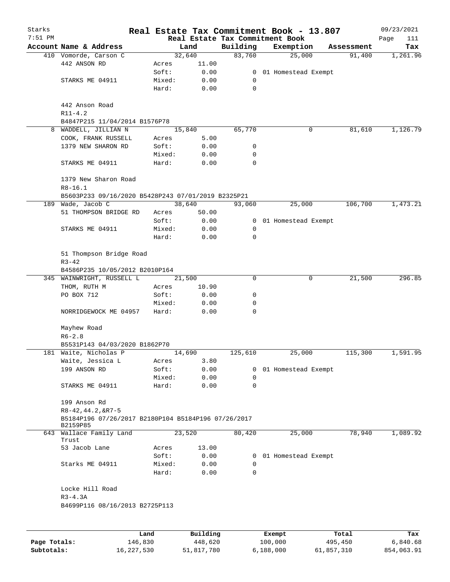| Starks<br>$7:51$ PM |                                                                 |        |          |             | Real Estate Tax Commitment Book - 13.807<br>Real Estate Tax Commitment Book |            | 09/23/2021<br>Page<br>111 |
|---------------------|-----------------------------------------------------------------|--------|----------|-------------|-----------------------------------------------------------------------------|------------|---------------------------|
|                     | Account Name & Address                                          |        | Land     | Building    | Exemption                                                                   | Assessment | Tax                       |
|                     | 410 Vomorde, Carson C                                           |        | 32,640   | 83,760      | 25,000                                                                      | 91,400     | 1,261.96                  |
|                     | 442 ANSON RD                                                    | Acres  | 11.00    |             |                                                                             |            |                           |
|                     |                                                                 | Soft:  | 0.00     |             | 0 01 Homestead Exempt                                                       |            |                           |
|                     | STARKS ME 04911                                                 | Mixed: | 0.00     | 0           |                                                                             |            |                           |
|                     |                                                                 | Hard:  | 0.00     | $\mathbf 0$ |                                                                             |            |                           |
|                     | 442 Anson Road                                                  |        |          |             |                                                                             |            |                           |
|                     | $R11 - 4.2$                                                     |        |          |             |                                                                             |            |                           |
|                     | B4847P215 11/04/2014 B1576P78                                   |        |          | 65,770      | 0                                                                           |            | 1,126.79                  |
| 8                   | WADDELL, JILLIAN N                                              |        | 15,840   |             |                                                                             | 81,610     |                           |
|                     | COOK, FRANK RUSSELL                                             | Acres  | 5.00     |             |                                                                             |            |                           |
|                     | 1379 NEW SHARON RD                                              | Soft:  | 0.00     | 0           |                                                                             |            |                           |
|                     |                                                                 | Mixed: | 0.00     | 0           |                                                                             |            |                           |
|                     | STARKS ME 04911                                                 | Hard:  | 0.00     | $\Omega$    |                                                                             |            |                           |
|                     | 1379 New Sharon Road<br>$R8 - 16.1$                             |        |          |             |                                                                             |            |                           |
|                     | B5603P233 09/16/2020 B5428P243 07/01/2019 B2325P21              |        |          |             |                                                                             |            |                           |
|                     | 189 Wade, Jacob C                                               |        | 38,640   | 93,060      | 25,000                                                                      | 106,700    | 1,473.21                  |
|                     | 51 THOMPSON BRIDGE RD                                           | Acres  | 50.00    |             |                                                                             |            |                           |
|                     |                                                                 | Soft:  | 0.00     |             | 0 01 Homestead Exempt                                                       |            |                           |
|                     | STARKS ME 04911                                                 | Mixed: | 0.00     | 0           |                                                                             |            |                           |
|                     |                                                                 | Hard:  | 0.00     | 0           |                                                                             |            |                           |
|                     | 51 Thompson Bridge Road<br>$R3 - 42$                            |        |          |             |                                                                             |            |                           |
|                     | B4586P235 10/05/2012 B2010P164                                  |        |          |             |                                                                             |            |                           |
|                     | 345 WAINWRIGHT, RUSSELL L                                       |        | 21,500   | 0           | 0                                                                           | 21,500     | 296.85                    |
|                     | THOM, RUTH M                                                    | Acres  | 10.90    |             |                                                                             |            |                           |
|                     | PO BOX 712                                                      | Soft:  | 0.00     | 0           |                                                                             |            |                           |
|                     |                                                                 | Mixed: | 0.00     | 0           |                                                                             |            |                           |
|                     | NORRIDGEWOCK ME 04957                                           | Hard:  | 0.00     | 0           |                                                                             |            |                           |
|                     | Mayhew Road                                                     |        |          |             |                                                                             |            |                           |
|                     | $R6 - 2.8$                                                      |        |          |             |                                                                             |            |                           |
|                     | B5531P143 04/03/2020 B1862P70                                   |        |          |             |                                                                             |            |                           |
|                     | 181 Waite, Nicholas P                                           |        | 14,690   | 125,610     | 25,000                                                                      | 115,300    | 1,591.95                  |
|                     | Waite, Jessica L                                                | Acres  | 3.80     |             |                                                                             |            |                           |
|                     | 199 ANSON RD                                                    | Soft:  | 0.00     | 0           | 01 Homestead Exempt                                                         |            |                           |
|                     |                                                                 | Mixed: | 0.00     | 0           |                                                                             |            |                           |
|                     | STARKS ME 04911                                                 | Hard:  | 0.00     | 0           |                                                                             |            |                           |
|                     | 199 Anson Rd<br>$R8 - 42, 44.2, 6R7 - 5$                        |        |          |             |                                                                             |            |                           |
|                     | B5184P196 07/26/2017 B2180P104 B5184P196 07/26/2017<br>B2159P85 |        |          |             |                                                                             |            |                           |
|                     | 643 Wallace Family Land<br>Trust                                |        | 23,520   | 80,420      | 25,000                                                                      | 78,940     | 1,089.92                  |
|                     | 53 Jacob Lane                                                   | Acres  | 13.00    |             |                                                                             |            |                           |
|                     |                                                                 | Soft:  | 0.00     | 0           | 01 Homestead Exempt                                                         |            |                           |
|                     | Starks ME 04911                                                 | Mixed: | 0.00     | 0           |                                                                             |            |                           |
|                     |                                                                 | Hard:  | 0.00     | 0           |                                                                             |            |                           |
|                     | Locke Hill Road                                                 |        |          |             |                                                                             |            |                           |
|                     | $R3 - 4.3A$<br>B4699P116 08/16/2013 B2725P113                   |        |          |             |                                                                             |            |                           |
|                     |                                                                 |        |          |             |                                                                             |            |                           |
|                     |                                                                 | Land   | Building |             | Exempt                                                                      | Total      | Tax                       |

|              | nand L     | Building   | Exempt    | Total      | тах        |
|--------------|------------|------------|-----------|------------|------------|
| Page Totals: | 146,830    | 448,620    | 100,000   | 495,450    | 6,840.68   |
| Subtotals:   | 16,227,530 | 51,817,780 | 6,188,000 | 61,857,310 | 854,063.91 |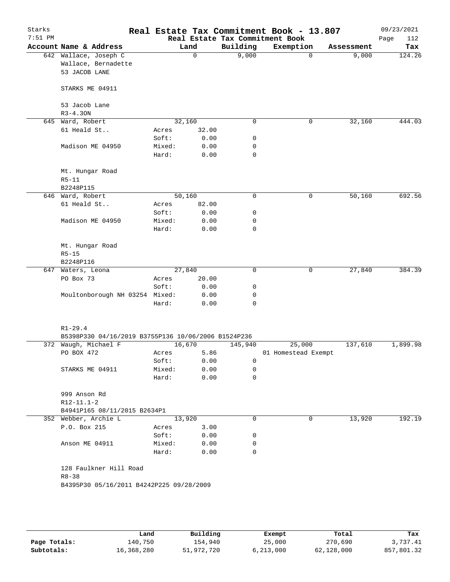| Starks<br>$7:51$ PM |                                                     |  |                 |              |             | Real Estate Tax Commitment Book - 13.807<br>Real Estate Tax Commitment Book |             |            | 09/23/2021         |
|---------------------|-----------------------------------------------------|--|-----------------|--------------|-------------|-----------------------------------------------------------------------------|-------------|------------|--------------------|
|                     | Account Name & Address                              |  |                 | Land         | Building    | Exemption                                                                   |             | Assessment | Page<br>112<br>Tax |
|                     | 642 Wallace, Joseph C                               |  |                 | $\Omega$     | 9,000       |                                                                             | $\mathbf 0$ | 9,000      | 124.26             |
|                     | Wallace, Bernadette                                 |  |                 |              |             |                                                                             |             |            |                    |
|                     | 53 JACOB LANE                                       |  |                 |              |             |                                                                             |             |            |                    |
|                     | STARKS ME 04911                                     |  |                 |              |             |                                                                             |             |            |                    |
|                     | 53 Jacob Lane<br>$R3 - 4.30N$                       |  |                 |              |             |                                                                             |             |            |                    |
|                     | 645 Ward, Robert                                    |  |                 | 32,160       | 0           |                                                                             | 0           | 32,160     | 444.03             |
|                     | 61 Heald St                                         |  | Acres           | 32.00        |             |                                                                             |             |            |                    |
|                     |                                                     |  | Soft:           | 0.00         | 0           |                                                                             |             |            |                    |
|                     |                                                     |  |                 |              | 0           |                                                                             |             |            |                    |
|                     | Madison ME 04950                                    |  | Mixed:<br>Hard: | 0.00<br>0.00 | 0           |                                                                             |             |            |                    |
|                     |                                                     |  |                 |              |             |                                                                             |             |            |                    |
|                     | Mt. Hungar Road                                     |  |                 |              |             |                                                                             |             |            |                    |
|                     | $R5 - 11$                                           |  |                 |              |             |                                                                             |             |            |                    |
|                     | B2248P115                                           |  |                 |              |             |                                                                             |             |            |                    |
|                     | 646 Ward, Robert                                    |  |                 | 50,160       | 0           |                                                                             | 0           | 50,160     | 692.56             |
|                     | 61 Heald St                                         |  | Acres           | 82.00        |             |                                                                             |             |            |                    |
|                     |                                                     |  | Soft:           | 0.00         | 0           |                                                                             |             |            |                    |
|                     | Madison ME 04950                                    |  | Mixed:          | 0.00         | 0           |                                                                             |             |            |                    |
|                     |                                                     |  | Hard:           | 0.00         | 0           |                                                                             |             |            |                    |
|                     |                                                     |  |                 |              |             |                                                                             |             |            |                    |
|                     | Mt. Hungar Road                                     |  |                 |              |             |                                                                             |             |            |                    |
|                     | $R5 - 15$                                           |  |                 |              |             |                                                                             |             |            |                    |
|                     | B2248P116                                           |  |                 |              |             |                                                                             |             |            |                    |
|                     | 647 Waters, Leona                                   |  |                 | 27,840       | $\mathbf 0$ |                                                                             | $\mathbf 0$ | 27,840     | 384.39             |
|                     | PO Box 73                                           |  | Acres           | 20.00        |             |                                                                             |             |            |                    |
|                     |                                                     |  | Soft:           | 0.00         | 0           |                                                                             |             |            |                    |
|                     | Moultonborough NH 03254 Mixed:                      |  |                 | 0.00         | 0           |                                                                             |             |            |                    |
|                     |                                                     |  | Hard:           | 0.00         | 0           |                                                                             |             |            |                    |
|                     | $R1 - 29.4$                                         |  |                 |              |             |                                                                             |             |            |                    |
|                     | B5398P330 04/16/2019 B3755P136 10/06/2006 B1524P236 |  |                 |              |             |                                                                             |             |            |                    |
|                     | 372 Waugh, Michael F                                |  |                 | 16,670       | 145,940     | 25,000                                                                      |             | 137,610    | 1,899.98           |
|                     | PO BOX 472                                          |  | Acres           | 5.86         |             | 01 Homestead Exempt                                                         |             |            |                    |
|                     |                                                     |  | Soft:           | 0.00         | 0           |                                                                             |             |            |                    |
|                     |                                                     |  |                 |              |             |                                                                             |             |            |                    |
|                     | STARKS ME 04911                                     |  | Mixed:<br>Hard: | 0.00<br>0.00 | 0<br>0      |                                                                             |             |            |                    |
|                     |                                                     |  |                 |              |             |                                                                             |             |            |                    |
|                     | 999 Anson Rd                                        |  |                 |              |             |                                                                             |             |            |                    |
|                     | $R12 - 11.1 - 2$                                    |  |                 |              |             |                                                                             |             |            |                    |
|                     | B4941P165 08/11/2015 B2634P1                        |  |                 |              |             |                                                                             |             |            |                    |
|                     | 352 Webber, Archie L                                |  |                 | 13,920       | 0           |                                                                             | 0           | 13,920     | 192.19             |
|                     | P.O. Box 215                                        |  | Acres           | 3.00         |             |                                                                             |             |            |                    |
|                     |                                                     |  | Soft:           | 0.00         | 0           |                                                                             |             |            |                    |
|                     | Anson ME 04911                                      |  | Mixed:          | 0.00         | 0           |                                                                             |             |            |                    |
|                     |                                                     |  | Hard:           | 0.00         | 0           |                                                                             |             |            |                    |
|                     | 128 Faulkner Hill Road                              |  |                 |              |             |                                                                             |             |            |                    |
|                     | $R8 - 38$                                           |  |                 |              |             |                                                                             |             |            |                    |
|                     | B4395P30 05/16/2011 B4242P225 09/28/2009            |  |                 |              |             |                                                                             |             |            |                    |
|                     |                                                     |  |                 |              |             |                                                                             |             |            |                    |
|                     |                                                     |  |                 |              |             |                                                                             |             |            |                    |
|                     |                                                     |  |                 |              |             |                                                                             |             |            |                    |

|              | Land       | Building   | Exempt    | Total      | Tax        |
|--------------|------------|------------|-----------|------------|------------|
| Page Totals: | 140,750    | 154,940    | 25,000    | 270,690    | 3,737.41   |
| Subtotals:   | 16,368,280 | 51,972,720 | 6,213,000 | 62,128,000 | 857,801.32 |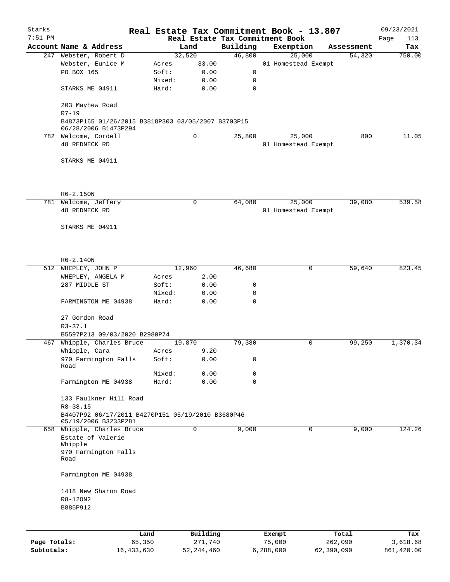| Starks       |                                                                            |                 |                |                                 | Real Estate Tax Commitment Book - 13.807 |            | 09/23/2021  |
|--------------|----------------------------------------------------------------------------|-----------------|----------------|---------------------------------|------------------------------------------|------------|-------------|
| $7:51$ PM    |                                                                            |                 |                | Real Estate Tax Commitment Book |                                          |            | Page<br>113 |
|              | Account Name & Address                                                     |                 | Land           | Building                        | Exemption                                | Assessment | Tax         |
|              | 247 Webster, Robert D                                                      |                 | 32,520         | 46,800                          | 25,000                                   | 54,320     | 750.00      |
|              | Webster, Eunice M                                                          | Acres           | 33.00          |                                 | 01 Homestead Exempt                      |            |             |
|              | PO BOX 165                                                                 | Soft:           | 0.00           | 0                               |                                          |            |             |
|              |                                                                            | Mixed:          | 0.00           | 0                               |                                          |            |             |
|              | STARKS ME 04911                                                            | Hard:           | 0.00           | 0                               |                                          |            |             |
|              | 203 Mayhew Road<br>$R7 - 19$                                               |                 |                |                                 |                                          |            |             |
|              | B4873P165 01/26/2015 B3818P303 03/05/2007 B3703P15<br>06/28/2006 B1473P294 |                 |                |                                 |                                          |            |             |
|              | 782 Welcome, Cordell                                                       |                 | $\mathbf 0$    | 25,800                          | 25,000                                   | 800        | 11.05       |
|              | 48 REDNECK RD                                                              |                 |                |                                 | 01 Homestead Exempt                      |            |             |
|              | STARKS ME 04911                                                            |                 |                |                                 |                                          |            |             |
|              |                                                                            |                 |                |                                 |                                          |            |             |
|              | R6-2.15ON                                                                  |                 |                |                                 |                                          |            |             |
|              | 781 Welcome, Jeffery                                                       |                 | 0              | 64,080                          | 25,000                                   | 39,080     | 539.58      |
|              | <b>48 REDNECK RD</b>                                                       |                 |                |                                 | 01 Homestead Exempt                      |            |             |
|              | STARKS ME 04911                                                            |                 |                |                                 |                                          |            |             |
|              |                                                                            |                 |                |                                 |                                          |            |             |
|              | $R6 - 2.14$ ON                                                             |                 |                |                                 |                                          |            |             |
|              | 512 WHEPLEY, JOHN P                                                        |                 | 12,960         | 46,680                          | 0                                        | 59,640     | 823.45      |
|              | WHEPLEY, ANGELA M                                                          | Acres           | 2.00           |                                 |                                          |            |             |
|              | 287 MIDDLE ST                                                              | Soft:           | 0.00           | 0                               |                                          |            |             |
|              | FARMINGTON ME 04938                                                        | Mixed:<br>Hard: | 0.00<br>0.00   | 0<br>$\mathbf 0$                |                                          |            |             |
|              |                                                                            |                 |                |                                 |                                          |            |             |
|              | 27 Gordon Road<br>$R3 - 37.1$                                              |                 |                |                                 |                                          |            |             |
|              | B5597P213 09/03/2020 B2980P74                                              |                 |                |                                 |                                          |            |             |
|              | 467 Whipple, Charles Bruce                                                 |                 | 19,870         | 79,380                          | 0                                        | 99,250     | 1,370.34    |
|              | Whipple, Cara                                                              | Acres           | 9.20           |                                 |                                          |            |             |
|              | 970 Farmington Falls                                                       | Soft:           | 0.00           | 0                               |                                          |            |             |
|              | Road                                                                       |                 |                |                                 |                                          |            |             |
|              | Farmington ME 04938                                                        | Mixed:<br>Hard: | 0.00<br>0.00   | 0<br>$\mathbf 0$                |                                          |            |             |
|              |                                                                            |                 |                |                                 |                                          |            |             |
|              | 133 Faulkner Hill Road                                                     |                 |                |                                 |                                          |            |             |
|              | $R8 - 38.15$                                                               |                 |                |                                 |                                          |            |             |
|              | B4407P92 06/17/2011 B4270P151 05/19/2010 B3680P46<br>05/19/2006 B3233P281  |                 |                |                                 |                                          |            |             |
|              | 658 Whipple, Charles Bruce                                                 |                 | $\overline{0}$ | 9,000                           | 0                                        | 9,000      | 124.26      |
|              | Estate of Valerie                                                          |                 |                |                                 |                                          |            |             |
|              | Whipple                                                                    |                 |                |                                 |                                          |            |             |
|              | 970 Farmington Falls<br>Road                                               |                 |                |                                 |                                          |            |             |
|              | Farmington ME 04938                                                        |                 |                |                                 |                                          |            |             |
|              | 1418 New Sharon Road                                                       |                 |                |                                 |                                          |            |             |
|              | R8-120N2                                                                   |                 |                |                                 |                                          |            |             |
|              | B885P912                                                                   |                 |                |                                 |                                          |            |             |
|              |                                                                            |                 |                |                                 |                                          |            |             |
|              |                                                                            | Land            | Building       |                                 | Exempt                                   | Total      | Tax         |
| Page Totals: | 65,350                                                                     |                 | 271,740        |                                 | 75,000                                   | 262,090    | 3,618.68    |

**Subtotals:** 16,433,630 52,244,460 6,288,000 62,390,090 861,420.00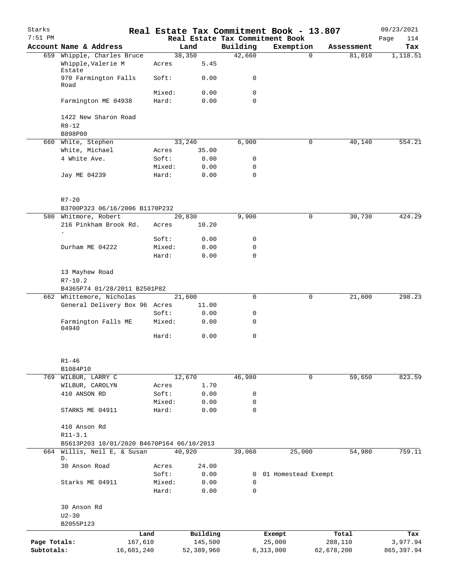| Starks<br>7:51 PM |                                                  |                 |                |                         | Real Estate Tax Commitment Book - 13.807<br>Real Estate Tax Commitment Book |            | 09/23/2021<br>Page<br>114 |
|-------------------|--------------------------------------------------|-----------------|----------------|-------------------------|-----------------------------------------------------------------------------|------------|---------------------------|
|                   | Account Name & Address                           |                 | Land           | Building                | Exemption                                                                   | Assessment | Tax                       |
|                   | 659 Whipple, Charles Bruce<br>Whipple, Valerie M | Acres           | 38,350<br>5.45 | 42,660                  | $\mathbf 0$                                                                 | 81,010     | 1,118.51                  |
|                   | Estate<br>970 Farmington Falls                   | Soft:           | 0.00           | 0                       |                                                                             |            |                           |
|                   | Road                                             |                 |                |                         |                                                                             |            |                           |
|                   | Farmington ME 04938                              | Mixed:<br>Hard: | 0.00<br>0.00   | $\mathbf 0$<br>$\Omega$ |                                                                             |            |                           |
|                   | 1422 New Sharon Road                             |                 |                |                         |                                                                             |            |                           |
|                   | $R8 - 12$<br>B898P80                             |                 |                |                         |                                                                             |            |                           |
|                   | 660 White, Stephen                               |                 | 33,240         | 6,900                   | $\mathbf 0$                                                                 | 40,140     | 554.21                    |
|                   | White, Michael                                   | Acres           | 35.00          |                         |                                                                             |            |                           |
|                   | 4 White Ave.                                     | Soft:           | 0.00           | 0                       |                                                                             |            |                           |
|                   |                                                  | Mixed:          | 0.00           | 0                       |                                                                             |            |                           |
|                   | Jay ME 04239                                     | Hard:           | 0.00           | 0                       |                                                                             |            |                           |
|                   | $R7 - 20$                                        |                 |                |                         |                                                                             |            |                           |
|                   | B3700P323 06/16/2006 B1170P232                   |                 |                |                         |                                                                             |            |                           |
|                   | 580 Whitmore, Robert                             |                 | 20,830         | 9,900                   | 0                                                                           | 30,730     | 424.29                    |
|                   | 216 Pinkham Brook Rd.<br>$\bullet$               | Acres           | 10.20          |                         |                                                                             |            |                           |
|                   |                                                  | Soft:           | 0.00           | 0                       |                                                                             |            |                           |
|                   | Durham ME 04222                                  | Mixed:          | 0.00           | 0                       |                                                                             |            |                           |
|                   |                                                  | Hard:           | 0.00           | $\mathbf 0$             |                                                                             |            |                           |
|                   | 13 Mayhew Road<br>$R7 - 10.2$                    |                 |                |                         |                                                                             |            |                           |
|                   | B4365P74 01/28/2011 B2501P82                     |                 |                |                         |                                                                             |            |                           |
|                   | 662 Whittemore, Nicholas                         |                 | 21,600         | $\mathbf 0$             | 0                                                                           | 21,600     | 298.23                    |
|                   | General Delivery Box 96 Acres                    |                 | 11.00          |                         |                                                                             |            |                           |
|                   |                                                  | Soft:           | 0.00           | 0                       |                                                                             |            |                           |
|                   | Farmington Falls ME<br>04940                     | Mixed:          | 0.00           | 0                       |                                                                             |            |                           |
|                   |                                                  | Hard:           | 0.00           | $\mathbf 0$             |                                                                             |            |                           |
|                   | $R1 - 46$                                        |                 |                |                         |                                                                             |            |                           |
|                   | B1084P10                                         |                 |                |                         |                                                                             |            |                           |
|                   | 769 WILBUR, LARRY C                              |                 | 12,670         | 46,980                  | 0                                                                           | 59,650     | 823.59                    |
|                   | WILBUR, CAROLYN                                  | Acres           | 1.70           |                         |                                                                             |            |                           |
|                   | 410 ANSON RD                                     | Soft:           | 0.00           | 0                       |                                                                             |            |                           |
|                   | STARKS ME 04911                                  | Mixed:<br>Hard: | 0.00<br>0.00   | 0<br>0                  |                                                                             |            |                           |
|                   | 410 Anson Rd                                     |                 |                |                         |                                                                             |            |                           |
|                   | $R11 - 3.1$                                      |                 |                |                         |                                                                             |            |                           |
|                   | B5613P203 10/01/2020 B4670P164 06/10/2013        |                 |                |                         |                                                                             |            |                           |
|                   | 664 Willis, Neil E, & Susan                      |                 | 40,920         | 39,060                  | 25,000                                                                      | 54,980     | 759.11                    |
|                   | D.<br>30 Anson Road                              | Acres           | 24.00          |                         |                                                                             |            |                           |
|                   |                                                  | Soft:           | 0.00           | 0                       | 01 Homestead Exempt                                                         |            |                           |
|                   | Starks ME 04911                                  | Mixed:          | 0.00           | 0                       |                                                                             |            |                           |
|                   |                                                  | Hard:           | 0.00           | $\mathbf 0$             |                                                                             |            |                           |
|                   | 30 Anson Rd<br>$U2 - 30$                         |                 |                |                         |                                                                             |            |                           |
|                   | B2055P123                                        |                 |                |                         |                                                                             |            |                           |
|                   |                                                  | Land            | Building       |                         | Exempt                                                                      | Total      | Tax                       |
| Page Totals:      |                                                  | 167,610         | 145,500        |                         | 25,000                                                                      | 288,110    | 3,977.94                  |
| Subtotals:        | 16,601,240                                       |                 | 52,389,960     |                         | 6,313,000                                                                   | 62,678,200 | 865, 397.94               |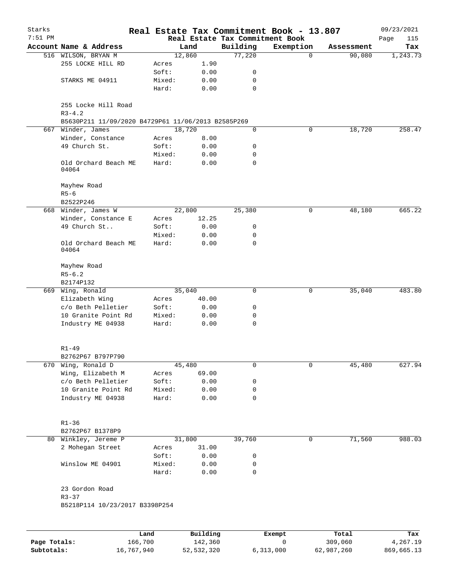| Starks    |                                                    |        |          |             | Real Estate Tax Commitment Book - 13.807 |            | 09/23/2021  |
|-----------|----------------------------------------------------|--------|----------|-------------|------------------------------------------|------------|-------------|
| $7:51$ PM |                                                    |        |          |             | Real Estate Tax Commitment Book          |            | Page<br>115 |
|           | Account Name & Address                             |        | Land     | Building    | Exemption                                | Assessment | Tax         |
|           | 516 WILSON, BRYAN M                                |        | 12,860   | 77,220      | $\mathbf 0$                              | 90,080     | 1,243.73    |
|           | 255 LOCKE HILL RD                                  | Acres  | 1.90     |             |                                          |            |             |
|           |                                                    | Soft:  | 0.00     | 0           |                                          |            |             |
|           | STARKS ME 04911                                    | Mixed: | 0.00     | 0           |                                          |            |             |
|           |                                                    | Hard:  | 0.00     | $\mathbf 0$ |                                          |            |             |
|           | 255 Locke Hill Road<br>$R3 - 4.2$                  |        |          |             |                                          |            |             |
|           | B5630P211 11/09/2020 B4729P61 11/06/2013 B2585P269 |        |          |             |                                          |            |             |
|           | 667 Winder, James                                  |        | 18,720   | 0           | 0                                        | 18,720     | 258.47      |
|           | Winder, Constance                                  | Acres  | 8.00     |             |                                          |            |             |
|           | 49 Church St.                                      | Soft:  | 0.00     | 0           |                                          |            |             |
|           |                                                    | Mixed: | 0.00     | 0           |                                          |            |             |
|           | Old Orchard Beach ME<br>04064                      | Hard:  | 0.00     | 0           |                                          |            |             |
|           | Mayhew Road                                        |        |          |             |                                          |            |             |
|           | $R5 - 6$                                           |        |          |             |                                          |            |             |
|           | B2522P246                                          |        |          |             |                                          |            |             |
| 668       | Winder, James W                                    |        | 22,800   | 25,380      | 0                                        | 48,180     | 665.22      |
|           | Winder, Constance E                                | Acres  | 12.25    |             |                                          |            |             |
|           | 49 Church St                                       | Soft:  | 0.00     | 0           |                                          |            |             |
|           |                                                    | Mixed: | 0.00     | 0           |                                          |            |             |
|           | Old Orchard Beach ME<br>04064                      | Hard:  | 0.00     | 0           |                                          |            |             |
|           | Mayhew Road<br>$R5 - 6.2$                          |        |          |             |                                          |            |             |
|           | B2174P132                                          |        |          |             |                                          |            |             |
|           | 669 Wing, Ronald                                   |        | 35,040   | 0           | 0                                        | 35,040     | 483.80      |
|           | Elizabeth Wing                                     | Acres  | 40.00    |             |                                          |            |             |
|           | c/o Beth Pelletier                                 | Soft:  | 0.00     | 0           |                                          |            |             |
|           | 10 Granite Point Rd                                | Mixed: | 0.00     | 0           |                                          |            |             |
|           | Industry ME 04938                                  | Hard:  | 0.00     | 0           |                                          |            |             |
|           | $R1 - 49$                                          |        |          |             |                                          |            |             |
|           | B2762P67 B797P790                                  |        |          |             |                                          |            |             |
| 670       | Wing, Ronald D                                     |        | 45,480   | 0           | 0                                        | 45,480     | 627.94      |
|           | Wing, Elizabeth M                                  | Acres  | 69.00    |             |                                          |            |             |
|           | c/o Beth Pelletier                                 | Soft:  | 0.00     | 0           |                                          |            |             |
|           | 10 Granite Point Rd                                | Mixed: | 0.00     | 0           |                                          |            |             |
|           | Industry ME 04938                                  | Hard:  | 0.00     | 0           |                                          |            |             |
|           |                                                    |        |          |             |                                          |            |             |
|           | $R1 - 36$                                          |        |          |             |                                          |            |             |
|           | B2762P67 B1378P9                                   |        |          |             |                                          |            |             |
|           | 80 Winkley, Jereme P                               |        | 31,800   | 39,760      | 0                                        | 71,560     | 988.03      |
|           | 2 Mohegan Street                                   | Acres  | 31.00    |             |                                          |            |             |
|           |                                                    | Soft:  | 0.00     | 0           |                                          |            |             |
|           | Winslow ME 04901                                   | Mixed: | 0.00     | 0           |                                          |            |             |
|           |                                                    | Hard:  | 0.00     | 0           |                                          |            |             |
|           | 23 Gordon Road                                     |        |          |             |                                          |            |             |
|           | $R3 - 37$<br>B5218P114 10/23/2017 B3398P254        |        |          |             |                                          |            |             |
|           |                                                    |        |          |             |                                          |            |             |
|           |                                                    | Land   | Building |             | Exempt                                   | Total      | Tax         |
|           |                                                    |        |          |             |                                          |            |             |

| Page Totals: | 166,700    | 142,360    |           | 309,060    | 4,267.19   |
|--------------|------------|------------|-----------|------------|------------|
| Subtotals:   | 16,767,940 | 52,532,320 | 6,313,000 | 62,987,260 | 869,665.13 |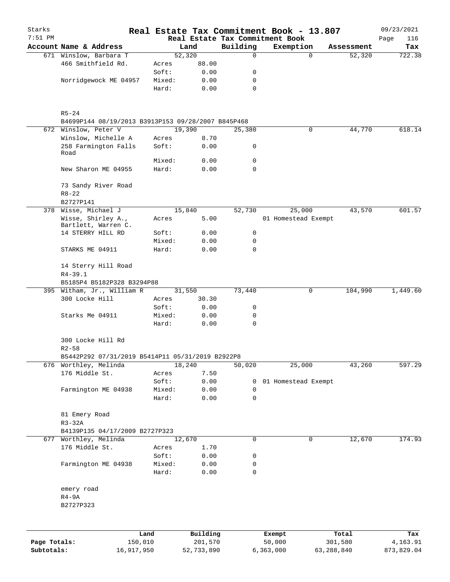| Starks<br>$7:51$ PM |                                                    |                 |        |                     |             | Real Estate Tax Commitment Book - 13.807<br>Real Estate Tax Commitment Book |                  |            | 09/23/2021<br>Page<br>116 |
|---------------------|----------------------------------------------------|-----------------|--------|---------------------|-------------|-----------------------------------------------------------------------------|------------------|------------|---------------------------|
|                     | Account Name & Address                             |                 |        | Land                | Building    | Exemption                                                                   |                  | Assessment | Tax                       |
|                     | 671 Winslow, Barbara T                             |                 |        | 52,320              | 0           |                                                                             | $\Omega$         | 52,320     | 722.38                    |
|                     | 466 Smithfield Rd.                                 |                 | Acres  | 88.00               |             |                                                                             |                  |            |                           |
|                     |                                                    |                 | Soft:  | 0.00                | 0           |                                                                             |                  |            |                           |
|                     | Norridgewock ME 04957                              |                 | Mixed: | 0.00                | 0           |                                                                             |                  |            |                           |
|                     |                                                    |                 | Hard:  | 0.00                | $\mathbf 0$ |                                                                             |                  |            |                           |
|                     | $R5 - 24$                                          |                 |        |                     |             |                                                                             |                  |            |                           |
|                     | B4699P144 08/19/2013 B3913P153 09/28/2007 B845P468 |                 |        |                     |             |                                                                             |                  |            |                           |
|                     | 672 Winslow, Peter V                               |                 |        | 19,390              | 25,380      |                                                                             | 0                | 44,770     | 618.14                    |
|                     | Winslow, Michelle A                                |                 | Acres  | 8.70                |             |                                                                             |                  |            |                           |
|                     | 258 Farmington Falls<br>Road                       |                 | Soft:  | 0.00                | 0           |                                                                             |                  |            |                           |
|                     |                                                    |                 | Mixed: | 0.00                | 0           |                                                                             |                  |            |                           |
|                     | New Sharon ME 04955                                |                 | Hard:  | 0.00                | $\mathbf 0$ |                                                                             |                  |            |                           |
|                     | 73 Sandy River Road<br>$R8 - 22$                   |                 |        |                     |             |                                                                             |                  |            |                           |
|                     | B2727P141                                          |                 |        |                     |             |                                                                             |                  |            |                           |
|                     | 378 Wisse, Michael J                               |                 |        | 15,840              | 52,730      | 25,000                                                                      |                  | 43,570     | 601.57                    |
|                     | Wisse, Shirley A.,                                 |                 | Acres  | 5.00                |             | 01 Homestead Exempt                                                         |                  |            |                           |
|                     | Bartlett, Warren C.                                |                 |        |                     |             |                                                                             |                  |            |                           |
|                     | 14 STERRY HILL RD                                  |                 | Soft:  | 0.00                | 0           |                                                                             |                  |            |                           |
|                     |                                                    |                 | Mixed: | 0.00                | 0           |                                                                             |                  |            |                           |
|                     | STARKS ME 04911                                    |                 | Hard:  | 0.00                | $\Omega$    |                                                                             |                  |            |                           |
|                     | 14 Sterry Hill Road                                |                 |        |                     |             |                                                                             |                  |            |                           |
|                     | $R4 - 39.1$<br>B5185P4 B5182P328 B3294P88          |                 |        |                     |             |                                                                             |                  |            |                           |
|                     | 395 Witham, Jr., William R                         |                 |        | 31,550              | 73,440      |                                                                             | 0                | 104,990    | 1,449.60                  |
|                     | 300 Locke Hill                                     |                 | Acres  | 30.30               |             |                                                                             |                  |            |                           |
|                     |                                                    |                 | Soft:  | 0.00                | 0           |                                                                             |                  |            |                           |
|                     | Starks Me 04911                                    |                 | Mixed: | 0.00                | 0           |                                                                             |                  |            |                           |
|                     |                                                    |                 | Hard:  | 0.00                | 0           |                                                                             |                  |            |                           |
|                     | 300 Locke Hill Rd<br>$R2 - 58$                     |                 |        |                     |             |                                                                             |                  |            |                           |
|                     | B5442P292 07/31/2019 B5414P11 05/31/2019 B2922P8   |                 |        |                     |             |                                                                             |                  |            |                           |
|                     | 676 Worthley, Melinda                              |                 |        | 18,240              | 50,020      | 25,000                                                                      |                  | 43,260     | 597.29                    |
|                     | 176 Middle St.                                     |                 | Acres  | 7.50                |             |                                                                             |                  |            |                           |
|                     |                                                    |                 | Soft:  | 0.00                | 0           | 01 Homestead Exempt                                                         |                  |            |                           |
|                     | Farmington ME 04938                                |                 | Mixed: | 0.00                | 0           |                                                                             |                  |            |                           |
|                     |                                                    |                 | Hard:  | 0.00                | 0           |                                                                             |                  |            |                           |
|                     | 81 Emery Road                                      |                 |        |                     |             |                                                                             |                  |            |                           |
|                     | $R3 - 32A$                                         |                 |        |                     |             |                                                                             |                  |            |                           |
|                     | B4139P135 04/17/2009 B2727P323                     |                 |        |                     |             |                                                                             |                  |            |                           |
|                     | 677 Worthley, Melinda                              |                 |        | 12,670              | $\mathbf 0$ |                                                                             | $\mathbf 0$      | 12,670     | 174.93                    |
|                     | 176 Middle St.                                     |                 | Acres  | 1.70                |             |                                                                             |                  |            |                           |
|                     |                                                    |                 | Soft:  | 0.00                | 0           |                                                                             |                  |            |                           |
|                     | Farmington ME 04938                                |                 | Mixed: | 0.00                | 0           |                                                                             |                  |            |                           |
|                     |                                                    |                 | Hard:  | 0.00                | 0           |                                                                             |                  |            |                           |
|                     | emery road                                         |                 |        |                     |             |                                                                             |                  |            |                           |
|                     | $R4-9A$                                            |                 |        |                     |             |                                                                             |                  |            |                           |
|                     | B2727P323                                          |                 |        |                     |             |                                                                             |                  |            |                           |
|                     |                                                    |                 |        |                     |             |                                                                             |                  |            |                           |
| Page Totals:        |                                                    | Land<br>150,010 |        | Building<br>201,570 |             | Exempt<br>50,000                                                            | Total<br>301,580 |            | Tax<br>4,163.91           |
| Subtotals:          |                                                    | 16,917,950      |        | 52,733,890          |             | 6,363,000                                                                   | 63, 288, 840     |            | 873,829.04                |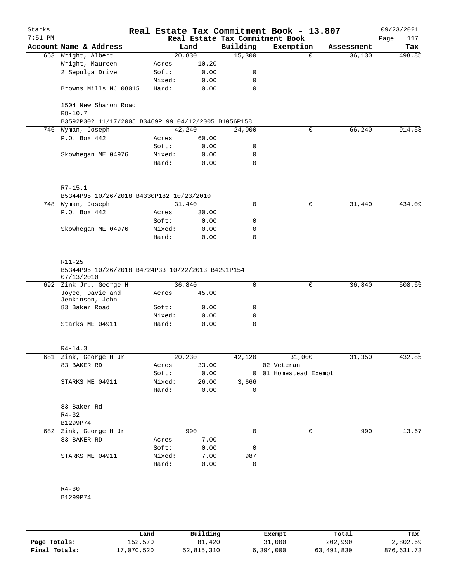| Starks<br>$7:51$ PM |                                                                           |                 |               |             | Real Estate Tax Commitment Book - 13.807<br>Real Estate Tax Commitment Book |          |            | 09/23/2021<br>117<br>Page |
|---------------------|---------------------------------------------------------------------------|-----------------|---------------|-------------|-----------------------------------------------------------------------------|----------|------------|---------------------------|
|                     | Account Name & Address                                                    |                 | Land          | Building    | Exemption                                                                   |          | Assessment | Tax                       |
|                     | 663 Wright, Albert                                                        | 20,830          |               | 15,300      |                                                                             | $\Omega$ | 36,130     | 498.85                    |
|                     | Wright, Maureen                                                           | Acres           | 10.20         |             |                                                                             |          |            |                           |
|                     | 2 Sepulga Drive                                                           | Soft:           | 0.00          | 0           |                                                                             |          |            |                           |
|                     |                                                                           | Mixed:          | 0.00          | 0           |                                                                             |          |            |                           |
|                     | Browns Mills NJ 08015                                                     | Hard:           | 0.00          | $\mathbf 0$ |                                                                             |          |            |                           |
|                     | 1504 New Sharon Road<br>$R8 - 10.7$                                       |                 |               |             |                                                                             |          |            |                           |
|                     | B3592P302 11/17/2005 B3469P199 04/12/2005 B1056P158                       |                 |               |             |                                                                             |          |            |                           |
|                     | 746 Wyman, Joseph                                                         | 42,240          |               | 24,000      |                                                                             | 0        | 66,240     | 914.58                    |
|                     | P.O. Box 442                                                              | Acres           | 60.00         |             |                                                                             |          |            |                           |
|                     |                                                                           | Soft:           | 0.00          | 0           |                                                                             |          |            |                           |
|                     | Skowhegan ME 04976                                                        | Mixed:          | 0.00          | 0           |                                                                             |          |            |                           |
|                     |                                                                           | Hard:           | 0.00          | $\mathbf 0$ |                                                                             |          |            |                           |
|                     | $R7 - 15.1$<br>B5344P95 10/26/2018 B4330P182 10/23/2010                   |                 |               |             |                                                                             |          |            |                           |
|                     | 748 Wyman, Joseph                                                         | 31,440          |               | 0           |                                                                             | 0        | 31,440     | 434.09                    |
|                     | P.O. Box 442                                                              | Acres           | 30.00         |             |                                                                             |          |            |                           |
|                     |                                                                           | Soft:           | 0.00          | 0           |                                                                             |          |            |                           |
|                     | Skowhegan ME 04976                                                        | Mixed:          | 0.00          | 0           |                                                                             |          |            |                           |
|                     |                                                                           | Hard:           | 0.00          | 0           |                                                                             |          |            |                           |
|                     | R11-25<br>B5344P95 10/26/2018 B4724P33 10/22/2013 B4291P154<br>07/13/2010 |                 |               |             |                                                                             |          |            |                           |
|                     | 692 Zink Jr., George H                                                    | 36,840          |               | $\mathbf 0$ |                                                                             | 0        | 36,840     | 508.65                    |
|                     | Joyce, Davie and<br>Jenkinson, John                                       | Acres           | 45.00         |             |                                                                             |          |            |                           |
|                     | 83 Baker Road                                                             | Soft:           | 0.00          | 0           |                                                                             |          |            |                           |
|                     |                                                                           | Mixed:          | 0.00          | 0           |                                                                             |          |            |                           |
|                     | Starks ME 04911                                                           | Hard:           | 0.00          | 0           |                                                                             |          |            |                           |
|                     | $R4 - 14.3$                                                               |                 |               |             |                                                                             |          |            |                           |
|                     | 681 Zink, George H Jr                                                     | 20,230          |               | 42,120      | 31,000                                                                      |          | 31,350     | 432.85                    |
|                     | 83 BAKER RD                                                               | Acres           | 33.00         |             | 02 Veteran                                                                  |          |            |                           |
|                     |                                                                           | Soft:           | 0.00          |             | 0 01 Homestead Exempt                                                       |          |            |                           |
|                     |                                                                           |                 |               |             |                                                                             |          |            |                           |
|                     | STARKS ME 04911                                                           | Mixed:<br>Hard: | 26.00<br>0.00 | 3,666<br>0  |                                                                             |          |            |                           |
|                     | 83 Baker Rd                                                               |                 |               |             |                                                                             |          |            |                           |
|                     | $R4 - 32$                                                                 |                 |               |             |                                                                             |          |            |                           |
|                     | B1299P74                                                                  |                 |               |             |                                                                             |          |            |                           |
|                     | 682 Zink, George H Jr                                                     |                 | 990           | $\mathbf 0$ |                                                                             | 0        | 990        | 13.67                     |
|                     | 83 BAKER RD                                                               | Acres           | 7.00          |             |                                                                             |          |            |                           |
|                     |                                                                           | Soft:           | 0.00          | 0           |                                                                             |          |            |                           |
|                     | STARKS ME 04911                                                           | Mixed:          | 7.00          | 987         |                                                                             |          |            |                           |
|                     |                                                                           | Hard:           | 0.00          | $\mathbf 0$ |                                                                             |          |            |                           |
|                     |                                                                           |                 |               |             |                                                                             |          |            |                           |
|                     | $R4 - 30$                                                                 |                 |               |             |                                                                             |          |            |                           |
|                     | B1299P74                                                                  |                 |               |             |                                                                             |          |            |                           |
|                     |                                                                           |                 |               |             |                                                                             |          |            |                           |

|               | Land       | Building   | Exempt    | Total      | Tax        |
|---------------|------------|------------|-----------|------------|------------|
| Page Totals:  | 152,570    | 81,420     | 31,000    | 202,990    | 2,802.69   |
| Final Totals: | 17,070,520 | 52,815,310 | 6,394,000 | 63,491,830 | 876,631.73 |